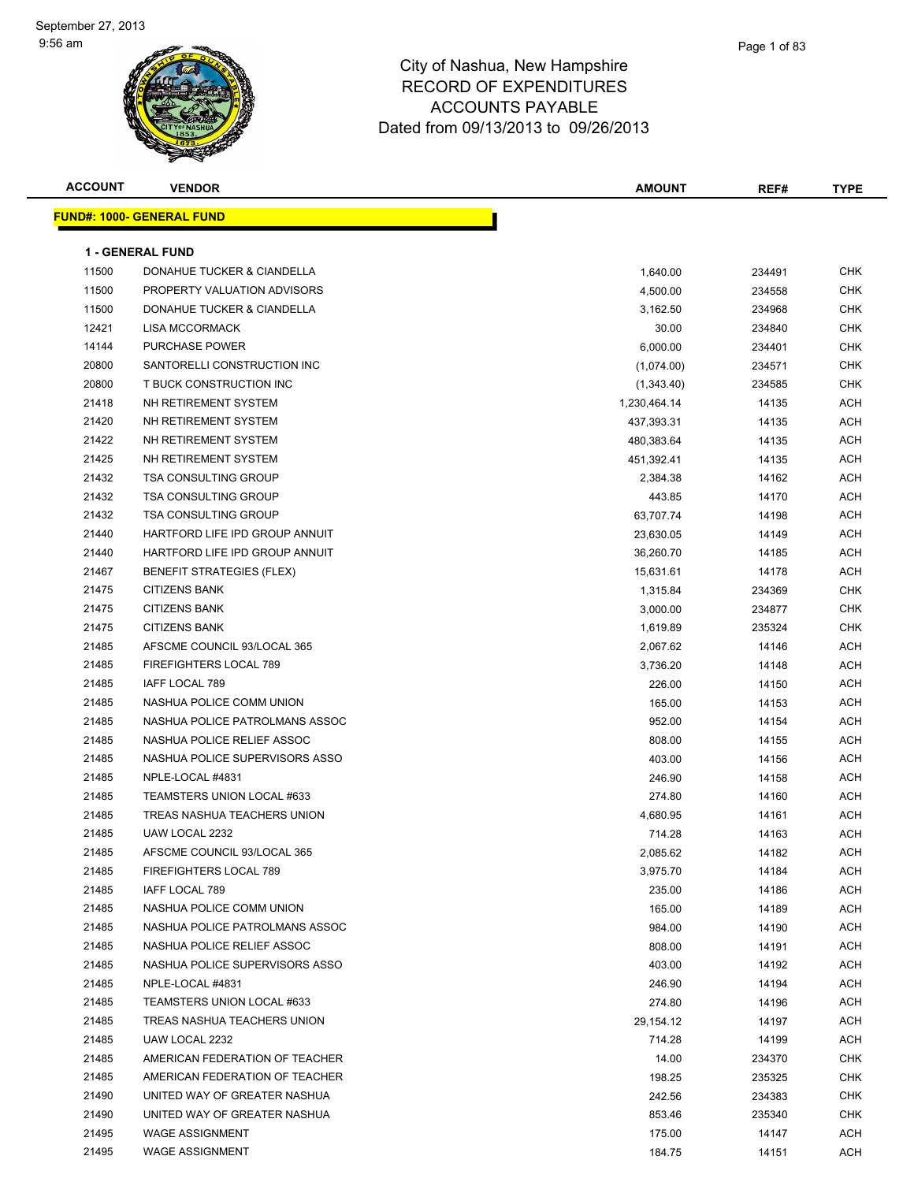

| <b>ACCOUNT</b> | <b>VENDOR</b>                     | AMOUNT       | REF#   | <b>TYPE</b> |
|----------------|-----------------------------------|--------------|--------|-------------|
|                | <u> FUND#: 1000- GENERAL FUND</u> |              |        |             |
|                |                                   |              |        |             |
|                | <b>1 - GENERAL FUND</b>           |              |        |             |
| 11500          | DONAHUE TUCKER & CIANDELLA        | 1,640.00     | 234491 | <b>CHK</b>  |
| 11500          | PROPERTY VALUATION ADVISORS       | 4,500.00     | 234558 | <b>CHK</b>  |
| 11500          | DONAHUE TUCKER & CIANDELLA        | 3,162.50     | 234968 | CHK         |
| 12421          | <b>LISA MCCORMACK</b>             | 30.00        | 234840 | CHK         |
| 14144          | PURCHASE POWER                    | 6,000.00     | 234401 | CHK         |
| 20800          | SANTORELLI CONSTRUCTION INC       | (1,074.00)   | 234571 | CHK         |
| 20800          | T BUCK CONSTRUCTION INC           | (1,343.40)   | 234585 | CHK         |
| 21418          | NH RETIREMENT SYSTEM              | 1,230,464.14 | 14135  | ACH         |
| 21420          | NH RETIREMENT SYSTEM              | 437,393.31   | 14135  | <b>ACH</b>  |
| 21422          | NH RETIREMENT SYSTEM              | 480,383.64   | 14135  | ACH         |
| 21425          | NH RETIREMENT SYSTEM              | 451,392.41   | 14135  | ACH         |
| 21432          | <b>TSA CONSULTING GROUP</b>       | 2,384.38     | 14162  | ACH         |
| 21432          | <b>TSA CONSULTING GROUP</b>       | 443.85       | 14170  | ACH         |
| 21432          | <b>TSA CONSULTING GROUP</b>       | 63,707.74    | 14198  | ACH         |
| 21440          | HARTFORD LIFE IPD GROUP ANNUIT    | 23,630.05    | 14149  | <b>ACH</b>  |
| 21440          | HARTFORD LIFE IPD GROUP ANNUIT    | 36,260.70    | 14185  | <b>ACH</b>  |
| 21467          | <b>BENEFIT STRATEGIES (FLEX)</b>  | 15,631.61    | 14178  | ACH         |
| 21475          | <b>CITIZENS BANK</b>              | 1,315.84     | 234369 | CHK         |
| 21475          | <b>CITIZENS BANK</b>              | 3,000.00     | 234877 | CHK         |
| 21475          | <b>CITIZENS BANK</b>              | 1,619.89     | 235324 | CHK         |
| 21485          | AFSCME COUNCIL 93/LOCAL 365       | 2,067.62     | 14146  | ACH         |
| 21485          | FIREFIGHTERS LOCAL 789            | 3,736.20     | 14148  | ACH         |
| 21485          | IAFF LOCAL 789                    | 226.00       | 14150  | ACH         |
| 21485          | NASHUA POLICE COMM UNION          | 165.00       | 14153  | ACH         |
| 21485          | NASHUA POLICE PATROLMANS ASSOC    | 952.00       | 14154  | <b>ACH</b>  |
| 21485          | NASHUA POLICE RELIEF ASSOC        | 808.00       | 14155  | <b>ACH</b>  |
| 21485          | NASHUA POLICE SUPERVISORS ASSO    | 403.00       | 14156  | <b>ACH</b>  |
| 21485          | NPLE-LOCAL #4831                  | 246.90       | 14158  | ACH         |
| 21485          | TEAMSTERS UNION LOCAL #633        | 274.80       | 14160  | ACH         |
| 21485          | TREAS NASHUA TEACHERS UNION       | 4,680.95     | 14161  | ACH         |
| 21485          | UAW LOCAL 2232                    | 714.28       | 14163  | ACH         |
| 21485          | AFSCME COUNCIL 93/LOCAL 365       | 2,085.62     | 14182  | ACH         |
| 21485          | <b>FIREFIGHTERS LOCAL 789</b>     | 3,975.70     | 14184  | ACH         |
| 21485          | IAFF LOCAL 789                    | 235.00       | 14186  | ACH         |
| 21485          | NASHUA POLICE COMM UNION          | 165.00       | 14189  | ACH         |
| 21485          | NASHUA POLICE PATROLMANS ASSOC    | 984.00       | 14190  | ACH         |
| 21485          | NASHUA POLICE RELIEF ASSOC        | 808.00       | 14191  | ACH         |
| 21485          | NASHUA POLICE SUPERVISORS ASSO    | 403.00       | 14192  | ACH         |
| 21485          | NPLE-LOCAL #4831                  | 246.90       | 14194  | ACH         |
| 21485          | TEAMSTERS UNION LOCAL #633        | 274.80       | 14196  | ACH         |
| 21485          | TREAS NASHUA TEACHERS UNION       | 29,154.12    | 14197  | ACH         |
| 21485          | UAW LOCAL 2232                    | 714.28       | 14199  | ACH         |
| 21485          | AMERICAN FEDERATION OF TEACHER    | 14.00        | 234370 | CHK         |
| 21485          | AMERICAN FEDERATION OF TEACHER    | 198.25       | 235325 | CHK         |
| 21490          | UNITED WAY OF GREATER NASHUA      | 242.56       | 234383 | CHK         |
| 21490          | UNITED WAY OF GREATER NASHUA      | 853.46       | 235340 | CHK         |
| 21495          | <b>WAGE ASSIGNMENT</b>            | 175.00       | 14147  | ACH         |
| 21495          | <b>WAGE ASSIGNMENT</b>            | 184.75       | 14151  | ACH         |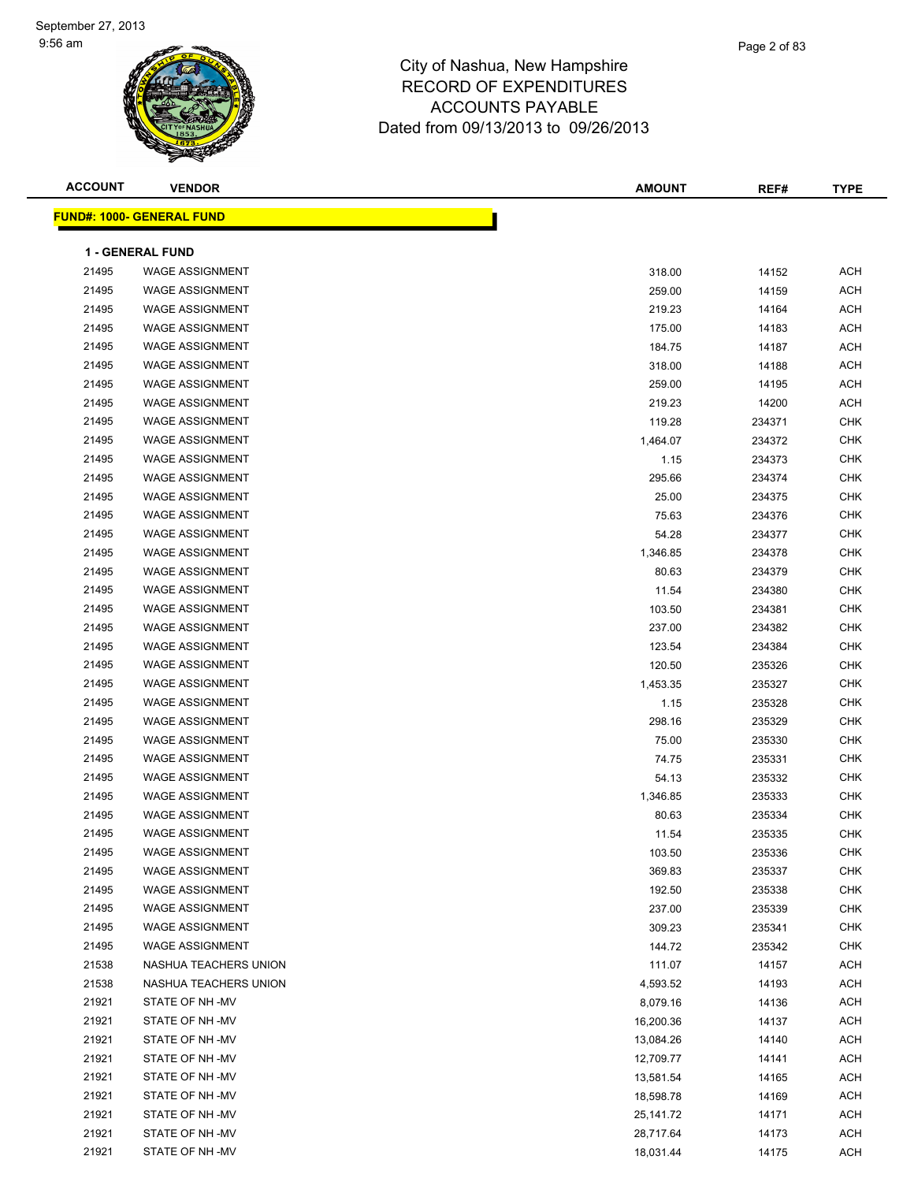

| <b>ACCOUNT</b> | <b>VENDOR</b>                    | <b>AMOUNT</b> | REF#   | <b>TYPE</b> |
|----------------|----------------------------------|---------------|--------|-------------|
|                | <b>FUND#: 1000- GENERAL FUND</b> |               |        |             |
|                |                                  |               |        |             |
|                | <b>1 - GENERAL FUND</b>          |               |        |             |
| 21495          | <b>WAGE ASSIGNMENT</b>           | 318.00        | 14152  | <b>ACH</b>  |
| 21495          | <b>WAGE ASSIGNMENT</b>           | 259.00        | 14159  | <b>ACH</b>  |
| 21495          | <b>WAGE ASSIGNMENT</b>           | 219.23        | 14164  | <b>ACH</b>  |
| 21495          | <b>WAGE ASSIGNMENT</b>           | 175.00        | 14183  | <b>ACH</b>  |
| 21495          | <b>WAGE ASSIGNMENT</b>           | 184.75        | 14187  | <b>ACH</b>  |
| 21495          | <b>WAGE ASSIGNMENT</b>           | 318.00        | 14188  | <b>ACH</b>  |
| 21495          | <b>WAGE ASSIGNMENT</b>           | 259.00        | 14195  | <b>ACH</b>  |
| 21495          | <b>WAGE ASSIGNMENT</b>           | 219.23        | 14200  | <b>ACH</b>  |
| 21495          | <b>WAGE ASSIGNMENT</b>           | 119.28        | 234371 | <b>CHK</b>  |
| 21495          | <b>WAGE ASSIGNMENT</b>           | 1,464.07      | 234372 | <b>CHK</b>  |
| 21495          | <b>WAGE ASSIGNMENT</b>           | 1.15          | 234373 | <b>CHK</b>  |
| 21495          | <b>WAGE ASSIGNMENT</b>           | 295.66        | 234374 | CHK         |
| 21495          | <b>WAGE ASSIGNMENT</b>           | 25.00         | 234375 | CHK         |
| 21495          | <b>WAGE ASSIGNMENT</b>           | 75.63         | 234376 | <b>CHK</b>  |
| 21495          | <b>WAGE ASSIGNMENT</b>           | 54.28         | 234377 | <b>CHK</b>  |
| 21495          | <b>WAGE ASSIGNMENT</b>           | 1,346.85      | 234378 | <b>CHK</b>  |
| 21495          | <b>WAGE ASSIGNMENT</b>           | 80.63         | 234379 | <b>CHK</b>  |
| 21495          | <b>WAGE ASSIGNMENT</b>           | 11.54         | 234380 | <b>CHK</b>  |
| 21495          | <b>WAGE ASSIGNMENT</b>           | 103.50        | 234381 | <b>CHK</b>  |
| 21495          | <b>WAGE ASSIGNMENT</b>           | 237.00        | 234382 | <b>CHK</b>  |
| 21495          | <b>WAGE ASSIGNMENT</b>           | 123.54        | 234384 | <b>CHK</b>  |
| 21495          | <b>WAGE ASSIGNMENT</b>           | 120.50        | 235326 | <b>CHK</b>  |
| 21495          | <b>WAGE ASSIGNMENT</b>           | 1,453.35      | 235327 | <b>CHK</b>  |
| 21495          | <b>WAGE ASSIGNMENT</b>           | 1.15          | 235328 | <b>CHK</b>  |
| 21495          | <b>WAGE ASSIGNMENT</b>           | 298.16        | 235329 | <b>CHK</b>  |
| 21495          | <b>WAGE ASSIGNMENT</b>           | 75.00         | 235330 | <b>CHK</b>  |
| 21495          | <b>WAGE ASSIGNMENT</b>           | 74.75         | 235331 | <b>CHK</b>  |
| 21495          | <b>WAGE ASSIGNMENT</b>           | 54.13         | 235332 | <b>CHK</b>  |
| 21495          | <b>WAGE ASSIGNMENT</b>           | 1,346.85      | 235333 | <b>CHK</b>  |
| 21495          | <b>WAGE ASSIGNMENT</b>           | 80.63         | 235334 | CHK         |
| 21495          | <b>WAGE ASSIGNMENT</b>           | 11.54         | 235335 | CHK         |
| 21495          | WAGE ASSIGNMENT                  | 103.50        | 235336 | <b>CHK</b>  |
| 21495          | <b>WAGE ASSIGNMENT</b>           | 369.83        | 235337 | CHK         |
| 21495          | <b>WAGE ASSIGNMENT</b>           | 192.50        | 235338 | <b>CHK</b>  |
| 21495          | <b>WAGE ASSIGNMENT</b>           | 237.00        | 235339 | <b>CHK</b>  |
| 21495          | <b>WAGE ASSIGNMENT</b>           | 309.23        | 235341 | CHK         |
| 21495          | <b>WAGE ASSIGNMENT</b>           | 144.72        | 235342 | CHK         |
| 21538          | NASHUA TEACHERS UNION            | 111.07        | 14157  | ACH         |
| 21538          | NASHUA TEACHERS UNION            | 4,593.52      | 14193  | ACH         |
| 21921          | STATE OF NH-MV                   | 8,079.16      | 14136  | ACH         |
| 21921          | STATE OF NH -MV                  | 16,200.36     | 14137  | ACH         |
| 21921          | STATE OF NH-MV                   | 13,084.26     | 14140  | ACH         |
| 21921          | STATE OF NH -MV                  | 12,709.77     | 14141  | ACH         |
| 21921          | STATE OF NH -MV                  | 13,581.54     | 14165  | ACH         |
| 21921          | STATE OF NH -MV                  | 18,598.78     | 14169  | ACH         |
| 21921          | STATE OF NH-MV                   | 25,141.72     | 14171  | ACH         |
| 21921          | STATE OF NH-MV                   | 28,717.64     | 14173  | ACH         |
| 21921          | STATE OF NH-MV                   | 18,031.44     | 14175  | ACH         |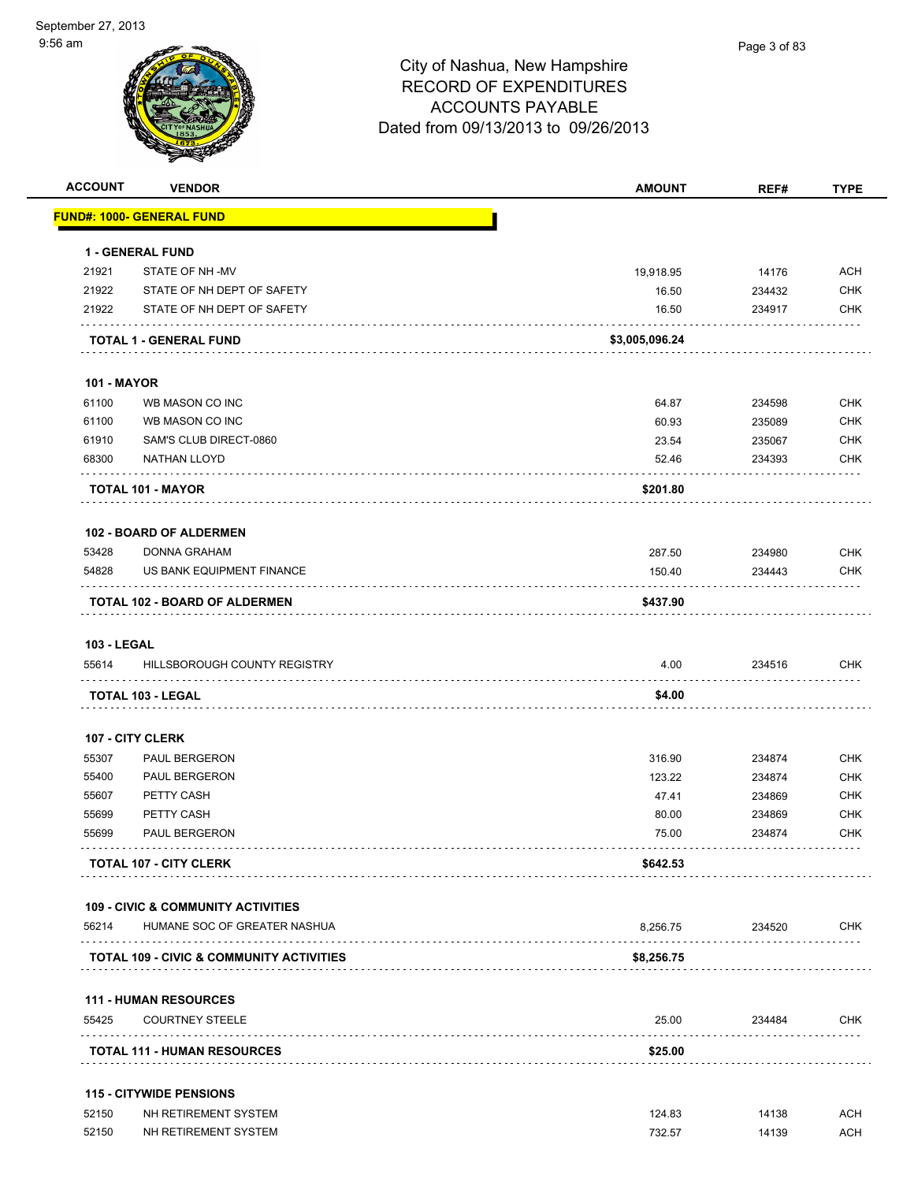| <b>ACCOUNT</b>     | <b>VENDOR</b>                                          | <b>AMOUNT</b>  | REF#   | <b>TYPE</b> |
|--------------------|--------------------------------------------------------|----------------|--------|-------------|
|                    | <u> FUND#: 1000- GENERAL FUND</u>                      |                |        |             |
|                    | <b>1 - GENERAL FUND</b>                                |                |        |             |
| 21921              | STATE OF NH-MV                                         | 19,918.95      | 14176  | ACH         |
| 21922              | STATE OF NH DEPT OF SAFETY                             | 16.50          | 234432 | <b>CHK</b>  |
| 21922              | STATE OF NH DEPT OF SAFETY                             | 16.50          | 234917 | <b>CHK</b>  |
|                    | <b>TOTAL 1 - GENERAL FUND</b>                          | \$3,005,096.24 |        |             |
| <b>101 - MAYOR</b> |                                                        |                |        |             |
| 61100              | WB MASON CO INC                                        | 64.87          | 234598 | CHK         |
| 61100              | WB MASON CO INC                                        | 60.93          | 235089 | <b>CHK</b>  |
| 61910              | SAM'S CLUB DIRECT-0860                                 | 23.54          | 235067 | <b>CHK</b>  |
| 68300              | NATHAN LLOYD                                           | 52.46          | 234393 | <b>CHK</b>  |
|                    | <b>TOTAL 101 - MAYOR</b>                               | \$201.80       |        |             |
|                    | <b>102 - BOARD OF ALDERMEN</b>                         |                |        |             |
| 53428              | <b>DONNA GRAHAM</b>                                    | 287.50         | 234980 | <b>CHK</b>  |
| 54828              | US BANK EQUIPMENT FINANCE                              | 150.40         | 234443 | <b>CHK</b>  |
|                    | TOTAL 102 - BOARD OF ALDERMEN                          | \$437.90       |        |             |
| <b>103 - LEGAL</b> |                                                        |                |        |             |
| 55614              | HILLSBOROUGH COUNTY REGISTRY                           | 4.00           | 234516 | CHK         |
|                    | <b>TOTAL 103 - LEGAL</b>                               | \$4.00         |        |             |
|                    | <b>107 - CITY CLERK</b>                                |                |        |             |
| 55307              | <b>PAUL BERGERON</b>                                   | 316.90         | 234874 | <b>CHK</b>  |
| 55400              | PAUL BERGERON                                          | 123.22         | 234874 | <b>CHK</b>  |
| 55607              | PETTY CASH                                             | 47.41          | 234869 | CHK         |
| 55699              | PETTY CASH                                             | 80.00          | 234869 | <b>CHK</b>  |
| 55699              | PAUL BERGERON                                          | 75.00          | 234874 | CHK         |
|                    | <b>TOTAL 107 - CITY CLERK</b>                          | \$642.53       |        |             |
|                    | <b>109 - CIVIC &amp; COMMUNITY ACTIVITIES</b>          |                |        |             |
| 56214              | HUMANE SOC OF GREATER NASHUA                           | 8.256.75       | 234520 | CHK         |
| .                  | <b>TOTAL 109 - CIVIC &amp; COMMUNITY ACTIVITIES</b>    | \$8,256.75     |        |             |
|                    |                                                        |                |        |             |
| 55425              | <b>111 - HUMAN RESOURCES</b><br><b>COURTNEY STEELE</b> | 25.00          | 234484 | <b>CHK</b>  |
|                    | <b>TOTAL 111 - HUMAN RESOURCES</b>                     | \$25.00        |        |             |
|                    | <b>115 - CITYWIDE PENSIONS</b>                         |                |        |             |
| 52150              | NH RETIREMENT SYSTEM                                   | 124.83         | 14138  | <b>ACH</b>  |
| 52150              | NH RETIREMENT SYSTEM                                   | 732.57         | 14139  | <b>ACH</b>  |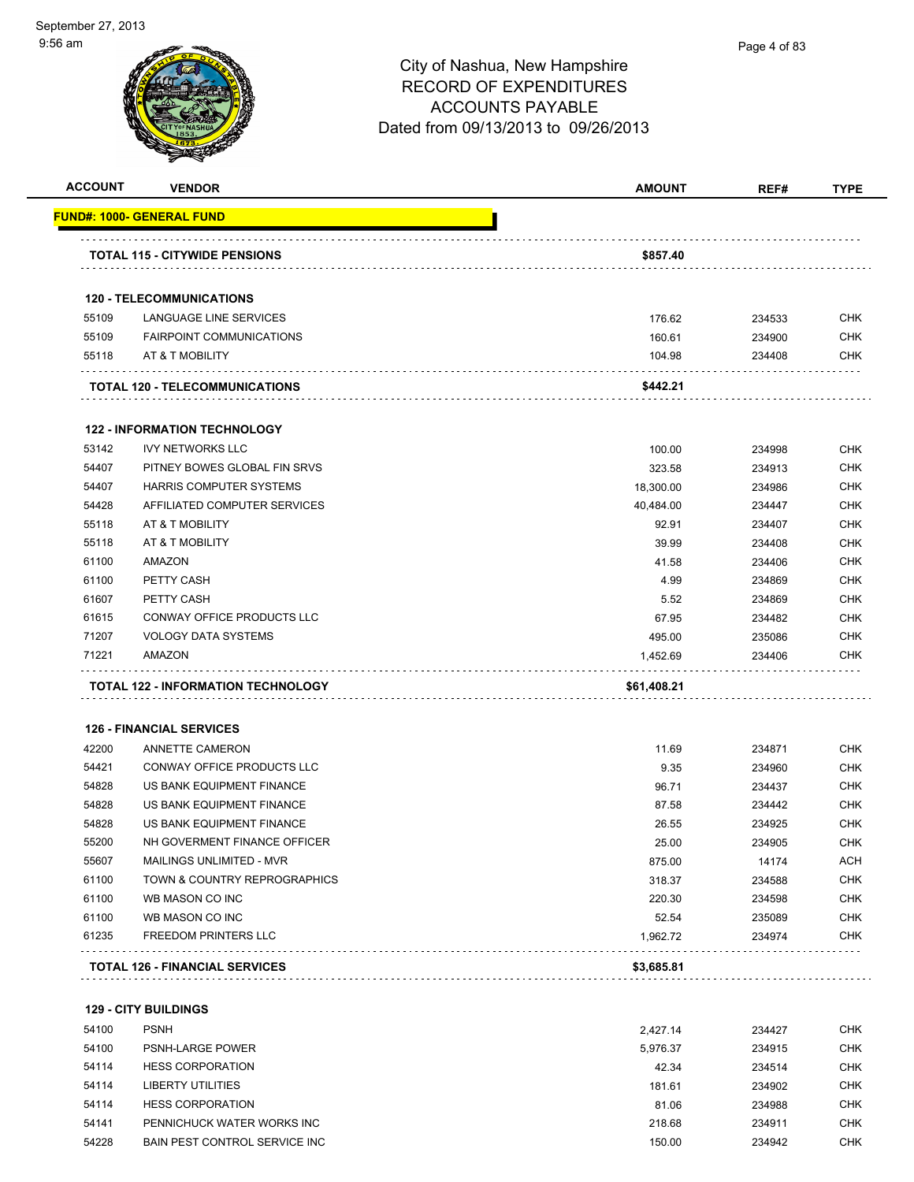| <b>ACCOUNT</b> | <b>VENDOR</b>                         | <b>AMOUNT</b> | REF#   | <b>TYPE</b> |
|----------------|---------------------------------------|---------------|--------|-------------|
|                | FUND#: 1000- GENERAL FUND             |               |        |             |
|                | <b>TOTAL 115 - CITYWIDE PENSIONS</b>  | \$857.40      |        |             |
|                |                                       |               |        |             |
|                | <b>120 - TELECOMMUNICATIONS</b>       |               |        |             |
| 55109          | LANGUAGE LINE SERVICES                | 176.62        | 234533 | <b>CHK</b>  |
| 55109          | <b>FAIRPOINT COMMUNICATIONS</b>       | 160.61        | 234900 | <b>CHK</b>  |
| 55118          | AT & T MOBILITY<br>.                  | 104.98        | 234408 | <b>CHK</b>  |
|                | <b>TOTAL 120 - TELECOMMUNICATIONS</b> | \$442.21      |        |             |
|                | <b>122 - INFORMATION TECHNOLOGY</b>   |               |        |             |
| 53142          | <b>IVY NETWORKS LLC</b>               | 100.00        | 234998 | <b>CHK</b>  |
| 54407          | PITNEY BOWES GLOBAL FIN SRVS          | 323.58        | 234913 | <b>CHK</b>  |
| 54407          | HARRIS COMPUTER SYSTEMS               | 18,300.00     | 234986 | <b>CHK</b>  |
| 54428          | AFFILIATED COMPUTER SERVICES          | 40,484.00     | 234447 | <b>CHK</b>  |
| 55118          | AT & T MOBILITY                       | 92.91         | 234407 | <b>CHK</b>  |
| 55118          | AT & T MOBILITY                       | 39.99         | 234408 | <b>CHK</b>  |
| 61100          | AMAZON                                | 41.58         | 234406 | <b>CHK</b>  |
| 61100          | PETTY CASH                            | 4.99          | 234869 | <b>CHK</b>  |
| 61607          | PETTY CASH                            | 5.52          | 234869 | <b>CHK</b>  |
| 61615          | CONWAY OFFICE PRODUCTS LLC            | 67.95         | 234482 | <b>CHK</b>  |
| 71207          | <b>VOLOGY DATA SYSTEMS</b>            | 495.00        | 235086 | <b>CHK</b>  |
| 71221          | AMAZON                                | 1,452.69      | 234406 | <b>CHK</b>  |
|                | TOTAL 122 - INFORMATION TECHNOLOGY    | \$61,408.21   |        |             |
|                | <b>126 - FINANCIAL SERVICES</b>       |               |        |             |
| 42200          | ANNETTE CAMERON                       | 11.69         | 234871 | <b>CHK</b>  |
| 54421          | <b>CONWAY OFFICE PRODUCTS LLC</b>     | 9.35          | 234960 | <b>CHK</b>  |
| 54828          | US BANK EQUIPMENT FINANCE             | 96.71         | 234437 | <b>CHK</b>  |
| 54828          | US BANK EQUIPMENT FINANCE             | 87.58         | 234442 | <b>CHK</b>  |
| 54828          | US BANK EQUIPMENT FINANCE             | 26.55         | 234925 | <b>CHK</b>  |
| 55200          | NH GOVERMENT FINANCE OFFICER          | 25.00         | 234905 | <b>CHK</b>  |
| 55607          | MAILINGS UNLIMITED - MVR              | 875.00        | 14174  | <b>ACH</b>  |
| 61100          | TOWN & COUNTRY REPROGRAPHICS          | 318.37        | 234588 | <b>CHK</b>  |
| 61100          | WB MASON CO INC                       | 220.30        | 234598 | <b>CHK</b>  |
| 61100          | WB MASON CO INC                       | 52.54         | 235089 | <b>CHK</b>  |
| 61235          | <b>FREEDOM PRINTERS LLC</b>           | 1,962.72      | 234974 | <b>CHK</b>  |
|                | <b>TOTAL 126 - FINANCIAL SERVICES</b> | \$3,685.81    |        |             |

 PSNH 2,427.14 234427 CHK PSNH-LARGE POWER 5,976.37 234915 CHK HESS CORPORATION 42.34 234514 CHK 54114 LIBERTY UTILITIES **181.61** 234902 CHK HESS CORPORATION 81.06 234988 CHK PENNICHUCK WATER WORKS INC 218.68 234911 CHK 54228 BAIN PEST CONTROL SERVICE INC 150.00 234942 CHK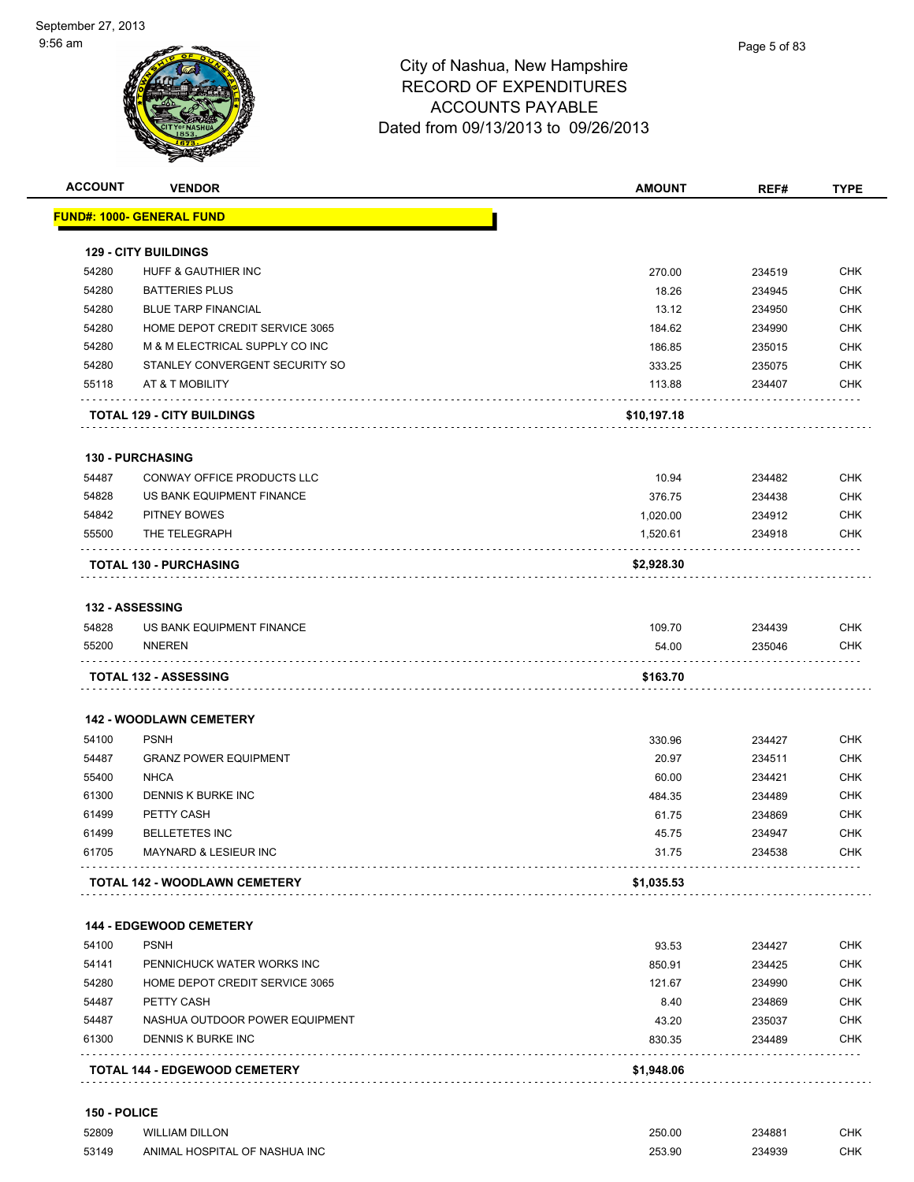|       | <b>VENDOR</b>                        | <b>AMOUNT</b> | REF#   | <b>TYPE</b>                                                                                                                                                          |
|-------|--------------------------------------|---------------|--------|----------------------------------------------------------------------------------------------------------------------------------------------------------------------|
|       | <u> FUND#: 1000- GENERAL FUND</u>    |               |        |                                                                                                                                                                      |
|       | <b>129 - CITY BUILDINGS</b>          |               |        |                                                                                                                                                                      |
| 54280 | HUFF & GAUTHIER INC                  | 270.00        | 234519 | CHK                                                                                                                                                                  |
| 54280 | <b>BATTERIES PLUS</b>                | 18.26         | 234945 | <b>CHK</b>                                                                                                                                                           |
| 54280 | <b>BLUE TARP FINANCIAL</b>           | 13.12         | 234950 | <b>CHK</b>                                                                                                                                                           |
| 54280 | HOME DEPOT CREDIT SERVICE 3065       | 184.62        | 234990 | <b>CHK</b>                                                                                                                                                           |
| 54280 | M & M ELECTRICAL SUPPLY CO INC       | 186.85        | 235015 | <b>CHK</b>                                                                                                                                                           |
| 54280 | STANLEY CONVERGENT SECURITY SO       | 333.25        | 235075 | <b>CHK</b>                                                                                                                                                           |
| 55118 | AT & T MOBILITY                      | 113.88        | 234407 | <b>CHK</b>                                                                                                                                                           |
|       |                                      |               |        |                                                                                                                                                                      |
|       | <b>TOTAL 129 - CITY BUILDINGS</b>    | \$10,197.18   |        |                                                                                                                                                                      |
|       | <b>130 - PURCHASING</b>              |               |        |                                                                                                                                                                      |
| 54487 | CONWAY OFFICE PRODUCTS LLC           | 10.94         | 234482 | CHK                                                                                                                                                                  |
| 54828 | US BANK EQUIPMENT FINANCE            | 376.75        | 234438 | CHK                                                                                                                                                                  |
| 54842 | PITNEY BOWES                         | 1,020.00      | 234912 | <b>CHK</b>                                                                                                                                                           |
| 55500 | THE TELEGRAPH                        | 1,520.61      | 234918 | <b>CHK</b>                                                                                                                                                           |
|       | <b>TOTAL 130 - PURCHASING</b>        | \$2,928.30    |        |                                                                                                                                                                      |
|       | <b>132 - ASSESSING</b>               |               |        |                                                                                                                                                                      |
| 54828 | US BANK EQUIPMENT FINANCE            | 109.70        | 234439 | CHK                                                                                                                                                                  |
| 55200 | NNEREN                               | 54.00         | 235046 | CHK                                                                                                                                                                  |
|       | <b>TOTAL 132 - ASSESSING</b>         | \$163.70      |        |                                                                                                                                                                      |
|       |                                      |               |        |                                                                                                                                                                      |
|       | <b>142 - WOODLAWN CEMETERY</b>       |               |        |                                                                                                                                                                      |
| 54100 | <b>PSNH</b>                          | 330.96        | 234427 | <b>CHK</b>                                                                                                                                                           |
|       | <b>GRANZ POWER EQUIPMENT</b>         |               |        |                                                                                                                                                                      |
| 54487 |                                      | 20.97         | 234511 |                                                                                                                                                                      |
| 55400 | <b>NHCA</b>                          | 60.00         | 234421 |                                                                                                                                                                      |
| 61300 | DENNIS K BURKE INC                   | 484.35        | 234489 |                                                                                                                                                                      |
| 61499 | PETTY CASH                           | 61.75         | 234869 |                                                                                                                                                                      |
| 61499 | <b>BELLETETES INC</b>                | 45.75         | 234947 |                                                                                                                                                                      |
| 61705 | MAYNARD & LESIEUR INC                | 31.75         | 234538 |                                                                                                                                                                      |
|       | <b>TOTAL 142 - WOODLAWN CEMETERY</b> | \$1,035.53    |        |                                                                                                                                                                      |
|       |                                      |               |        |                                                                                                                                                                      |
|       | <b>144 - EDGEWOOD CEMETERY</b>       |               |        |                                                                                                                                                                      |
| 54100 | <b>PSNH</b>                          | 93.53         | 234427 |                                                                                                                                                                      |
| 54141 | PENNICHUCK WATER WORKS INC           | 850.91        | 234425 |                                                                                                                                                                      |
| 54280 | HOME DEPOT CREDIT SERVICE 3065       | 121.67        | 234990 |                                                                                                                                                                      |
| 54487 | PETTY CASH                           | 8.40          | 234869 |                                                                                                                                                                      |
| 54487 | NASHUA OUTDOOR POWER EQUIPMENT       | 43.20         | 235037 |                                                                                                                                                                      |
| 61300 | DENNIS K BURKE INC                   | 830.35        | 234489 | <b>CHK</b><br><b>CHK</b><br><b>CHK</b><br><b>CHK</b><br><b>CHK</b><br><b>CHK</b><br><b>CHK</b><br><b>CHK</b><br><b>CHK</b><br><b>CHK</b><br><b>CHK</b><br><b>CHK</b> |

 52809 WILLIAM DILLON 250.00 234881 CHK 53149 ANIMAL HOSPITAL OF NASHUA INC 253.90 234939 CHK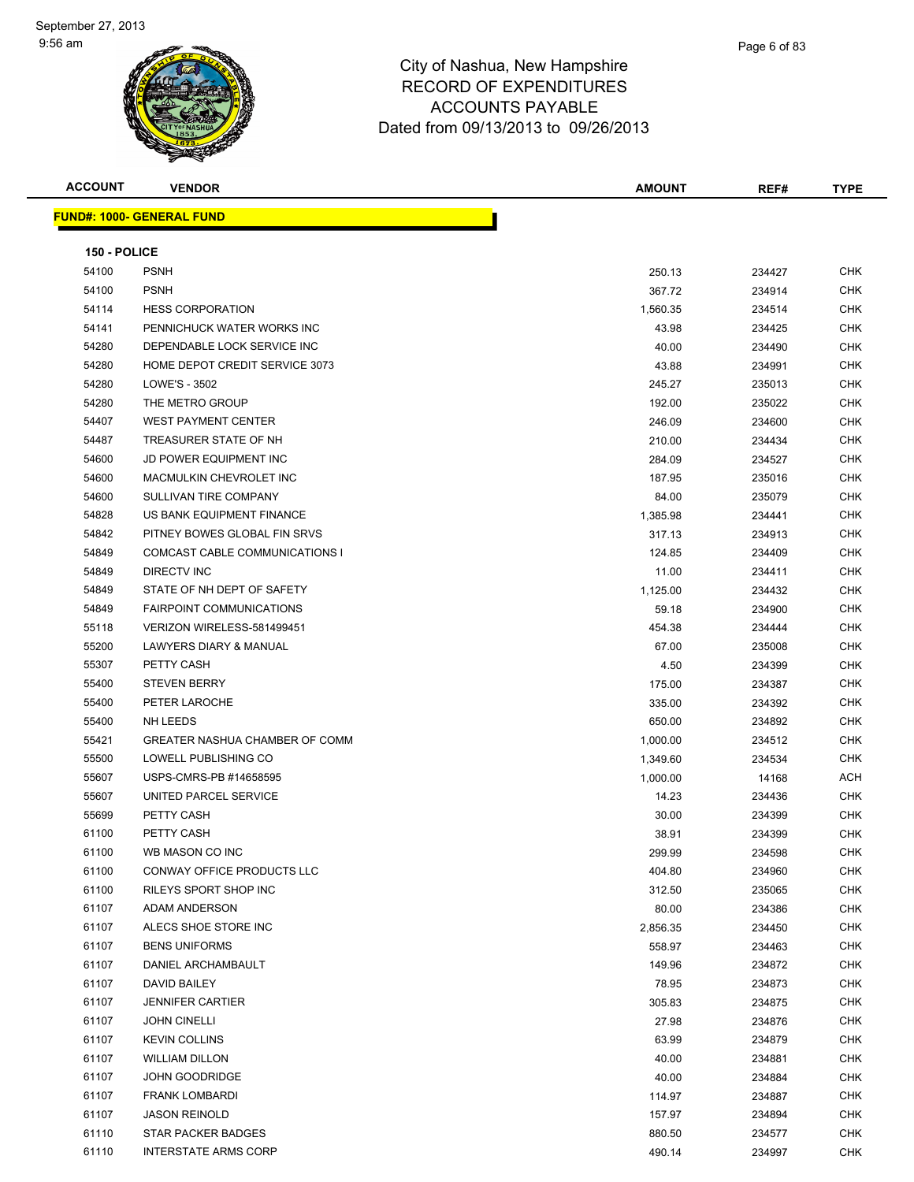

| <b>ACCOUNT</b> | <b>VENDOR</b>                    | <b>AMOUNT</b> | REF#   | <b>TYPE</b> |
|----------------|----------------------------------|---------------|--------|-------------|
|                | <b>FUND#: 1000- GENERAL FUND</b> |               |        |             |
|                |                                  |               |        |             |
| 150 - POLICE   |                                  |               |        |             |
| 54100          | <b>PSNH</b>                      | 250.13        | 234427 | <b>CHK</b>  |
| 54100          | <b>PSNH</b>                      | 367.72        | 234914 | <b>CHK</b>  |
| 54114          | <b>HESS CORPORATION</b>          | 1,560.35      | 234514 | CHK         |
| 54141          | PENNICHUCK WATER WORKS INC       | 43.98         | 234425 | CHK         |
| 54280          | DEPENDABLE LOCK SERVICE INC      | 40.00         | 234490 | CHK         |
| 54280          | HOME DEPOT CREDIT SERVICE 3073   | 43.88         | 234991 | CHK         |
| 54280          | LOWE'S - 3502                    | 245.27        | 235013 | <b>CHK</b>  |
| 54280          | THE METRO GROUP                  | 192.00        | 235022 | CHK         |
| 54407          | <b>WEST PAYMENT CENTER</b>       | 246.09        | 234600 | CHK         |
| 54487          | TREASURER STATE OF NH            | 210.00        | 234434 | CHK         |
| 54600          | <b>JD POWER EQUIPMENT INC</b>    | 284.09        | 234527 | CHK         |
| 54600          | MACMULKIN CHEVROLET INC          | 187.95        | 235016 | CHK         |
| 54600          | SULLIVAN TIRE COMPANY            | 84.00         | 235079 | CHK         |
| 54828          | US BANK EQUIPMENT FINANCE        | 1,385.98      | 234441 | CHK         |
| 54842          | PITNEY BOWES GLOBAL FIN SRVS     | 317.13        | 234913 | CHK         |
| 54849          | COMCAST CABLE COMMUNICATIONS I   | 124.85        | 234409 | CHK         |
| 54849          | DIRECTV INC                      | 11.00         | 234411 | CHK         |
| 54849          | STATE OF NH DEPT OF SAFETY       | 1,125.00      | 234432 | CHK         |
| 54849          | <b>FAIRPOINT COMMUNICATIONS</b>  | 59.18         | 234900 | CHK         |
| 55118          | VERIZON WIRELESS-581499451       | 454.38        | 234444 | CHK         |
| 55200          | LAWYERS DIARY & MANUAL           | 67.00         | 235008 | CHK         |
| 55307          | PETTY CASH                       | 4.50          | 234399 | CHK         |
| 55400          | <b>STEVEN BERRY</b>              | 175.00        | 234387 | CHK         |
| 55400          | PETER LAROCHE                    | 335.00        | 234392 | CHK         |
| 55400          | NH LEEDS                         | 650.00        | 234892 | CHK         |
| 55421          | GREATER NASHUA CHAMBER OF COMM   | 1,000.00      | 234512 | CHK         |
| 55500          | LOWELL PUBLISHING CO             | 1,349.60      | 234534 | CHK         |
| 55607          | USPS-CMRS-PB #14658595           | 1,000.00      | 14168  | ACH         |
| 55607          | UNITED PARCEL SERVICE            | 14.23         | 234436 | <b>CHK</b>  |
| 55699          | PETTY CASH                       | 30.00         | 234399 | CHK         |
| 61100          | PETTY CASH                       | 38.91         | 234399 | CHK         |
| 61100          | WB MASON CO INC                  | 299.99        | 234598 | CHK         |
| 61100          | CONWAY OFFICE PRODUCTS LLC       | 404.80        | 234960 | CHK         |
| 61100          | RILEYS SPORT SHOP INC            | 312.50        | 235065 | <b>CHK</b>  |
| 61107          | ADAM ANDERSON                    | 80.00         | 234386 | CHK         |
| 61107          | ALECS SHOE STORE INC             | 2,856.35      | 234450 | CHK         |
| 61107          | <b>BENS UNIFORMS</b>             | 558.97        | 234463 | <b>CHK</b>  |
| 61107          | DANIEL ARCHAMBAULT               | 149.96        | 234872 | <b>CHK</b>  |
| 61107          | DAVID BAILEY                     | 78.95         | 234873 | <b>CHK</b>  |
| 61107          | <b>JENNIFER CARTIER</b>          | 305.83        | 234875 | <b>CHK</b>  |
| 61107          | <b>JOHN CINELLI</b>              | 27.98         | 234876 | CHK         |
| 61107          | <b>KEVIN COLLINS</b>             | 63.99         | 234879 | CHK         |
| 61107          | <b>WILLIAM DILLON</b>            | 40.00         | 234881 | CHK         |
| 61107          | <b>JOHN GOODRIDGE</b>            | 40.00         | 234884 | CHK         |
| 61107          | <b>FRANK LOMBARDI</b>            | 114.97        | 234887 | CHK         |
| 61107          | <b>JASON REINOLD</b>             | 157.97        | 234894 | CHK         |
| 61110          | STAR PACKER BADGES               | 880.50        | 234577 | CHK         |
| 61110          | <b>INTERSTATE ARMS CORP</b>      | 490.14        | 234997 | <b>CHK</b>  |
|                |                                  |               |        |             |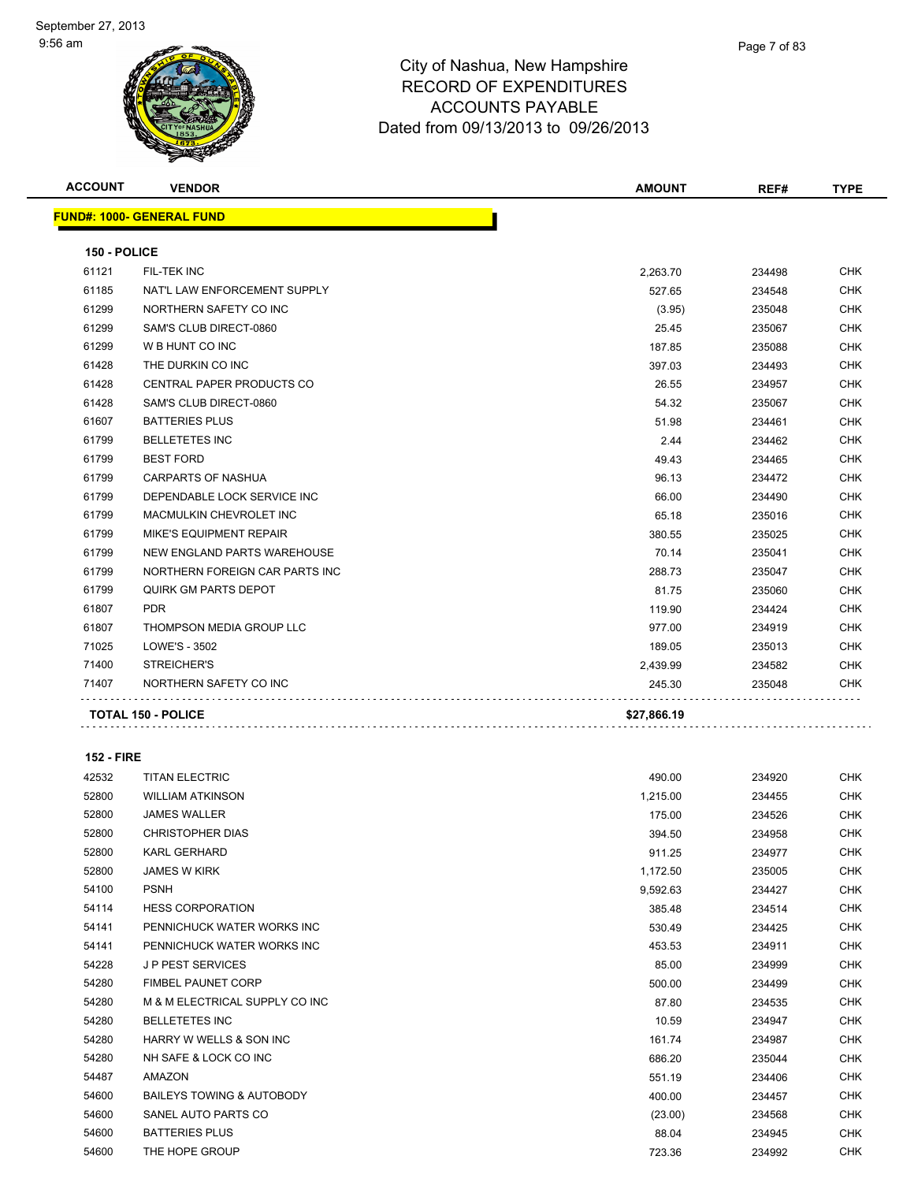

| <b>ACCOUNT</b> | <b>VENDOR</b>                      | <b>AMOUNT</b> | REF#   | <b>TYPE</b> |
|----------------|------------------------------------|---------------|--------|-------------|
|                | <b>FUND#: 1000- GENERAL FUND</b>   |               |        |             |
| 150 - POLICE   |                                    |               |        |             |
| 61121          | FIL-TEK INC                        | 2,263.70      | 234498 | <b>CHK</b>  |
| 61185          | NAT'L LAW ENFORCEMENT SUPPLY       | 527.65        | 234548 | <b>CHK</b>  |
| 61299          | NORTHERN SAFETY CO INC             | (3.95)        | 235048 | <b>CHK</b>  |
| 61299          | SAM'S CLUB DIRECT-0860             | 25.45         | 235067 | <b>CHK</b>  |
| 61299          | W B HUNT CO INC                    | 187.85        | 235088 | <b>CHK</b>  |
| 61428          | THE DURKIN CO INC                  | 397.03        | 234493 | <b>CHK</b>  |
| 61428          | CENTRAL PAPER PRODUCTS CO          | 26.55         | 234957 | <b>CHK</b>  |
| 61428          | SAM'S CLUB DIRECT-0860             | 54.32         | 235067 | <b>CHK</b>  |
| 61607          | <b>BATTERIES PLUS</b>              | 51.98         | 234461 | <b>CHK</b>  |
| 61799          | <b>BELLETETES INC</b>              | 2.44          | 234462 | <b>CHK</b>  |
| 61799          | <b>BEST FORD</b>                   | 49.43         | 234465 | <b>CHK</b>  |
| 61799          | <b>CARPARTS OF NASHUA</b>          | 96.13         | 234472 | <b>CHK</b>  |
| 61799          | DEPENDABLE LOCK SERVICE INC        | 66.00         | 234490 | <b>CHK</b>  |
| 61799          | MACMULKIN CHEVROLET INC            | 65.18         | 235016 | <b>CHK</b>  |
| 61799          | <b>MIKE'S EQUIPMENT REPAIR</b>     | 380.55        | 235025 | <b>CHK</b>  |
| 61799          | <b>NEW ENGLAND PARTS WAREHOUSE</b> | 70.14         | 235041 | <b>CHK</b>  |
| 61799          | NORTHERN FOREIGN CAR PARTS INC     | 288.73        | 235047 | <b>CHK</b>  |
| 61799          | QUIRK GM PARTS DEPOT               | 81.75         | 235060 | <b>CHK</b>  |
| 61807          | <b>PDR</b>                         | 119.90        | 234424 | <b>CHK</b>  |
| 61807          | THOMPSON MEDIA GROUP LLC           | 977.00        | 234919 | <b>CHK</b>  |
| 71025          | LOWE'S - 3502                      | 189.05        | 235013 | <b>CHK</b>  |
| 71400          | STREICHER'S                        | 2,439.99      | 234582 | <b>CHK</b>  |
| 71407          | NORTHERN SAFETY CO INC             | 245.30        | 235048 | <b>CHK</b>  |
|                | <b>TOTAL 150 - POLICE</b>          | \$27,866.19   |        |             |

#### **152 - FIRE**

| 42532 | <b>TITAN ELECTRIC</b>                | 490.00   | 234920 | <b>CHK</b> |
|-------|--------------------------------------|----------|--------|------------|
| 52800 | <b>WILLIAM ATKINSON</b>              | 1,215.00 | 234455 | <b>CHK</b> |
| 52800 | <b>JAMES WALLER</b>                  | 175.00   | 234526 | <b>CHK</b> |
| 52800 | <b>CHRISTOPHER DIAS</b>              | 394.50   | 234958 | <b>CHK</b> |
| 52800 | <b>KARL GERHARD</b>                  | 911.25   | 234977 | <b>CHK</b> |
| 52800 | <b>JAMES W KIRK</b>                  | 1,172.50 | 235005 | <b>CHK</b> |
| 54100 | <b>PSNH</b>                          | 9,592.63 | 234427 | <b>CHK</b> |
| 54114 | <b>HESS CORPORATION</b>              | 385.48   | 234514 | <b>CHK</b> |
| 54141 | PENNICHUCK WATER WORKS INC           | 530.49   | 234425 | <b>CHK</b> |
| 54141 | PENNICHUCK WATER WORKS INC           | 453.53   | 234911 | <b>CHK</b> |
| 54228 | <b>JP PEST SERVICES</b>              | 85.00    | 234999 | <b>CHK</b> |
| 54280 | <b>FIMBEL PAUNET CORP</b>            | 500.00   | 234499 | <b>CHK</b> |
| 54280 | M & M ELECTRICAL SUPPLY CO INC       | 87.80    | 234535 | <b>CHK</b> |
| 54280 | <b>BELLETETES INC</b>                | 10.59    | 234947 | <b>CHK</b> |
| 54280 | HARRY W WELLS & SON INC              | 161.74   | 234987 | <b>CHK</b> |
| 54280 | NH SAFE & LOCK CO INC                | 686.20   | 235044 | <b>CHK</b> |
| 54487 | <b>AMAZON</b>                        | 551.19   | 234406 | <b>CHK</b> |
| 54600 | <b>BAILEYS TOWING &amp; AUTOBODY</b> | 400.00   | 234457 | <b>CHK</b> |
| 54600 | SANEL AUTO PARTS CO                  | (23.00)  | 234568 | <b>CHK</b> |
| 54600 | <b>BATTERIES PLUS</b>                | 88.04    | 234945 | <b>CHK</b> |
| 54600 | THE HOPE GROUP                       | 723.36   | 234992 | <b>CHK</b> |
|       |                                      |          |        |            |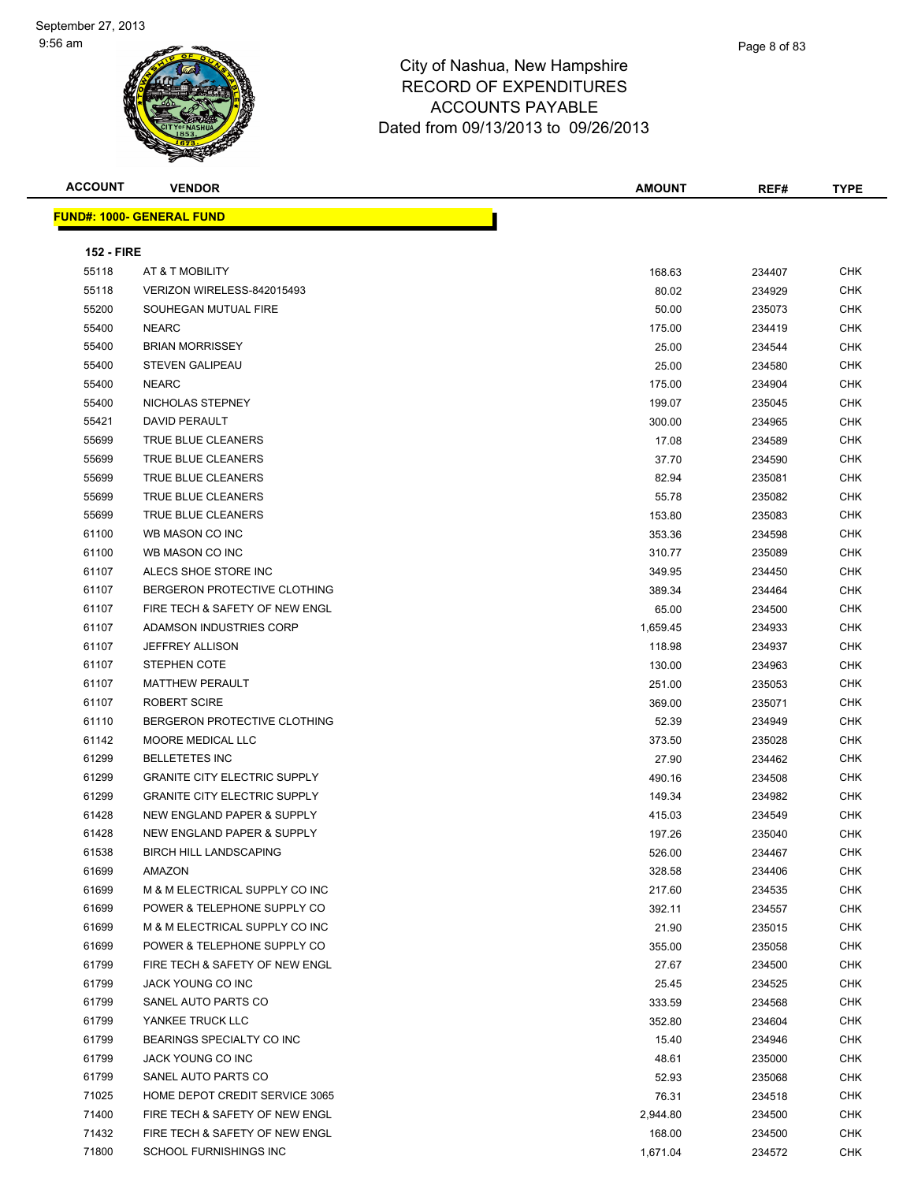

| <b>ACCOUNT</b>    | <b>VENDOR</b>                         | AMOUNT   | REF#             | <b>TYPE</b> |
|-------------------|---------------------------------------|----------|------------------|-------------|
|                   | <u> FUND#: 1000- GENERAL FUND</u>     |          |                  |             |
|                   |                                       |          |                  |             |
| <b>152 - FIRE</b> |                                       |          |                  |             |
| 55118             | AT & T MOBILITY                       | 168.63   | 234407           | CHK         |
| 55118             | VERIZON WIRELESS-842015493            | 80.02    | 234929           | CHK         |
| 55200             | SOUHEGAN MUTUAL FIRE                  | 50.00    | 235073           | CHK         |
| 55400             | <b>NEARC</b>                          | 175.00   | 234419           | CHK         |
| 55400             | <b>BRIAN MORRISSEY</b>                | 25.00    | 234544           | CHK         |
| 55400             | <b>STEVEN GALIPEAU</b>                | 25.00    | 234580           | CHK         |
| 55400             | <b>NEARC</b>                          | 175.00   | 234904           | <b>CHK</b>  |
| 55400             | NICHOLAS STEPNEY                      | 199.07   | 235045           | CHK         |
| 55421             | DAVID PERAULT                         | 300.00   | 234965           | <b>CHK</b>  |
| 55699             | <b>TRUE BLUE CLEANERS</b>             | 17.08    | 234589           | <b>CHK</b>  |
| 55699             | TRUE BLUE CLEANERS                    | 37.70    | 234590           | CHK         |
| 55699             | <b>TRUE BLUE CLEANERS</b>             | 82.94    | 235081           | CHK         |
| 55699             | <b>TRUE BLUE CLEANERS</b>             | 55.78    | 235082           | CHK         |
| 55699             | TRUE BLUE CLEANERS                    | 153.80   | 235083           | <b>CHK</b>  |
| 61100             | WB MASON CO INC                       | 353.36   | 234598           | <b>CHK</b>  |
| 61100             | WB MASON CO INC                       | 310.77   | 235089           | CHK         |
| 61107             | ALECS SHOE STORE INC                  | 349.95   | 234450           | CHK         |
| 61107             | BERGERON PROTECTIVE CLOTHING          | 389.34   | 234464           | <b>CHK</b>  |
| 61107             | FIRE TECH & SAFETY OF NEW ENGL        | 65.00    | 234500           | <b>CHK</b>  |
| 61107             | ADAMSON INDUSTRIES CORP               | 1,659.45 | 234933           | <b>CHK</b>  |
| 61107             | <b>JEFFREY ALLISON</b>                | 118.98   | 234937           | <b>CHK</b>  |
| 61107             | <b>STEPHEN COTE</b>                   | 130.00   | 234963           | CHK         |
| 61107             | <b>MATTHEW PERAULT</b>                | 251.00   | 235053           | CHK         |
| 61107             | <b>ROBERT SCIRE</b>                   | 369.00   | 235071           | CHK         |
| 61110             | BERGERON PROTECTIVE CLOTHING          | 52.39    | 234949           | CHK         |
| 61142             | MOORE MEDICAL LLC                     | 373.50   | 235028           | CHK         |
| 61299             | <b>BELLETETES INC</b>                 | 27.90    | 234462           | CHK         |
| 61299             | <b>GRANITE CITY ELECTRIC SUPPLY</b>   | 490.16   | 234508           | CHK         |
| 61299             | <b>GRANITE CITY ELECTRIC SUPPLY</b>   | 149.34   | 234982           | <b>CHK</b>  |
| 61428             | <b>NEW ENGLAND PAPER &amp; SUPPLY</b> | 415.03   | 234549           | CHK         |
| 61428             | NEW ENGLAND PAPER & SUPPLY            | 197.26   | 235040           | <b>CHK</b>  |
| 61538             | <b>BIRCH HILL LANDSCAPING</b>         | 526.00   | 234467           | <b>CHK</b>  |
| 61699             | AMAZON                                | 328.58   | 234406           | CHK         |
| 61699             | M & M ELECTRICAL SUPPLY CO INC        | 217.60   | 234535           | CHK         |
| 61699             | POWER & TELEPHONE SUPPLY CO           | 392.11   | 234557           | CHK         |
| 61699             | M & M ELECTRICAL SUPPLY CO INC        | 21.90    | 235015           | <b>CHK</b>  |
| 61699             | POWER & TELEPHONE SUPPLY CO           | 355.00   | 235058           | <b>CHK</b>  |
| 61799             | FIRE TECH & SAFETY OF NEW ENGL        | 27.67    | 234500           | CHK         |
| 61799             | JACK YOUNG CO INC                     | 25.45    | 234525           | <b>CHK</b>  |
| 61799             | SANEL AUTO PARTS CO                   | 333.59   | 234568           | <b>CHK</b>  |
| 61799             | YANKEE TRUCK LLC                      | 352.80   | 234604           | <b>CHK</b>  |
| 61799             | BEARINGS SPECIALTY CO INC             | 15.40    | 234946           | <b>CHK</b>  |
| 61799             | JACK YOUNG CO INC                     | 48.61    | 235000           | <b>CHK</b>  |
| 61799             | SANEL AUTO PARTS CO                   | 52.93    | 235068           | <b>CHK</b>  |
| 71025             | HOME DEPOT CREDIT SERVICE 3065        | 76.31    |                  | CHK         |
| 71400             | FIRE TECH & SAFETY OF NEW ENGL        | 2,944.80 | 234518<br>234500 | CHK         |
| 71432             | FIRE TECH & SAFETY OF NEW ENGL        |          |                  | CHK         |
| 71800             | SCHOOL FURNISHINGS INC                | 168.00   | 234500           | <b>CHK</b>  |
|                   |                                       | 1,671.04 | 234572           |             |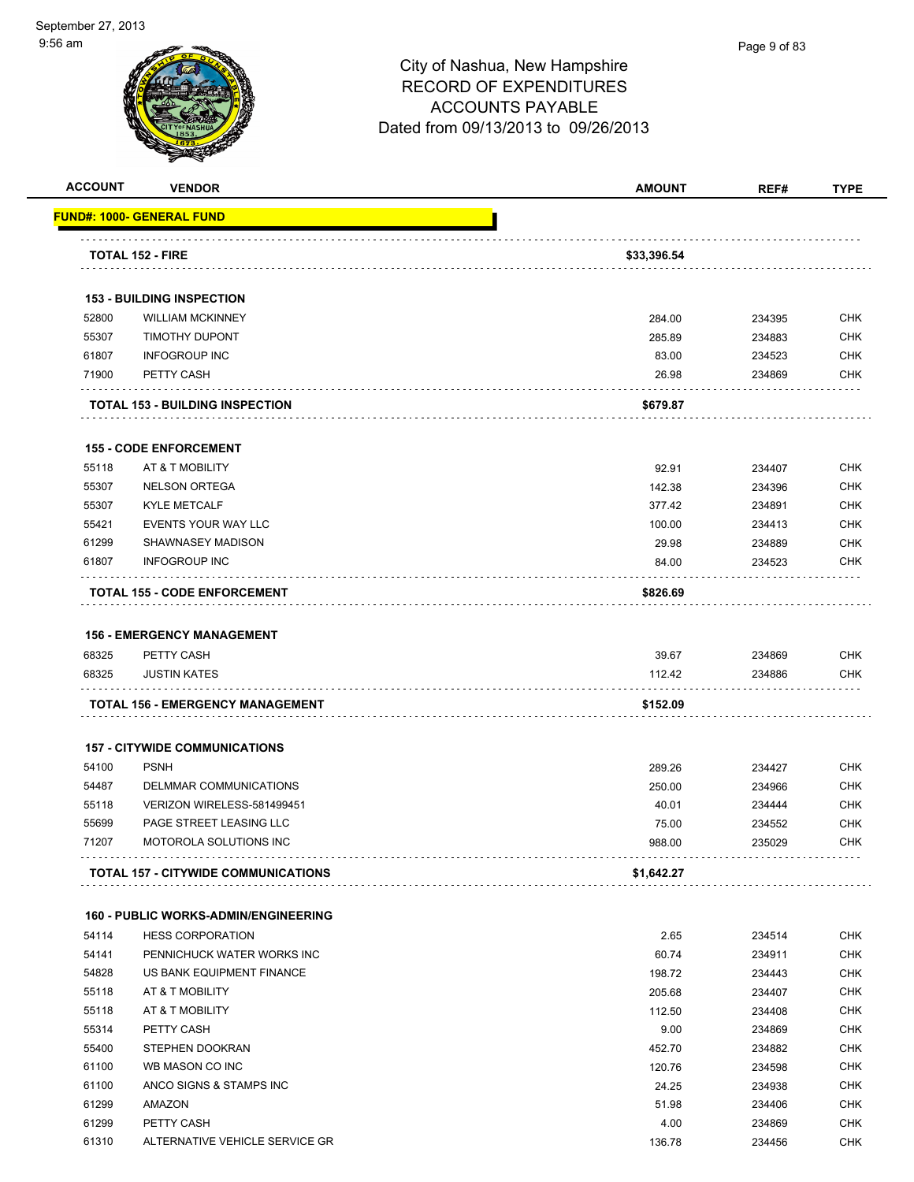| <b>ACCOUNT</b> | <b>VENDOR</b>                                                          | <b>AMOUNT</b> | REF#   | <b>TYPE</b> |
|----------------|------------------------------------------------------------------------|---------------|--------|-------------|
|                | <b>FUND#: 1000- GENERAL FUND</b>                                       |               |        |             |
|                | <b>TOTAL 152 - FIRE</b>                                                | \$33,396.54   |        |             |
|                |                                                                        |               |        |             |
|                | <b>153 - BUILDING INSPECTION</b>                                       |               |        |             |
| 52800          | <b>WILLIAM MCKINNEY</b>                                                | 284.00        | 234395 | <b>CHK</b>  |
| 55307          | <b>TIMOTHY DUPONT</b>                                                  | 285.89        | 234883 | <b>CHK</b>  |
| 61807          | <b>INFOGROUP INC</b>                                                   | 83.00         | 234523 | <b>CHK</b>  |
| 71900          | PETTY CASH                                                             | 26.98         | 234869 | <b>CHK</b>  |
|                | <b>TOTAL 153 - BUILDING INSPECTION</b>                                 | \$679.87      |        |             |
|                | <b>155 - CODE ENFORCEMENT</b>                                          |               |        |             |
| 55118          | AT & T MOBILITY                                                        | 92.91         | 234407 | <b>CHK</b>  |
| 55307          | <b>NELSON ORTEGA</b>                                                   | 142.38        | 234396 | <b>CHK</b>  |
| 55307          | <b>KYLE METCALF</b>                                                    | 377.42        | 234891 | <b>CHK</b>  |
| 55421          | EVENTS YOUR WAY LLC                                                    | 100.00        | 234413 | <b>CHK</b>  |
| 61299          | SHAWNASEY MADISON                                                      | 29.98         | 234889 | <b>CHK</b>  |
| 61807          | <b>INFOGROUP INC</b>                                                   | 84.00         | 234523 | <b>CHK</b>  |
|                | <b>TOTAL 155 - CODE ENFORCEMENT</b>                                    | \$826.69      |        |             |
|                |                                                                        |               |        |             |
|                | <b>156 - EMERGENCY MANAGEMENT</b>                                      |               |        |             |
| 68325          | PETTY CASH                                                             | 39.67         | 234869 | <b>CHK</b>  |
| 68325          | <b>JUSTIN KATES</b>                                                    | 112.42        | 234886 | CHK         |
|                | TOTAL 156 - EMERGENCY MANAGEMENT                                       | \$152.09      |        |             |
|                | <b>157 - CITYWIDE COMMUNICATIONS</b>                                   |               |        |             |
| 54100          | <b>PSNH</b>                                                            | 289.26        | 234427 | <b>CHK</b>  |
| 54487          | DELMMAR COMMUNICATIONS                                                 | 250.00        | 234966 | <b>CHK</b>  |
| 55118          | VERIZON WIRELESS-581499451                                             | 40.01         | 234444 | <b>CHK</b>  |
| 55699          | PAGE STREET LEASING LLC                                                | 75.00         | 234552 | <b>CHK</b>  |
| 71207          | MOTOROLA SOLUTIONS INC                                                 | 988.00        | 235029 | CHK         |
|                | <b>TOTAL 157 - CITYWIDE COMMUNICATIONS</b>                             | \$1,642.27    |        |             |
|                |                                                                        |               |        |             |
| 54114          | <b>160 - PUBLIC WORKS-ADMIN/ENGINEERING</b><br><b>HESS CORPORATION</b> | 2.65          | 234514 | <b>CHK</b>  |
| 54141          | PENNICHUCK WATER WORKS INC                                             | 60.74         | 234911 | <b>CHK</b>  |
| 54828          | US BANK EQUIPMENT FINANCE                                              | 198.72        | 234443 | <b>CHK</b>  |
| 55118          | AT & T MOBILITY                                                        | 205.68        | 234407 | <b>CHK</b>  |
| 55118          | AT & T MOBILITY                                                        | 112.50        | 234408 | <b>CHK</b>  |
| 55314          | PETTY CASH                                                             | 9.00          | 234869 | <b>CHK</b>  |
| 55400          | STEPHEN DOOKRAN                                                        | 452.70        | 234882 | <b>CHK</b>  |
| 61100          | WB MASON CO INC                                                        | 120.76        | 234598 | CHK         |
| 61100          | ANCO SIGNS & STAMPS INC                                                | 24.25         | 234938 | <b>CHK</b>  |
| 61299          | AMAZON                                                                 | 51.98         | 234406 | <b>CHK</b>  |
| 61299          | PETTY CASH                                                             | 4.00          | 234869 | <b>CHK</b>  |
| 61310          | ALTERNATIVE VEHICLE SERVICE GR                                         | 136.78        | 234456 | <b>CHK</b>  |
|                |                                                                        |               |        |             |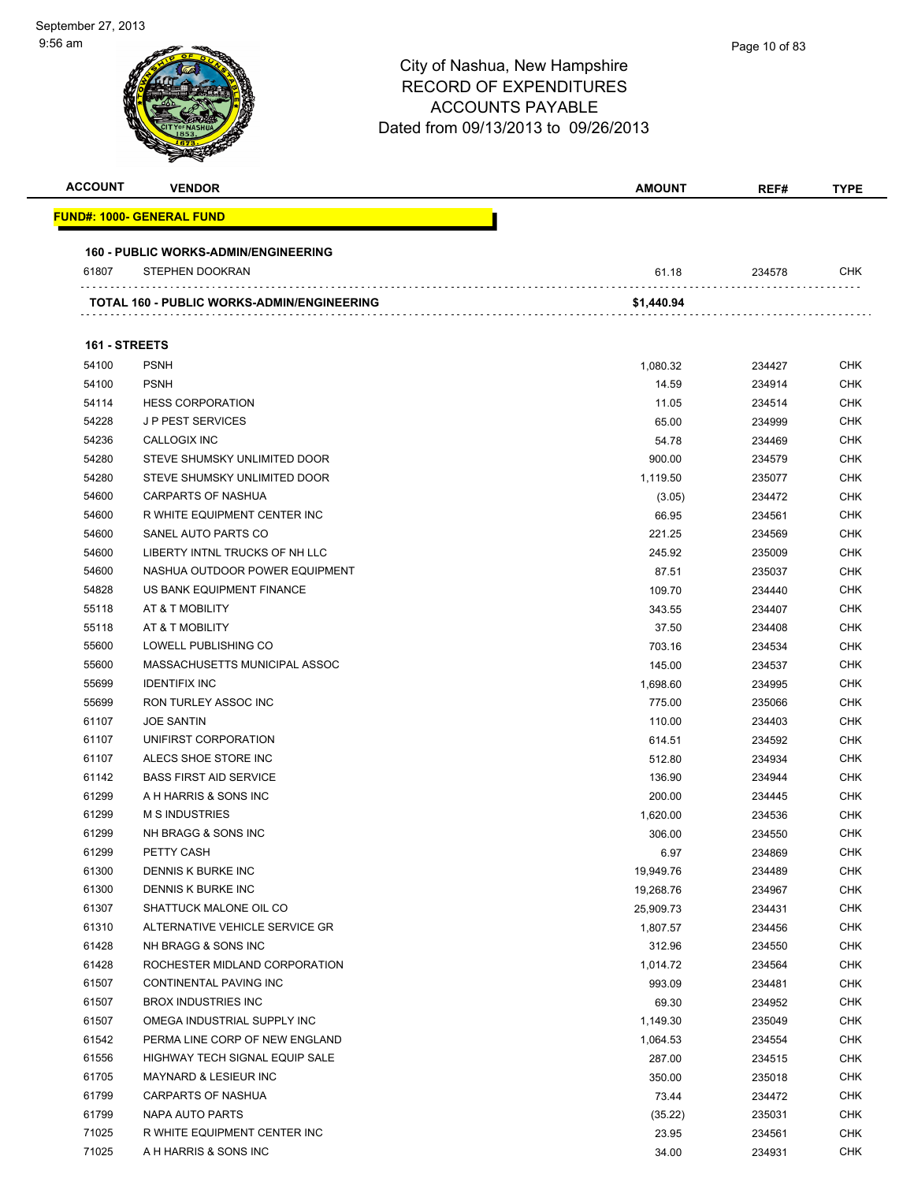| <b>ACCOUNT</b> | <b>VENDOR</b>                              | <b>AMOUNT</b> | REF#   | <b>TYPE</b> |
|----------------|--------------------------------------------|---------------|--------|-------------|
|                | <u> FUND#: 1000- GENERAL FUND</u>          |               |        |             |
|                | 160 - PUBLIC WORKS-ADMIN/ENGINEERING       |               |        |             |
| 61807          | STEPHEN DOOKRAN                            | 61.18         | 234578 | <b>CHK</b>  |
|                | TOTAL 160 - PUBLIC WORKS-ADMIN/ENGINEERING | \$1,440.94    |        |             |
|                |                                            |               |        |             |
| 161 - STREETS  |                                            |               |        |             |
| 54100          | <b>PSNH</b>                                | 1,080.32      | 234427 | <b>CHK</b>  |
| 54100          | <b>PSNH</b>                                | 14.59         | 234914 | <b>CHK</b>  |
| 54114          | <b>HESS CORPORATION</b>                    | 11.05         | 234514 | <b>CHK</b>  |
| 54228          | <b>JP PEST SERVICES</b>                    | 65.00         | 234999 | <b>CHK</b>  |
| 54236          | CALLOGIX INC                               | 54.78         | 234469 | <b>CHK</b>  |
| 54280          | STEVE SHUMSKY UNLIMITED DOOR               | 900.00        | 234579 | <b>CHK</b>  |
| 54280          | STEVE SHUMSKY UNLIMITED DOOR               | 1,119.50      | 235077 | <b>CHK</b>  |
| 54600          | <b>CARPARTS OF NASHUA</b>                  | (3.05)        | 234472 | <b>CHK</b>  |
| 54600          | R WHITE EQUIPMENT CENTER INC               | 66.95         | 234561 | <b>CHK</b>  |
| 54600          | SANEL AUTO PARTS CO                        | 221.25        | 234569 | <b>CHK</b>  |
| 54600          | LIBERTY INTNL TRUCKS OF NH LLC             | 245.92        | 235009 | <b>CHK</b>  |
| 54600          | NASHUA OUTDOOR POWER EQUIPMENT             | 87.51         | 235037 | <b>CHK</b>  |
| 54828          | US BANK EQUIPMENT FINANCE                  | 109.70        | 234440 | <b>CHK</b>  |
| 55118          | AT & T MOBILITY                            | 343.55        | 234407 | <b>CHK</b>  |
| 55118          | AT & T MOBILITY                            | 37.50         | 234408 | <b>CHK</b>  |
| 55600          | LOWELL PUBLISHING CO                       | 703.16        | 234534 | <b>CHK</b>  |
| 55600          | MASSACHUSETTS MUNICIPAL ASSOC              | 145.00        | 234537 | <b>CHK</b>  |
| 55699          | <b>IDENTIFIX INC</b>                       | 1,698.60      | 234995 | <b>CHK</b>  |
| 55699          | RON TURLEY ASSOC INC                       | 775.00        | 235066 | <b>CHK</b>  |
| 61107          | <b>JOE SANTIN</b>                          | 110.00        | 234403 | <b>CHK</b>  |
| 61107          | UNIFIRST CORPORATION                       | 614.51        | 234592 | <b>CHK</b>  |
| 61107          | ALECS SHOE STORE INC                       | 512.80        | 234934 | <b>CHK</b>  |
| 61142          | <b>BASS FIRST AID SERVICE</b>              | 136.90        | 234944 | <b>CHK</b>  |
| 61299          | A H HARRIS & SONS INC                      | 200.00        | 234445 | <b>CHK</b>  |
| 61299          | <b>M S INDUSTRIES</b>                      | 1,620.00      | 234536 | <b>CHK</b>  |
| 61299          | NH BRAGG & SONS INC                        | 306.00        | 234550 | <b>CHK</b>  |
| 61299          | PETTY CASH                                 | 6.97          | 234869 | <b>CHK</b>  |
| 61300          | DENNIS K BURKE INC                         | 19,949.76     | 234489 | <b>CHK</b>  |
| 61300          | <b>DENNIS K BURKE INC</b>                  | 19,268.76     | 234967 | <b>CHK</b>  |
| 61307          | SHATTUCK MALONE OIL CO                     | 25,909.73     | 234431 | <b>CHK</b>  |
| 61310          | ALTERNATIVE VEHICLE SERVICE GR             | 1,807.57      | 234456 | <b>CHK</b>  |
| 61428          | NH BRAGG & SONS INC                        | 312.96        | 234550 | <b>CHK</b>  |
| 61428          | ROCHESTER MIDLAND CORPORATION              | 1,014.72      | 234564 | <b>CHK</b>  |
| 61507          | CONTINENTAL PAVING INC                     | 993.09        | 234481 | <b>CHK</b>  |
| 61507          | <b>BROX INDUSTRIES INC</b>                 | 69.30         | 234952 | <b>CHK</b>  |
| 61507          | OMEGA INDUSTRIAL SUPPLY INC                | 1,149.30      | 235049 | CHK         |
| 61542          | PERMA LINE CORP OF NEW ENGLAND             | 1,064.53      | 234554 | <b>CHK</b>  |
| 61556          | HIGHWAY TECH SIGNAL EQUIP SALE             | 287.00        | 234515 | <b>CHK</b>  |
| 61705          | MAYNARD & LESIEUR INC                      | 350.00        | 235018 | <b>CHK</b>  |
| 61799          | <b>CARPARTS OF NASHUA</b>                  | 73.44         | 234472 | <b>CHK</b>  |
| 61799          | NAPA AUTO PARTS                            | (35.22)       | 235031 | CHK         |
| 71025          | R WHITE EQUIPMENT CENTER INC               | 23.95         | 234561 | <b>CHK</b>  |
| 71025          | A H HARRIS & SONS INC                      | 34.00         | 234931 | <b>CHK</b>  |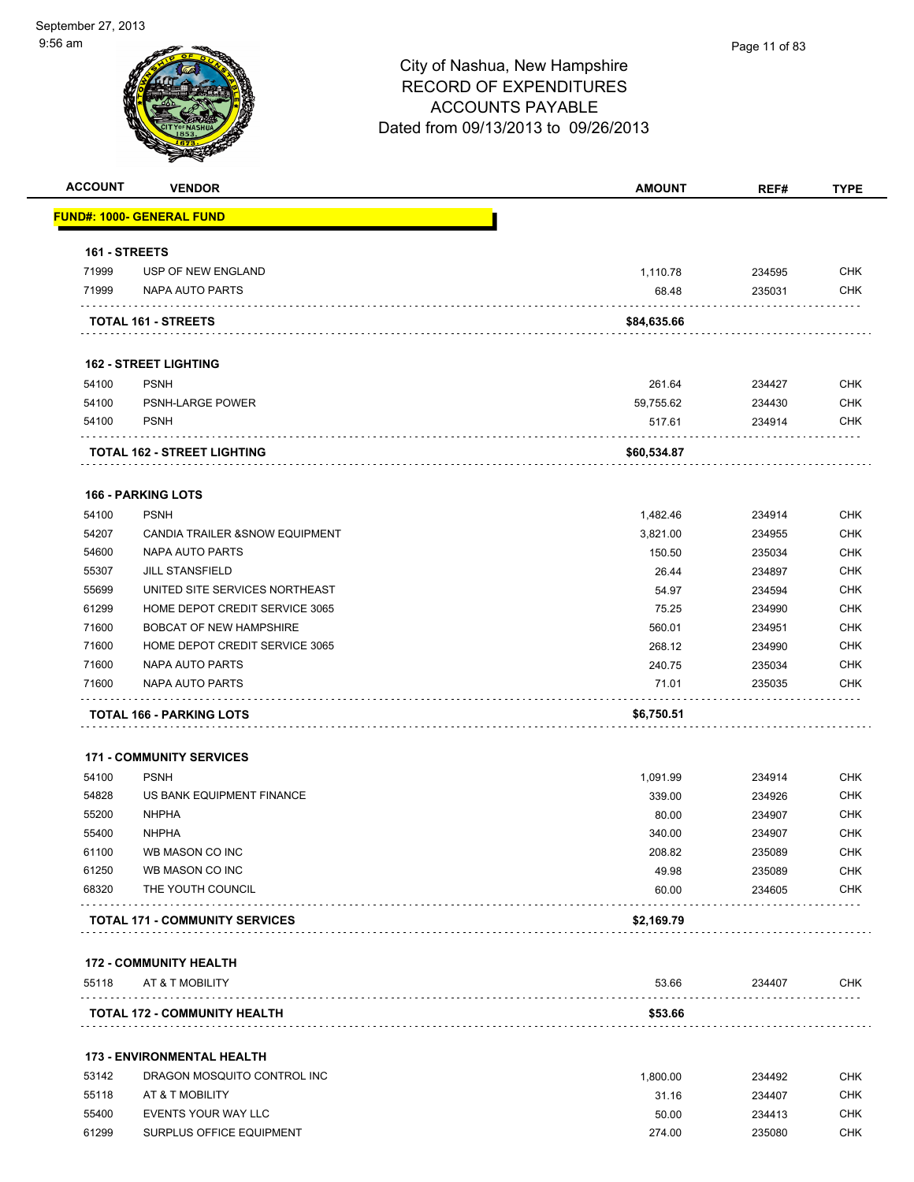| <b>ACCOUNT</b> | <b>VENDOR</b>                                    | <b>AMOUNT</b> | REF#   | <b>TYPE</b> |
|----------------|--------------------------------------------------|---------------|--------|-------------|
|                | FUND#: 1000- GENERAL FUND                        |               |        |             |
| 161 - STREETS  |                                                  |               |        |             |
| 71999          | USP OF NEW ENGLAND                               | 1,110.78      | 234595 | <b>CHK</b>  |
| 71999          | NAPA AUTO PARTS                                  | 68.48         | 235031 | <b>CHK</b>  |
|                | TOTAL 161 - STREETS                              | \$84,635.66   |        |             |
|                | <b>162 - STREET LIGHTING</b>                     |               |        |             |
| 54100          | <b>PSNH</b>                                      | 261.64        | 234427 | <b>CHK</b>  |
| 54100          | <b>PSNH-LARGE POWER</b>                          | 59,755.62     | 234430 | <b>CHK</b>  |
| 54100          | <b>PSNH</b>                                      | 517.61        | 234914 | <b>CHK</b>  |
|                | TOTAL 162 - STREET LIGHTING                      | \$60,534.87   |        |             |
|                | <b>166 - PARKING LOTS</b>                        |               |        |             |
| 54100          | <b>PSNH</b>                                      | 1,482.46      | 234914 | <b>CHK</b>  |
| 54207          | CANDIA TRAILER & SNOW EQUIPMENT                  | 3,821.00      | 234955 | <b>CHK</b>  |
| 54600          | NAPA AUTO PARTS                                  | 150.50        | 235034 | <b>CHK</b>  |
| 55307          | <b>JILL STANSFIELD</b>                           | 26.44         | 234897 | <b>CHK</b>  |
| 55699          | UNITED SITE SERVICES NORTHEAST                   | 54.97         | 234594 | <b>CHK</b>  |
| 61299          | HOME DEPOT CREDIT SERVICE 3065                   | 75.25         | 234990 | <b>CHK</b>  |
| 71600          | <b>BOBCAT OF NEW HAMPSHIRE</b>                   | 560.01        | 234951 | <b>CHK</b>  |
| 71600          | HOME DEPOT CREDIT SERVICE 3065                   | 268.12        | 234990 | <b>CHK</b>  |
| 71600          | NAPA AUTO PARTS                                  | 240.75        | 235034 | <b>CHK</b>  |
| 71600          | NAPA AUTO PARTS                                  | 71.01         | 235035 | CHK         |
|                | <b>TOTAL 166 - PARKING LOTS</b>                  | \$6,750.51    |        |             |
|                | <b>171 - COMMUNITY SERVICES</b>                  |               |        |             |
| 54100          | <b>PSNH</b>                                      | 1,091.99      | 234914 | <b>CHK</b>  |
| 54828          | US BANK EQUIPMENT FINANCE                        | 339.00        | 234926 | <b>CHK</b>  |
| 55200          | <b>NHPHA</b>                                     | 80.00         | 234907 | <b>CHK</b>  |
| 55400          | <b>NHPHA</b>                                     | 340.00        | 234907 | CHK         |
| 61100          | WB MASON CO INC                                  | 208.82        | 235089 | <b>CHK</b>  |
| 61250          | WB MASON CO INC                                  | 49.98         | 235089 | <b>CHK</b>  |
| 68320          | THE YOUTH COUNCIL                                | 60.00         | 234605 | <b>CHK</b>  |
|                | <b>TOTAL 171 - COMMUNITY SERVICES</b>            | \$2,169.79    |        |             |
|                |                                                  |               |        |             |
| 55118          | <b>172 - COMMUNITY HEALTH</b><br>AT & T MOBILITY | 53.66         | 234407 | <b>CHK</b>  |
|                | <b>TOTAL 172 - COMMUNITY HEALTH</b>              | \$53.66       |        |             |
|                | <b>173 - ENVIRONMENTAL HEALTH</b>                |               |        |             |
| 53142          | DRAGON MOSQUITO CONTROL INC                      | 1,800.00      | 234492 | <b>CHK</b>  |
| 55118          | AT & T MOBILITY                                  | 31.16         | 234407 | <b>CHK</b>  |
| 55400          | EVENTS YOUR WAY LLC                              | 50.00         | 234413 | <b>CHK</b>  |
| 61299          | SURPLUS OFFICE EQUIPMENT                         | 274.00        | 235080 | <b>CHK</b>  |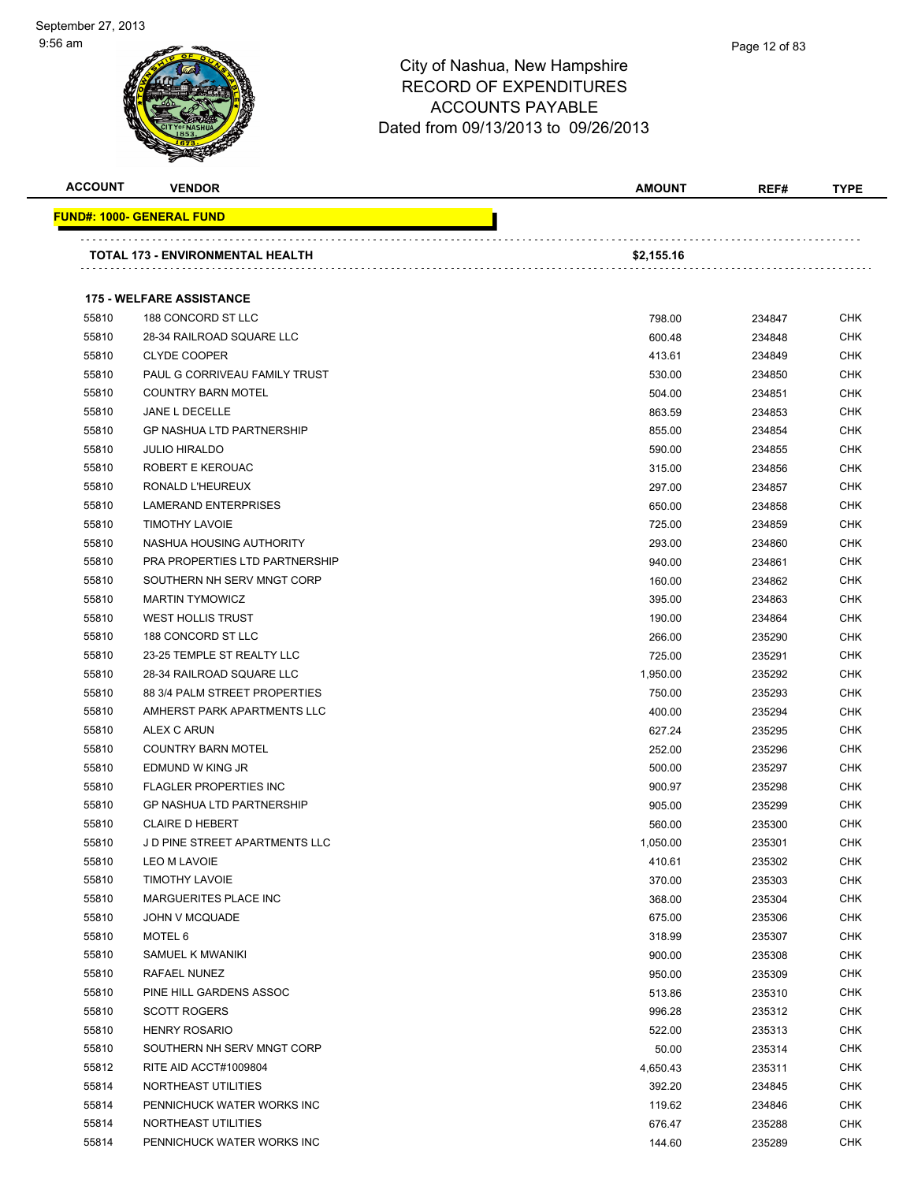

| <b>ACCOUNT</b> | <b>VENDOR</b>                     | <b>AMOUNT</b> | REF#   | <b>TYPE</b> |
|----------------|-----------------------------------|---------------|--------|-------------|
|                | <u> FUND#: 1000- GENERAL FUND</u> |               |        |             |
|                | TOTAL 173 - ENVIRONMENTAL HEALTH  | \$2,155.16    |        |             |
|                |                                   |               |        |             |
|                | <b>175 - WELFARE ASSISTANCE</b>   |               |        |             |
| 55810          | 188 CONCORD ST LLC                | 798.00        | 234847 | CHK         |
| 55810          | 28-34 RAILROAD SQUARE LLC         | 600.48        | 234848 | <b>CHK</b>  |
| 55810          | <b>CLYDE COOPER</b>               | 413.61        | 234849 | <b>CHK</b>  |
| 55810          | PAUL G CORRIVEAU FAMILY TRUST     | 530.00        | 234850 | <b>CHK</b>  |
| 55810          | <b>COUNTRY BARN MOTEL</b>         | 504.00        | 234851 | <b>CHK</b>  |
| 55810          | JANE L DECELLE                    | 863.59        | 234853 | CHK         |
| 55810          | <b>GP NASHUA LTD PARTNERSHIP</b>  | 855.00        | 234854 | <b>CHK</b>  |
| 55810          | <b>JULIO HIRALDO</b>              | 590.00        | 234855 | <b>CHK</b>  |
| 55810          | ROBERT E KEROUAC                  | 315.00        | 234856 | CHK         |
| 55810          | RONALD L'HEUREUX                  | 297.00        | 234857 | CHK         |
| 55810          | <b>LAMERAND ENTERPRISES</b>       | 650.00        | 234858 | CHK         |
| 55810          | <b>TIMOTHY LAVOIE</b>             | 725.00        | 234859 | CHK         |
| 55810          | NASHUA HOUSING AUTHORITY          | 293.00        | 234860 | <b>CHK</b>  |
| 55810          | PRA PROPERTIES LTD PARTNERSHIP    | 940.00        | 234861 | <b>CHK</b>  |
| 55810          | SOUTHERN NH SERV MNGT CORP        | 160.00        | 234862 | CHK         |
| 55810          | <b>MARTIN TYMOWICZ</b>            | 395.00        | 234863 | <b>CHK</b>  |
| 55810          | <b>WEST HOLLIS TRUST</b>          | 190.00        | 234864 | CHK         |
| 55810          | 188 CONCORD ST LLC                | 266.00        | 235290 | <b>CHK</b>  |
| 55810          | 23-25 TEMPLE ST REALTY LLC        | 725.00        | 235291 | <b>CHK</b>  |
| 55810          | 28-34 RAILROAD SQUARE LLC         | 1,950.00      | 235292 | CHK         |
| 55810          | 88 3/4 PALM STREET PROPERTIES     | 750.00        | 235293 | CHK         |
| 55810          | AMHERST PARK APARTMENTS LLC       | 400.00        | 235294 | <b>CHK</b>  |
| 55810          | ALEX C ARUN                       | 627.24        | 235295 | CHK         |
| 55810          | <b>COUNTRY BARN MOTEL</b>         | 252.00        | 235296 | <b>CHK</b>  |
| 55810          | EDMUND W KING JR                  | 500.00        | 235297 | <b>CHK</b>  |
| 55810          | <b>FLAGLER PROPERTIES INC</b>     | 900.97        | 235298 | <b>CHK</b>  |
| 55810          | <b>GP NASHUA LTD PARTNERSHIP</b>  | 905.00        | 235299 | <b>CHK</b>  |
| 55810          | <b>CLAIRE D HEBERT</b>            | 560.00        | 235300 | CHK         |
| 55810          | J D PINE STREET APARTMENTS LLC    | 1,050.00      | 235301 | <b>CHK</b>  |
| 55810          | LEO M LAVOIE                      | 410.61        | 235302 | CHK         |
| 55810          | <b>TIMOTHY LAVOIE</b>             | 370.00        | 235303 | CHK         |
| 55810          | MARGUERITES PLACE INC             | 368.00        | 235304 | <b>CHK</b>  |
| 55810          | JOHN V MCQUADE                    | 675.00        | 235306 | <b>CHK</b>  |
| 55810          | MOTEL 6                           | 318.99        | 235307 | <b>CHK</b>  |
| 55810          | SAMUEL K MWANIKI                  | 900.00        | 235308 | <b>CHK</b>  |
| 55810          | RAFAEL NUNEZ                      | 950.00        | 235309 | <b>CHK</b>  |
| 55810          | PINE HILL GARDENS ASSOC           | 513.86        | 235310 | <b>CHK</b>  |
| 55810          | <b>SCOTT ROGERS</b>               | 996.28        | 235312 | <b>CHK</b>  |
| 55810          | <b>HENRY ROSARIO</b>              | 522.00        | 235313 | <b>CHK</b>  |
| 55810          | SOUTHERN NH SERV MNGT CORP        | 50.00         | 235314 | <b>CHK</b>  |
| 55812          | RITE AID ACCT#1009804             | 4,650.43      | 235311 | <b>CHK</b>  |
| 55814          | NORTHEAST UTILITIES               | 392.20        | 234845 | <b>CHK</b>  |
| 55814          | PENNICHUCK WATER WORKS INC        | 119.62        | 234846 | CHK         |
| 55814          | NORTHEAST UTILITIES               | 676.47        | 235288 | <b>CHK</b>  |
| 55814          | PENNICHUCK WATER WORKS INC        | 144.60        | 235289 | <b>CHK</b>  |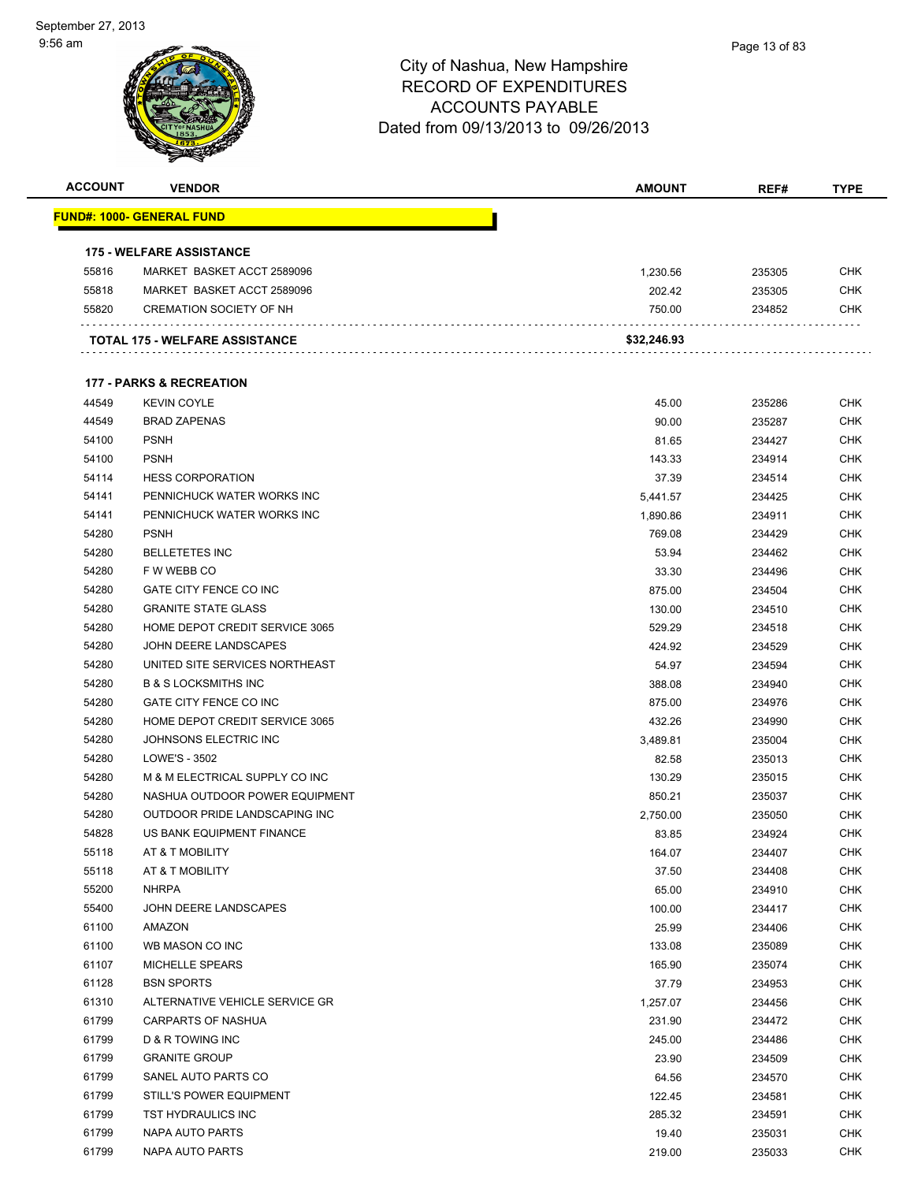| <b>ACCOUNT</b> | <b>VENDOR</b>                         | <b>AMOUNT</b> | REF#   | <b>TYPE</b> |
|----------------|---------------------------------------|---------------|--------|-------------|
|                | FUND#: 1000- GENERAL FUND             |               |        |             |
|                | <b>175 - WELFARE ASSISTANCE</b>       |               |        |             |
| 55816          | MARKET BASKET ACCT 2589096            | 1,230.56      | 235305 | <b>CHK</b>  |
| 55818          | MARKET BASKET ACCT 2589096            | 202.42        | 235305 | CHK         |
| 55820          | <b>CREMATION SOCIETY OF NH</b>        | 750.00        | 234852 | CHK         |
|                | <b>TOTAL 175 - WELFARE ASSISTANCE</b> | \$32,246.93   |        |             |
|                |                                       |               |        |             |
|                | <b>177 - PARKS &amp; RECREATION</b>   |               |        |             |
| 44549          | <b>KEVIN COYLE</b>                    | 45.00         | 235286 | CHK         |
| 44549          | <b>BRAD ZAPENAS</b>                   | 90.00         | 235287 | CHK         |
| 54100          | <b>PSNH</b>                           | 81.65         | 234427 | CHK         |
| 54100          | <b>PSNH</b>                           | 143.33        | 234914 | CHK         |
| 54114          | <b>HESS CORPORATION</b>               | 37.39         | 234514 | <b>CHK</b>  |
| 54141          | PENNICHUCK WATER WORKS INC            | 5,441.57      | 234425 | CHK         |
| 54141          | PENNICHUCK WATER WORKS INC            | 1,890.86      | 234911 | CHK         |
| 54280          | <b>PSNH</b>                           | 769.08        | 234429 | <b>CHK</b>  |
| 54280          | <b>BELLETETES INC</b>                 | 53.94         | 234462 | CHK         |
| 54280          | F W WEBB CO                           | 33.30         | 234496 | <b>CHK</b>  |
| 54280          | <b>GATE CITY FENCE CO INC</b>         | 875.00        | 234504 | <b>CHK</b>  |
| 54280          | <b>GRANITE STATE GLASS</b>            | 130.00        | 234510 | CHK         |
| 54280          | HOME DEPOT CREDIT SERVICE 3065        | 529.29        | 234518 | CHK         |
| 54280          | JOHN DEERE LANDSCAPES                 | 424.92        | 234529 | CHK         |
| 54280          | UNITED SITE SERVICES NORTHEAST        | 54.97         | 234594 | CHK         |
| 54280          | <b>B &amp; S LOCKSMITHS INC</b>       | 388.08        | 234940 | <b>CHK</b>  |
| 54280          | GATE CITY FENCE CO INC                | 875.00        | 234976 | CHK         |
| 54280          | HOME DEPOT CREDIT SERVICE 3065        | 432.26        | 234990 | CHK         |
| 54280          | JOHNSONS ELECTRIC INC                 | 3,489.81      | 235004 | <b>CHK</b>  |
| 54280          | LOWE'S - 3502                         | 82.58         | 235013 | CHK         |
| 54280          | M & M ELECTRICAL SUPPLY CO INC        | 130.29        | 235015 | CHK         |
| 54280          | NASHUA OUTDOOR POWER EQUIPMENT        | 850.21        | 235037 | CHK         |
| 54280          | OUTDOOR PRIDE LANDSCAPING INC         | 2.750.00      | 235050 | CHK         |
| 54828          | US BANK EQUIPMENT FINANCE             | 83.85         | 234924 | <b>CHK</b>  |
| 55118          | AT & T MOBILITY                       | 164.07        | 234407 | CHK         |
| 55118          | AT & T MOBILITY                       | 37.50         | 234408 | CHK         |
| 55200          | <b>NHRPA</b>                          | 65.00         | 234910 | <b>CHK</b>  |
| 55400          | JOHN DEERE LANDSCAPES                 | 100.00        | 234417 | <b>CHK</b>  |
| 61100          | AMAZON                                | 25.99         | 234406 | <b>CHK</b>  |
| 61100          | WB MASON CO INC                       | 133.08        | 235089 | <b>CHK</b>  |
| 61107          | <b>MICHELLE SPEARS</b>                | 165.90        | 235074 | <b>CHK</b>  |
| 61128          | <b>BSN SPORTS</b>                     | 37.79         | 234953 | <b>CHK</b>  |
| 61310          | ALTERNATIVE VEHICLE SERVICE GR        | 1,257.07      | 234456 | <b>CHK</b>  |
| 61799          | CARPARTS OF NASHUA                    | 231.90        | 234472 | <b>CHK</b>  |
| 61799          | D & R TOWING INC                      |               |        | <b>CHK</b>  |
|                |                                       | 245.00        | 234486 |             |
| 61799          | <b>GRANITE GROUP</b>                  | 23.90         | 234509 | CHK         |
| 61799          | SANEL AUTO PARTS CO                   | 64.56         | 234570 | <b>CHK</b>  |
| 61799          | STILL'S POWER EQUIPMENT               | 122.45        | 234581 | <b>CHK</b>  |
| 61799          | TST HYDRAULICS INC                    | 285.32        | 234591 | <b>CHK</b>  |
| 61799          | NAPA AUTO PARTS                       | 19.40         | 235031 | <b>CHK</b>  |
| 61799          | NAPA AUTO PARTS                       | 219.00        | 235033 | <b>CHK</b>  |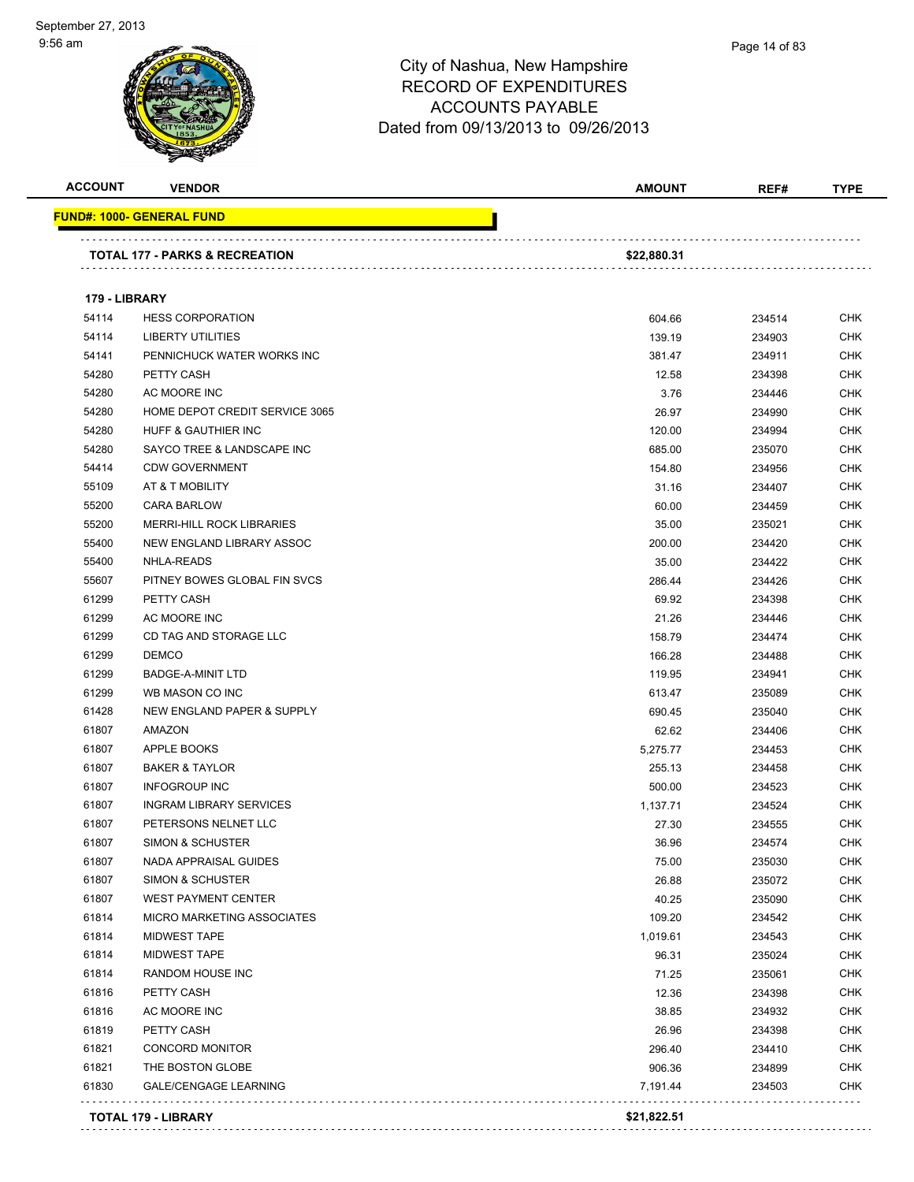

Page 14 of 83

|               |                                           | <b>AMOUNT</b>      | REF#             | <b>TYPE</b>              |
|---------------|-------------------------------------------|--------------------|------------------|--------------------------|
|               | <u> FUND#: 1000- GENERAL FUND</u>         |                    |                  |                          |
|               | <b>TOTAL 177 - PARKS &amp; RECREATION</b> | \$22,880.31        |                  |                          |
| 179 - LIBRARY |                                           |                    |                  |                          |
| 54114         | <b>HESS CORPORATION</b>                   | 604.66             | 234514           | <b>CHK</b>               |
| 54114         | <b>LIBERTY UTILITIES</b>                  | 139.19             | 234903           | <b>CHK</b>               |
| 54141         | PENNICHUCK WATER WORKS INC                | 381.47             | 234911           | CHK                      |
| 54280         | PETTY CASH                                | 12.58              | 234398           | CHK                      |
| 54280         | AC MOORE INC                              | 3.76               | 234446           | CHK                      |
| 54280         | HOME DEPOT CREDIT SERVICE 3065            | 26.97              | 234990           | CHK                      |
| 54280         | HUFF & GAUTHIER INC                       | 120.00             | 234994           | <b>CHK</b>               |
| 54280         | SAYCO TREE & LANDSCAPE INC                | 685.00             | 235070           | <b>CHK</b>               |
| 54414         | <b>CDW GOVERNMENT</b>                     | 154.80             | 234956           | <b>CHK</b>               |
| 55109         | AT & T MOBILITY                           | 31.16              | 234407           | <b>CHK</b>               |
| 55200         | <b>CARA BARLOW</b>                        | 60.00              | 234459           | CHK                      |
| 55200         | <b>MERRI-HILL ROCK LIBRARIES</b>          | 35.00              | 235021           | <b>CHK</b>               |
| 55400         | NEW ENGLAND LIBRARY ASSOC                 | 200.00             | 234420           | <b>CHK</b>               |
| 55400         | NHLA-READS                                | 35.00              | 234422           | CHK                      |
| 55607         | PITNEY BOWES GLOBAL FIN SVCS              | 286.44             | 234426           | CHK                      |
| 61299         | PETTY CASH                                | 69.92              | 234398           | CHK                      |
| 61299         | AC MOORE INC                              | 21.26              | 234446           | CHK                      |
| 61299         | CD TAG AND STORAGE LLC                    | 158.79             | 234474           | <b>CHK</b>               |
| 61299         | <b>DEMCO</b>                              | 166.28             | 234488           | <b>CHK</b>               |
| 61299         | <b>BADGE-A-MINIT LTD</b>                  | 119.95             | 234941           | <b>CHK</b>               |
| 61299         | WB MASON CO INC                           | 613.47             | 235089           | <b>CHK</b>               |
| 61428         | NEW ENGLAND PAPER & SUPPLY                | 690.45             | 235040           | CHK                      |
| 61807         | AMAZON                                    | 62.62              | 234406           | CHK                      |
| 61807         | APPLE BOOKS                               |                    |                  | CHK                      |
| 61807         | <b>BAKER &amp; TAYLOR</b>                 | 5,275.77<br>255.13 | 234453           | CHK                      |
| 61807         | <b>INFOGROUP INC</b>                      | 500.00             | 234458<br>234523 | <b>CHK</b>               |
| 61807         | <b>INGRAM LIBRARY SERVICES</b>            |                    |                  | <b>CHK</b>               |
| 61807         | PETERSONS NELNET LLC                      | 1,137.71<br>27.30  | 234524<br>234555 | CHK                      |
| 61807         | <b>SIMON &amp; SCHUSTER</b>               | 36.96              | 234574           | <b>CHK</b>               |
| 61807         | NADA APPRAISAL GUIDES                     | 75.00              | 235030           | <b>CHK</b>               |
| 61807         | <b>SIMON &amp; SCHUSTER</b>               | 26.88              | 235072           | <b>CHK</b>               |
| 61807         | <b>WEST PAYMENT CENTER</b>                | 40.25              | 235090           | <b>CHK</b>               |
| 61814         | MICRO MARKETING ASSOCIATES                | 109.20             | 234542           | CHK                      |
| 61814         | <b>MIDWEST TAPE</b>                       |                    |                  | <b>CHK</b>               |
| 61814         | <b>MIDWEST TAPE</b>                       | 1,019.61           | 234543           | <b>CHK</b>               |
|               |                                           | 96.31              | 235024           |                          |
| 61814         | RANDOM HOUSE INC                          | 71.25              | 235061           | <b>CHK</b>               |
| 61816         | PETTY CASH<br>AC MOORE INC                | 12.36              | 234398           | <b>CHK</b><br><b>CHK</b> |
| 61816         |                                           | 38.85              | 234932           |                          |
| 61819         | PETTY CASH                                | 26.96              | 234398           | <b>CHK</b>               |
| 61821         | <b>CONCORD MONITOR</b>                    | 296.40             | 234410           | <b>CHK</b>               |
| 61821         | THE BOSTON GLOBE                          | 906.36             | 234899           | <b>CHK</b>               |
| 61830         | <b>GALE/CENGAGE LEARNING</b>              | 7,191.44           | 234503           | <b>CHK</b>               |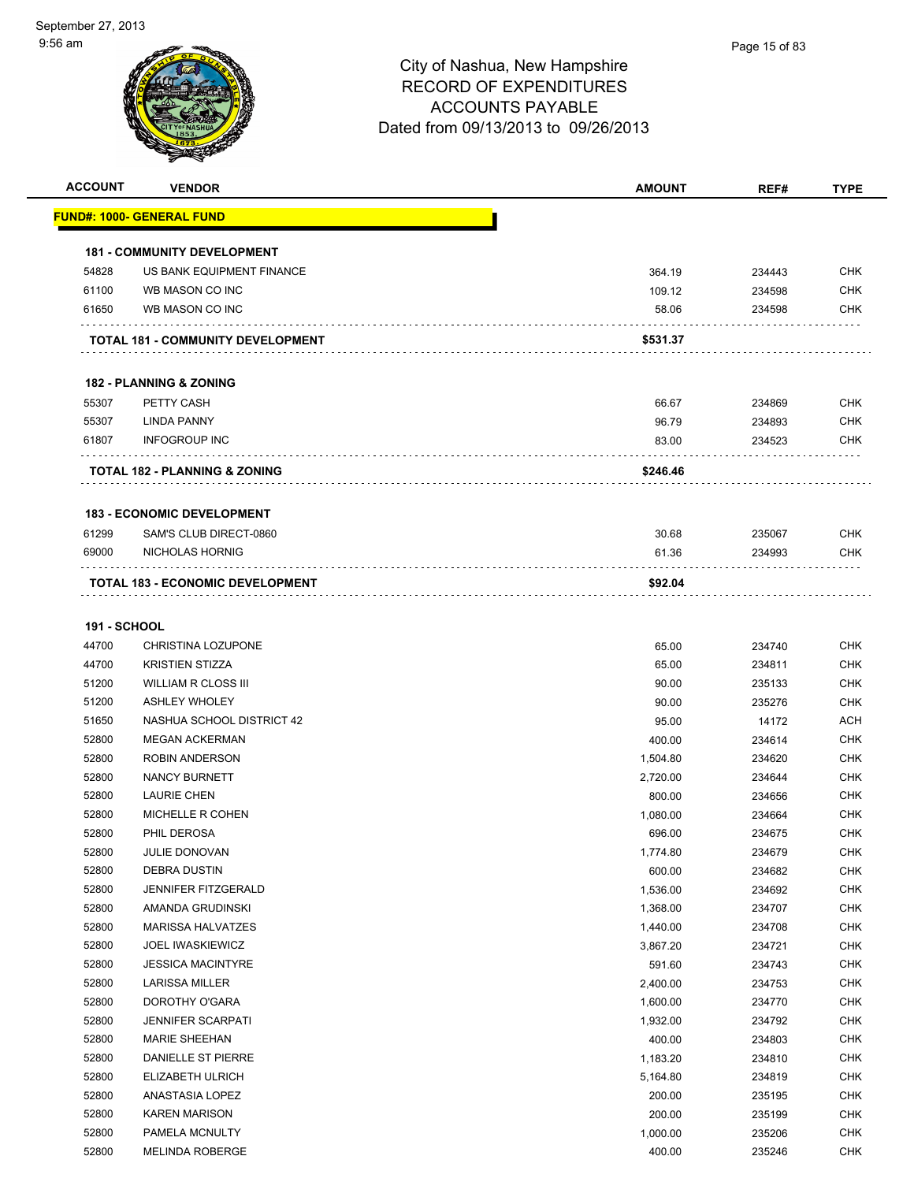| <b>ACCOUNT</b>      | <b>VENDOR</b>                            | <b>AMOUNT</b> | REF#   | <b>TYPE</b>       |
|---------------------|------------------------------------------|---------------|--------|-------------------|
|                     | <b>FUND#: 1000- GENERAL FUND</b>         |               |        |                   |
|                     | <b>181 - COMMUNITY DEVELOPMENT</b>       |               |        |                   |
| 54828               | US BANK EQUIPMENT FINANCE                | 364.19        | 234443 | <b>CHK</b>        |
| 61100               | WB MASON CO INC                          | 109.12        | 234598 | <b>CHK</b>        |
| 61650               | WB MASON CO INC                          | 58.06         | 234598 | CHK               |
|                     |                                          |               |        |                   |
|                     | TOTAL 181 - COMMUNITY DEVELOPMENT        | \$531.37      |        |                   |
|                     | <b>182 - PLANNING &amp; ZONING</b>       |               |        |                   |
| 55307               | PETTY CASH                               | 66.67         | 234869 | <b>CHK</b>        |
| 55307               | <b>LINDA PANNY</b>                       | 96.79         | 234893 | <b>CHK</b>        |
| 61807               | <b>INFOGROUP INC</b>                     | 83.00         | 234523 | CHK               |
|                     | <b>TOTAL 182 - PLANNING &amp; ZONING</b> | \$246.46      |        |                   |
|                     |                                          |               |        |                   |
|                     | <b>183 - ECONOMIC DEVELOPMENT</b>        |               |        |                   |
| 61299<br>69000      | SAM'S CLUB DIRECT-0860                   | 30.68         | 235067 | <b>CHK</b><br>CHK |
|                     | NICHOLAS HORNIG                          | 61.36         | 234993 |                   |
|                     | TOTAL 183 - ECONOMIC DEVELOPMENT         | \$92.04       |        |                   |
| <b>191 - SCHOOL</b> |                                          |               |        |                   |
| 44700               | <b>CHRISTINA LOZUPONE</b>                | 65.00         | 234740 | <b>CHK</b>        |
| 44700               | <b>KRISTIEN STIZZA</b>                   | 65.00         | 234811 | <b>CHK</b>        |
| 51200               | <b>WILLIAM R CLOSS III</b>               | 90.00         | 235133 | <b>CHK</b>        |
| 51200               | <b>ASHLEY WHOLEY</b>                     | 90.00         | 235276 | <b>CHK</b>        |
| 51650               | NASHUA SCHOOL DISTRICT 42                | 95.00         | 14172  | <b>ACH</b>        |
| 52800               | <b>MEGAN ACKERMAN</b>                    | 400.00        | 234614 | <b>CHK</b>        |
| 52800               | <b>ROBIN ANDERSON</b>                    | 1,504.80      | 234620 | <b>CHK</b>        |
| 52800               | <b>NANCY BURNETT</b>                     | 2,720.00      | 234644 | <b>CHK</b>        |
| 52800               | <b>LAURIE CHEN</b>                       | 800.00        | 234656 | <b>CHK</b>        |
| 52800               | MICHELLE R COHEN                         | 1,080.00      | 234664 | <b>CHK</b>        |
| 52800               | PHIL DEROSA                              | 696.00        | 234675 | <b>CHK</b>        |
| 52800               | <b>JULIE DONOVAN</b>                     | 1,774.80      | 234679 | <b>CHK</b>        |
| 52800               | <b>DEBRA DUSTIN</b>                      | 600.00        | 234682 | <b>CHK</b>        |
| 52800               | JENNIFER FITZGERALD                      | 1,536.00      | 234692 | <b>CHK</b>        |
| 52800               | AMANDA GRUDINSKI                         | 1,368.00      | 234707 | <b>CHK</b>        |
| 52800               | <b>MARISSA HALVATZES</b>                 | 1,440.00      | 234708 | <b>CHK</b>        |
| 52800               | <b>JOEL IWASKIEWICZ</b>                  | 3,867.20      | 234721 | <b>CHK</b>        |
| 52800               | <b>JESSICA MACINTYRE</b>                 | 591.60        | 234743 | <b>CHK</b>        |
| 52800               | LARISSA MILLER                           | 2,400.00      | 234753 | <b>CHK</b>        |
| 52800               | DOROTHY O'GARA                           | 1,600.00      | 234770 | <b>CHK</b>        |
| 52800               | <b>JENNIFER SCARPATI</b>                 | 1,932.00      | 234792 | <b>CHK</b>        |
| 52800               | MARIE SHEEHAN                            | 400.00        | 234803 | <b>CHK</b>        |
| 52800               | DANIELLE ST PIERRE                       | 1,183.20      | 234810 | <b>CHK</b>        |
| 52800               | ELIZABETH ULRICH                         | 5,164.80      | 234819 | <b>CHK</b>        |
| 52800               | ANASTASIA LOPEZ                          | 200.00        | 235195 | <b>CHK</b>        |
| 52800               | <b>KAREN MARISON</b>                     | 200.00        | 235199 | <b>CHK</b>        |
| 52800               | PAMELA MCNULTY                           | 1,000.00      | 235206 | <b>CHK</b>        |
| 52800               | <b>MELINDA ROBERGE</b>                   | 400.00        | 235246 | <b>CHK</b>        |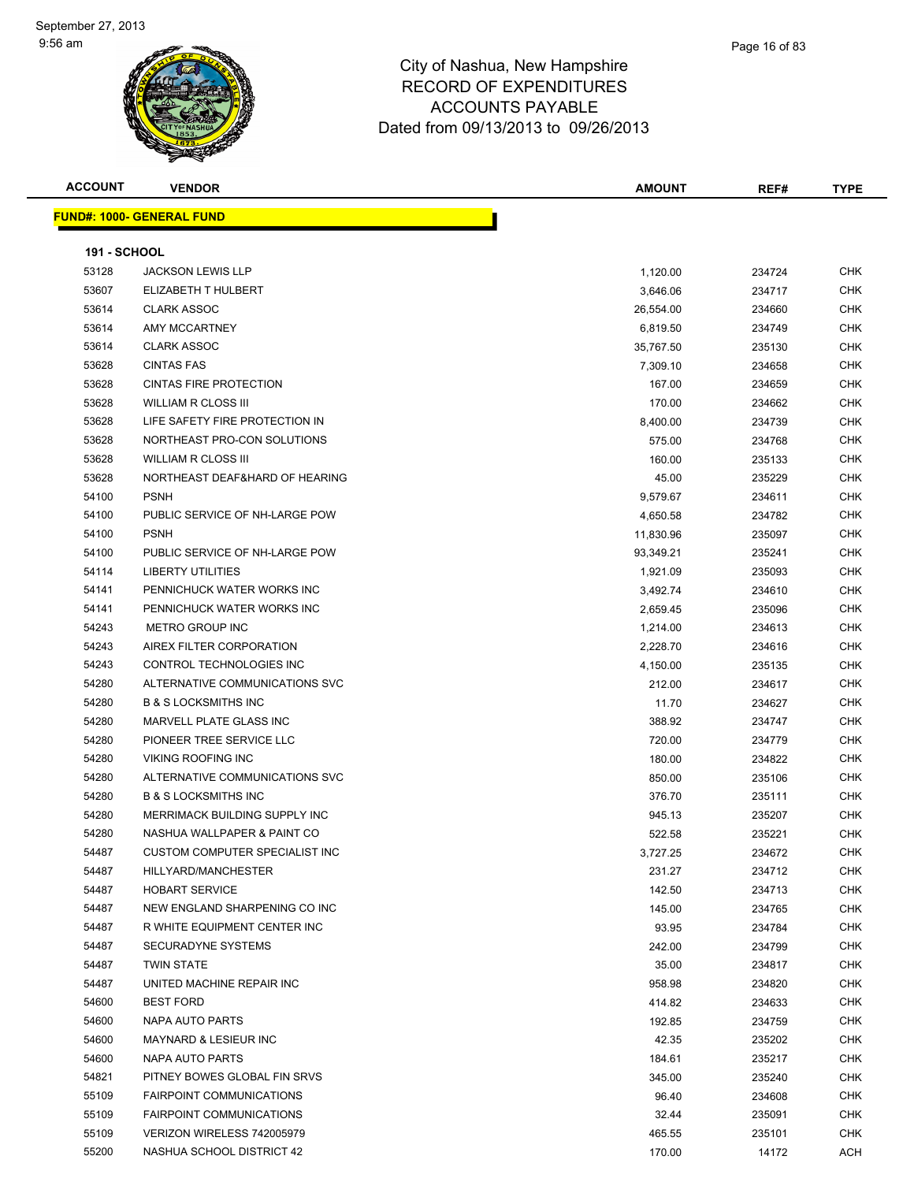| <b>ACCOUNT</b>      | <b>VENDOR</b>                     | <b>AMOUNT</b> | REF#   | <b>TYPE</b> |
|---------------------|-----------------------------------|---------------|--------|-------------|
|                     | <u> FUND#: 1000- GENERAL FUND</u> |               |        |             |
|                     |                                   |               |        |             |
| <b>191 - SCHOOL</b> |                                   |               |        |             |
| 53128               | <b>JACKSON LEWIS LLP</b>          | 1,120.00      | 234724 | <b>CHK</b>  |
| 53607               | ELIZABETH T HULBERT               | 3,646.06      | 234717 | <b>CHK</b>  |
| 53614               | <b>CLARK ASSOC</b>                | 26,554.00     | 234660 | <b>CHK</b>  |
| 53614               | AMY MCCARTNEY                     | 6,819.50      | 234749 | <b>CHK</b>  |
| 53614               | <b>CLARK ASSOC</b>                | 35,767.50     | 235130 | <b>CHK</b>  |
| 53628               | <b>CINTAS FAS</b>                 | 7,309.10      | 234658 | <b>CHK</b>  |
| 53628               | <b>CINTAS FIRE PROTECTION</b>     | 167.00        | 234659 | <b>CHK</b>  |
| 53628               | <b>WILLIAM R CLOSS III</b>        | 170.00        | 234662 | <b>CHK</b>  |
| 53628               | LIFE SAFETY FIRE PROTECTION IN    | 8,400.00      | 234739 | <b>CHK</b>  |
| 53628               | NORTHEAST PRO-CON SOLUTIONS       | 575.00        | 234768 | <b>CHK</b>  |
| 53628               | WILLIAM R CLOSS III               | 160.00        | 235133 | <b>CHK</b>  |
| 53628               | NORTHEAST DEAF&HARD OF HEARING    | 45.00         | 235229 | <b>CHK</b>  |
| 54100               | <b>PSNH</b>                       | 9,579.67      | 234611 | <b>CHK</b>  |
| 54100               | PUBLIC SERVICE OF NH-LARGE POW    | 4,650.58      | 234782 | <b>CHK</b>  |
| 54100               | <b>PSNH</b>                       | 11,830.96     | 235097 | <b>CHK</b>  |
| 54100               | PUBLIC SERVICE OF NH-LARGE POW    | 93,349.21     | 235241 | <b>CHK</b>  |
| 54114               | <b>LIBERTY UTILITIES</b>          | 1,921.09      | 235093 | <b>CHK</b>  |
| 54141               | PENNICHUCK WATER WORKS INC        | 3,492.74      | 234610 | <b>CHK</b>  |
| 54141               | PENNICHUCK WATER WORKS INC        | 2,659.45      | 235096 | <b>CHK</b>  |
| 54243               | METRO GROUP INC                   | 1,214.00      | 234613 | <b>CHK</b>  |
| 54243               | AIREX FILTER CORPORATION          | 2,228.70      | 234616 | <b>CHK</b>  |
| 54243               | CONTROL TECHNOLOGIES INC          | 4,150.00      | 235135 | <b>CHK</b>  |
| 54280               | ALTERNATIVE COMMUNICATIONS SVC    | 212.00        | 234617 | <b>CHK</b>  |
| 54280               | <b>B &amp; S LOCKSMITHS INC</b>   | 11.70         | 234627 | <b>CHK</b>  |
| 54280               | MARVELL PLATE GLASS INC           | 388.92        | 234747 | <b>CHK</b>  |
| 54280               | PIONEER TREE SERVICE LLC          | 720.00        | 234779 | <b>CHK</b>  |
| 54280               | <b>VIKING ROOFING INC</b>         | 180.00        | 234822 | <b>CHK</b>  |
| 54280               | ALTERNATIVE COMMUNICATIONS SVC    | 850.00        | 235106 | <b>CHK</b>  |
| 54280               | <b>B &amp; S LOCKSMITHS INC</b>   | 376.70        | 235111 | <b>CHK</b>  |
| 54280               | MERRIMACK BUILDING SUPPLY INC     | 945.13        | 235207 | <b>CHK</b>  |
| 54280               | NASHUA WALLPAPER & PAINT CO       | 522.58        | 235221 | <b>CHK</b>  |
| 54487               | CUSTOM COMPUTER SPECIALIST INC    | 3,727.25      | 234672 | <b>CHK</b>  |
| 54487               | HILLYARD/MANCHESTER               | 231.27        | 234712 | <b>CHK</b>  |
| 54487               | <b>HOBART SERVICE</b>             | 142.50        | 234713 | <b>CHK</b>  |
| 54487               | NEW ENGLAND SHARPENING CO INC     | 145.00        | 234765 | <b>CHK</b>  |
| 54487               | R WHITE EQUIPMENT CENTER INC      | 93.95         | 234784 | <b>CHK</b>  |
| 54487               | SECURADYNE SYSTEMS                | 242.00        | 234799 | <b>CHK</b>  |
| 54487               | <b>TWIN STATE</b>                 | 35.00         | 234817 | <b>CHK</b>  |
| 54487               | UNITED MACHINE REPAIR INC         | 958.98        | 234820 | <b>CHK</b>  |
| 54600               | <b>BEST FORD</b>                  | 414.82        | 234633 | <b>CHK</b>  |
| 54600               | NAPA AUTO PARTS                   | 192.85        | 234759 | <b>CHK</b>  |
| 54600               | MAYNARD & LESIEUR INC             | 42.35         | 235202 | <b>CHK</b>  |
| 54600               | NAPA AUTO PARTS                   | 184.61        | 235217 | <b>CHK</b>  |
| 54821               | PITNEY BOWES GLOBAL FIN SRVS      | 345.00        | 235240 | <b>CHK</b>  |
| 55109               | <b>FAIRPOINT COMMUNICATIONS</b>   | 96.40         | 234608 | <b>CHK</b>  |
| 55109               | FAIRPOINT COMMUNICATIONS          | 32.44         | 235091 | <b>CHK</b>  |
| 55109               | VERIZON WIRELESS 742005979        | 465.55        | 235101 | <b>CHK</b>  |
| 55200               | NASHUA SCHOOL DISTRICT 42         | 170.00        | 14172  | <b>ACH</b>  |
|                     |                                   |               |        |             |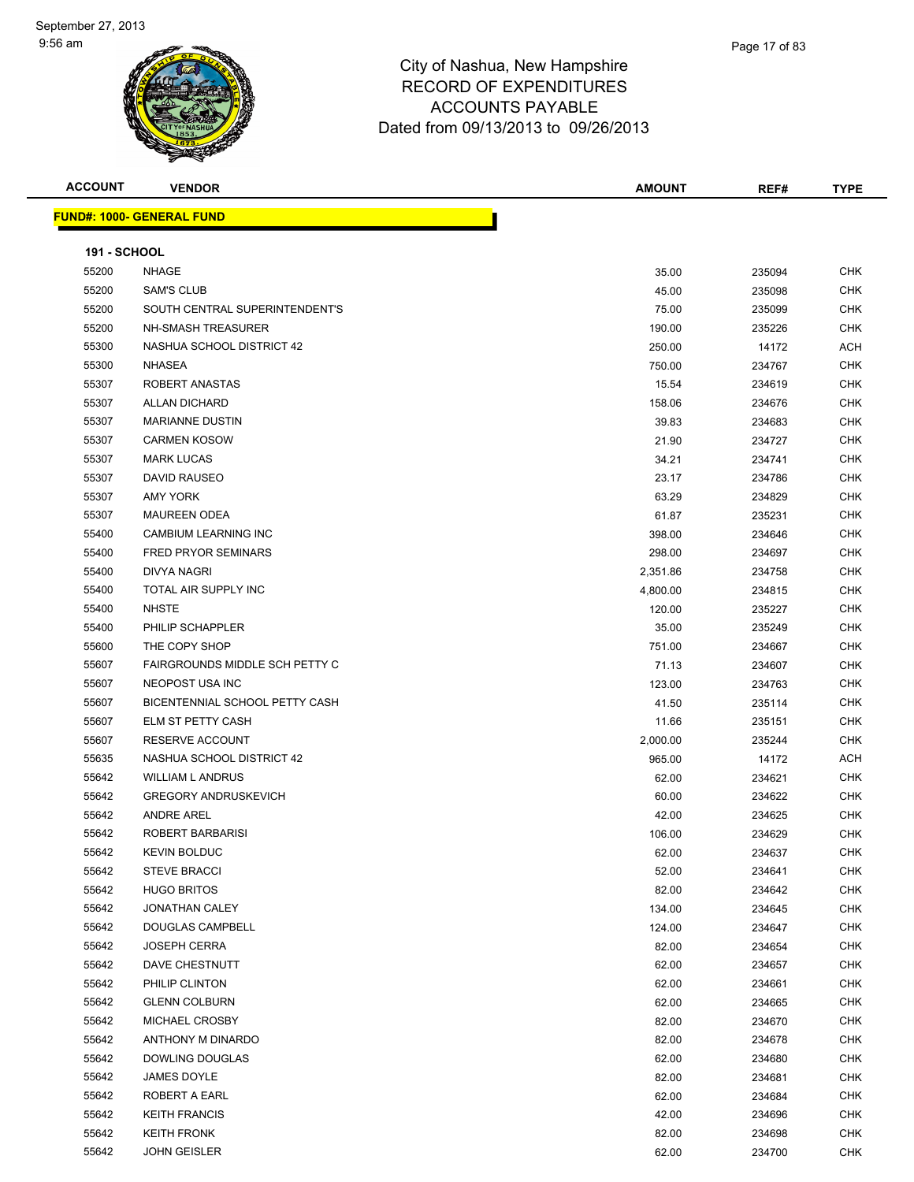

| <b>ACCOUNT</b>      | <b>VENDOR</b>                     | <b>AMOUNT</b> | REF#   | <b>TYPE</b> |
|---------------------|-----------------------------------|---------------|--------|-------------|
|                     | <u> FUND#: 1000- GENERAL FUND</u> |               |        |             |
|                     |                                   |               |        |             |
| <b>191 - SCHOOL</b> |                                   |               |        |             |
| 55200               | <b>NHAGE</b>                      | 35.00         | 235094 | <b>CHK</b>  |
| 55200               | <b>SAM'S CLUB</b>                 | 45.00         | 235098 | <b>CHK</b>  |
| 55200               | SOUTH CENTRAL SUPERINTENDENT'S    | 75.00         | 235099 | CHK         |
| 55200               | NH-SMASH TREASURER                | 190.00        | 235226 | CHK         |
| 55300               | NASHUA SCHOOL DISTRICT 42         | 250.00        | 14172  | ACH         |
| 55300               | NHASEA                            | 750.00        | 234767 | CHK         |
| 55307               | ROBERT ANASTAS                    | 15.54         | 234619 | <b>CHK</b>  |
| 55307               | <b>ALLAN DICHARD</b>              | 158.06        | 234676 | <b>CHK</b>  |
| 55307               | <b>MARIANNE DUSTIN</b>            | 39.83         | 234683 | <b>CHK</b>  |
| 55307               | <b>CARMEN KOSOW</b>               | 21.90         | 234727 | <b>CHK</b>  |
| 55307               | <b>MARK LUCAS</b>                 | 34.21         | 234741 | <b>CHK</b>  |
| 55307               | DAVID RAUSEO                      | 23.17         | 234786 | CHK         |
| 55307               | <b>AMY YORK</b>                   | 63.29         | 234829 | <b>CHK</b>  |
| 55307               | <b>MAUREEN ODEA</b>               | 61.87         | 235231 | CHK         |
| 55400               | CAMBIUM LEARNING INC              | 398.00        | 234646 | CHK         |
| 55400               | <b>FRED PRYOR SEMINARS</b>        | 298.00        | 234697 | CHK         |
| 55400               | <b>DIVYA NAGRI</b>                | 2,351.86      | 234758 | CHK         |
| 55400               | TOTAL AIR SUPPLY INC              | 4,800.00      | 234815 | CHK         |
| 55400               | <b>NHSTE</b>                      | 120.00        | 235227 | <b>CHK</b>  |
| 55400               | PHILIP SCHAPPLER                  | 35.00         | 235249 | CHK         |
| 55600               | THE COPY SHOP                     | 751.00        | 234667 | CHK         |
| 55607               | FAIRGROUNDS MIDDLE SCH PETTY C    | 71.13         | 234607 | <b>CHK</b>  |
| 55607               | NEOPOST USA INC                   | 123.00        | 234763 | CHK         |
| 55607               | BICENTENNIAL SCHOOL PETTY CASH    | 41.50         | 235114 | CHK         |
| 55607               | ELM ST PETTY CASH                 | 11.66         | 235151 | CHK         |
| 55607               | RESERVE ACCOUNT                   | 2,000.00      | 235244 | CHK         |
| 55635               | NASHUA SCHOOL DISTRICT 42         | 965.00        | 14172  | ACH         |
| 55642               | <b>WILLIAM L ANDRUS</b>           | 62.00         | 234621 | CHK         |
| 55642               | <b>GREGORY ANDRUSKEVICH</b>       | 60.00         | 234622 | <b>CHK</b>  |
| 55642               | <b>ANDRE AREL</b>                 | 42.00         | 234625 | <b>CHK</b>  |
| 55642               | ROBERT BARBARISI                  | 106.00        | 234629 | <b>CHK</b>  |
| 55642               | <b>KEVIN BOLDUC</b>               | 62.00         | 234637 | CHK         |
| 55642               | <b>STEVE BRACCI</b>               | 52.00         | 234641 | <b>CHK</b>  |
| 55642               | <b>HUGO BRITOS</b>                | 82.00         | 234642 | <b>CHK</b>  |
| 55642               | <b>JONATHAN CALEY</b>             | 134.00        | 234645 | CHK         |
| 55642               | <b>DOUGLAS CAMPBELL</b>           | 124.00        | 234647 | <b>CHK</b>  |
| 55642               | <b>JOSEPH CERRA</b>               | 82.00         | 234654 | <b>CHK</b>  |
| 55642               | DAVE CHESTNUTT                    | 62.00         | 234657 | CHK         |
| 55642               | PHILIP CLINTON                    | 62.00         | 234661 | CHK         |
| 55642               | <b>GLENN COLBURN</b>              | 62.00         | 234665 | CHK         |
| 55642               | MICHAEL CROSBY                    | 82.00         | 234670 | CHK         |
| 55642               | ANTHONY M DINARDO                 | 82.00         | 234678 | <b>CHK</b>  |
| 55642               | DOWLING DOUGLAS                   | 62.00         | 234680 | CHK         |
| 55642               | JAMES DOYLE                       | 82.00         | 234681 | <b>CHK</b>  |
| 55642               | ROBERT A EARL                     | 62.00         | 234684 | CHK         |
| 55642               | <b>KEITH FRANCIS</b>              | 42.00         | 234696 | CHK         |
| 55642               | <b>KEITH FRONK</b>                | 82.00         | 234698 | CHK         |
| 55642               | <b>JOHN GEISLER</b>               | 62.00         | 234700 | <b>CHK</b>  |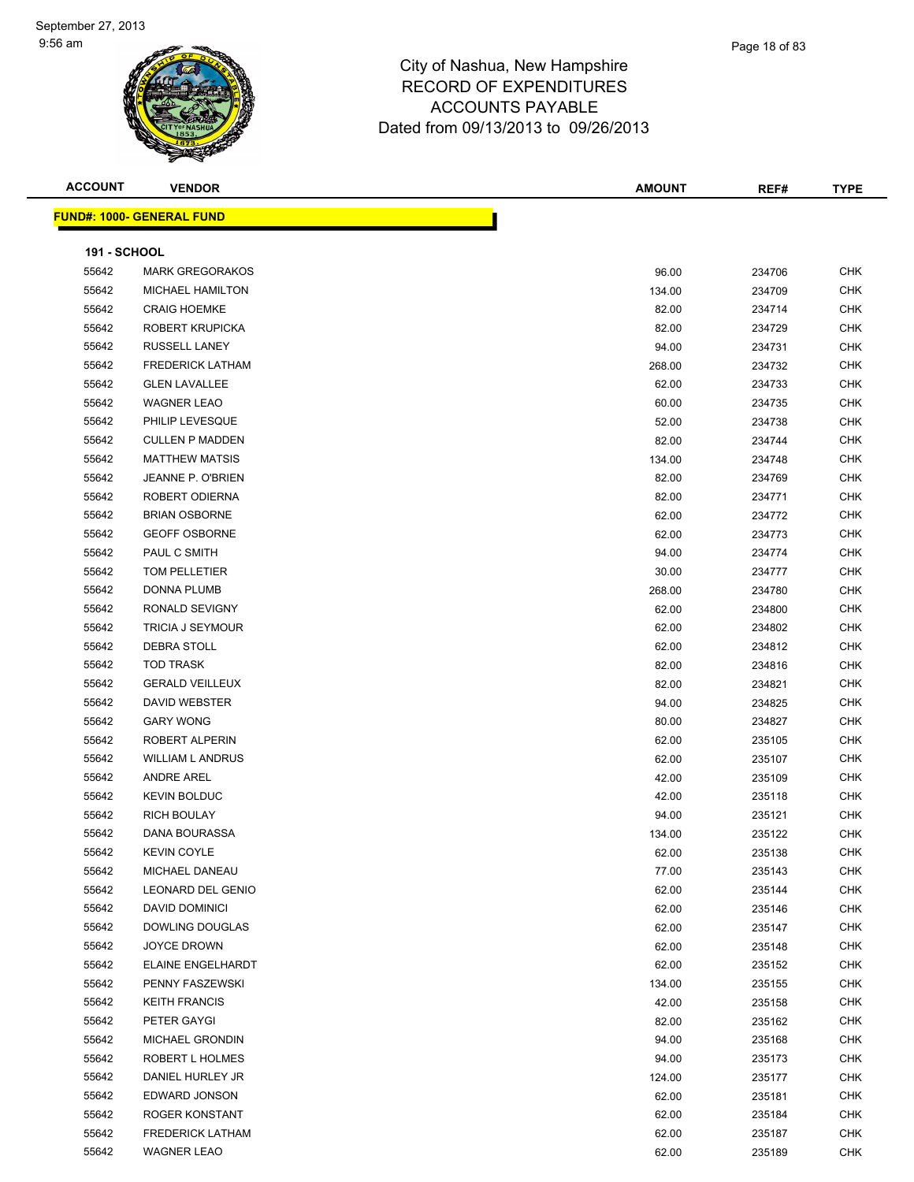| <b>ACCOUNT</b>      | <b>VENDOR</b>                    | <b>AMOUNT</b> | REF#   | <b>TYPE</b> |
|---------------------|----------------------------------|---------------|--------|-------------|
|                     | <b>FUND#: 1000- GENERAL FUND</b> |               |        |             |
|                     |                                  |               |        |             |
| <b>191 - SCHOOL</b> |                                  |               |        |             |
| 55642               | <b>MARK GREGORAKOS</b>           | 96.00         | 234706 | <b>CHK</b>  |
| 55642               | <b>MICHAEL HAMILTON</b>          | 134.00        | 234709 | <b>CHK</b>  |
| 55642               | <b>CRAIG HOEMKE</b>              | 82.00         | 234714 | <b>CHK</b>  |
| 55642               | ROBERT KRUPICKA                  | 82.00         | 234729 | <b>CHK</b>  |
| 55642               | <b>RUSSELL LANEY</b>             | 94.00         | 234731 | <b>CHK</b>  |
| 55642               | <b>FREDERICK LATHAM</b>          | 268.00        | 234732 | <b>CHK</b>  |
| 55642               | <b>GLEN LAVALLEE</b>             | 62.00         | 234733 | CHK         |
| 55642               | <b>WAGNER LEAO</b>               | 60.00         | 234735 | CHK         |
| 55642               | PHILIP LEVESQUE                  | 52.00         | 234738 | CHK         |
| 55642               | <b>CULLEN P MADDEN</b>           | 82.00         | 234744 | <b>CHK</b>  |
| 55642               | <b>MATTHEW MATSIS</b>            | 134.00        | 234748 | <b>CHK</b>  |
| 55642               | JEANNE P. O'BRIEN                | 82.00         | 234769 | <b>CHK</b>  |
| 55642               | ROBERT ODIERNA                   | 82.00         | 234771 | <b>CHK</b>  |
| 55642               | <b>BRIAN OSBORNE</b>             | 62.00         | 234772 | <b>CHK</b>  |
| 55642               | <b>GEOFF OSBORNE</b>             | 62.00         | 234773 | <b>CHK</b>  |
| 55642               | PAUL C SMITH                     | 94.00         | 234774 | <b>CHK</b>  |
| 55642               | TOM PELLETIER                    | 30.00         | 234777 | <b>CHK</b>  |
| 55642               | DONNA PLUMB                      | 268.00        | 234780 | CHK         |
| 55642               | RONALD SEVIGNY                   | 62.00         | 234800 | CHK         |
| 55642               | <b>TRICIA J SEYMOUR</b>          | 62.00         | 234802 | CHK         |
| 55642               | <b>DEBRA STOLL</b>               | 62.00         | 234812 | CHK         |
| 55642               | <b>TOD TRASK</b>                 | 82.00         | 234816 | CHK         |
| 55642               | <b>GERALD VEILLEUX</b>           | 82.00         | 234821 | <b>CHK</b>  |
| 55642               | DAVID WEBSTER                    | 94.00         | 234825 | <b>CHK</b>  |
| 55642               | <b>GARY WONG</b>                 | 80.00         | 234827 | <b>CHK</b>  |
| 55642               | ROBERT ALPERIN                   | 62.00         | 235105 | <b>CHK</b>  |
| 55642               | <b>WILLIAM L ANDRUS</b>          | 62.00         | 235107 | <b>CHK</b>  |
| 55642               | <b>ANDRE AREL</b>                | 42.00         | 235109 | <b>CHK</b>  |
| 55642               | <b>KEVIN BOLDUC</b>              | 42.00         | 235118 | CHK         |
| 55642               | <b>RICH BOULAY</b>               | 94.00         | 235121 | CHK         |
| 55642               | DANA BOURASSA                    | 134.00        | 235122 | <b>CHK</b>  |
| 55642               | <b>KEVIN COYLE</b>               | 62.00         | 235138 | CHK         |
| 55642               | MICHAEL DANEAU                   | 77.00         | 235143 | <b>CHK</b>  |
| 55642               | LEONARD DEL GENIO                | 62.00         | 235144 | CHK         |
| 55642               | <b>DAVID DOMINICI</b>            | 62.00         | 235146 | <b>CHK</b>  |
| 55642               | <b>DOWLING DOUGLAS</b>           | 62.00         | 235147 | CHK         |
| 55642               | JOYCE DROWN                      | 62.00         | 235148 | <b>CHK</b>  |
| 55642               | <b>ELAINE ENGELHARDT</b>         | 62.00         | 235152 | <b>CHK</b>  |
| 55642               | PENNY FASZEWSKI                  | 134.00        | 235155 | CHK         |
| 55642               | <b>KEITH FRANCIS</b>             | 42.00         | 235158 | CHK         |
| 55642               | PETER GAYGI                      | 82.00         | 235162 | <b>CHK</b>  |
| 55642               | MICHAEL GRONDIN                  | 94.00         | 235168 | CHK         |
| 55642               | ROBERT L HOLMES                  | 94.00         | 235173 | <b>CHK</b>  |
| 55642               | DANIEL HURLEY JR                 | 124.00        | 235177 | CHK         |
| 55642               | EDWARD JONSON                    | 62.00         | 235181 | CHK         |
| 55642               | ROGER KONSTANT                   | 62.00         | 235184 | CHK         |
| 55642               | <b>FREDERICK LATHAM</b>          | 62.00         | 235187 | CHK         |
| 55642               | <b>WAGNER LEAO</b>               | 62.00         | 235189 | CHK         |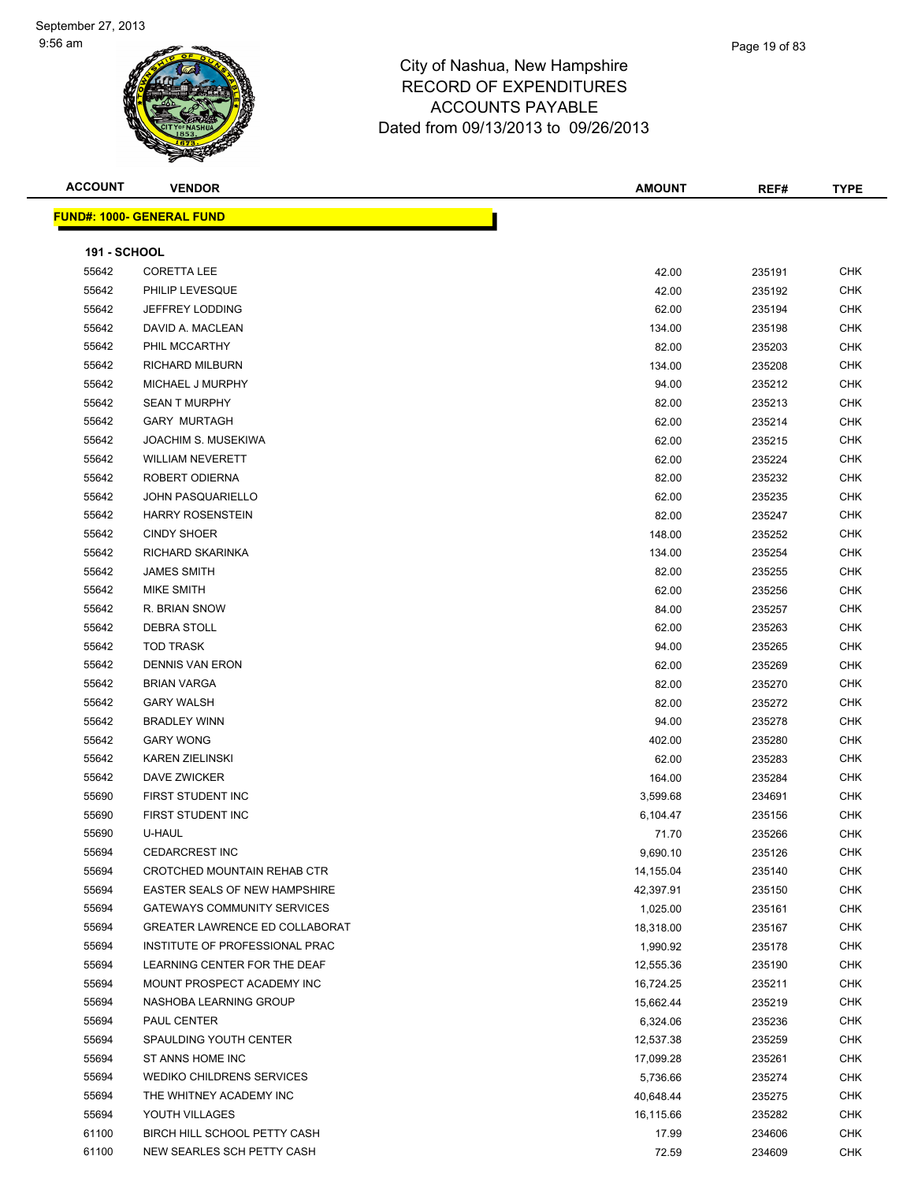

| <b>ACCOUNT</b>      | <b>VENDOR</b>                         | <b>AMOUNT</b> | REF#             | <b>TYPE</b> |
|---------------------|---------------------------------------|---------------|------------------|-------------|
|                     | <b>FUND#: 1000- GENERAL FUND</b>      |               |                  |             |
| <b>191 - SCHOOL</b> |                                       |               |                  |             |
| 55642               | <b>CORETTA LEE</b>                    | 42.00         | 235191           | CHK         |
| 55642               | PHILIP LEVESQUE                       | 42.00         | 235192           | CHK         |
| 55642               | JEFFREY LODDING                       | 62.00         | 235194           | CHK         |
| 55642               | DAVID A. MACLEAN                      | 134.00        | 235198           | CHK         |
| 55642               | PHIL MCCARTHY                         | 82.00         | 235203           | <b>CHK</b>  |
| 55642               | <b>RICHARD MILBURN</b>                | 134.00        | 235208           | CHK         |
| 55642               | MICHAEL J MURPHY                      | 94.00         | 235212           | CHK         |
| 55642               | <b>SEAN T MURPHY</b>                  | 82.00         |                  | CHK         |
| 55642               | <b>GARY MURTAGH</b>                   | 62.00         | 235213<br>235214 | CHK         |
| 55642               | JOACHIM S. MUSEKIWA                   | 62.00         |                  | <b>CHK</b>  |
| 55642               | <b>WILLIAM NEVERETT</b>               | 62.00         | 235215           | <b>CHK</b>  |
| 55642               | ROBERT ODIERNA                        | 82.00         | 235224<br>235232 | CHK         |
| 55642               | <b>JOHN PASQUARIELLO</b>              |               |                  | CHK         |
|                     | <b>HARRY ROSENSTEIN</b>               | 62.00         | 235235           |             |
| 55642               |                                       | 82.00         | 235247           | CHK         |
| 55642               | <b>CINDY SHOER</b>                    | 148.00        | 235252           | CHK         |
| 55642               | RICHARD SKARINKA                      | 134.00        | 235254           | <b>CHK</b>  |
| 55642               | <b>JAMES SMITH</b>                    | 82.00         | 235255           | CHK         |
| 55642               | MIKE SMITH                            | 62.00         | 235256           | CHK         |
| 55642               | R. BRIAN SNOW                         | 84.00         | 235257           | CHK         |
| 55642               | DEBRA STOLL                           | 62.00         | 235263           | CHK         |
| 55642               | <b>TOD TRASK</b>                      | 94.00         | 235265           | CHK         |
| 55642               | <b>DENNIS VAN ERON</b>                | 62.00         | 235269           | CHK         |
| 55642               | <b>BRIAN VARGA</b>                    | 82.00         | 235270           | CHK         |
| 55642               | <b>GARY WALSH</b>                     | 82.00         | 235272           | CHK         |
| 55642               | <b>BRADLEY WINN</b>                   | 94.00         | 235278           | CHK         |
| 55642               | <b>GARY WONG</b>                      | 402.00        | 235280           | <b>CHK</b>  |
| 55642               | <b>KAREN ZIELINSKI</b>                | 62.00         | 235283           | <b>CHK</b>  |
| 55642               | DAVE ZWICKER                          | 164.00        | 235284           | CHK         |
| 55690               | FIRST STUDENT INC                     | 3,599.68      | 234691           | CHK         |
| 55690               | FIRST STUDENT INC                     | 6,104.47      | 235156           | CHK         |
| 55690               | U-HAUL                                | 71.70         | 235266           | CHK         |
| 55694               | CEDARCREST INC                        | 9,690.10      | 235126           | CHK         |
| 55694               | CROTCHED MOUNTAIN REHAB CTR           | 14,155.04     | 235140           | <b>CHK</b>  |
| 55694               | EASTER SEALS OF NEW HAMPSHIRE         | 42,397.91     | 235150           | <b>CHK</b>  |
| 55694               | <b>GATEWAYS COMMUNITY SERVICES</b>    | 1,025.00      | 235161           | <b>CHK</b>  |
| 55694               | <b>GREATER LAWRENCE ED COLLABORAT</b> | 18,318.00     | 235167           | CHK         |
| 55694               | INSTITUTE OF PROFESSIONAL PRAC        | 1,990.92      | 235178           | CHK         |
| 55694               | LEARNING CENTER FOR THE DEAF          | 12,555.36     | 235190           | <b>CHK</b>  |
| 55694               | MOUNT PROSPECT ACADEMY INC            | 16,724.25     | 235211           | CHK         |
| 55694               | NASHOBA LEARNING GROUP                | 15,662.44     | 235219           | CHK         |
| 55694               | PAUL CENTER                           | 6,324.06      | 235236           | CHK         |
| 55694               | SPAULDING YOUTH CENTER                | 12,537.38     | 235259           | CHK         |
| 55694               | ST ANNS HOME INC                      | 17,099.28     | 235261           | <b>CHK</b>  |
| 55694               | <b>WEDIKO CHILDRENS SERVICES</b>      | 5,736.66      | 235274           | <b>CHK</b>  |
| 55694               | THE WHITNEY ACADEMY INC               | 40,648.44     | 235275           | CHK         |
| 55694               | YOUTH VILLAGES                        | 16,115.66     | 235282           | CHK         |
| 61100               | BIRCH HILL SCHOOL PETTY CASH          | 17.99         | 234606           | CHK         |
| 61100               | NEW SEARLES SCH PETTY CASH            | 72.59         | 234609           | CHK         |

Page 19 of 83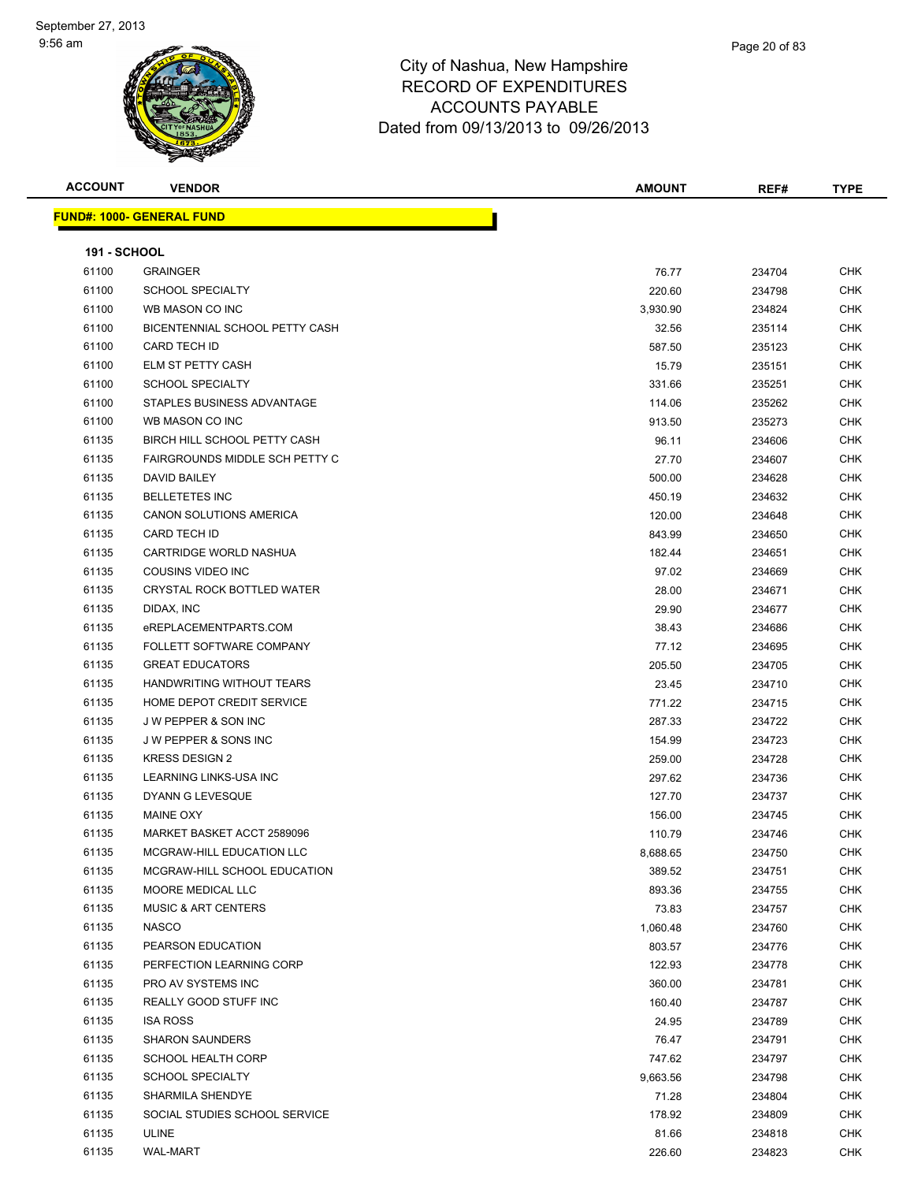| <b>ACCOUNT</b>      | <b>VENDOR</b>                    | <b>AMOUNT</b> | REF#   | <b>TYPE</b> |
|---------------------|----------------------------------|---------------|--------|-------------|
|                     | <b>FUND#: 1000- GENERAL FUND</b> |               |        |             |
|                     |                                  |               |        |             |
| <b>191 - SCHOOL</b> |                                  |               |        |             |
| 61100               | <b>GRAINGER</b>                  | 76.77         | 234704 | CHK         |
| 61100               | <b>SCHOOL SPECIALTY</b>          | 220.60        | 234798 | CHK         |
| 61100               | WB MASON CO INC                  | 3,930.90      | 234824 | CHK         |
| 61100               | BICENTENNIAL SCHOOL PETTY CASH   | 32.56         | 235114 | CHK         |
| 61100               | CARD TECH ID                     | 587.50        | 235123 | <b>CHK</b>  |
| 61100               | ELM ST PETTY CASH                | 15.79         | 235151 | CHK         |
| 61100               | <b>SCHOOL SPECIALTY</b>          | 331.66        | 235251 | <b>CHK</b>  |
| 61100               | STAPLES BUSINESS ADVANTAGE       | 114.06        | 235262 | <b>CHK</b>  |
| 61100               | WB MASON CO INC                  | 913.50        | 235273 | CHK         |
| 61135               | BIRCH HILL SCHOOL PETTY CASH     | 96.11         | 234606 | <b>CHK</b>  |
| 61135               | FAIRGROUNDS MIDDLE SCH PETTY C   | 27.70         | 234607 | CHK         |
| 61135               | <b>DAVID BAILEY</b>              | 500.00        | 234628 | CHK         |
| 61135               | <b>BELLETETES INC</b>            | 450.19        | 234632 | CHK         |
| 61135               | <b>CANON SOLUTIONS AMERICA</b>   | 120.00        | 234648 | CHK         |
| 61135               | CARD TECH ID                     | 843.99        | 234650 | CHK         |
| 61135               | CARTRIDGE WORLD NASHUA           | 182.44        | 234651 | <b>CHK</b>  |
| 61135               | COUSINS VIDEO INC                | 97.02         | 234669 | <b>CHK</b>  |
| 61135               | CRYSTAL ROCK BOTTLED WATER       | 28.00         | 234671 | <b>CHK</b>  |
| 61135               | DIDAX, INC                       | 29.90         | 234677 | <b>CHK</b>  |
| 61135               | eREPLACEMENTPARTS.COM            | 38.43         | 234686 | CHK         |
| 61135               | FOLLETT SOFTWARE COMPANY         | 77.12         | 234695 | <b>CHK</b>  |
| 61135               | <b>GREAT EDUCATORS</b>           | 205.50        | 234705 | CHK         |
| 61135               | HANDWRITING WITHOUT TEARS        | 23.45         | 234710 | CHK         |
| 61135               | HOME DEPOT CREDIT SERVICE        | 771.22        | 234715 | <b>CHK</b>  |
| 61135               | <b>JW PEPPER &amp; SON INC</b>   | 287.33        | 234722 | CHK         |
| 61135               | J W PEPPER & SONS INC            | 154.99        | 234723 | <b>CHK</b>  |
| 61135               | <b>KRESS DESIGN 2</b>            | 259.00        | 234728 | <b>CHK</b>  |
| 61135               | LEARNING LINKS-USA INC           | 297.62        | 234736 | CHK         |
| 61135               | DYANN G LEVESQUE                 | 127.70        | 234737 | <b>CHK</b>  |
| 61135               | <b>MAINE OXY</b>                 | 156.00        | 234745 | CHK         |
| 61135               | MARKET BASKET ACCT 2589096       | 110.79        | 234746 | CHK         |
| 61135               | MCGRAW-HILL EDUCATION LLC        | 8,688.65      | 234750 | CHK         |
| 61135               | MCGRAW-HILL SCHOOL EDUCATION     | 389.52        | 234751 | CHK         |
| 61135               | MOORE MEDICAL LLC                | 893.36        | 234755 | CHK         |
| 61135               | <b>MUSIC &amp; ART CENTERS</b>   | 73.83         | 234757 | <b>CHK</b>  |
| 61135               | <b>NASCO</b>                     | 1,060.48      | 234760 | <b>CHK</b>  |
| 61135               | PEARSON EDUCATION                | 803.57        | 234776 | <b>CHK</b>  |
| 61135               | PERFECTION LEARNING CORP         | 122.93        | 234778 | <b>CHK</b>  |
| 61135               | PRO AV SYSTEMS INC               | 360.00        | 234781 | CHK         |
| 61135               | REALLY GOOD STUFF INC            | 160.40        | 234787 | <b>CHK</b>  |
| 61135               | <b>ISA ROSS</b>                  | 24.95         | 234789 | <b>CHK</b>  |
| 61135               | <b>SHARON SAUNDERS</b>           | 76.47         | 234791 | CHK         |
| 61135               | <b>SCHOOL HEALTH CORP</b>        | 747.62        | 234797 | CHK         |
| 61135               | <b>SCHOOL SPECIALTY</b>          | 9,663.56      | 234798 | CHK         |
| 61135               | SHARMILA SHENDYE                 | 71.28         | 234804 | CHK         |
| 61135               | SOCIAL STUDIES SCHOOL SERVICE    | 178.92        | 234809 | CHK         |
| 61135               | <b>ULINE</b>                     | 81.66         | 234818 | <b>CHK</b>  |
| 61135               | <b>WAL-MART</b>                  | 226.60        | 234823 | CHK         |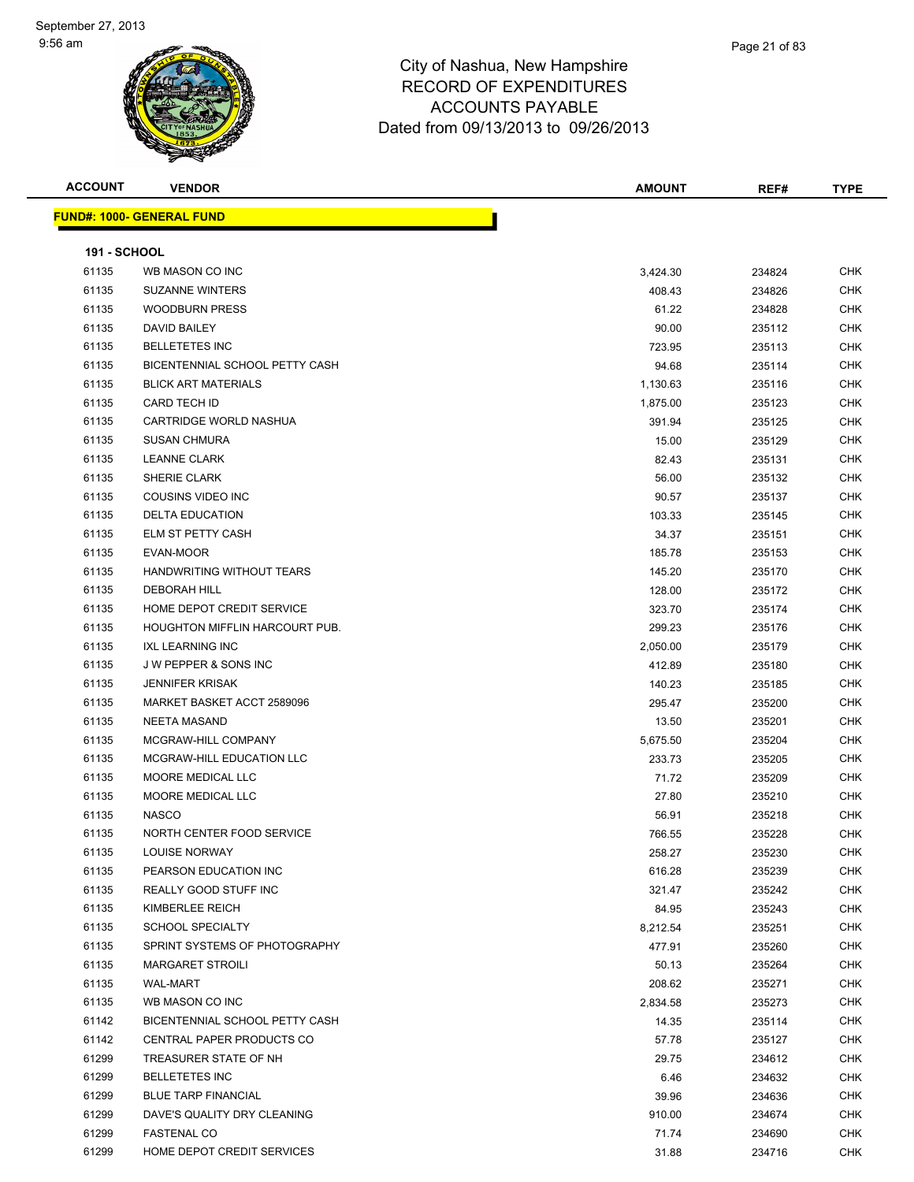|           | Page 21 of 83 |
|-----------|---------------|
| Hampshire |               |
| IDITURES  |               |

| <b>ACCOUNT</b>      | <b>VENDOR</b>                    | <b>AMOUNT</b> | REF#   | <b>TYPE</b> |
|---------------------|----------------------------------|---------------|--------|-------------|
|                     | <b>FUND#: 1000- GENERAL FUND</b> |               |        |             |
|                     |                                  |               |        |             |
| <b>191 - SCHOOL</b> |                                  |               |        |             |
| 61135               | WB MASON CO INC                  | 3,424.30      | 234824 | CHK         |
| 61135               | <b>SUZANNE WINTERS</b>           | 408.43        | 234826 | <b>CHK</b>  |
| 61135               | <b>WOODBURN PRESS</b>            | 61.22         | 234828 | <b>CHK</b>  |
| 61135               | <b>DAVID BAILEY</b>              | 90.00         | 235112 | CHK         |
| 61135               | <b>BELLETETES INC</b>            | 723.95        | 235113 | <b>CHK</b>  |
| 61135               | BICENTENNIAL SCHOOL PETTY CASH   | 94.68         | 235114 | <b>CHK</b>  |
| 61135               | <b>BLICK ART MATERIALS</b>       | 1,130.63      | 235116 | <b>CHK</b>  |
| 61135               | CARD TECH ID                     | 1,875.00      | 235123 | <b>CHK</b>  |
| 61135               | CARTRIDGE WORLD NASHUA           | 391.94        | 235125 | <b>CHK</b>  |
| 61135               | <b>SUSAN CHMURA</b>              | 15.00         | 235129 | CHK         |
| 61135               | <b>LEANNE CLARK</b>              | 82.43         | 235131 | <b>CHK</b>  |
| 61135               | SHERIE CLARK                     | 56.00         | 235132 | <b>CHK</b>  |
| 61135               | COUSINS VIDEO INC                | 90.57         | 235137 | <b>CHK</b>  |
| 61135               | <b>DELTA EDUCATION</b>           | 103.33        | 235145 | <b>CHK</b>  |
| 61135               | ELM ST PETTY CASH                | 34.37         | 235151 | CHK         |
| 61135               | EVAN-MOOR                        | 185.78        | 235153 | <b>CHK</b>  |
| 61135               | HANDWRITING WITHOUT TEARS        | 145.20        | 235170 | CHK         |
| 61135               | <b>DEBORAH HILL</b>              | 128.00        | 235172 | CHK         |
| 61135               | HOME DEPOT CREDIT SERVICE        | 323.70        | 235174 | <b>CHK</b>  |
| 61135               | HOUGHTON MIFFLIN HARCOURT PUB.   | 299.23        | 235176 | <b>CHK</b>  |
| 61135               | <b>IXL LEARNING INC</b>          | 2,050.00      | 235179 | <b>CHK</b>  |
| 61135               | J W PEPPER & SONS INC            | 412.89        | 235180 | <b>CHK</b>  |
| 61135               | <b>JENNIFER KRISAK</b>           | 140.23        | 235185 | <b>CHK</b>  |
| 61135               | MARKET BASKET ACCT 2589096       | 295.47        | 235200 | <b>CHK</b>  |
| 61135               | <b>NEETA MASAND</b>              | 13.50         | 235201 | <b>CHK</b>  |
| 61135               | MCGRAW-HILL COMPANY              | 5,675.50      | 235204 | <b>CHK</b>  |
| 61135               | MCGRAW-HILL EDUCATION LLC        | 233.73        | 235205 | <b>CHK</b>  |
| 61135               | MOORE MEDICAL LLC                | 71.72         | 235209 | <b>CHK</b>  |
| 61135               | MOORE MEDICAL LLC                | 27.80         | 235210 | <b>CHK</b>  |
| 61135               | <b>NASCO</b>                     | 56.91         | 235218 | CHK         |
| 61135               | NORTH CENTER FOOD SERVICE        | 766.55        | 235228 | <b>CHK</b>  |
| 61135               | <b>LOUISE NORWAY</b>             | 258.27        | 235230 | <b>CHK</b>  |
| 61135               | PEARSON EDUCATION INC            | 616.28        | 235239 | CHK         |
| 61135               | REALLY GOOD STUFF INC            | 321.47        | 235242 | CHK         |
| 61135               | KIMBERLEE REICH                  | 84.95         | 235243 | <b>CHK</b>  |
| 61135               | <b>SCHOOL SPECIALTY</b>          | 8,212.54      | 235251 | CHK         |
| 61135               | SPRINT SYSTEMS OF PHOTOGRAPHY    | 477.91        | 235260 | <b>CHK</b>  |
| 61135               | <b>MARGARET STROILI</b>          | 50.13         | 235264 | CHK         |
| 61135               | <b>WAL-MART</b>                  | 208.62        | 235271 | <b>CHK</b>  |
| 61135               | WB MASON CO INC                  | 2,834.58      | 235273 | <b>CHK</b>  |
| 61142               | BICENTENNIAL SCHOOL PETTY CASH   | 14.35         | 235114 | <b>CHK</b>  |
| 61142               | CENTRAL PAPER PRODUCTS CO        | 57.78         | 235127 | <b>CHK</b>  |
| 61299               | TREASURER STATE OF NH            | 29.75         | 234612 | <b>CHK</b>  |
| 61299               | <b>BELLETETES INC</b>            | 6.46          | 234632 | CHK         |
| 61299               | <b>BLUE TARP FINANCIAL</b>       | 39.96         | 234636 | CHK         |
| 61299               | DAVE'S QUALITY DRY CLEANING      | 910.00        | 234674 | <b>CHK</b>  |
| 61299               | <b>FASTENAL CO</b>               | 71.74         | 234690 | <b>CHK</b>  |
| 61299               | HOME DEPOT CREDIT SERVICES       | 31.88         | 234716 | CHK         |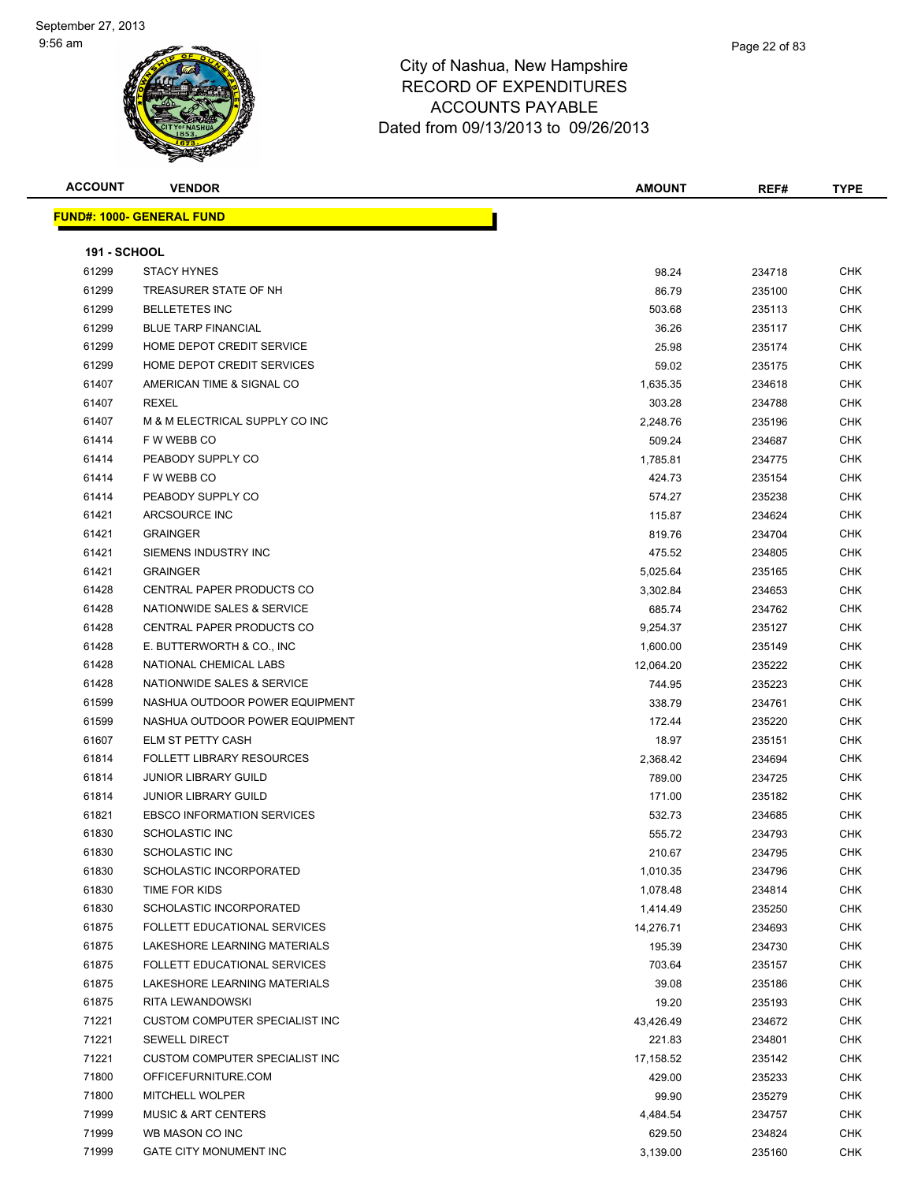

| Page 22 of 83 |
|---------------|
|               |
|               |

| <b>ACCOUNT</b>      | <b>VENDOR</b>                     | <b>AMOUNT</b> | REF#   | <b>TYPE</b> |
|---------------------|-----------------------------------|---------------|--------|-------------|
|                     | <b>FUND#: 1000- GENERAL FUND</b>  |               |        |             |
|                     |                                   |               |        |             |
| <b>191 - SCHOOL</b> |                                   |               |        |             |
| 61299               | <b>STACY HYNES</b>                | 98.24         | 234718 | <b>CHK</b>  |
| 61299               | TREASURER STATE OF NH             | 86.79         | 235100 | <b>CHK</b>  |
| 61299               | <b>BELLETETES INC</b>             | 503.68        | 235113 | CHK         |
| 61299               | <b>BLUE TARP FINANCIAL</b>        | 36.26         | 235117 | <b>CHK</b>  |
| 61299               | HOME DEPOT CREDIT SERVICE         | 25.98         | 235174 | CHK         |
| 61299               | HOME DEPOT CREDIT SERVICES        | 59.02         | 235175 | CHK         |
| 61407               | AMERICAN TIME & SIGNAL CO         | 1,635.35      | 234618 | CHK         |
| 61407               | <b>REXEL</b>                      | 303.28        | 234788 | CHK         |
| 61407               | M & M ELECTRICAL SUPPLY CO INC    | 2,248.76      | 235196 | CHK         |
| 61414               | F W WEBB CO                       | 509.24        | 234687 | CHK         |
| 61414               | PEABODY SUPPLY CO                 | 1,785.81      | 234775 | CHK         |
| 61414               | F W WEBB CO                       | 424.73        | 235154 | CHK         |
| 61414               | PEABODY SUPPLY CO                 | 574.27        | 235238 | <b>CHK</b>  |
| 61421               | ARCSOURCE INC                     | 115.87        | 234624 | <b>CHK</b>  |
| 61421               | <b>GRAINGER</b>                   | 819.76        | 234704 | <b>CHK</b>  |
| 61421               | SIEMENS INDUSTRY INC              | 475.52        | 234805 | CHK         |
| 61421               | <b>GRAINGER</b>                   | 5,025.64      | 235165 | CHK         |
| 61428               | CENTRAL PAPER PRODUCTS CO         | 3,302.84      | 234653 | CHK         |
| 61428               | NATIONWIDE SALES & SERVICE        | 685.74        | 234762 | CHK         |
| 61428               | CENTRAL PAPER PRODUCTS CO         | 9,254.37      | 235127 | <b>CHK</b>  |
| 61428               | E. BUTTERWORTH & CO., INC.        | 1,600.00      | 235149 | <b>CHK</b>  |
| 61428               | NATIONAL CHEMICAL LABS            | 12,064.20     | 235222 | CHK         |
| 61428               | NATIONWIDE SALES & SERVICE        | 744.95        | 235223 | <b>CHK</b>  |
| 61599               | NASHUA OUTDOOR POWER EQUIPMENT    | 338.79        | 234761 | <b>CHK</b>  |
| 61599               | NASHUA OUTDOOR POWER EQUIPMENT    | 172.44        | 235220 | <b>CHK</b>  |
| 61607               | ELM ST PETTY CASH                 | 18.97         | 235151 | <b>CHK</b>  |
| 61814               | <b>FOLLETT LIBRARY RESOURCES</b>  | 2,368.42      | 234694 | CHK         |
| 61814               | <b>JUNIOR LIBRARY GUILD</b>       | 789.00        | 234725 | CHK         |
| 61814               | <b>JUNIOR LIBRARY GUILD</b>       | 171.00        | 235182 | CHK         |
| 61821               | <b>EBSCO INFORMATION SERVICES</b> | 532.73        | 234685 | CHK         |
| 61830               | <b>SCHOLASTIC INC</b>             | 555.72        | 234793 | CHK         |
| 61830               | <b>SCHOLASTIC INC</b>             | 210.67        | 234795 | CHK         |
| 61830               | SCHOLASTIC INCORPORATED           | 1,010.35      | 234796 | <b>CHK</b>  |
| 61830               | TIME FOR KIDS                     | 1,078.48      | 234814 | CHK         |
| 61830               | SCHOLASTIC INCORPORATED           | 1,414.49      | 235250 | <b>CHK</b>  |
| 61875               | FOLLETT EDUCATIONAL SERVICES      |               |        | <b>CHK</b>  |
| 61875               | LAKESHORE LEARNING MATERIALS      | 14,276.71     | 234693 |             |
|                     |                                   | 195.39        | 234730 | CHK         |
| 61875               | FOLLETT EDUCATIONAL SERVICES      | 703.64        | 235157 | <b>CHK</b>  |
| 61875               | LAKESHORE LEARNING MATERIALS      | 39.08         | 235186 | CHK         |
| 61875               | RITA LEWANDOWSKI                  | 19.20         | 235193 | CHK         |
| 71221               | CUSTOM COMPUTER SPECIALIST INC    | 43,426.49     | 234672 | CHK         |
| 71221               | <b>SEWELL DIRECT</b>              | 221.83        | 234801 | CHK         |
| 71221               | CUSTOM COMPUTER SPECIALIST INC    | 17,158.52     | 235142 | CHK         |
| 71800               | OFFICEFURNITURE.COM               | 429.00        | 235233 | <b>CHK</b>  |
| 71800               | MITCHELL WOLPER                   | 99.90         | 235279 | CHK         |
| 71999               | <b>MUSIC &amp; ART CENTERS</b>    | 4,484.54      | 234757 | CHK         |
| 71999               | WB MASON CO INC                   | 629.50        | 234824 | <b>CHK</b>  |
| 71999               | GATE CITY MONUMENT INC            | 3,139.00      | 235160 | CHK         |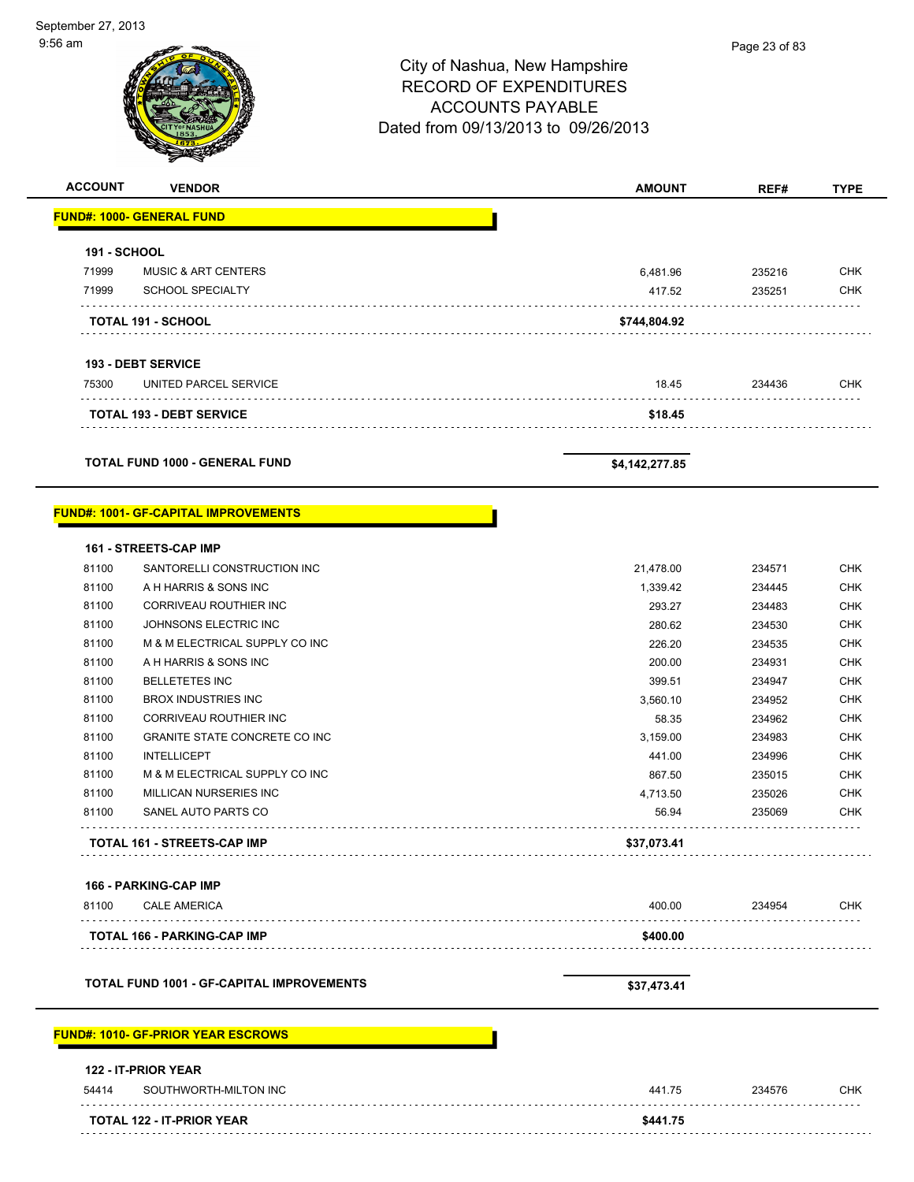. . . . . . . . .

 $\sim$   $\sim$ 

. . . . . . . . . . . . . .

. . . . . . . . . . . . .

# City of Nashua, New Hampshire RECORD OF EXPENDITURES ACCOUNTS PAYABLE Dated from 09/13/2013 to 09/26/2013 **ACCOUNT VENDOR AMOUNT REF# TYPE FUND#: 1000- GENERAL FUND 191 - SCHOOL** 71999 MUSIC & ART CENTERS 6,481.96 235216 CHK

71999 SCHOOL SPECIALTY 417.52 235251 CHK

**TOTAL 191 - SCHOOL \$744,804.92**

The State of the UNITED PARCEL SERVICE And the State of the State of the State of the State of the State of the State of the State of the State of the State of the State of the State of the State of the State of the State

**TOTAL 193 - DEBT SERVICE \$18.45**

**TOTAL FUND 1000 - GENERAL FUND \$4,142,277.85** 

#### **FUND#: 1001- GF-CAPITAL IMPROVEMENTS**

**193 - DEBT SERVICE**

 $\sim$   $\sim$ 

| 56.94     | 235069 | <b>CHK</b> |
|-----------|--------|------------|
| 4,713.50  | 235026 | <b>CHK</b> |
| 867.50    | 235015 | <b>CHK</b> |
| 441.00    | 234996 | <b>CHK</b> |
| 3,159.00  | 234983 | <b>CHK</b> |
| 58.35     | 234962 | <b>CHK</b> |
| 3,560.10  | 234952 | <b>CHK</b> |
| 399.51    | 234947 | <b>CHK</b> |
| 200.00    | 234931 | <b>CHK</b> |
| 226.20    | 234535 | <b>CHK</b> |
| 280.62    | 234530 | <b>CHK</b> |
| 293.27    | 234483 | <b>CHK</b> |
| 1,339.42  | 234445 | <b>CHK</b> |
| 21,478.00 | 234571 | <b>CHK</b> |
|           |        |            |
|           |        |            |

|       | 166 - PARKING-CAP IMP              |          |        |            |
|-------|------------------------------------|----------|--------|------------|
| 81100 | <b>CALE AMERICA</b>                | 400.00   | 234954 | <b>CHK</b> |
|       | <b>TOTAL 166 - PARKING-CAP IMP</b> | \$400.00 |        |            |
|       |                                    |          |        |            |

TOTAL FUND 1001 - GF-CAPITAL IMPROVEMENTS **\$37,473.41** \$37,473.41

### **FUND#: 1010- GF-PRIOR YEAR ESCROWS**

|       | <b>TOTAL 122 - IT-PRIOR YEAR</b>           | \$441.75 |        |            |
|-------|--------------------------------------------|----------|--------|------------|
| 54414 | SOUTHWORTH-MILTON INC                      | 441.75   | 234576 | <b>CHK</b> |
|       | <b>122 - IT-PRIOR YEAR</b>                 |          |        |            |
|       | <u> JND#: 1010- GF-PRIOR YEAR ESCROWS_</u> |          |        |            |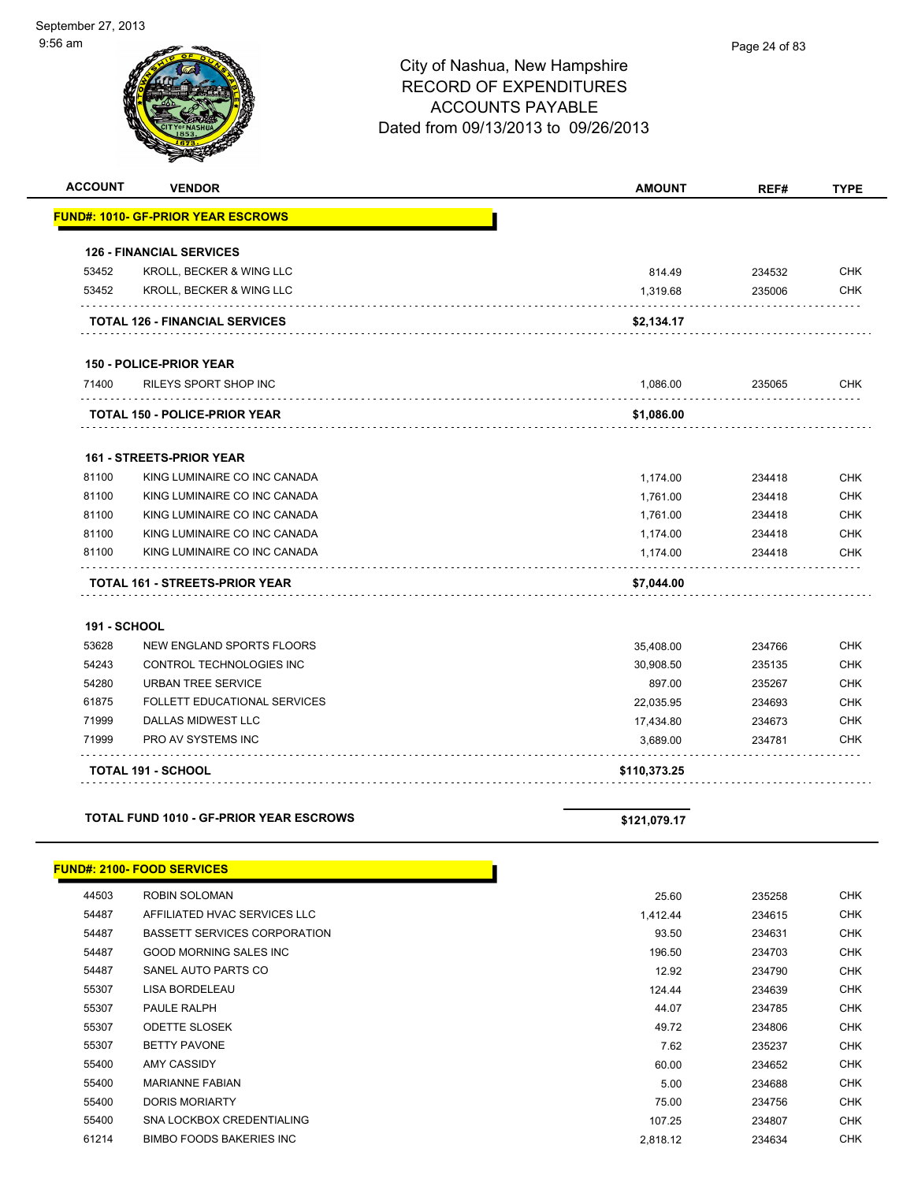| <b>ACCOUNT</b>      | <b>VENDOR</b>                             | <b>AMOUNT</b> | REF#   | <b>TYPE</b> |
|---------------------|-------------------------------------------|---------------|--------|-------------|
|                     | <b>FUND#: 1010- GF-PRIOR YEAR ESCROWS</b> |               |        |             |
|                     | <b>126 - FINANCIAL SERVICES</b>           |               |        |             |
| 53452               | KROLL, BECKER & WING LLC                  | 814.49        | 234532 | <b>CHK</b>  |
| 53452               | KROLL, BECKER & WING LLC                  | 1,319.68      | 235006 | <b>CHK</b>  |
|                     | <b>TOTAL 126 - FINANCIAL SERVICES</b>     | \$2,134.17    |        |             |
|                     | <b>150 - POLICE-PRIOR YEAR</b>            |               |        |             |
| 71400               | <b>RILEYS SPORT SHOP INC</b>              | 1,086.00      | 235065 | <b>CHK</b>  |
|                     | <b>TOTAL 150 - POLICE-PRIOR YEAR</b>      | \$1,086.00    |        |             |
|                     | <b>161 - STREETS-PRIOR YEAR</b>           |               |        |             |
| 81100               | KING LUMINAIRE CO INC CANADA              | 1,174.00      | 234418 | <b>CHK</b>  |
| 81100               | KING LUMINAIRE CO INC CANADA              | 1,761.00      | 234418 | <b>CHK</b>  |
| 81100               | KING LUMINAIRE CO INC CANADA              | 1,761.00      | 234418 | <b>CHK</b>  |
| 81100               | KING LUMINAIRE CO INC CANADA              | 1,174.00      | 234418 | <b>CHK</b>  |
| 81100               | KING LUMINAIRE CO INC CANADA              | 1,174.00      | 234418 | <b>CHK</b>  |
|                     | <b>TOTAL 161 - STREETS-PRIOR YEAR</b>     | \$7,044.00    |        |             |
| <b>191 - SCHOOL</b> |                                           |               |        |             |
| 53628               | NEW ENGLAND SPORTS FLOORS                 | 35,408.00     | 234766 | <b>CHK</b>  |
| 54243               | <b>CONTROL TECHNOLOGIES INC</b>           | 30,908.50     | 235135 | CHK         |
| 54280               | <b>URBAN TREE SERVICE</b>                 | 897.00        | 235267 | <b>CHK</b>  |
| 61875               | FOLLETT EDUCATIONAL SERVICES              | 22,035.95     | 234693 | <b>CHK</b>  |
| 71999               | DALLAS MIDWEST LLC                        | 17,434.80     | 234673 | <b>CHK</b>  |
| 71999               | <b>PRO AV SYSTEMS INC</b>                 | 3,689.00      | 234781 | <b>CHK</b>  |
|                     | <b>TOTAL 191 - SCHOOL</b>                 | \$110,373.25  |        |             |

### **TOTAL FUND 1010 - GF-PRIOR YEAR ESCROWS \$121,079.17**

#### **FUND#: 2100- FOOD SERVICES**

| 44503 | ROBIN SOLOMAN                       | 25.60    | 235258 | <b>CHK</b> |
|-------|-------------------------------------|----------|--------|------------|
| 54487 | AFFILIATED HVAC SERVICES LLC        | 1,412.44 | 234615 | <b>CHK</b> |
| 54487 | <b>BASSETT SERVICES CORPORATION</b> | 93.50    | 234631 | <b>CHK</b> |
| 54487 | GOOD MORNING SALES INC              | 196.50   | 234703 | <b>CHK</b> |
| 54487 | SANEL AUTO PARTS CO                 | 12.92    | 234790 | <b>CHK</b> |
| 55307 | <b>LISA BORDELEAU</b>               | 124.44   | 234639 | <b>CHK</b> |
| 55307 | PAULE RALPH                         | 44.07    | 234785 | <b>CHK</b> |
| 55307 | <b>ODETTE SLOSEK</b>                | 49.72    | 234806 | <b>CHK</b> |
| 55307 | <b>BETTY PAVONE</b>                 | 7.62     | 235237 | <b>CHK</b> |
| 55400 | AMY CASSIDY                         | 60.00    | 234652 | <b>CHK</b> |
| 55400 | <b>MARIANNE FABIAN</b>              | 5.00     | 234688 | <b>CHK</b> |
| 55400 | <b>DORIS MORIARTY</b>               | 75.00    | 234756 | <b>CHK</b> |
| 55400 | SNA LOCKBOX CREDENTIALING           | 107.25   | 234807 | <b>CHK</b> |
| 61214 | <b>BIMBO FOODS BAKERIES INC</b>     | 2,818.12 | 234634 | <b>CHK</b> |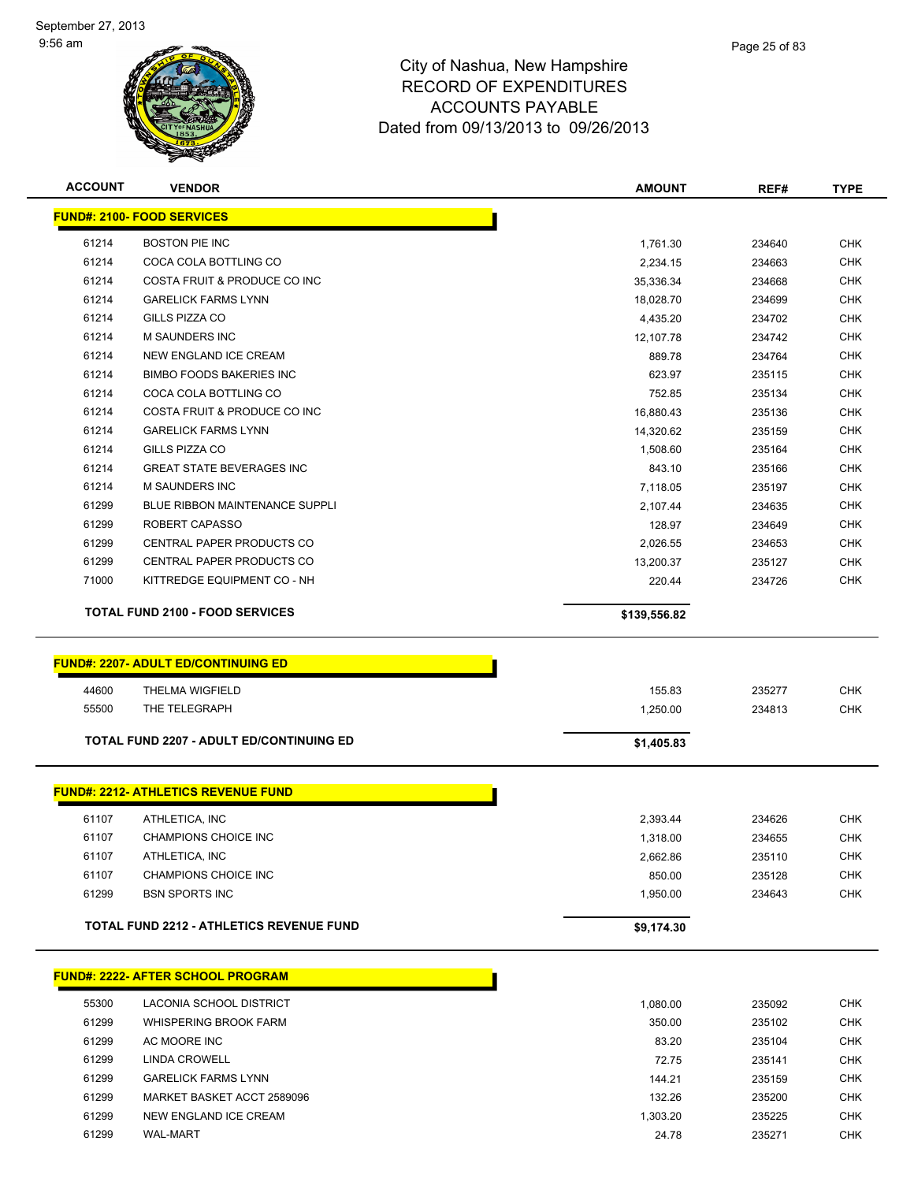

| <b>ACCOUNT</b> | <b>VENDOR</b>                                   | <b>AMOUNT</b> | REF#   | <b>TYPE</b> |
|----------------|-------------------------------------------------|---------------|--------|-------------|
|                | <b>FUND#: 2100- FOOD SERVICES</b>               |               |        |             |
| 61214          | <b>BOSTON PIE INC</b>                           | 1,761.30      | 234640 | <b>CHK</b>  |
| 61214          | COCA COLA BOTTLING CO                           | 2,234.15      | 234663 | <b>CHK</b>  |
| 61214          | COSTA FRUIT & PRODUCE CO INC                    | 35,336.34     | 234668 | <b>CHK</b>  |
| 61214          | <b>GARELICK FARMS LYNN</b>                      | 18,028.70     | 234699 | <b>CHK</b>  |
| 61214          | GILLS PIZZA CO                                  | 4,435.20      | 234702 | <b>CHK</b>  |
| 61214          | <b>M SAUNDERS INC</b>                           | 12,107.78     | 234742 | <b>CHK</b>  |
| 61214          | <b>NEW ENGLAND ICE CREAM</b>                    | 889.78        | 234764 | <b>CHK</b>  |
| 61214          | <b>BIMBO FOODS BAKERIES INC</b>                 | 623.97        | 235115 | <b>CHK</b>  |
| 61214          | COCA COLA BOTTLING CO                           | 752.85        | 235134 | <b>CHK</b>  |
| 61214          | COSTA FRUIT & PRODUCE CO INC                    | 16,880.43     | 235136 | <b>CHK</b>  |
| 61214          | <b>GARELICK FARMS LYNN</b>                      | 14,320.62     | 235159 | <b>CHK</b>  |
| 61214          | GILLS PIZZA CO                                  | 1,508.60      | 235164 | <b>CHK</b>  |
| 61214          | <b>GREAT STATE BEVERAGES INC</b>                | 843.10        | 235166 | <b>CHK</b>  |
| 61214          | M SAUNDERS INC                                  | 7,118.05      | 235197 | <b>CHK</b>  |
| 61299          | <b>BLUE RIBBON MAINTENANCE SUPPLI</b>           | 2,107.44      | 234635 | <b>CHK</b>  |
| 61299          | ROBERT CAPASSO                                  | 128.97        | 234649 | <b>CHK</b>  |
| 61299          | CENTRAL PAPER PRODUCTS CO                       | 2,026.55      | 234653 | <b>CHK</b>  |
| 61299          | <b>CENTRAL PAPER PRODUCTS CO</b>                | 13,200.37     | 235127 | <b>CHK</b>  |
| 71000          | KITTREDGE EQUIPMENT CO - NH                     | 220.44        | 234726 | <b>CHK</b>  |
|                |                                                 |               |        |             |
|                | <b>TOTAL FUND 2100 - FOOD SERVICES</b>          | \$139,556.82  |        |             |
|                |                                                 |               |        |             |
|                | <b>FUND#: 2207- ADULT ED/CONTINUING ED</b>      |               |        |             |
| 44600          | <b>THELMA WIGFIELD</b>                          | 155.83        | 235277 | <b>CHK</b>  |
| 55500          | THE TELEGRAPH                                   | 1,250.00      | 234813 | <b>CHK</b>  |
|                | <b>TOTAL FUND 2207 - ADULT ED/CONTINUING ED</b> | \$1,405.83    |        |             |
|                |                                                 |               |        |             |
|                | <b>FUND#: 2212- ATHLETICS REVENUE FUND</b>      |               |        |             |
| 61107          | ATHLETICA, INC                                  | 2,393.44      | 234626 | <b>CHK</b>  |
| 61107          | <b>CHAMPIONS CHOICE INC</b>                     | 1,318.00      | 234655 | <b>CHK</b>  |
| 61107          | ATHLETICA, INC                                  | 2,662.86      | 235110 | <b>CHK</b>  |
| 61107          | CHAMPIONS CHOICE INC                            | 850.00        | 235128 | <b>CHK</b>  |
| 61299          | <b>BSN SPORTS INC</b>                           | 1,950.00      | 234643 | <b>CHK</b>  |
|                |                                                 |               |        |             |
|                | <b>TOTAL FUND 2212 - ATHLETICS REVENUE FUND</b> | \$9,174.30    |        |             |
|                | <b>FUND#: 2222- AFTER SCHOOL PROGRAM</b>        |               |        |             |
|                |                                                 |               |        |             |
| 55300          | LACONIA SCHOOL DISTRICT                         | 1,080.00      | 235092 | <b>CHK</b>  |
| 61299          | <b>WHISPERING BROOK FARM</b>                    | 350.00        | 235102 | <b>CHK</b>  |
| 61299          | AC MOORE INC                                    | 83.20         | 235104 | <b>CHK</b>  |
| 61299          | <b>LINDA CROWELL</b>                            | 72.75         | 235141 | <b>CHK</b>  |
| 61299          | <b>GARELICK FARMS LYNN</b>                      | 144.21        | 235159 | <b>CHK</b>  |
| 61299          | MARKET BASKET ACCT 2589096                      | 132.26        | 235200 | <b>CHK</b>  |
| 61299          | NEW ENGLAND ICE CREAM                           | 1,303.20      | 235225 | <b>CHK</b>  |
| 61299          | WAL-MART                                        | 24.78         | 235271 | <b>CHK</b>  |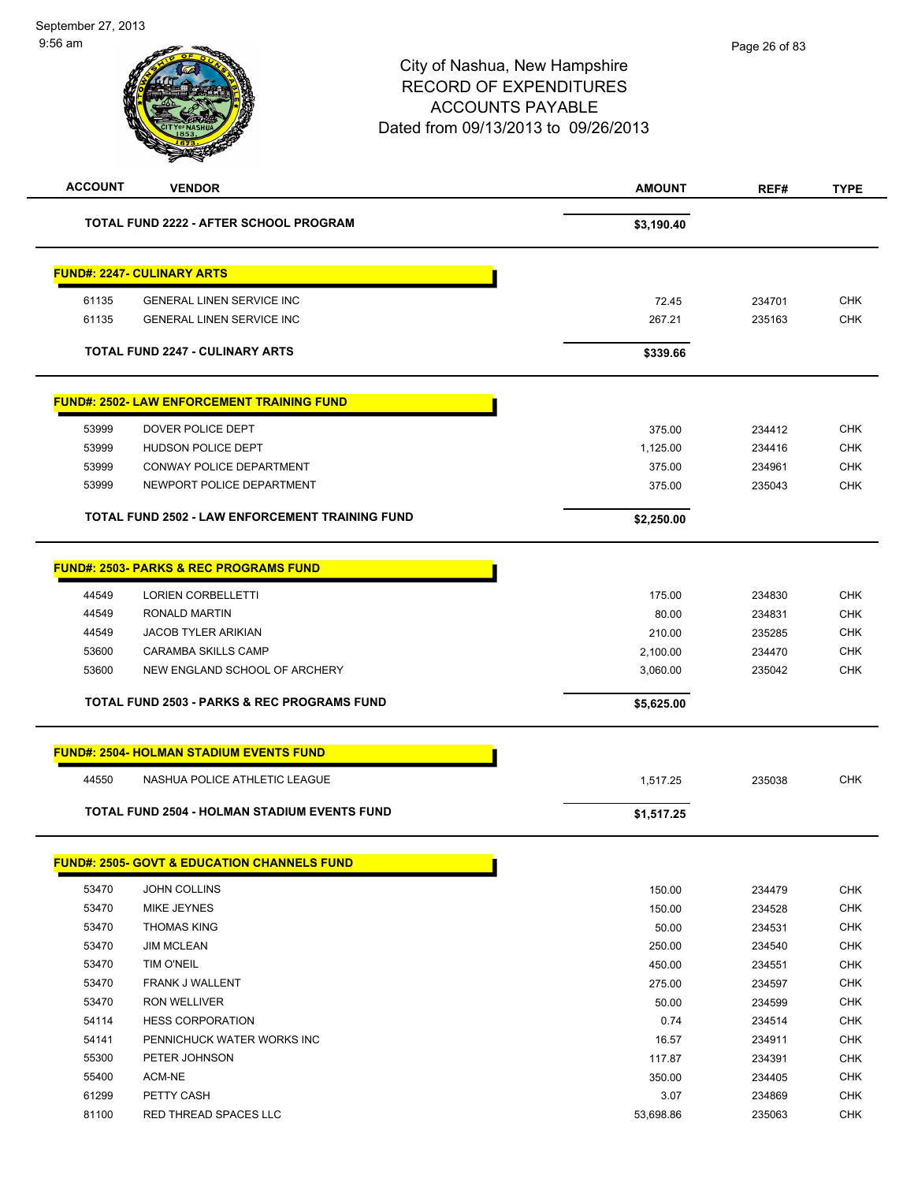# City of Nashua, New Hampshire RECORD OF EXPENDITURES ACCOUNTS PAYABLE Dated from 09/13/2013 to 09/26/2013 **ACCOUNT VENDOR AMOUNT REF# TYPE**

|       | <b>TOTAL FUND 2222 - AFTER SCHOOL PROGRAM</b>          | \$3,190.40 |        |            |
|-------|--------------------------------------------------------|------------|--------|------------|
|       | <b>FUND#: 2247- CULINARY ARTS</b>                      |            |        |            |
| 61135 | <b>GENERAL LINEN SERVICE INC</b>                       | 72.45      | 234701 | <b>CHK</b> |
| 61135 | <b>GENERAL LINEN SERVICE INC</b>                       | 267.21     | 235163 | <b>CHK</b> |
|       |                                                        |            |        |            |
|       | <b>TOTAL FUND 2247 - CULINARY ARTS</b>                 | \$339.66   |        |            |
|       | <b>FUND#: 2502- LAW ENFORCEMENT TRAINING FUND</b>      |            |        |            |
| 53999 | DOVER POLICE DEPT                                      | 375.00     | 234412 | <b>CHK</b> |
| 53999 | <b>HUDSON POLICE DEPT</b>                              | 1,125.00   | 234416 | <b>CHK</b> |
| 53999 | CONWAY POLICE DEPARTMENT                               | 375.00     | 234961 | <b>CHK</b> |
| 53999 | NEWPORT POLICE DEPARTMENT                              | 375.00     | 235043 | <b>CHK</b> |
|       | <b>TOTAL FUND 2502 - LAW ENFORCEMENT TRAINING FUND</b> | \$2,250.00 |        |            |
|       |                                                        |            |        |            |
|       | <b>FUND#: 2503- PARKS &amp; REC PROGRAMS FUND</b>      |            |        |            |
| 44549 | <b>LORIEN CORBELLETTI</b>                              | 175.00     | 234830 | <b>CHK</b> |
| 44549 | <b>RONALD MARTIN</b>                                   | 80.00      | 234831 | <b>CHK</b> |
| 44549 | <b>JACOB TYLER ARIKIAN</b>                             | 210.00     | 235285 | <b>CHK</b> |
| 53600 | <b>CARAMBA SKILLS CAMP</b>                             | 2,100.00   | 234470 | <b>CHK</b> |
| 53600 | NEW ENGLAND SCHOOL OF ARCHERY                          | 3,060.00   | 235042 | <b>CHK</b> |
|       | <b>TOTAL FUND 2503 - PARKS &amp; REC PROGRAMS FUND</b> | \$5,625.00 |        |            |
|       | <b>FUND#: 2504- HOLMAN STADIUM EVENTS FUND</b>         |            |        |            |
| 44550 | NASHUA POLICE ATHLETIC LEAGUE                          | 1,517.25   | 235038 | <b>CHK</b> |
|       | <b>TOTAL FUND 2504 - HOLMAN STADIUM EVENTS FUND</b>    | \$1,517.25 |        |            |
|       |                                                        |            |        |            |
|       | <b>FUND#: 2505- GOVT &amp; EDUCATION CHANNELS FUND</b> |            |        |            |
| 53470 | JOHN COLLINS                                           | 150.00     | 234479 | <b>CHK</b> |
| 53470 | MIKE JEYNES                                            | 150.00     | 234528 | <b>CHK</b> |
| 53470 | <b>THOMAS KING</b>                                     | 50.00      | 234531 | <b>CHK</b> |
| 53470 | <b>JIM MCLEAN</b>                                      | 250.00     | 234540 | <b>CHK</b> |
| 53470 | TIM O'NEIL                                             | 450.00     | 234551 | <b>CHK</b> |
| 53470 | FRANK J WALLENT                                        | 275.00     | 234597 | <b>CHK</b> |
| 53470 | RON WELLIVER                                           | 50.00      | 234599 | <b>CHK</b> |
| 54114 | <b>HESS CORPORATION</b>                                | 0.74       | 234514 | <b>CHK</b> |
| 54141 | PENNICHUCK WATER WORKS INC                             | 16.57      | 234911 | <b>CHK</b> |
| 55300 | PETER JOHNSON                                          | 117.87     | 234391 | <b>CHK</b> |
| 55400 | ACM-NE                                                 | 350.00     | 234405 | <b>CHK</b> |
| 61299 | PETTY CASH                                             | 3.07       | 234869 | <b>CHK</b> |

ed and the state of the state of the state of the state of the state of the state of the state of the state of the state of the state of the state of the state of the state of the state of the state of the state of the sta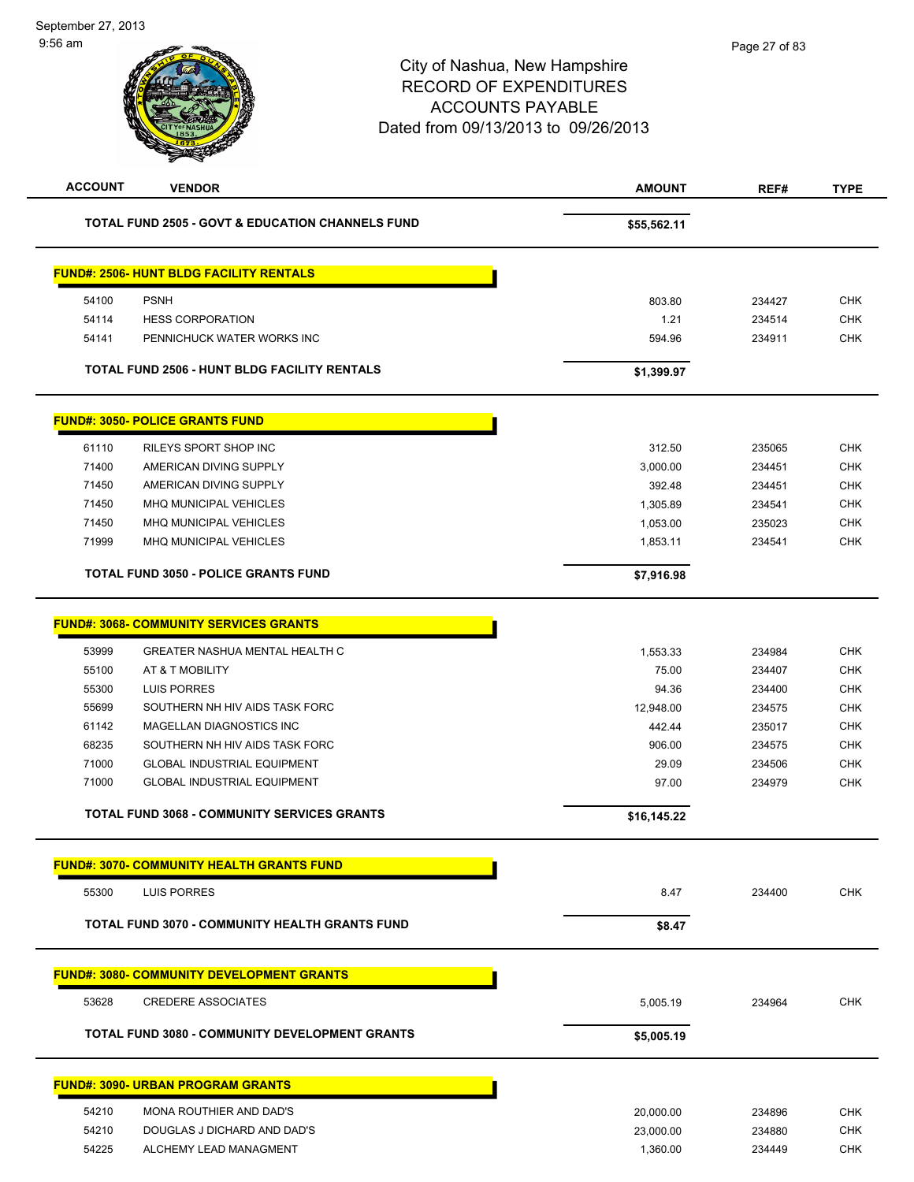| <b>ACCOUNT</b> | <b>VENDOR</b>                                               | <b>AMOUNT</b> | REF#   | <b>TYPE</b> |
|----------------|-------------------------------------------------------------|---------------|--------|-------------|
|                | <b>TOTAL FUND 2505 - GOVT &amp; EDUCATION CHANNELS FUND</b> | \$55,562.11   |        |             |
|                | <u> FUND#: 2506- HUNT BLDG FACILITY RENTALS</u>             |               |        |             |
| 54100          | <b>PSNH</b>                                                 | 803.80        | 234427 | <b>CHK</b>  |
| 54114          | <b>HESS CORPORATION</b>                                     | 1.21          | 234514 | <b>CHK</b>  |
| 54141          | PENNICHUCK WATER WORKS INC                                  | 594.96        | 234911 | <b>CHK</b>  |
|                | <b>TOTAL FUND 2506 - HUNT BLDG FACILITY RENTALS</b>         | \$1,399.97    |        |             |
|                | <u> FUND#: 3050- POLICE GRANTS FUND</u>                     |               |        |             |
| 61110          | RILEYS SPORT SHOP INC                                       | 312.50        | 235065 | <b>CHK</b>  |
| 71400          | AMERICAN DIVING SUPPLY                                      | 3,000.00      | 234451 | <b>CHK</b>  |
| 71450          | AMERICAN DIVING SUPPLY                                      | 392.48        | 234451 | <b>CHK</b>  |
| 71450          | MHQ MUNICIPAL VEHICLES                                      | 1,305.89      | 234541 | <b>CHK</b>  |
| 71450          | MHQ MUNICIPAL VEHICLES                                      | 1,053.00      | 235023 | <b>CHK</b>  |
| 71999          | MHQ MUNICIPAL VEHICLES                                      | 1,853.11      | 234541 | <b>CHK</b>  |
|                | <b>TOTAL FUND 3050 - POLICE GRANTS FUND</b>                 | \$7,916.98    |        |             |
|                | <u> FUND#: 3068- COMMUNITY SERVICES GRANTS</u>              |               |        |             |
| 53999          | GREATER NASHUA MENTAL HEALTH C                              | 1,553.33      | 234984 | <b>CHK</b>  |
| 55100          | AT & T MOBILITY                                             | 75.00         | 234407 | <b>CHK</b>  |
| 55300          | <b>LUIS PORRES</b>                                          | 94.36         | 234400 | <b>CHK</b>  |
| 55699          | SOUTHERN NH HIV AIDS TASK FORC                              | 12,948.00     | 234575 | <b>CHK</b>  |
| 61142          | MAGELLAN DIAGNOSTICS INC                                    | 442.44        | 235017 | <b>CHK</b>  |
| 68235          | SOUTHERN NH HIV AIDS TASK FORC                              | 906.00        | 234575 | <b>CHK</b>  |
| 71000          | <b>GLOBAL INDUSTRIAL EQUIPMENT</b>                          | 29.09         | 234506 | CHK         |
| 71000          | <b>GLOBAL INDUSTRIAL EQUIPMENT</b>                          | 97.00         | 234979 | <b>CHK</b>  |
|                | <b>TOTAL FUND 3068 - COMMUNITY SERVICES GRANTS</b>          | \$16,145.22   |        |             |
|                | <u> FUND#: 3070- COMMUNITY HEALTH GRANTS FUND</u>           |               |        |             |
| 55300          | LUIS PORRES                                                 | 8.47          | 234400 | <b>CHK</b>  |
|                | TOTAL FUND 3070 - COMMUNITY HEALTH GRANTS FUND              | \$8.47        |        |             |
|                | <b>FUND#: 3080- COMMUNITY DEVELOPMENT GRANTS</b>            |               |        |             |
| 53628          | <b>CREDERE ASSOCIATES</b>                                   | 5,005.19      | 234964 | <b>CHK</b>  |
|                | <b>TOTAL FUND 3080 - COMMUNITY DEVELOPMENT GRANTS</b>       | \$5,005.19    |        |             |
|                | <u> FUND#: 3090- URBAN PROGRAM GRANTS</u>                   |               |        |             |
|                |                                                             |               |        |             |
| 54210          | MONA ROUTHIER AND DAD'S                                     | 20,000.00     | 234896 | <b>CHK</b>  |
| 54210          | DOUGLAS J DICHARD AND DAD'S                                 | 23,000.00     | 234880 | <b>CHK</b>  |
| 54225          | ALCHEMY LEAD MANAGMENT                                      | 1,360.00      | 234449 | <b>CHK</b>  |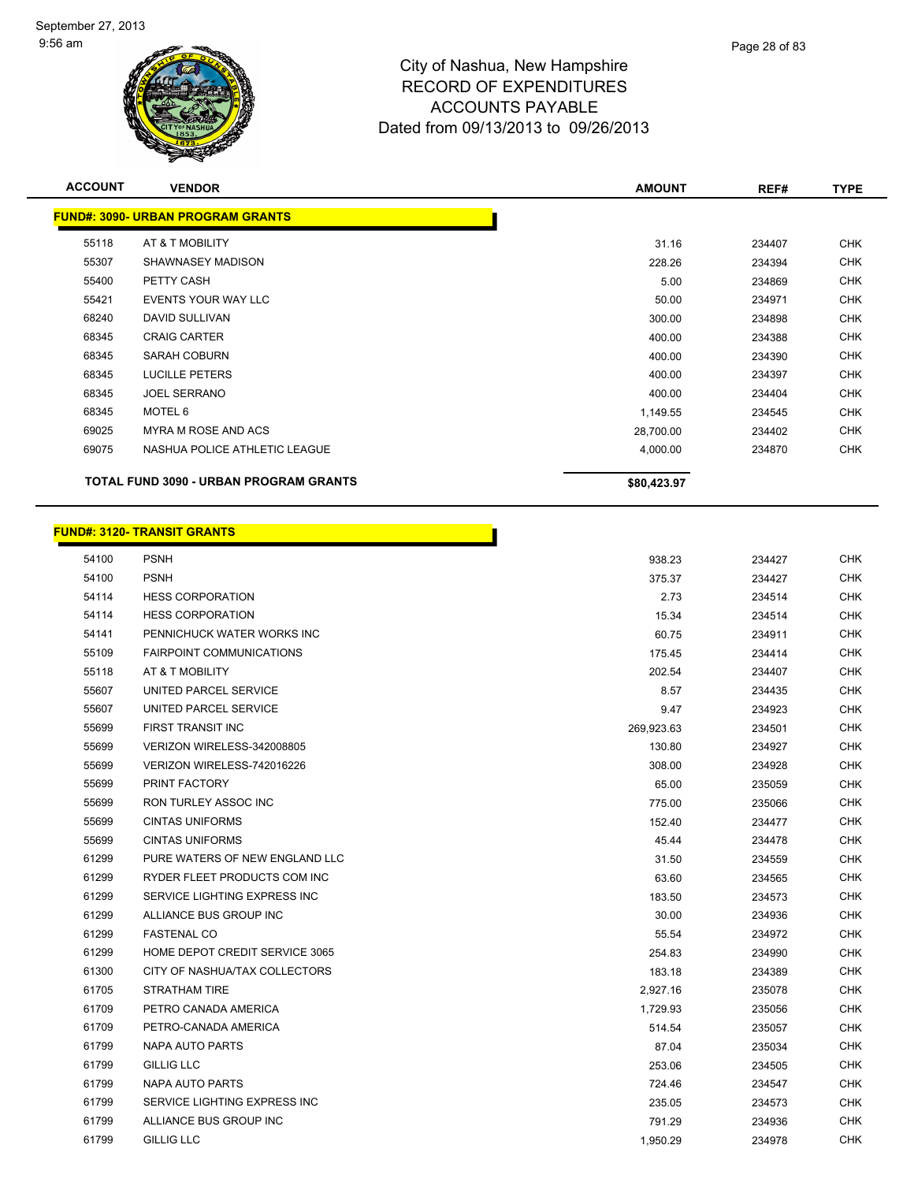

| <b>ACCOUNT</b> | <b>VENDOR</b>                                 | <b>AMOUNT</b> | REF#   | <b>TYPE</b> |
|----------------|-----------------------------------------------|---------------|--------|-------------|
|                | <b>FUND#: 3090- URBAN PROGRAM GRANTS</b>      |               |        |             |
| 55118          | AT & T MOBILITY                               | 31.16         | 234407 | <b>CHK</b>  |
| 55307          | SHAWNASEY MADISON                             | 228.26        | 234394 | <b>CHK</b>  |
| 55400          | PETTY CASH                                    | 5.00          | 234869 | <b>CHK</b>  |
| 55421          | <b>EVENTS YOUR WAY LLC</b>                    | 50.00         | 234971 | <b>CHK</b>  |
| 68240          | DAVID SULLIVAN                                | 300.00        | 234898 | <b>CHK</b>  |
| 68345          | <b>CRAIG CARTER</b>                           | 400.00        | 234388 | <b>CHK</b>  |
| 68345          | <b>SARAH COBURN</b>                           | 400.00        | 234390 | <b>CHK</b>  |
| 68345          | <b>LUCILLE PETERS</b>                         | 400.00        | 234397 | <b>CHK</b>  |
| 68345          | <b>JOEL SERRANO</b>                           | 400.00        | 234404 | <b>CHK</b>  |
| 68345          | MOTEL 6                                       | 1,149.55      | 234545 | <b>CHK</b>  |
| 69025          | <b>MYRA M ROSE AND ACS</b>                    | 28,700.00     | 234402 | <b>CHK</b>  |
| 69075          | NASHUA POLICE ATHLETIC LEAGUE                 | 4,000.00      | 234870 | <b>CHK</b>  |
|                | <b>TOTAL FUND 3090 - URBAN PROGRAM GRANTS</b> | \$80,423.97   |        |             |

|       | <b>FUND#: 3120- TRANSIT GRANTS</b> |            |        |            |
|-------|------------------------------------|------------|--------|------------|
| 54100 | <b>PSNH</b>                        | 938.23     | 234427 | <b>CHK</b> |
| 54100 | <b>PSNH</b>                        | 375.37     | 234427 | CHK        |
| 54114 | <b>HESS CORPORATION</b>            | 2.73       | 234514 | <b>CHK</b> |
| 54114 | <b>HESS CORPORATION</b>            | 15.34      | 234514 | CHK        |
| 54141 | PENNICHUCK WATER WORKS INC         | 60.75      | 234911 | <b>CHK</b> |
| 55109 | <b>FAIRPOINT COMMUNICATIONS</b>    | 175.45     | 234414 | CHK        |
| 55118 | AT & T MOBILITY                    | 202.54     | 234407 | <b>CHK</b> |
| 55607 | UNITED PARCEL SERVICE              | 8.57       | 234435 | CHK        |
| 55607 | UNITED PARCEL SERVICE              | 9.47       | 234923 | CHK        |
| 55699 | FIRST TRANSIT INC                  | 269,923.63 | 234501 | <b>CHK</b> |
| 55699 | VERIZON WIRELESS-342008805         | 130.80     | 234927 | <b>CHK</b> |
| 55699 | VERIZON WIRELESS-742016226         | 308.00     | 234928 | CHK        |
| 55699 | PRINT FACTORY                      | 65.00      | 235059 | <b>CHK</b> |
| 55699 | RON TURLEY ASSOC INC               | 775.00     | 235066 | <b>CHK</b> |
| 55699 | <b>CINTAS UNIFORMS</b>             | 152.40     | 234477 | CHK        |
| 55699 | <b>CINTAS UNIFORMS</b>             | 45.44      | 234478 | <b>CHK</b> |
| 61299 | PURE WATERS OF NEW ENGLAND LLC     | 31.50      | 234559 | CHK.       |
| 61299 | RYDER FLEET PRODUCTS COM INC       | 63.60      | 234565 | CHK        |
| 61299 | SERVICE LIGHTING EXPRESS INC       | 183.50     | 234573 | CHK        |
| 61299 | ALLIANCE BUS GROUP INC             | 30.00      | 234936 | <b>CHK</b> |
| 61299 | <b>FASTENAL CO</b>                 | 55.54      | 234972 | CHK        |
| 61299 | HOME DEPOT CREDIT SERVICE 3065     | 254.83     | 234990 | <b>CHK</b> |
| 61300 | CITY OF NASHUA/TAX COLLECTORS      | 183.18     | 234389 | <b>CHK</b> |
| 61705 | STRATHAM TIRE                      | 2,927.16   | 235078 | CHK        |
| 61709 | PETRO CANADA AMERICA               | 1,729.93   | 235056 | CHK        |
| 61709 | PETRO-CANADA AMERICA               | 514.54     | 235057 | <b>CHK</b> |
| 61799 | NAPA AUTO PARTS                    | 87.04      | 235034 | CHK        |
| 61799 | <b>GILLIG LLC</b>                  | 253.06     | 234505 | CHK        |
| 61799 | NAPA AUTO PARTS                    | 724.46     | 234547 | <b>CHK</b> |
| 61799 | SERVICE LIGHTING EXPRESS INC       | 235.05     | 234573 | CHK        |

 ALLIANCE BUS GROUP INC 791.29 234936 CHK GILLIG LLC 1,950.29 234978 CHK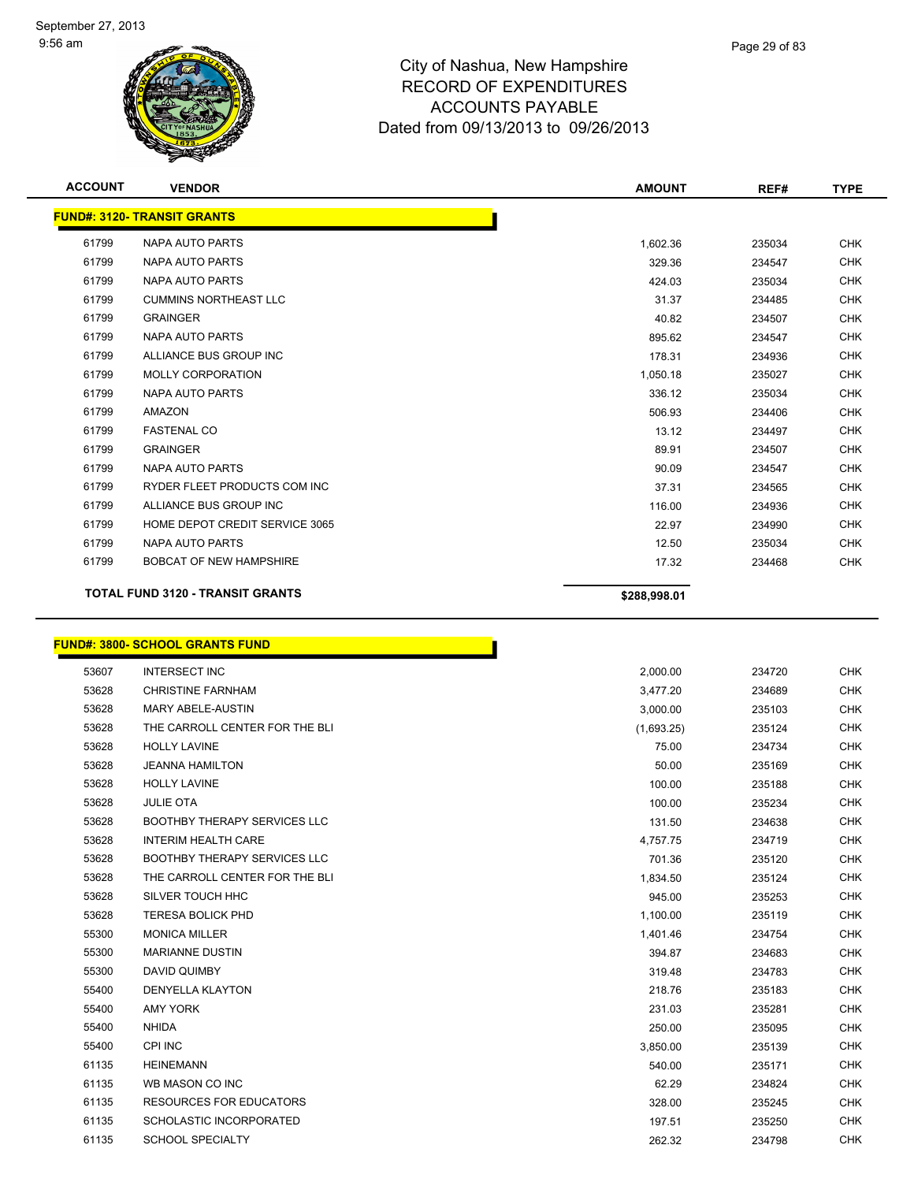

| <b>ACCOUNT</b> | <b>VENDOR</b>                           | <b>AMOUNT</b> | REF#   | <b>TYPE</b> |
|----------------|-----------------------------------------|---------------|--------|-------------|
|                | <b>FUND#: 3120- TRANSIT GRANTS</b>      |               |        |             |
| 61799          | NAPA AUTO PARTS                         | 1,602.36      | 235034 | <b>CHK</b>  |
| 61799          | NAPA AUTO PARTS                         | 329.36        | 234547 | <b>CHK</b>  |
| 61799          | <b>NAPA AUTO PARTS</b>                  | 424.03        | 235034 | <b>CHK</b>  |
| 61799          | <b>CUMMINS NORTHEAST LLC</b>            | 31.37         | 234485 | <b>CHK</b>  |
| 61799          | <b>GRAINGER</b>                         | 40.82         | 234507 | <b>CHK</b>  |
| 61799          | NAPA AUTO PARTS                         | 895.62        | 234547 | <b>CHK</b>  |
| 61799          | ALLIANCE BUS GROUP INC                  | 178.31        | 234936 | <b>CHK</b>  |
| 61799          | <b>MOLLY CORPORATION</b>                | 1,050.18      | 235027 | <b>CHK</b>  |
| 61799          | NAPA AUTO PARTS                         | 336.12        | 235034 | <b>CHK</b>  |
| 61799          | <b>AMAZON</b>                           | 506.93        | 234406 | <b>CHK</b>  |
| 61799          | <b>FASTENAL CO</b>                      | 13.12         | 234497 | <b>CHK</b>  |
| 61799          | <b>GRAINGER</b>                         | 89.91         | 234507 | <b>CHK</b>  |
| 61799          | NAPA AUTO PARTS                         | 90.09         | 234547 | <b>CHK</b>  |
| 61799          | RYDER FLEET PRODUCTS COM INC            | 37.31         | 234565 | <b>CHK</b>  |
| 61799          | ALLIANCE BUS GROUP INC                  | 116.00        | 234936 | <b>CHK</b>  |
| 61799          | HOME DEPOT CREDIT SERVICE 3065          | 22.97         | 234990 | <b>CHK</b>  |
| 61799          | NAPA AUTO PARTS                         | 12.50         | 235034 | <b>CHK</b>  |
| 61799          | <b>BOBCAT OF NEW HAMPSHIRE</b>          | 17.32         | 234468 | <b>CHK</b>  |
|                | <b>TOTAL FUND 3120 - TRANSIT GRANTS</b> | \$288.998.01  |        |             |

#### **FUND#: 3800- SCHOOL GRANTS FUND**

| 53607 | <b>INTERSECT INC</b>                | 2,000.00   | 234720 | <b>CHK</b> |
|-------|-------------------------------------|------------|--------|------------|
| 53628 | <b>CHRISTINE FARNHAM</b>            | 3,477.20   | 234689 | <b>CHK</b> |
| 53628 | <b>MARY ABELE-AUSTIN</b>            | 3,000.00   | 235103 | <b>CHK</b> |
| 53628 | THE CARROLL CENTER FOR THE BLI      | (1,693.25) | 235124 | <b>CHK</b> |
| 53628 | <b>HOLLY LAVINE</b>                 | 75.00      | 234734 | <b>CHK</b> |
| 53628 | <b>JEANNA HAMILTON</b>              | 50.00      | 235169 | <b>CHK</b> |
| 53628 | <b>HOLLY LAVINE</b>                 | 100.00     | 235188 | <b>CHK</b> |
| 53628 | <b>JULIE OTA</b>                    | 100.00     | 235234 | <b>CHK</b> |
| 53628 | <b>BOOTHBY THERAPY SERVICES LLC</b> | 131.50     | 234638 | <b>CHK</b> |
| 53628 | <b>INTERIM HEALTH CARE</b>          | 4,757.75   | 234719 | <b>CHK</b> |
| 53628 | <b>BOOTHBY THERAPY SERVICES LLC</b> | 701.36     | 235120 | <b>CHK</b> |
| 53628 | THE CARROLL CENTER FOR THE BLI      | 1,834.50   | 235124 | <b>CHK</b> |
| 53628 | SILVER TOUCH HHC                    | 945.00     | 235253 | <b>CHK</b> |
| 53628 | <b>TERESA BOLICK PHD</b>            | 1,100.00   | 235119 | <b>CHK</b> |
| 55300 | <b>MONICA MILLER</b>                | 1,401.46   | 234754 | <b>CHK</b> |
| 55300 | <b>MARIANNE DUSTIN</b>              | 394.87     | 234683 | <b>CHK</b> |
| 55300 | DAVID QUIMBY                        | 319.48     | 234783 | <b>CHK</b> |
| 55400 | <b>DENYELLA KLAYTON</b>             | 218.76     | 235183 | <b>CHK</b> |
| 55400 | <b>AMY YORK</b>                     | 231.03     | 235281 | <b>CHK</b> |
| 55400 | <b>NHIDA</b>                        | 250.00     | 235095 | <b>CHK</b> |
| 55400 | <b>CPI INC</b>                      | 3,850.00   | 235139 | <b>CHK</b> |
| 61135 | <b>HEINEMANN</b>                    | 540.00     | 235171 | <b>CHK</b> |
| 61135 | WB MASON CO INC                     | 62.29      | 234824 | <b>CHK</b> |
| 61135 | <b>RESOURCES FOR EDUCATORS</b>      | 328.00     | 235245 | <b>CHK</b> |
| 61135 | SCHOLASTIC INCORPORATED             | 197.51     | 235250 | <b>CHK</b> |
| 61135 | <b>SCHOOL SPECIALTY</b>             | 262.32     | 234798 | <b>CHK</b> |

n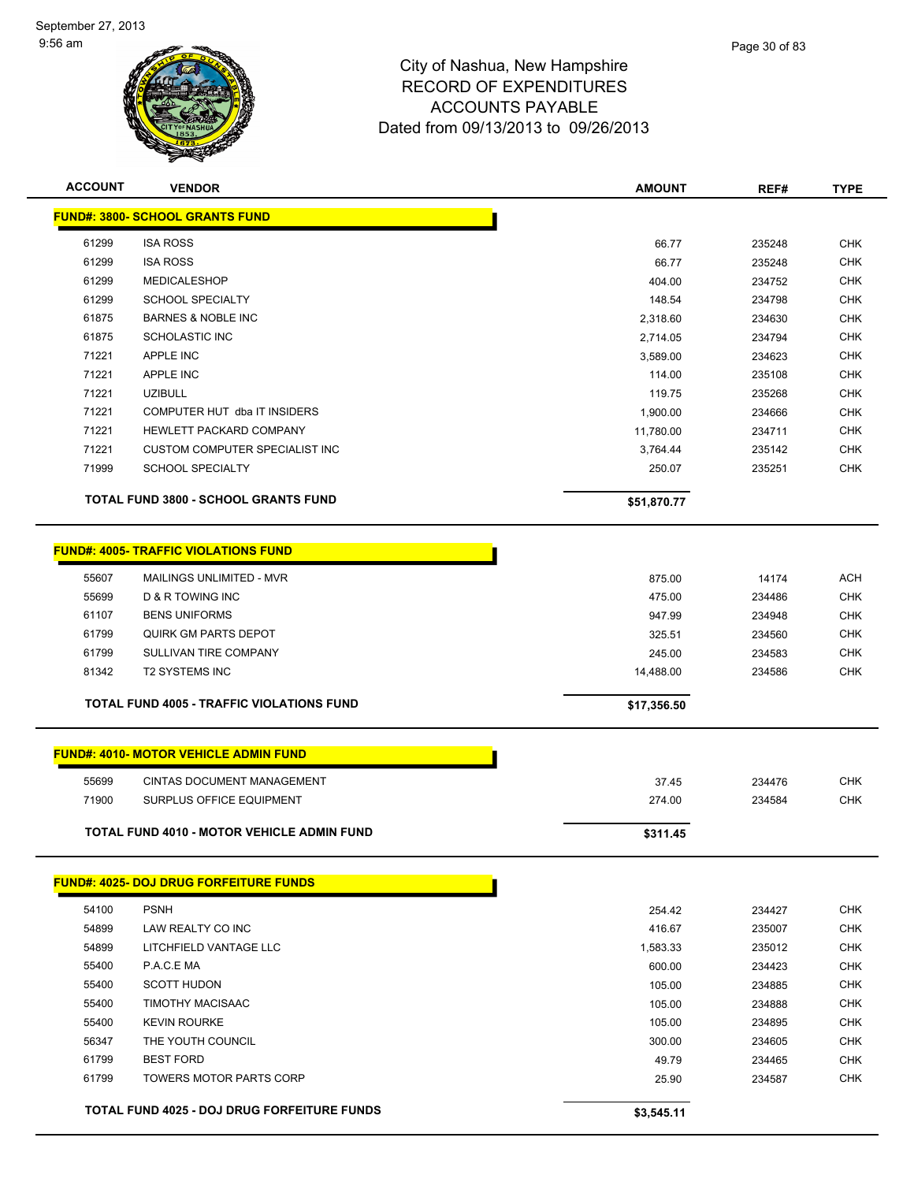

| <b>ACCOUNT</b> | <b>VENDOR</b>                                      | <b>AMOUNT</b> | REF#   | <b>TYPE</b> |
|----------------|----------------------------------------------------|---------------|--------|-------------|
|                | <b>FUND#: 3800- SCHOOL GRANTS FUND</b>             |               |        |             |
| 61299          | <b>ISA ROSS</b>                                    | 66.77         | 235248 | CHK         |
| 61299          | <b>ISA ROSS</b>                                    | 66.77         | 235248 | <b>CHK</b>  |
| 61299          | <b>MEDICALESHOP</b>                                | 404.00        | 234752 | <b>CHK</b>  |
| 61299          | <b>SCHOOL SPECIALTY</b>                            | 148.54        | 234798 | <b>CHK</b>  |
| 61875          | <b>BARNES &amp; NOBLE INC</b>                      | 2,318.60      | 234630 | <b>CHK</b>  |
| 61875          | <b>SCHOLASTIC INC</b>                              | 2,714.05      | 234794 | CHK         |
| 71221          | <b>APPLE INC</b>                                   | 3,589.00      | 234623 | <b>CHK</b>  |
| 71221          | <b>APPLE INC</b>                                   | 114.00        | 235108 | <b>CHK</b>  |
| 71221          | <b>UZIBULL</b>                                     | 119.75        | 235268 | CHK         |
| 71221          | COMPUTER HUT dba IT INSIDERS                       | 1,900.00      | 234666 | <b>CHK</b>  |
| 71221          | HEWLETT PACKARD COMPANY                            | 11,780.00     | 234711 | <b>CHK</b>  |
| 71221          | CUSTOM COMPUTER SPECIALIST INC                     | 3,764.44      | 235142 | <b>CHK</b>  |
| 71999          | <b>SCHOOL SPECIALTY</b>                            | 250.07        | 235251 | <b>CHK</b>  |
|                |                                                    |               |        |             |
|                | TOTAL FUND 3800 - SCHOOL GRANTS FUND               | \$51,870.77   |        |             |
|                |                                                    |               |        |             |
|                | <b>FUND#: 4005- TRAFFIC VIOLATIONS FUND</b>        |               |        |             |
| 55607          | MAILINGS UNLIMITED - MVR                           | 875.00        | 14174  | ACH         |
| 55699          | D & R TOWING INC                                   | 475.00        | 234486 | <b>CHK</b>  |
| 61107          | <b>BENS UNIFORMS</b>                               | 947.99        | 234948 | <b>CHK</b>  |
| 61799          | <b>QUIRK GM PARTS DEPOT</b>                        | 325.51        | 234560 | <b>CHK</b>  |
| 61799          | SULLIVAN TIRE COMPANY                              | 245.00        | 234583 | <b>CHK</b>  |
| 81342          | <b>T2 SYSTEMS INC</b>                              | 14,488.00     | 234586 | <b>CHK</b>  |
|                | <b>TOTAL FUND 4005 - TRAFFIC VIOLATIONS FUND</b>   | \$17,356.50   |        |             |
|                |                                                    |               |        |             |
|                | <b>FUND#: 4010- MOTOR VEHICLE ADMIN FUND</b>       |               |        |             |
| 55699          | <b>CINTAS DOCUMENT MANAGEMENT</b>                  | 37.45         | 234476 | <b>CHK</b>  |
| 71900          | <b>SURPLUS OFFICE EQUIPMENT</b>                    | 274.00        | 234584 | <b>CHK</b>  |
|                | <b>TOTAL FUND 4010 - MOTOR VEHICLE ADMIN FUND</b>  | \$311.45      |        |             |
|                |                                                    |               |        |             |
|                | <b>FUND#: 4025- DOJ DRUG FORFEITURE FUNDS</b>      |               |        |             |
| 54100          | <b>PSNH</b>                                        | 254.42        | 234427 | <b>CHK</b>  |
| 54899          | LAW REALTY CO INC                                  | 416.67        | 235007 | <b>CHK</b>  |
| 54899          | LITCHFIELD VANTAGE LLC                             | 1,583.33      | 235012 | <b>CHK</b>  |
| 55400          | P.A.C.E MA                                         | 600.00        | 234423 | CHK         |
| 55400          | <b>SCOTT HUDON</b>                                 | 105.00        | 234885 | <b>CHK</b>  |
| 55400          | TIMOTHY MACISAAC                                   | 105.00        | 234888 | CHK         |
| 55400          | <b>KEVIN ROURKE</b>                                | 105.00        | 234895 | CHK         |
| 56347          | THE YOUTH COUNCIL                                  | 300.00        | 234605 | CHK         |
| 61799          | <b>BEST FORD</b>                                   | 49.79         | 234465 | CHK         |
| 61799          | TOWERS MOTOR PARTS CORP                            | 25.90         | 234587 | <b>CHK</b>  |
|                | <b>TOTAL FUND 4025 - DOJ DRUG FORFEITURE FUNDS</b> | \$3,545.11    |        |             |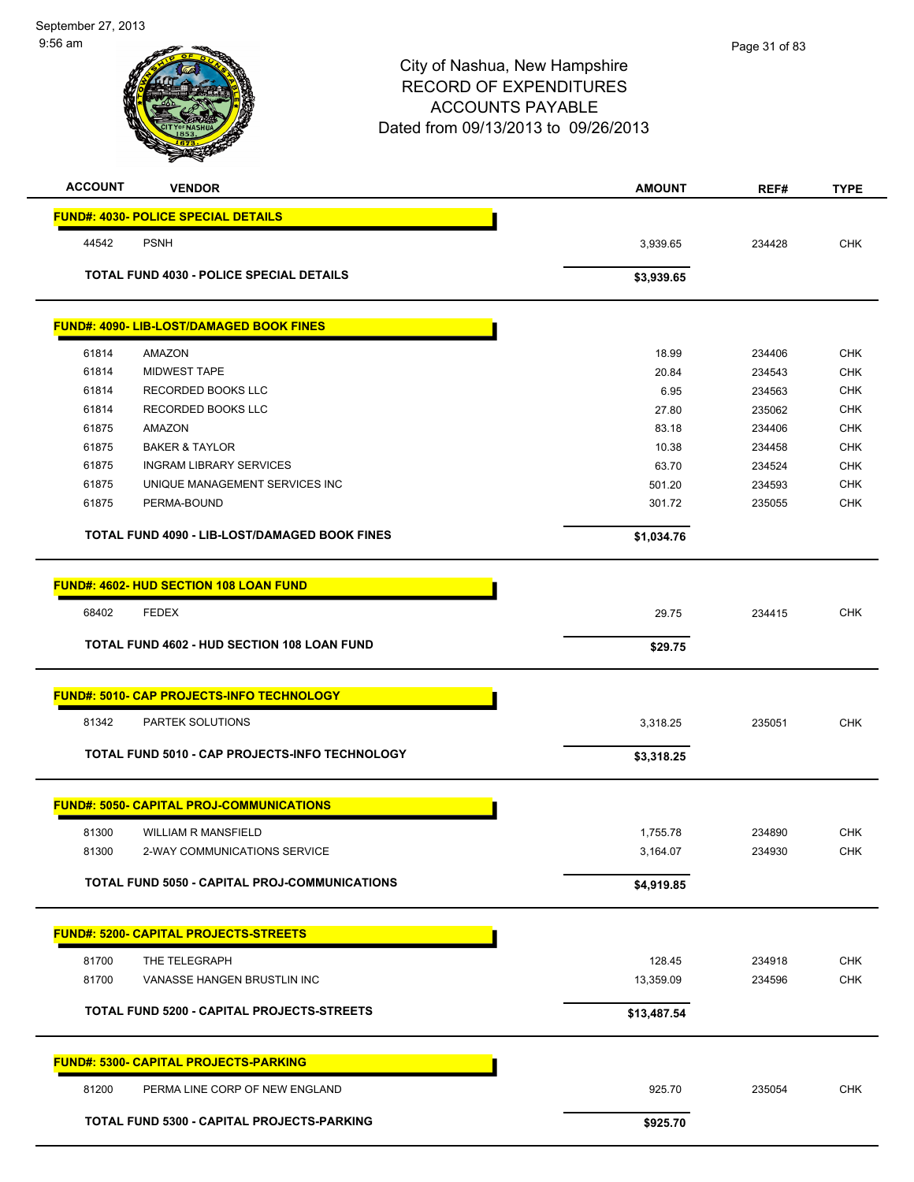| <b>ACCOUNT</b> | <b>VENDOR</b>                                        | <b>AMOUNT</b> | REF#   | <b>TYPE</b> |
|----------------|------------------------------------------------------|---------------|--------|-------------|
|                | <b>FUND#: 4030- POLICE SPECIAL DETAILS</b>           |               |        |             |
| 44542          | <b>PSNH</b>                                          | 3,939.65      | 234428 | <b>CHK</b>  |
|                | <b>TOTAL FUND 4030 - POLICE SPECIAL DETAILS</b>      | \$3,939.65    |        |             |
|                | <b>FUND#: 4090- LIB-LOST/DAMAGED BOOK FINES</b>      |               |        |             |
| 61814          | AMAZON                                               | 18.99         | 234406 | <b>CHK</b>  |
| 61814          | <b>MIDWEST TAPE</b>                                  | 20.84         | 234543 | <b>CHK</b>  |
| 61814          | RECORDED BOOKS LLC                                   | 6.95          | 234563 | <b>CHK</b>  |
| 61814          | RECORDED BOOKS LLC                                   | 27.80         | 235062 | <b>CHK</b>  |
| 61875          | AMAZON                                               | 83.18         | 234406 | <b>CHK</b>  |
| 61875          | <b>BAKER &amp; TAYLOR</b>                            | 10.38         | 234458 | <b>CHK</b>  |
| 61875          | <b>INGRAM LIBRARY SERVICES</b>                       | 63.70         | 234524 | <b>CHK</b>  |
| 61875          | UNIQUE MANAGEMENT SERVICES INC                       | 501.20        | 234593 | <b>CHK</b>  |
| 61875          | PERMA-BOUND                                          | 301.72        | 235055 | <b>CHK</b>  |
|                | TOTAL FUND 4090 - LIB-LOST/DAMAGED BOOK FINES        | \$1,034.76    |        |             |
|                | FUND#: 4602- HUD SECTION 108 LOAN FUND               |               |        |             |
| 68402          | <b>FEDEX</b>                                         | 29.75         | 234415 | <b>CHK</b>  |
|                | <b>TOTAL FUND 4602 - HUD SECTION 108 LOAN FUND</b>   | \$29.75       |        |             |
|                |                                                      |               |        |             |
|                | <b>FUND#: 5010- CAP PROJECTS-INFO TECHNOLOGY</b>     |               |        |             |
| 81342          | <b>PARTEK SOLUTIONS</b>                              | 3,318.25      | 235051 | <b>CHK</b>  |
|                | TOTAL FUND 5010 - CAP PROJECTS-INFO TECHNOLOGY       | \$3,318.25    |        |             |
|                | <b>FUND#: 5050- CAPITAL PROJ-COMMUNICATIONS</b>      |               |        |             |
| 81300          | <b>WILLIAM R MANSFIELD</b>                           | 1,755.78      | 234890 | <b>CHK</b>  |
| 81300          | 2-WAY COMMUNICATIONS SERVICE                         | 3,164.07      | 234930 | <b>CHK</b>  |
|                |                                                      |               |        |             |
|                | <b>TOTAL FUND 5050 - CAPITAL PROJ-COMMUNICATIONS</b> | \$4,919.85    |        |             |
|                | <b>FUND#: 5200- CAPITAL PROJECTS-STREETS</b>         |               |        |             |
| 81700          | THE TELEGRAPH                                        | 128.45        | 234918 | <b>CHK</b>  |
| 81700          | VANASSE HANGEN BRUSTLIN INC                          | 13,359.09     | 234596 | <b>CHK</b>  |
|                | TOTAL FUND 5200 - CAPITAL PROJECTS-STREETS           | \$13,487.54   |        |             |
|                | <b>FUND#: 5300- CAPITAL PROJECTS-PARKING</b>         |               |        |             |
| 81200          | PERMA LINE CORP OF NEW ENGLAND                       | 925.70        | 235054 | <b>CHK</b>  |
|                | TOTAL FUND 5300 - CAPITAL PROJECTS-PARKING           | \$925.70      |        |             |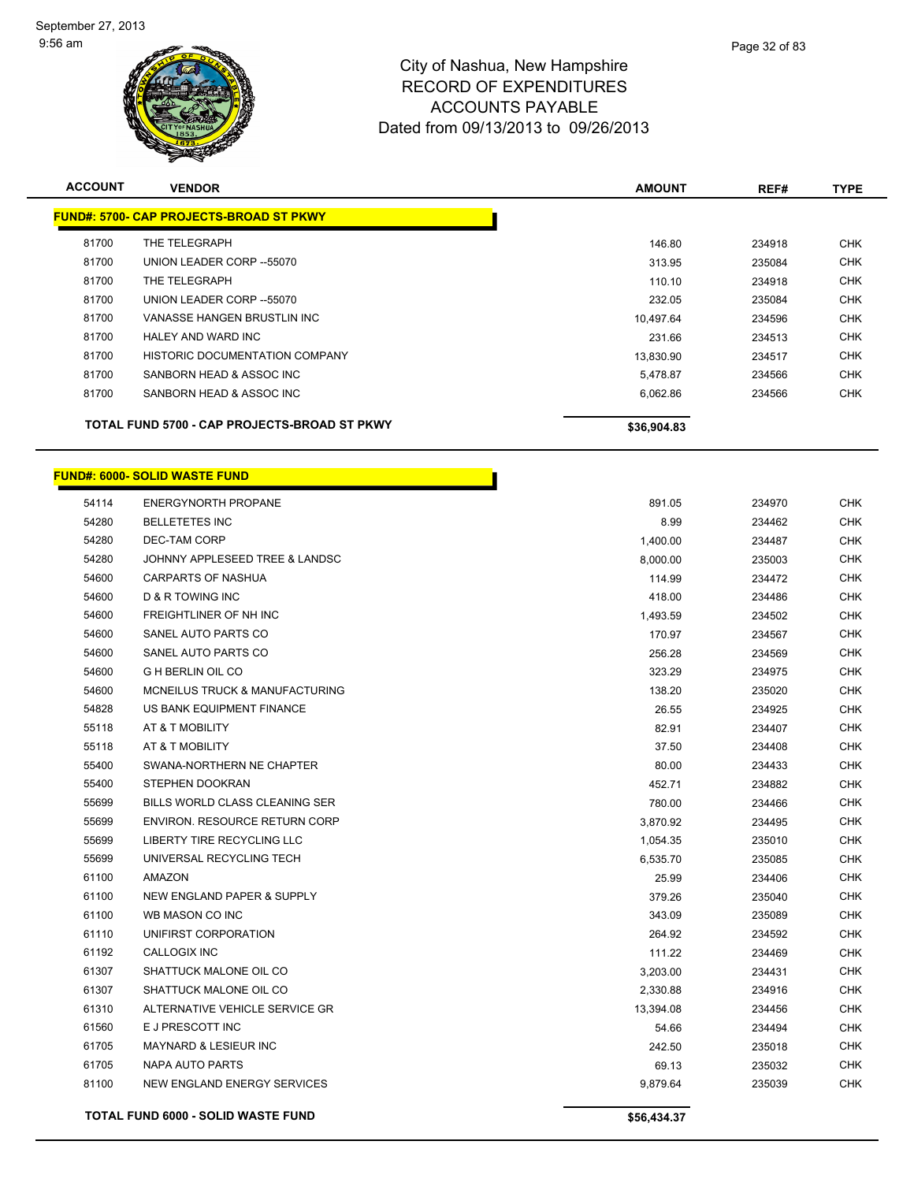

| <b>ACCOUNT</b> | <b>VENDOR</b>                                  | <b>AMOUNT</b> | REF#   | <b>TYPE</b> |
|----------------|------------------------------------------------|---------------|--------|-------------|
|                | <b>FUND#: 5700- CAP PROJECTS-BROAD ST PKWY</b> |               |        |             |
| 81700          | THE TELEGRAPH                                  | 146.80        | 234918 | <b>CHK</b>  |
| 81700          | UNION LEADER CORP --55070                      | 313.95        | 235084 | <b>CHK</b>  |
| 81700          | THE TELEGRAPH                                  | 110.10        | 234918 | <b>CHK</b>  |
| 81700          | UNION LEADER CORP --55070                      | 232.05        | 235084 | <b>CHK</b>  |
| 81700          | VANASSE HANGEN BRUSTLIN INC                    | 10,497.64     | 234596 | <b>CHK</b>  |
| 81700          | HALEY AND WARD INC                             | 231.66        | 234513 | <b>CHK</b>  |
| 81700          | <b>HISTORIC DOCUMENTATION COMPANY</b>          | 13,830.90     | 234517 | <b>CHK</b>  |
| 81700          | SANBORN HEAD & ASSOC INC                       | 5,478.87      | 234566 | <b>CHK</b>  |
| 81700          | SANBORN HEAD & ASSOC INC                       | 6,062.86      | 234566 | <b>CHK</b>  |
|                | TOTAL FUND 5700 - CAP PROJECTS-BROAD ST PKWY   | \$36,904.83   |        |             |

H

# **FUND#: 6000- SOLID WASTE FUND**

| 891.05<br>8.99<br>1,400.00<br>8,000.00 | 234970<br>234462<br>234487 | <b>CHK</b><br><b>CHK</b><br><b>CHK</b> |
|----------------------------------------|----------------------------|----------------------------------------|
|                                        |                            |                                        |
|                                        |                            |                                        |
|                                        |                            |                                        |
|                                        | 235003                     | <b>CHK</b>                             |
|                                        | 234472                     | <b>CHK</b>                             |
| 418.00                                 | 234486                     | <b>CHK</b>                             |
| 1,493.59                               | 234502                     | <b>CHK</b>                             |
| 170.97                                 | 234567                     | <b>CHK</b>                             |
| 256.28                                 | 234569                     | <b>CHK</b>                             |
| 323.29                                 | 234975                     | <b>CHK</b>                             |
| 138.20                                 | 235020                     | <b>CHK</b>                             |
| 26.55                                  | 234925                     | <b>CHK</b>                             |
| 82.91                                  | 234407                     | <b>CHK</b>                             |
| 37.50                                  | 234408                     | <b>CHK</b>                             |
| 80.00                                  | 234433                     | <b>CHK</b>                             |
| 452.71                                 | 234882                     | <b>CHK</b>                             |
| 780.00                                 | 234466                     | <b>CHK</b>                             |
| 3,870.92                               | 234495                     | <b>CHK</b>                             |
| 1,054.35                               | 235010                     | <b>CHK</b>                             |
| 6,535.70                               | 235085                     | <b>CHK</b>                             |
| 25.99                                  | 234406                     | <b>CHK</b>                             |
| 379.26                                 | 235040                     | <b>CHK</b>                             |
| 343.09                                 | 235089                     | <b>CHK</b>                             |
| 264.92                                 | 234592                     | <b>CHK</b>                             |
| 111.22                                 | 234469                     | <b>CHK</b>                             |
| 3,203.00                               | 234431                     | <b>CHK</b>                             |
| 2,330.88                               | 234916                     | <b>CHK</b>                             |
| 13,394.08                              | 234456                     | <b>CHK</b>                             |
| 54.66                                  | 234494                     | <b>CHK</b>                             |
| 242.50                                 | 235018                     | <b>CHK</b>                             |
| 69.13                                  | 235032                     | <b>CHK</b>                             |
| 9,879.64                               | 235039                     | <b>CHK</b>                             |
| \$56,434.37                            |                            |                                        |
|                                        | 114.99                     |                                        |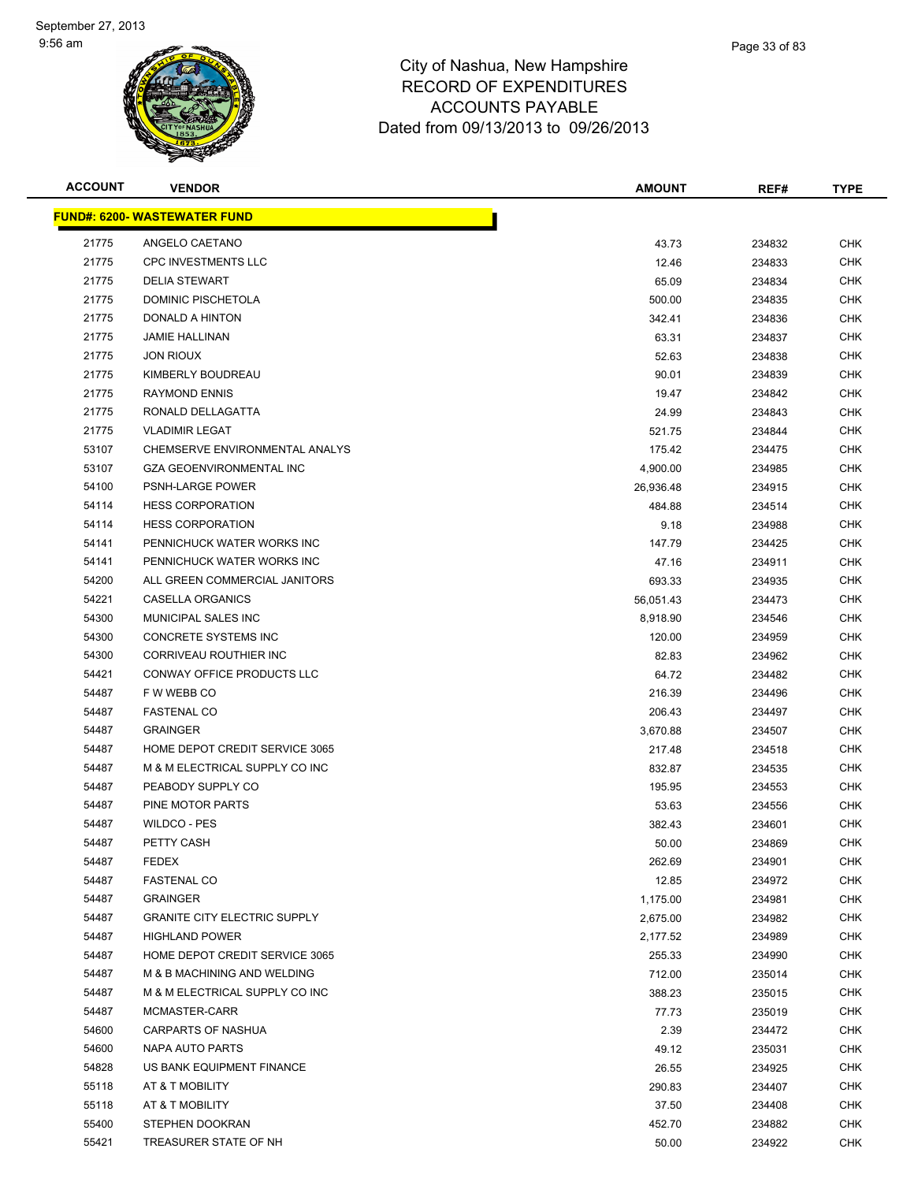

| <b>ACCOUNT</b> | <b>VENDOR</b>                        | <b>AMOUNT</b> | REF#   | <b>TYPE</b> |
|----------------|--------------------------------------|---------------|--------|-------------|
|                | <u> FUND#: 6200- WASTEWATER FUND</u> |               |        |             |
| 21775          | ANGELO CAETANO                       | 43.73         | 234832 | <b>CHK</b>  |
| 21775          | <b>CPC INVESTMENTS LLC</b>           | 12.46         | 234833 | <b>CHK</b>  |
| 21775          | <b>DELIA STEWART</b>                 | 65.09         | 234834 | <b>CHK</b>  |
| 21775          | <b>DOMINIC PISCHETOLA</b>            | 500.00        | 234835 | <b>CHK</b>  |
| 21775          | DONALD A HINTON                      | 342.41        | 234836 | <b>CHK</b>  |
| 21775          | <b>JAMIE HALLINAN</b>                | 63.31         | 234837 | <b>CHK</b>  |
| 21775          | <b>JON RIOUX</b>                     | 52.63         | 234838 | <b>CHK</b>  |
| 21775          | KIMBERLY BOUDREAU                    | 90.01         | 234839 | <b>CHK</b>  |
| 21775          | <b>RAYMOND ENNIS</b>                 | 19.47         | 234842 | <b>CHK</b>  |
| 21775          | RONALD DELLAGATTA                    | 24.99         | 234843 | CHK         |
| 21775          | <b>VLADIMIR LEGAT</b>                | 521.75        | 234844 | <b>CHK</b>  |
| 53107          | CHEMSERVE ENVIRONMENTAL ANALYS       | 175.42        | 234475 | CHK         |
| 53107          | <b>GZA GEOENVIRONMENTAL INC</b>      | 4,900.00      | 234985 | <b>CHK</b>  |
| 54100          | <b>PSNH-LARGE POWER</b>              | 26,936.48     | 234915 | <b>CHK</b>  |
| 54114          | <b>HESS CORPORATION</b>              | 484.88        | 234514 | <b>CHK</b>  |
| 54114          | <b>HESS CORPORATION</b>              | 9.18          | 234988 | <b>CHK</b>  |
| 54141          | PENNICHUCK WATER WORKS INC           | 147.79        | 234425 | <b>CHK</b>  |
| 54141          | PENNICHUCK WATER WORKS INC           | 47.16         | 234911 | <b>CHK</b>  |
| 54200          | ALL GREEN COMMERCIAL JANITORS        | 693.33        | 234935 | <b>CHK</b>  |
| 54221          | <b>CASELLA ORGANICS</b>              | 56,051.43     | 234473 | <b>CHK</b>  |
| 54300          | MUNICIPAL SALES INC                  | 8,918.90      | 234546 | <b>CHK</b>  |
| 54300          | CONCRETE SYSTEMS INC                 | 120.00        | 234959 | <b>CHK</b>  |
| 54300          | CORRIVEAU ROUTHIER INC               | 82.83         | 234962 | <b>CHK</b>  |
| 54421          | CONWAY OFFICE PRODUCTS LLC           | 64.72         | 234482 | <b>CHK</b>  |
| 54487          | F W WEBB CO                          | 216.39        | 234496 | <b>CHK</b>  |
| 54487          | <b>FASTENAL CO</b>                   | 206.43        | 234497 | <b>CHK</b>  |
| 54487          | <b>GRAINGER</b>                      | 3,670.88      | 234507 | <b>CHK</b>  |
| 54487          | HOME DEPOT CREDIT SERVICE 3065       | 217.48        | 234518 | <b>CHK</b>  |
| 54487          | M & M ELECTRICAL SUPPLY CO INC       | 832.87        | 234535 | CHK         |
| 54487          | PEABODY SUPPLY CO                    | 195.95        | 234553 | CHK         |
| 54487          | PINE MOTOR PARTS                     | 53.63         | 234556 | CHK         |
| 54487          | WILDCO - PES                         | 382.43        | 234601 | CHK         |
| 54487          | PETTY CASH                           | 50.00         | 234869 | <b>CHK</b>  |
| 54487          | <b>FEDEX</b>                         | 262.69        | 234901 | <b>CHK</b>  |
| 54487          | <b>FASTENAL CO</b>                   | 12.85         | 234972 | <b>CHK</b>  |
| 54487          | <b>GRAINGER</b>                      | 1,175.00      | 234981 | <b>CHK</b>  |
| 54487          | <b>GRANITE CITY ELECTRIC SUPPLY</b>  | 2,675.00      | 234982 | <b>CHK</b>  |
| 54487          | <b>HIGHLAND POWER</b>                | 2,177.52      | 234989 | <b>CHK</b>  |
| 54487          | HOME DEPOT CREDIT SERVICE 3065       | 255.33        | 234990 | <b>CHK</b>  |
| 54487          | M & B MACHINING AND WELDING          | 712.00        | 235014 | <b>CHK</b>  |
| 54487          | M & M ELECTRICAL SUPPLY CO INC       | 388.23        | 235015 | <b>CHK</b>  |
| 54487          | MCMASTER-CARR                        | 77.73         | 235019 | <b>CHK</b>  |
| 54600          | <b>CARPARTS OF NASHUA</b>            | 2.39          | 234472 | <b>CHK</b>  |
| 54600          | NAPA AUTO PARTS                      | 49.12         | 235031 | <b>CHK</b>  |
| 54828          | US BANK EQUIPMENT FINANCE            | 26.55         | 234925 | CHK         |
| 55118          | AT & T MOBILITY                      | 290.83        | 234407 | <b>CHK</b>  |
| 55118          | AT & T MOBILITY                      | 37.50         | 234408 | <b>CHK</b>  |
| 55400          | STEPHEN DOOKRAN                      | 452.70        | 234882 | <b>CHK</b>  |
| 55421          | TREASURER STATE OF NH                | 50.00         | 234922 | <b>CHK</b>  |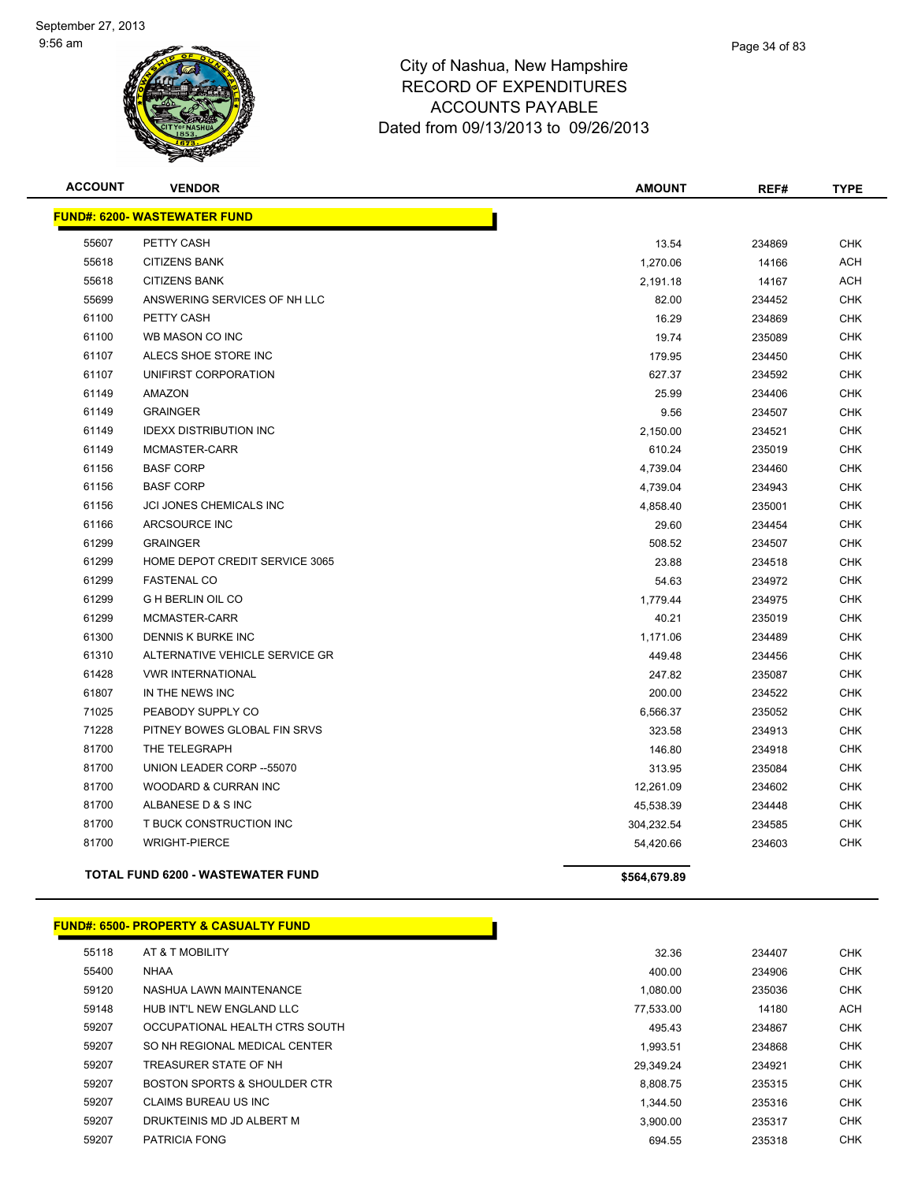

| <b>ACCOUNT</b> | <b>VENDOR</b>                            | <b>AMOUNT</b> | REF#   | <b>TYPE</b> |
|----------------|------------------------------------------|---------------|--------|-------------|
|                | <b>FUND#: 6200- WASTEWATER FUND</b>      |               |        |             |
| 55607          | PETTY CASH                               | 13.54         | 234869 | <b>CHK</b>  |
| 55618          | <b>CITIZENS BANK</b>                     | 1,270.06      | 14166  | <b>ACH</b>  |
| 55618          | <b>CITIZENS BANK</b>                     | 2,191.18      | 14167  | <b>ACH</b>  |
| 55699          | ANSWERING SERVICES OF NH LLC             | 82.00         | 234452 | <b>CHK</b>  |
| 61100          | PETTY CASH                               | 16.29         | 234869 | <b>CHK</b>  |
| 61100          | WB MASON CO INC                          | 19.74         | 235089 | <b>CHK</b>  |
| 61107          | ALECS SHOE STORE INC                     | 179.95        | 234450 | <b>CHK</b>  |
| 61107          | UNIFIRST CORPORATION                     | 627.37        | 234592 | <b>CHK</b>  |
| 61149          | <b>AMAZON</b>                            | 25.99         | 234406 | <b>CHK</b>  |
| 61149          | <b>GRAINGER</b>                          | 9.56          | 234507 | <b>CHK</b>  |
| 61149          | <b>IDEXX DISTRIBUTION INC</b>            | 2,150.00      | 234521 | <b>CHK</b>  |
| 61149          | MCMASTER-CARR                            | 610.24        | 235019 | <b>CHK</b>  |
| 61156          | <b>BASF CORP</b>                         | 4,739.04      | 234460 | <b>CHK</b>  |
| 61156          | <b>BASF CORP</b>                         | 4,739.04      | 234943 | <b>CHK</b>  |
| 61156          | JCI JONES CHEMICALS INC                  | 4,858.40      | 235001 | <b>CHK</b>  |
| 61166          | ARCSOURCE INC                            | 29.60         | 234454 | <b>CHK</b>  |
| 61299          | <b>GRAINGER</b>                          | 508.52        | 234507 | <b>CHK</b>  |
| 61299          | HOME DEPOT CREDIT SERVICE 3065           | 23.88         | 234518 | <b>CHK</b>  |
| 61299          | <b>FASTENAL CO</b>                       | 54.63         | 234972 | <b>CHK</b>  |
| 61299          | <b>G H BERLIN OIL CO</b>                 | 1,779.44      | 234975 | <b>CHK</b>  |
| 61299          | MCMASTER-CARR                            | 40.21         | 235019 | <b>CHK</b>  |
| 61300          | DENNIS K BURKE INC                       | 1,171.06      | 234489 | <b>CHK</b>  |
| 61310          | ALTERNATIVE VEHICLE SERVICE GR           | 449.48        | 234456 | <b>CHK</b>  |
| 61428          | <b>VWR INTERNATIONAL</b>                 | 247.82        | 235087 | <b>CHK</b>  |
| 61807          | IN THE NEWS INC                          | 200.00        | 234522 | <b>CHK</b>  |
| 71025          | PEABODY SUPPLY CO                        | 6,566.37      | 235052 | <b>CHK</b>  |
| 71228          | PITNEY BOWES GLOBAL FIN SRVS             | 323.58        | 234913 | <b>CHK</b>  |
| 81700          | THE TELEGRAPH                            | 146.80        | 234918 | <b>CHK</b>  |
| 81700          | UNION LEADER CORP -- 55070               | 313.95        | 235084 | <b>CHK</b>  |
| 81700          | WOODARD & CURRAN INC                     | 12,261.09     | 234602 | <b>CHK</b>  |
| 81700          | ALBANESE D & S INC                       | 45,538.39     | 234448 | <b>CHK</b>  |
| 81700          | T BUCK CONSTRUCTION INC                  | 304,232.54    | 234585 | <b>CHK</b>  |
| 81700          | <b>WRIGHT-PIERCE</b>                     | 54,420.66     | 234603 | <b>CHK</b>  |
|                | <b>TOTAL FUND 6200 - WASTEWATER FUND</b> | \$564,679.89  |        |             |

#### **FUND#: 6500- PROPERTY & CASUALTY FUND**

| 55118 | AT & T MOBILITY                | 32.36     | 234407 | <b>CHK</b> |
|-------|--------------------------------|-----------|--------|------------|
| 55400 | <b>NHAA</b>                    | 400.00    | 234906 | <b>CHK</b> |
| 59120 | NASHUA LAWN MAINTENANCE        | 1.080.00  | 235036 | <b>CHK</b> |
| 59148 | HUB INT'L NEW ENGLAND LLC      | 77.533.00 | 14180  | <b>ACH</b> |
| 59207 | OCCUPATIONAL HEALTH CTRS SOUTH | 495.43    | 234867 | <b>CHK</b> |
| 59207 | SO NH REGIONAL MEDICAL CENTER  | 1.993.51  | 234868 | <b>CHK</b> |
| 59207 | TREASURER STATE OF NH          | 29.349.24 | 234921 | <b>CHK</b> |
| 59207 | BOSTON SPORTS & SHOULDER CTR   | 8.808.75  | 235315 | <b>CHK</b> |
| 59207 | CLAIMS BUREAU US INC           | 1.344.50  | 235316 | <b>CHK</b> |
| 59207 | DRUKTEINIS MD JD ALBERT M      | 3.900.00  | 235317 | <b>CHK</b> |
| 59207 | <b>PATRICIA FONG</b>           | 694.55    | 235318 | <b>CHK</b> |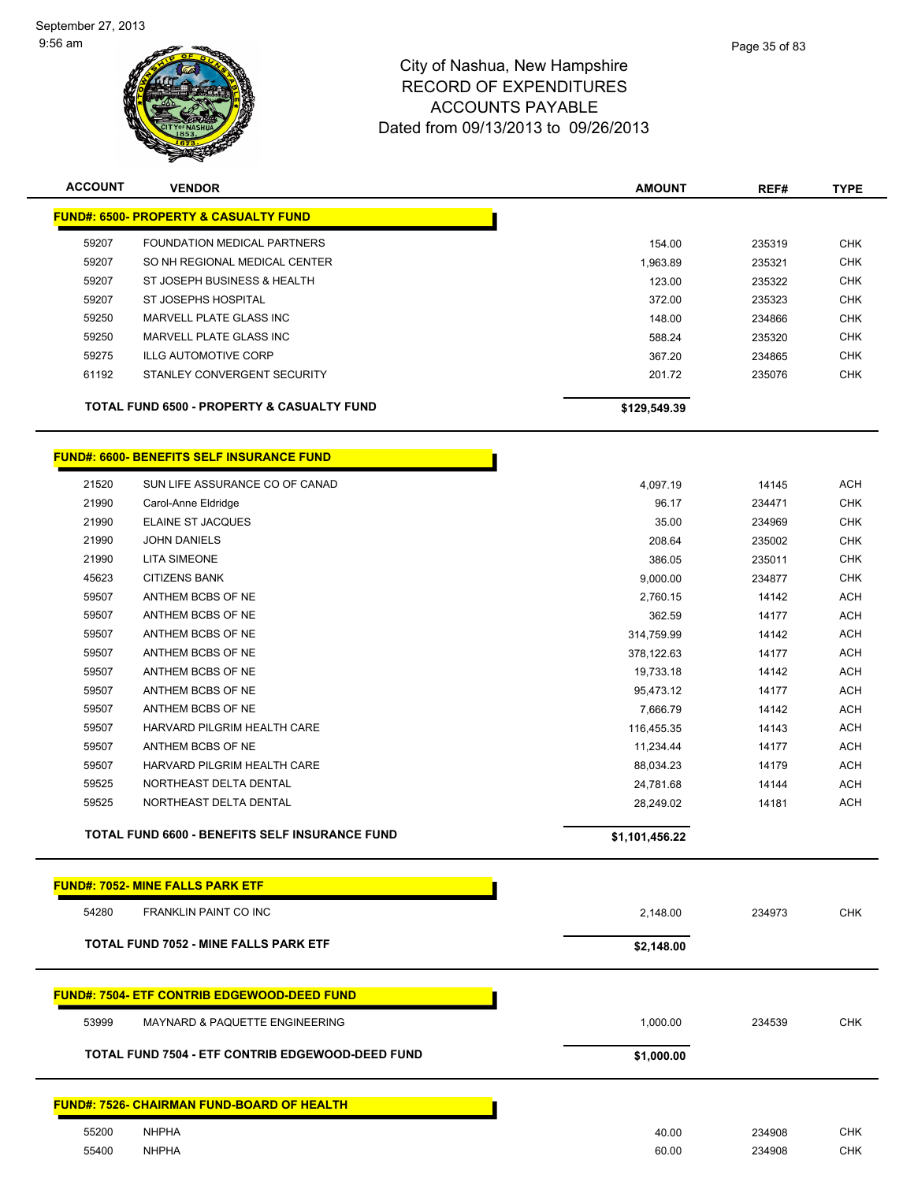

| <b>PEXPENDITURES</b> |  |
|----------------------|--|
| INITO DAVADI E       |  |

| <b>ACCOUNT</b> | <b>VENDOR</b>                                    | <b>AMOUNT</b> | REF#   | <b>TYPE</b> |
|----------------|--------------------------------------------------|---------------|--------|-------------|
|                | <b>FUND#: 6500- PROPERTY &amp; CASUALTY FUND</b> |               |        |             |
| 59207          | FOUNDATION MEDICAL PARTNERS                      | 154.00        | 235319 | <b>CHK</b>  |
| 59207          | SO NH REGIONAL MEDICAL CENTER                    | 1,963.89      | 235321 | <b>CHK</b>  |
| 59207          | ST JOSEPH BUSINESS & HEALTH                      | 123.00        | 235322 | <b>CHK</b>  |
| 59207          | ST JOSEPHS HOSPITAL                              | 372.00        | 235323 | <b>CHK</b>  |
| 59250          | MARVELL PLATE GLASS INC                          | 148.00        | 234866 | <b>CHK</b>  |
| 59250          | MARVELL PLATE GLASS INC                          | 588.24        | 235320 | <b>CHK</b>  |
| 59275          | <b>ILLG AUTOMOTIVE CORP</b>                      | 367.20        | 234865 | <b>CHK</b>  |
| 61192          | STANLEY CONVERGENT SECURITY                      | 201.72        | 235076 | <b>CHK</b>  |
|                | TOTAL FUND 6500 - PROPERTY & CASUALTY FUND       | \$129,549.39  |        |             |

### **FUND#: 6600- BENEFITS SELF INSURANCE FUND**

|       | TOTAL FUND 6600 - BENEFITS SELF INSURANCE FUND | \$1,101,456.22 |        |            |
|-------|------------------------------------------------|----------------|--------|------------|
| 59525 | NORTHEAST DELTA DENTAL                         | 28,249.02      | 14181  | <b>ACH</b> |
| 59525 | NORTHEAST DELTA DENTAL                         | 24,781.68      | 14144  | <b>ACH</b> |
| 59507 | HARVARD PILGRIM HEALTH CARE                    | 88,034.23      | 14179  | <b>ACH</b> |
| 59507 | ANTHEM BCBS OF NE                              | 11,234.44      | 14177  | <b>ACH</b> |
| 59507 | HARVARD PILGRIM HEALTH CARE                    | 116,455.35     | 14143  | <b>ACH</b> |
| 59507 | ANTHEM BCBS OF NE                              | 7,666.79       | 14142  | ACH        |
| 59507 | ANTHEM BCBS OF NE                              | 95,473.12      | 14177  | <b>ACH</b> |
| 59507 | ANTHEM BCBS OF NE                              | 19,733.18      | 14142  | <b>ACH</b> |
| 59507 | ANTHEM BCBS OF NE                              | 378,122.63     | 14177  | <b>ACH</b> |
| 59507 | ANTHEM BCBS OF NE                              | 314,759.99     | 14142  | <b>ACH</b> |
| 59507 | ANTHEM BCBS OF NE                              | 362.59         | 14177  | <b>ACH</b> |
| 59507 | ANTHEM BCBS OF NE                              | 2,760.15       | 14142  | <b>ACH</b> |
| 45623 | <b>CITIZENS BANK</b>                           | 9,000.00       | 234877 | <b>CHK</b> |
| 21990 | <b>LITA SIMEONE</b>                            | 386.05         | 235011 | <b>CHK</b> |
| 21990 | <b>JOHN DANIELS</b>                            | 208.64         | 235002 | <b>CHK</b> |
| 21990 | <b>ELAINE ST JACQUES</b>                       | 35.00          | 234969 | <b>CHK</b> |
| 21990 | Carol-Anne Eldridge                            | 96.17          | 234471 | <b>CHK</b> |
| 21520 | SUN LIFE ASSURANCE CO OF CANAD                 | 4,097.19       | 14145  | <b>ACH</b> |

| <b>FUND#: 7052- MINE FALLS PARK ETF</b>            |            |        |            |
|----------------------------------------------------|------------|--------|------------|
| <b>FRANKLIN PAINT CO INC</b><br>54280              | 2,148.00   | 234973 | <b>CHK</b> |
| <b>TOTAL FUND 7052 - MINE FALLS PARK ETF</b>       | \$2,148.00 |        |            |
| <b>FUND#: 7504- ETF CONTRIB EDGEWOOD-DEED FUND</b> |            |        |            |
| 53999<br><b>MAYNARD &amp; PAQUETTE ENGINEERING</b> | 1,000.00   | 234539 | <b>CHK</b> |
| TOTAL FUND 7504 - ETF CONTRIB EDGEWOOD-DEED FUND   | \$1,000.00 |        |            |
| <b>FUND#: 7526- CHAIRMAN FUND-BOARD OF HEALTH</b>  |            |        |            |
| <b>NHPHA</b><br>55200                              | 40.00      | 234908 | <b>CHK</b> |
| <b>NHPHA</b><br>55400                              | 60.00      | 234908 | <b>CHK</b> |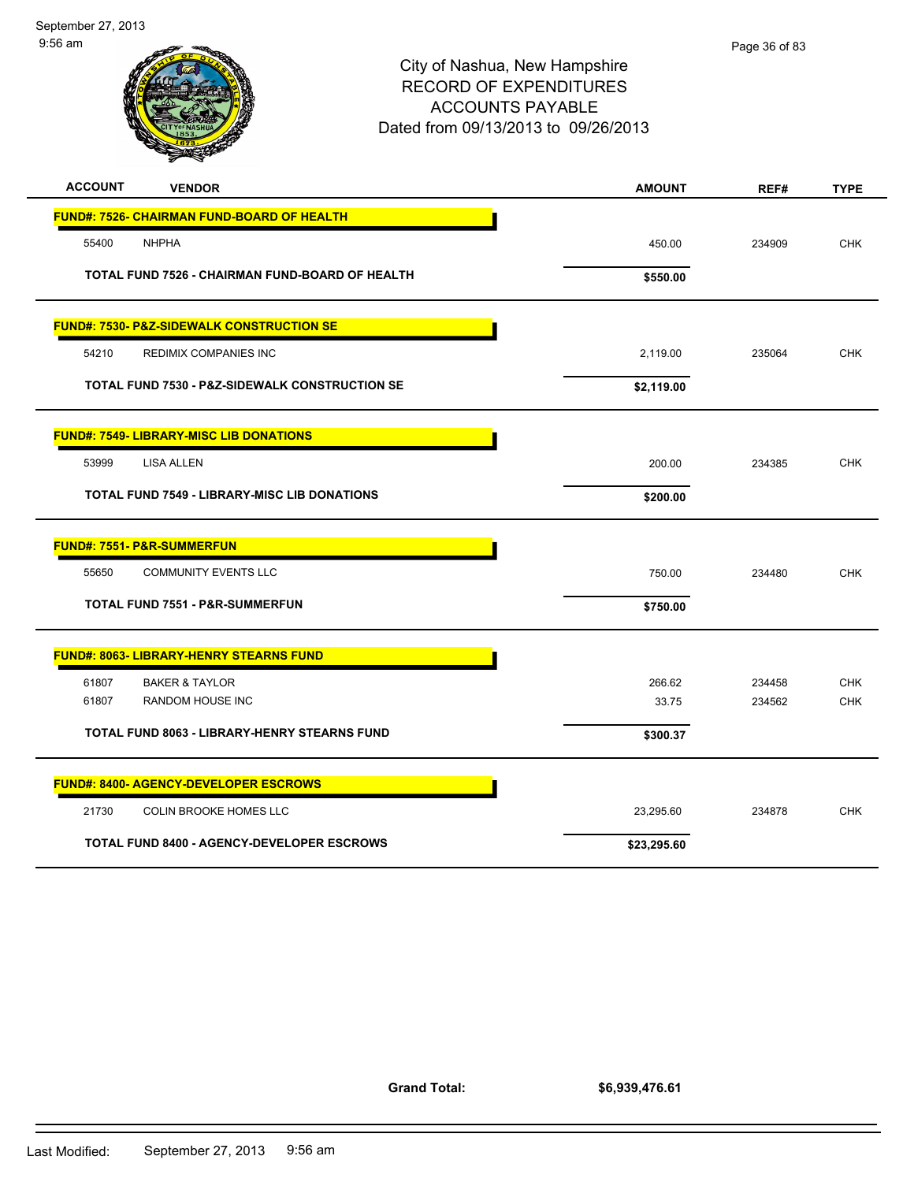

| <b>ACCOUNT</b><br><b>VENDOR</b>                           | <b>AMOUNT</b> | REF#   | <b>TYPE</b> |
|-----------------------------------------------------------|---------------|--------|-------------|
| <b>FUND#: 7526- CHAIRMAN FUND-BOARD OF HEALTH</b>         |               |        |             |
| 55400<br><b>NHPHA</b>                                     | 450.00        | 234909 | <b>CHK</b>  |
| TOTAL FUND 7526 - CHAIRMAN FUND-BOARD OF HEALTH           | \$550.00      |        |             |
| <b>FUND#: 7530- P&amp;Z-SIDEWALK CONSTRUCTION SE</b>      |               |        |             |
| 54210<br><b>REDIMIX COMPANIES INC</b>                     | 2,119.00      | 235064 | <b>CHK</b>  |
| <b>TOTAL FUND 7530 - P&amp;Z-SIDEWALK CONSTRUCTION SE</b> | \$2,119.00    |        |             |
| <b>FUND#: 7549- LIBRARY-MISC LIB DONATIONS</b>            |               |        |             |
| 53999<br>LISA ALLEN                                       | 200.00        | 234385 | <b>CHK</b>  |
| <b>TOTAL FUND 7549 - LIBRARY-MISC LIB DONATIONS</b>       | \$200.00      |        |             |
| <b>FUND#: 7551- P&amp;R-SUMMERFUN</b>                     |               |        |             |
| 55650<br><b>COMMUNITY EVENTS LLC</b>                      | 750.00        | 234480 | <b>CHK</b>  |
| <b>TOTAL FUND 7551 - P&amp;R-SUMMERFUN</b>                | \$750.00      |        |             |
| <b>FUND#: 8063- LIBRARY-HENRY STEARNS FUND</b>            |               |        |             |
| 61807<br><b>BAKER &amp; TAYLOR</b>                        | 266.62        | 234458 | <b>CHK</b>  |
| 61807<br><b>RANDOM HOUSE INC</b>                          | 33.75         | 234562 | <b>CHK</b>  |
| TOTAL FUND 8063 - LIBRARY-HENRY STEARNS FUND              | \$300.37      |        |             |
| <b>FUND#: 8400- AGENCY-DEVELOPER ESCROWS</b>              |               |        |             |
| 21730<br>COLIN BROOKE HOMES LLC                           | 23,295.60     | 234878 | <b>CHK</b>  |
| <b>TOTAL FUND 8400 - AGENCY-DEVELOPER ESCROWS</b>         | \$23,295.60   |        |             |

**Grand Total:**

**\$6,939,476.61**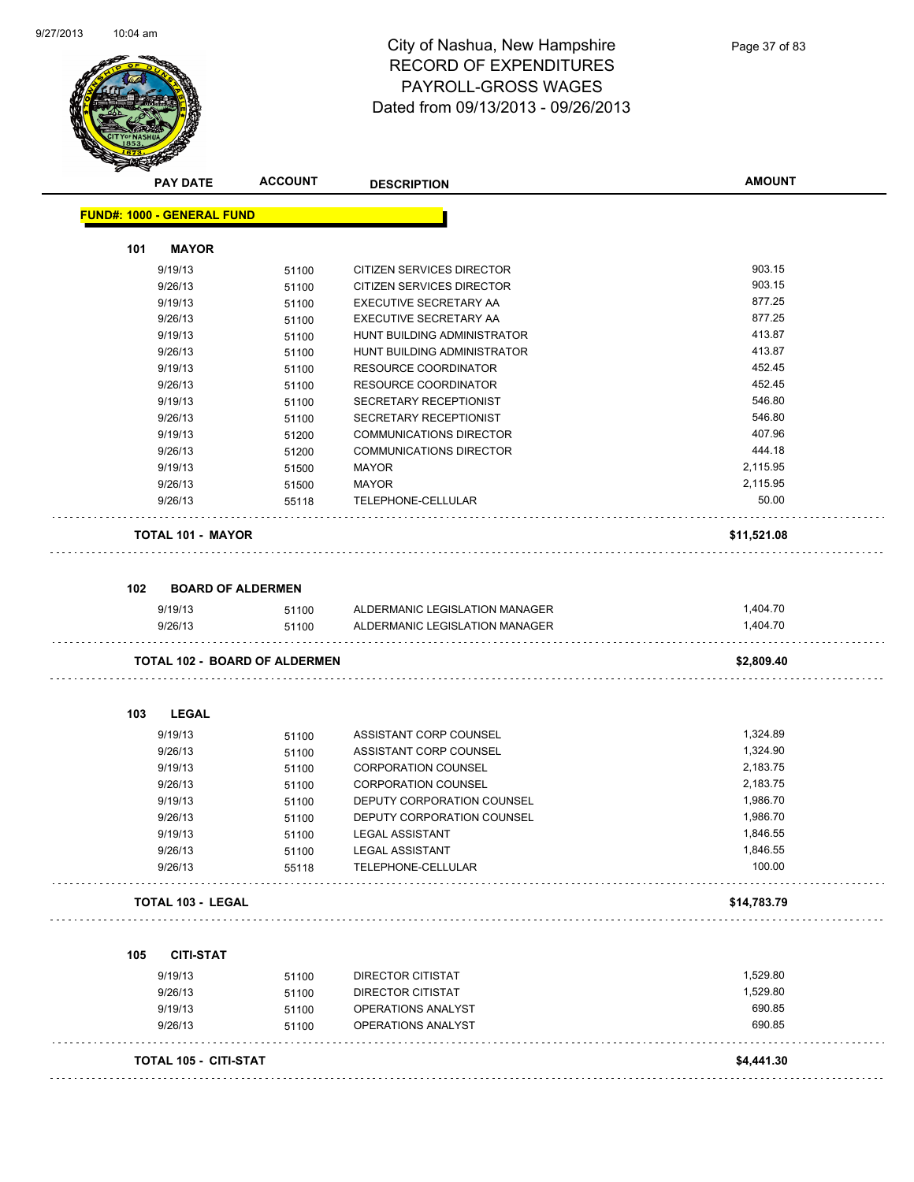

# City of Nashua, New Hampshire RECORD OF EXPENDITURES PAYROLL-GROSS WAGES Dated from 09/13/2013 - 09/26/2013

| A.                                | <b>PAY DATE</b>          | <b>ACCOUNT</b>                       | <b>DESCRIPTION</b>             | <b>AMOUNT</b> |
|-----------------------------------|--------------------------|--------------------------------------|--------------------------------|---------------|
| <b>FUND#: 1000 - GENERAL FUND</b> |                          |                                      |                                |               |
| 101                               | <b>MAYOR</b>             |                                      |                                |               |
|                                   | 9/19/13                  | 51100                                | CITIZEN SERVICES DIRECTOR      | 903.15        |
|                                   | 9/26/13                  | 51100                                | CITIZEN SERVICES DIRECTOR      | 903.15        |
|                                   | 9/19/13                  | 51100                                | EXECUTIVE SECRETARY AA         | 877.25        |
|                                   | 9/26/13                  | 51100                                | EXECUTIVE SECRETARY AA         | 877.25        |
|                                   | 9/19/13                  | 51100                                | HUNT BUILDING ADMINISTRATOR    | 413.87        |
|                                   | 9/26/13                  | 51100                                | HUNT BUILDING ADMINISTRATOR    | 413.87        |
|                                   | 9/19/13                  | 51100                                | <b>RESOURCE COORDINATOR</b>    | 452.45        |
|                                   | 9/26/13                  | 51100                                | RESOURCE COORDINATOR           | 452.45        |
|                                   | 9/19/13                  | 51100                                | <b>SECRETARY RECEPTIONIST</b>  | 546.80        |
|                                   | 9/26/13                  | 51100                                | SECRETARY RECEPTIONIST         | 546.80        |
|                                   | 9/19/13                  | 51200                                | <b>COMMUNICATIONS DIRECTOR</b> | 407.96        |
|                                   | 9/26/13                  | 51200                                | <b>COMMUNICATIONS DIRECTOR</b> | 444.18        |
|                                   | 9/19/13                  | 51500                                | <b>MAYOR</b>                   | 2,115.95      |
|                                   | 9/26/13                  | 51500                                | <b>MAYOR</b>                   | 2,115.95      |
|                                   | 9/26/13                  | 55118                                | TELEPHONE-CELLULAR             | 50.00         |
|                                   | <b>TOTAL 101 - MAYOR</b> |                                      |                                | \$11,521.08   |
| 102                               |                          |                                      |                                |               |
|                                   | <b>BOARD OF ALDERMEN</b> |                                      |                                |               |
|                                   | 9/19/13                  | 51100                                | ALDERMANIC LEGISLATION MANAGER | 1,404.70      |
|                                   | 9/26/13                  | 51100                                | ALDERMANIC LEGISLATION MANAGER | 1,404.70      |
|                                   |                          | <b>TOTAL 102 - BOARD OF ALDERMEN</b> |                                | \$2,809.40    |
| 103                               | <b>LEGAL</b>             |                                      |                                |               |
|                                   | 9/19/13                  | 51100                                | ASSISTANT CORP COUNSEL         | 1,324.89      |
|                                   | 9/26/13                  | 51100                                | ASSISTANT CORP COUNSEL         | 1,324.90      |
|                                   | 9/19/13                  | 51100                                | <b>CORPORATION COUNSEL</b>     | 2,183.75      |
|                                   | 9/26/13                  | 51100                                | <b>CORPORATION COUNSEL</b>     | 2,183.75      |
|                                   | 9/19/13                  | 51100                                | DEPUTY CORPORATION COUNSEL     | 1,986.70      |
|                                   | 9/26/13                  | 51100                                | DEPUTY CORPORATION COUNSEL     | 1,986.70      |
|                                   | 9/19/13                  | 51100                                | LEGAL ASSISTANT                | 1,846.55      |
|                                   | 9/26/13                  | 51100                                | <b>LEGAL ASSISTANT</b>         | 1,846.55      |
|                                   | 9/26/13                  | 55118                                | TELEPHONE-CELLULAR             | 100.00        |
|                                   | <b>TOTAL 103 - LEGAL</b> |                                      |                                | \$14,783.79   |
|                                   |                          |                                      |                                |               |
| 105                               | <b>CITI-STAT</b>         |                                      |                                |               |
|                                   | 9/19/13                  | 51100                                | DIRECTOR CITISTAT              | 1,529.80      |
|                                   | 9/26/13                  | 51100                                | <b>DIRECTOR CITISTAT</b>       | 1,529.80      |
|                                   | 9/19/13                  | 51100                                | OPERATIONS ANALYST             | 690.85        |
|                                   | 9/26/13                  | 51100                                | OPERATIONS ANALYST             | 690.85        |
|                                   | TOTAL 105 - CITI-STAT    |                                      |                                | \$4,441.30    |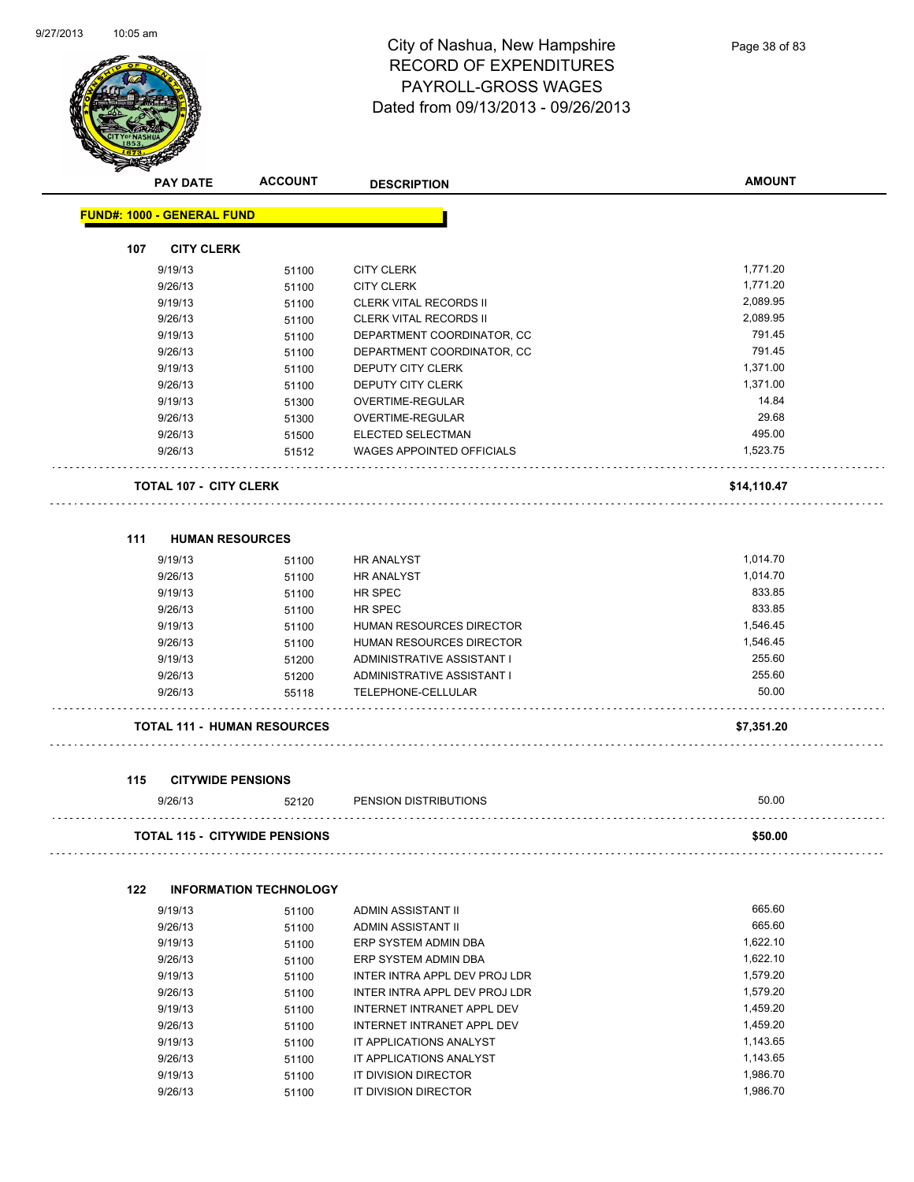

|     | <b>PAY DATE</b>                   | <b>ACCOUNT</b>                       | <b>DESCRIPTION</b>            | <b>AMOUNT</b> |
|-----|-----------------------------------|--------------------------------------|-------------------------------|---------------|
|     | <b>FUND#: 1000 - GENERAL FUND</b> |                                      |                               |               |
| 107 | <b>CITY CLERK</b>                 |                                      |                               |               |
|     | 9/19/13                           | 51100                                | <b>CITY CLERK</b>             | 1,771.20      |
|     | 9/26/13                           | 51100                                | <b>CITY CLERK</b>             | 1,771.20      |
|     | 9/19/13                           | 51100                                | <b>CLERK VITAL RECORDS II</b> | 2,089.95      |
|     | 9/26/13                           | 51100                                | CLERK VITAL RECORDS II        | 2,089.95      |
|     | 9/19/13                           | 51100                                | DEPARTMENT COORDINATOR, CC    | 791.45        |
|     | 9/26/13                           | 51100                                | DEPARTMENT COORDINATOR, CC    | 791.45        |
|     | 9/19/13                           | 51100                                | DEPUTY CITY CLERK             | 1,371.00      |
|     | 9/26/13                           | 51100                                | <b>DEPUTY CITY CLERK</b>      | 1,371.00      |
|     | 9/19/13                           | 51300                                | OVERTIME-REGULAR              | 14.84         |
|     | 9/26/13                           | 51300                                | OVERTIME-REGULAR              | 29.68         |
|     | 9/26/13                           | 51500                                | ELECTED SELECTMAN             | 495.00        |
|     | 9/26/13                           | 51512                                | WAGES APPOINTED OFFICIALS     | 1,523.75      |
|     | <b>TOTAL 107 - CITY CLERK</b>     |                                      |                               | \$14,110.47   |
|     |                                   |                                      |                               |               |
| 111 | 9/19/13                           | <b>HUMAN RESOURCES</b>               | <b>HR ANALYST</b>             | 1,014.70      |
|     |                                   | 51100                                |                               | 1,014.70      |
|     | 9/26/13<br>9/19/13                | 51100                                | HR ANALYST                    | 833.85        |
|     |                                   | 51100                                | HR SPEC                       | 833.85        |
|     | 9/26/13                           | 51100                                | HR SPEC                       |               |
|     | 9/19/13                           | 51100                                | HUMAN RESOURCES DIRECTOR      | 1,546.45      |
|     | 9/26/13                           | 51100                                | HUMAN RESOURCES DIRECTOR      | 1,546.45      |
|     | 9/19/13                           | 51200                                | ADMINISTRATIVE ASSISTANT I    | 255.60        |
|     | 9/26/13                           | 51200                                | ADMINISTRATIVE ASSISTANT I    | 255.60        |
|     | 9/26/13                           | 55118                                | TELEPHONE-CELLULAR            | 50.00         |
|     |                                   | <b>TOTAL 111 - HUMAN RESOURCES</b>   |                               | \$7,351.20    |
| 115 |                                   | <b>CITYWIDE PENSIONS</b>             |                               |               |
|     | 9/26/13                           | 52120                                | PENSION DISTRIBUTIONS         | 50.00         |
|     |                                   | <b>TOTAL 115 - CITYWIDE PENSIONS</b> |                               | \$50.00       |
| 122 |                                   | <b>INFORMATION TECHNOLOGY</b>        |                               |               |
|     | 9/19/13                           | 51100                                | ADMIN ASSISTANT II            | 665.60        |
|     | 9/26/13                           | 51100                                | ADMIN ASSISTANT II            | 665.60        |
|     | 9/19/13                           | 51100                                | ERP SYSTEM ADMIN DBA          | 1,622.10      |
|     | 9/26/13                           | 51100                                | ERP SYSTEM ADMIN DBA          | 1,622.10      |
|     | 9/19/13                           | 51100                                | INTER INTRA APPL DEV PROJ LDR | 1,579.20      |
|     | 9/26/13                           | 51100                                | INTER INTRA APPL DEV PROJ LDR | 1,579.20      |
|     | 9/19/13                           | 51100                                | INTERNET INTRANET APPL DEV    | 1,459.20      |
|     | 9/26/13                           | 51100                                | INTERNET INTRANET APPL DEV    | 1,459.20      |
|     | 9/19/13                           | 51100                                | IT APPLICATIONS ANALYST       | 1,143.65      |
|     | 9/26/13                           | 51100                                | IT APPLICATIONS ANALYST       | 1,143.65      |
|     |                                   |                                      |                               |               |

9/19/13 51100 IT DIVISION DIRECTOR 1,986.70 9/26/13 51100 IT DIVISION DIRECTOR 1,986.70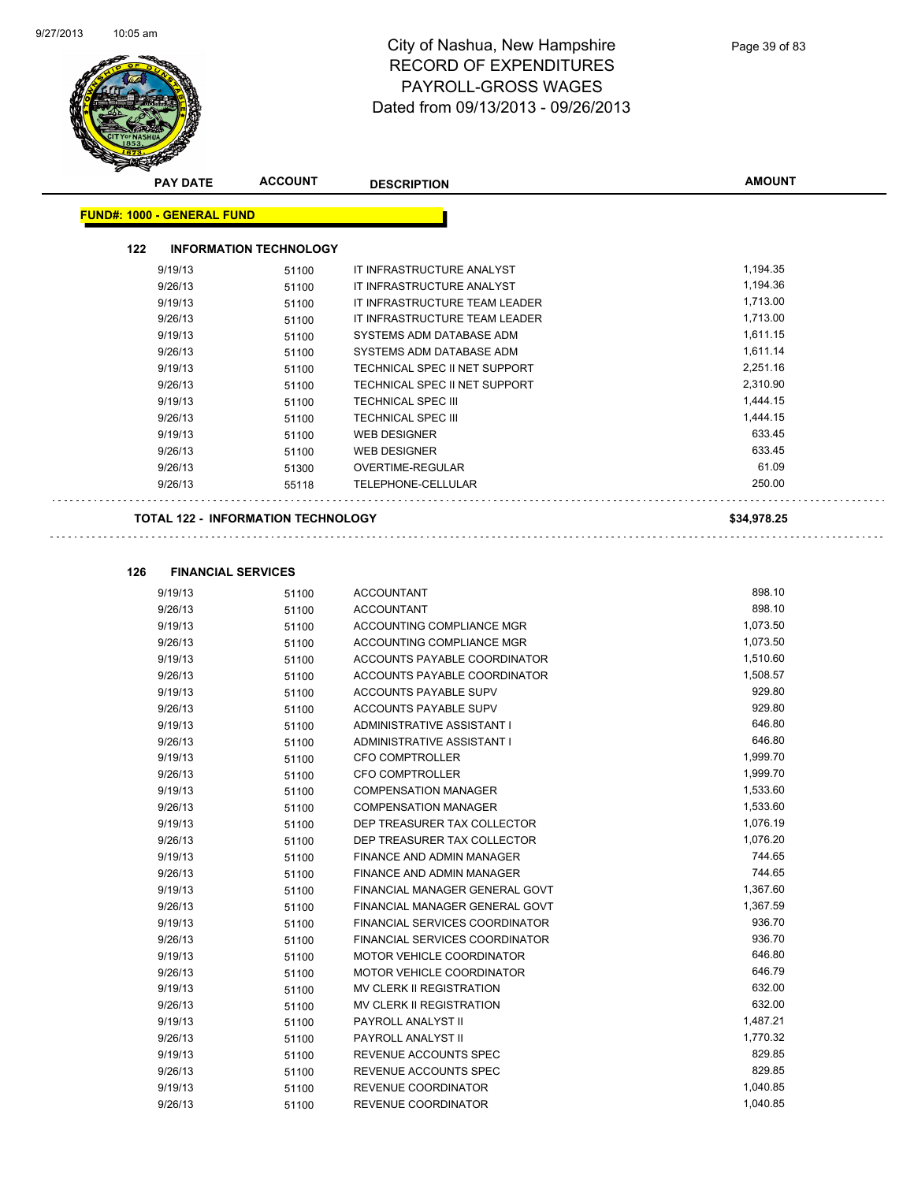$\Box$ 



## City of Nashua, New Hampshire RECORD OF EXPENDITURES PAYROLL-GROSS WAGES Dated from 09/13/2013 - 09/26/2013

| $\boldsymbol{z}$ | <b>PAY DATE</b>                   | <b>ACCOUNT</b>                            | <b>DESCRIPTION</b>            | <b>AMOUNT</b> |
|------------------|-----------------------------------|-------------------------------------------|-------------------------------|---------------|
|                  | <b>FUND#: 1000 - GENERAL FUND</b> |                                           |                               |               |
|                  | 122                               | <b>INFORMATION TECHNOLOGY</b>             |                               |               |
|                  | 9/19/13                           | 51100                                     | IT INFRASTRUCTURE ANALYST     | 1,194.35      |
|                  | 9/26/13                           | 51100                                     | IT INFRASTRUCTURE ANALYST     | 1,194.36      |
|                  | 9/19/13                           | 51100                                     | IT INFRASTRUCTURE TEAM LEADER | 1,713.00      |
|                  | 9/26/13                           | 51100                                     | IT INFRASTRUCTURE TEAM LEADER | 1,713.00      |
|                  | 9/19/13                           | 51100                                     | SYSTEMS ADM DATABASE ADM      | 1,611.15      |
|                  | 9/26/13                           | 51100                                     | SYSTEMS ADM DATABASE ADM      | 1,611.14      |
|                  | 9/19/13                           | 51100                                     | TECHNICAL SPEC II NET SUPPORT | 2,251.16      |
|                  | 9/26/13                           | 51100                                     | TECHNICAL SPEC II NET SUPPORT | 2,310.90      |
|                  | 9/19/13                           | 51100                                     | <b>TECHNICAL SPEC III</b>     | 1,444.15      |
|                  | 9/26/13                           | 51100                                     | <b>TECHNICAL SPEC III</b>     | 1,444.15      |
|                  | 9/19/13                           | 51100                                     | <b>WEB DESIGNER</b>           | 633.45        |
|                  | 9/26/13                           | 51100                                     | <b>WEB DESIGNER</b>           | 633.45        |
|                  | 9/26/13                           | 51300                                     | <b>OVERTIME-REGULAR</b>       | 61.09         |
|                  | 9/26/13                           | 55118                                     | TELEPHONE-CELLULAR            | 250.00        |
|                  |                                   | <b>TOTAL 122 - INFORMATION TECHNOLOGY</b> |                               | \$34,978.25   |

| 9/19/13 | 51100 | <b>ACCOUNTANT</b>                     | 898.10   |
|---------|-------|---------------------------------------|----------|
| 9/26/13 | 51100 | <b>ACCOUNTANT</b>                     | 898.10   |
| 9/19/13 | 51100 | ACCOUNTING COMPLIANCE MGR             | 1,073.50 |
| 9/26/13 | 51100 | ACCOUNTING COMPLIANCE MGR             | 1,073.50 |
| 9/19/13 | 51100 | ACCOUNTS PAYABLE COORDINATOR          | 1,510.60 |
| 9/26/13 | 51100 | <b>ACCOUNTS PAYABLE COORDINATOR</b>   | 1,508.57 |
| 9/19/13 | 51100 | ACCOUNTS PAYABLE SUPV                 | 929.80   |
| 9/26/13 | 51100 | <b>ACCOUNTS PAYABLE SUPV</b>          | 929.80   |
| 9/19/13 | 51100 | <b>ADMINISTRATIVE ASSISTANT I</b>     | 646.80   |
| 9/26/13 | 51100 | ADMINISTRATIVE ASSISTANT I            | 646.80   |
| 9/19/13 | 51100 | <b>CFO COMPTROLLER</b>                | 1,999.70 |
| 9/26/13 | 51100 | <b>CFO COMPTROLLER</b>                | 1,999.70 |
| 9/19/13 | 51100 | <b>COMPENSATION MANAGER</b>           | 1,533.60 |
| 9/26/13 | 51100 | <b>COMPENSATION MANAGER</b>           | 1,533.60 |
| 9/19/13 | 51100 | DEP TREASURER TAX COLLECTOR           | 1,076.19 |
| 9/26/13 | 51100 | DEP TREASURER TAX COLLECTOR           | 1,076.20 |
| 9/19/13 | 51100 | <b>FINANCE AND ADMIN MANAGER</b>      | 744.65   |
| 9/26/13 | 51100 | <b>FINANCE AND ADMIN MANAGER</b>      | 744.65   |
| 9/19/13 | 51100 | FINANCIAL MANAGER GENERAL GOVT        | 1,367.60 |
| 9/26/13 | 51100 | FINANCIAL MANAGER GENERAL GOVT        | 1,367.59 |
| 9/19/13 | 51100 | FINANCIAL SERVICES COORDINATOR        | 936.70   |
| 9/26/13 | 51100 | <b>FINANCIAL SERVICES COORDINATOR</b> | 936.70   |
| 9/19/13 | 51100 | <b>MOTOR VEHICLE COORDINATOR</b>      | 646.80   |
| 9/26/13 | 51100 | <b>MOTOR VEHICLE COORDINATOR</b>      | 646.79   |
| 9/19/13 | 51100 | <b>MV CLERK II REGISTRATION</b>       | 632.00   |
| 9/26/13 | 51100 | <b>MV CLERK II REGISTRATION</b>       | 632.00   |
| 9/19/13 | 51100 | PAYROLL ANALYST II                    | 1,487.21 |
| 9/26/13 | 51100 | PAYROLL ANALYST II                    | 1,770.32 |
| 9/19/13 | 51100 | REVENUE ACCOUNTS SPEC                 | 829.85   |
| 9/26/13 | 51100 | REVENUE ACCOUNTS SPEC                 | 829.85   |
| 9/19/13 | 51100 | <b>REVENUE COORDINATOR</b>            | 1,040.85 |
| 9/26/13 | 51100 | <b>REVENUE COORDINATOR</b>            | 1,040.85 |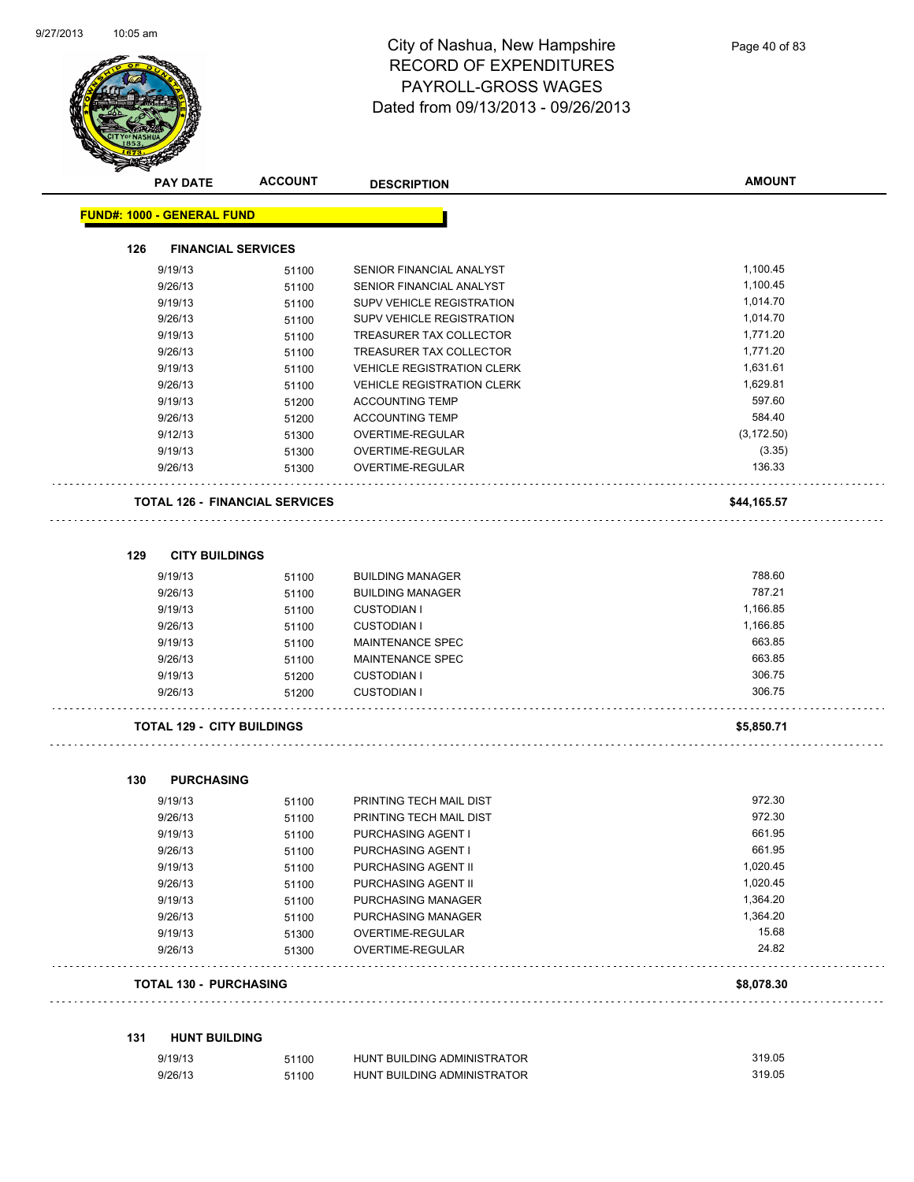

|     | <b>PAY DATE</b>                   | <b>ACCOUNT</b>                        | <b>DESCRIPTION</b>                | <b>AMOUNT</b> |
|-----|-----------------------------------|---------------------------------------|-----------------------------------|---------------|
|     | <b>FUND#: 1000 - GENERAL FUND</b> |                                       |                                   |               |
| 126 | <b>FINANCIAL SERVICES</b>         |                                       |                                   |               |
|     | 9/19/13                           | 51100                                 | SENIOR FINANCIAL ANALYST          | 1,100.45      |
|     | 9/26/13                           | 51100                                 | SENIOR FINANCIAL ANALYST          | 1,100.45      |
|     | 9/19/13                           | 51100                                 | SUPV VEHICLE REGISTRATION         | 1,014.70      |
|     | 9/26/13                           | 51100                                 | SUPV VEHICLE REGISTRATION         | 1,014.70      |
|     | 9/19/13                           | 51100                                 | TREASURER TAX COLLECTOR           | 1,771.20      |
|     | 9/26/13                           | 51100                                 | TREASURER TAX COLLECTOR           | 1,771.20      |
|     | 9/19/13                           | 51100                                 | <b>VEHICLE REGISTRATION CLERK</b> | 1,631.61      |
|     | 9/26/13                           | 51100                                 | <b>VEHICLE REGISTRATION CLERK</b> | 1,629.81      |
|     | 9/19/13                           | 51200                                 | <b>ACCOUNTING TEMP</b>            | 597.60        |
|     | 9/26/13                           | 51200                                 | <b>ACCOUNTING TEMP</b>            | 584.40        |
|     | 9/12/13                           | 51300                                 | OVERTIME-REGULAR                  | (3, 172.50)   |
|     | 9/19/13                           | 51300                                 | OVERTIME-REGULAR                  | (3.35)        |
|     | 9/26/13                           | 51300                                 | OVERTIME-REGULAR                  | 136.33        |
|     |                                   | <b>TOTAL 126 - FINANCIAL SERVICES</b> |                                   | \$44,165.57   |
| 129 | <b>CITY BUILDINGS</b>             |                                       |                                   |               |
|     | 9/19/13                           | 51100                                 | <b>BUILDING MANAGER</b>           | 788.60        |
|     | 9/26/13                           | 51100                                 | <b>BUILDING MANAGER</b>           | 787.21        |
|     | 9/19/13                           | 51100                                 | <b>CUSTODIAN I</b>                | 1,166.85      |
|     | 9/26/13                           | 51100                                 | <b>CUSTODIAN I</b>                | 1,166.85      |
|     | 9/19/13                           | 51100                                 | <b>MAINTENANCE SPEC</b>           | 663.85        |
|     | 9/26/13                           | 51100                                 | MAINTENANCE SPEC                  | 663.85        |
|     | 9/19/13                           | 51200                                 | <b>CUSTODIAN I</b>                | 306.75        |
|     | 9/26/13                           | 51200                                 | <b>CUSTODIAN I</b>                | 306.75        |
|     | <b>TOTAL 129 - CITY BUILDINGS</b> |                                       |                                   | \$5,850.71    |
| 130 | <b>PURCHASING</b>                 |                                       |                                   |               |
|     | 9/19/13                           | 51100                                 | PRINTING TECH MAIL DIST           | 972.30        |
|     | 9/26/13                           | 51100                                 | PRINTING TECH MAIL DIST           | 972.30        |
|     | 9/19/13                           | 51100                                 | PURCHASING AGENT I                | 661.95        |
|     | 9/26/13                           | 51100                                 | PURCHASING AGENT I                | 661.95        |
|     | 9/19/13                           | 51100                                 | PURCHASING AGENT II               | 1,020.45      |
|     | 9/26/13                           | 51100                                 | PURCHASING AGENT II               | 1,020.45      |
|     | 9/19/13                           | 51100                                 | PURCHASING MANAGER                | 1,364.20      |
|     | 9/26/13                           | 51100                                 | PURCHASING MANAGER                | 1,364.20      |
|     | 9/19/13                           | 51300                                 | OVERTIME-REGULAR                  | 15.68         |
|     | 9/26/13                           | 51300                                 | OVERTIME-REGULAR                  | 24.82         |
|     | <b>TOTAL 130 - PURCHASING</b>     |                                       |                                   | \$8,078.30    |

**131 HUNT BUILDING**

| 9/19/13 | 51100 | HUNT BUILDING ADMINISTRATOR | 319.05 |
|---------|-------|-----------------------------|--------|
| 9/26/13 | 51100 | HUNT BUILDING ADMINISTRATOR | 319.05 |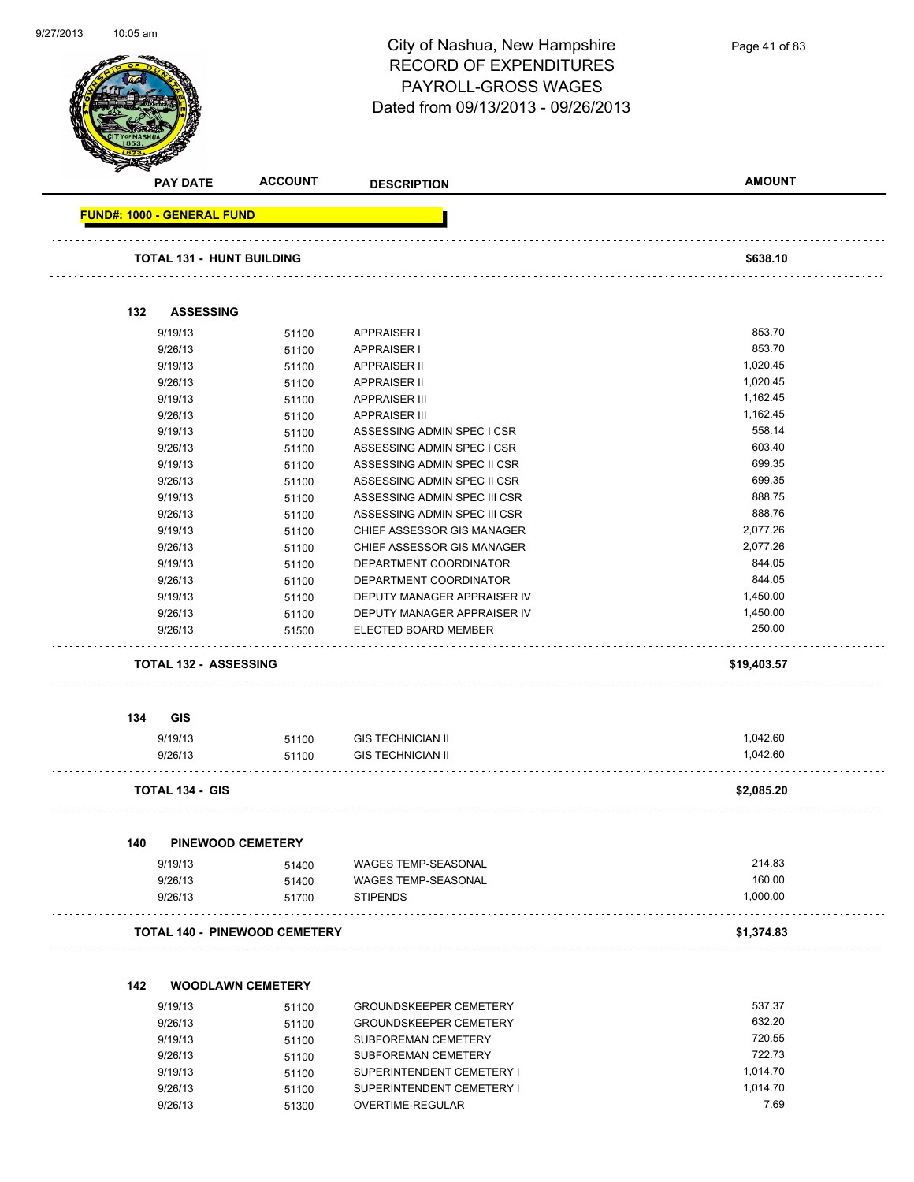| 9/27/2013 | $10:05$ am |                                   |                                      | City of Nashua, New Hampshire<br><b>RECORD OF EXPENDITURES</b><br>PAYROLL-GROSS WAGES<br>Dated from 09/13/2013 - 09/26/2013 | Page 41 of 83    |
|-----------|------------|-----------------------------------|--------------------------------------|-----------------------------------------------------------------------------------------------------------------------------|------------------|
|           |            | <b>PAY DATE</b>                   | <b>ACCOUNT</b>                       | <b>DESCRIPTION</b>                                                                                                          | <b>AMOUNT</b>    |
|           |            | <b>FUND#: 1000 - GENERAL FUND</b> |                                      |                                                                                                                             |                  |
|           |            | <b>TOTAL 131 - HUNT BUILDING</b>  |                                      |                                                                                                                             | \$638.10         |
|           |            | <b>ASSESSING</b>                  |                                      |                                                                                                                             |                  |
|           | 132        |                                   |                                      |                                                                                                                             |                  |
|           |            | 9/19/13                           | 51100                                | <b>APPRAISER I</b>                                                                                                          | 853.70<br>853.70 |
|           |            | 9/26/13<br>9/19/13                | 51100                                | <b>APPRAISER I</b><br><b>APPRAISER II</b>                                                                                   | 1,020.45         |
|           |            | 9/26/13                           | 51100                                | <b>APPRAISER II</b>                                                                                                         | 1,020.45         |
|           |            | 9/19/13                           | 51100<br>51100                       | <b>APPRAISER III</b>                                                                                                        | 1,162.45         |
|           |            | 9/26/13                           |                                      | <b>APPRAISER III</b>                                                                                                        | 1,162.45         |
|           |            | 9/19/13                           | 51100                                | ASSESSING ADMIN SPEC I CSR                                                                                                  | 558.14           |
|           |            | 9/26/13                           | 51100<br>51100                       | ASSESSING ADMIN SPEC I CSR                                                                                                  | 603.40           |
|           |            | 9/19/13                           | 51100                                | ASSESSING ADMIN SPEC II CSR                                                                                                 | 699.35           |
|           |            | 9/26/13                           | 51100                                | ASSESSING ADMIN SPEC II CSR                                                                                                 | 699.35           |
|           |            | 9/19/13                           | 51100                                | ASSESSING ADMIN SPEC III CSR                                                                                                | 888.75           |
|           |            | 9/26/13                           | 51100                                | ASSESSING ADMIN SPEC III CSR                                                                                                | 888.76           |
|           |            | 9/19/13                           | 51100                                | CHIEF ASSESSOR GIS MANAGER                                                                                                  | 2,077.26         |
|           |            | 9/26/13                           | 51100                                | CHIEF ASSESSOR GIS MANAGER                                                                                                  | 2,077.26         |
|           |            | 9/19/13                           | 51100                                | DEPARTMENT COORDINATOR                                                                                                      | 844.05           |
|           |            | 9/26/13                           | 51100                                | DEPARTMENT COORDINATOR                                                                                                      | 844.05           |
|           |            | 9/19/13                           | 51100                                | DEPUTY MANAGER APPRAISER IV                                                                                                 | 1,450.00         |
|           |            | 9/26/13                           |                                      | DEPUTY MANAGER APPRAISER IV                                                                                                 | 1,450.00         |
|           |            | 9/26/13                           | 51100                                | ELECTED BOARD MEMBER                                                                                                        | 250.00           |
|           |            |                                   | 51500                                |                                                                                                                             |                  |
|           |            | <b>TOTAL 132 - ASSESSING</b>      |                                      |                                                                                                                             | \$19,403.57      |
|           | 134        | <b>GIS</b>                        |                                      |                                                                                                                             |                  |
|           |            | 9/19/13                           | 51100                                | <b>GIS TECHNICIAN II</b>                                                                                                    | 1,042.60         |
|           |            | 9/26/13                           | 51100                                | <b>GIS TECHNICIAN II</b>                                                                                                    | 1,042.60         |
|           |            |                                   |                                      |                                                                                                                             |                  |
|           |            | TOTAL 134 - GIS                   |                                      |                                                                                                                             | \$2,085.20       |
|           | 140        |                                   | <b>PINEWOOD CEMETERY</b>             |                                                                                                                             |                  |
|           |            | 9/19/13                           | 51400                                | WAGES TEMP-SEASONAL                                                                                                         | 214.83           |
|           |            | 9/26/13                           | 51400                                | WAGES TEMP-SEASONAL                                                                                                         | 160.00           |
|           |            | 9/26/13                           | 51700                                | <b>STIPENDS</b>                                                                                                             | 1,000.00         |
|           |            |                                   | <b>TOTAL 140 - PINEWOOD CEMETERY</b> |                                                                                                                             | \$1,374.83       |
|           | 142        |                                   | <b>WOODLAWN CEMETERY</b>             |                                                                                                                             |                  |
|           |            | 9/19/13                           |                                      | <b>GROUNDSKEEPER CEMETERY</b>                                                                                               | 537.37           |
|           |            |                                   | 51100                                |                                                                                                                             | 632.20           |
|           |            | 9/26/13                           | 51100                                | <b>GROUNDSKEEPER CEMETERY</b>                                                                                               | 720.55           |
|           |            | 9/19/13                           | 51100                                | SUBFOREMAN CEMETERY                                                                                                         | 722.73           |
|           |            | 9/26/13                           | 51100                                | SUBFOREMAN CEMETERY                                                                                                         |                  |
|           |            | 9/19/13                           | 51100                                | SUPERINTENDENT CEMETERY I                                                                                                   | 1,014.70         |

9/26/13 51100 SUPERINTENDENT CEMETERY I 5014.70 9/26/13 51300 OVERTIME-REGULAR 7.69

9/27/2013

10:05 am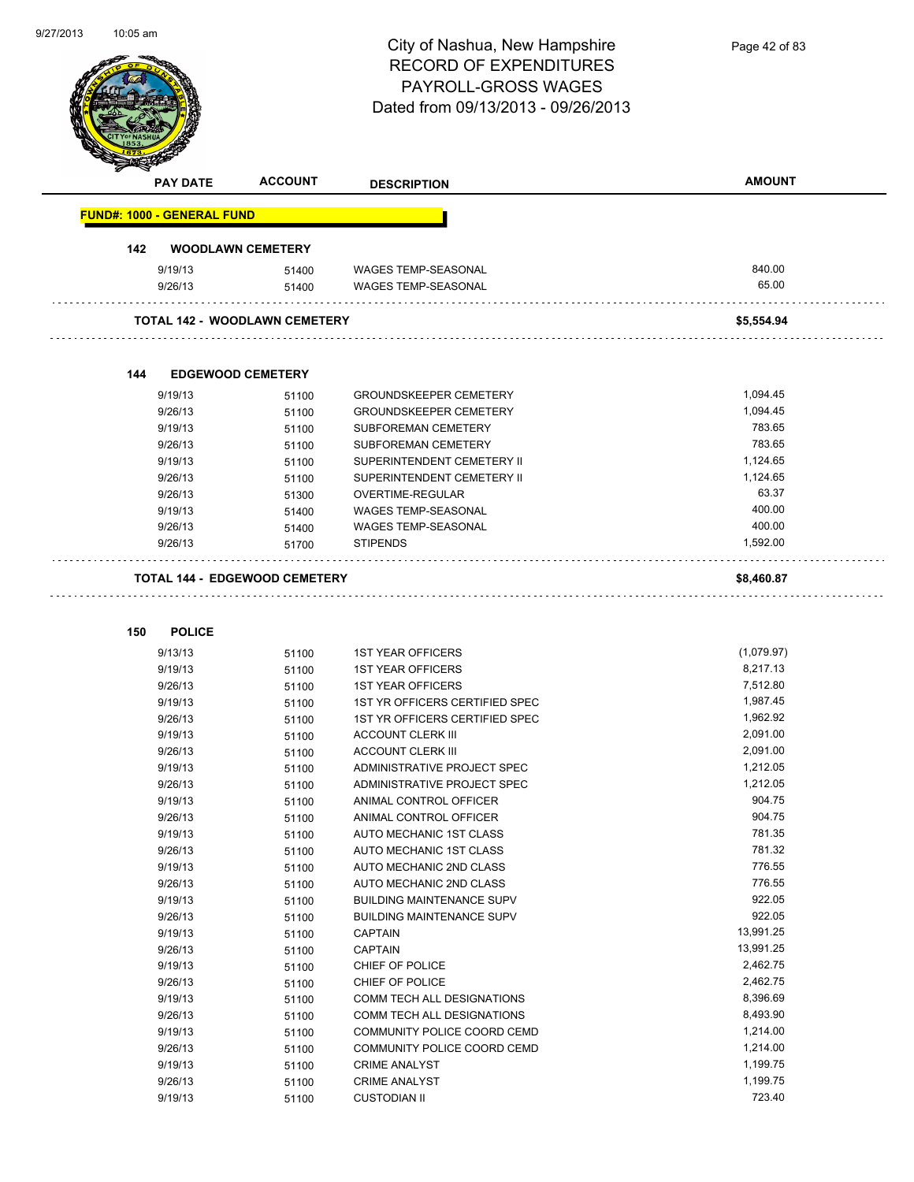| 9/27/2013 | 10:05 am                             |                          |                                    |               |
|-----------|--------------------------------------|--------------------------|------------------------------------|---------------|
|           |                                      |                          | City of Nashua, New Hampshire      | Page 42 of 83 |
|           |                                      |                          | <b>RECORD OF EXPENDITURES</b>      |               |
|           |                                      |                          |                                    |               |
|           |                                      |                          | PAYROLL-GROSS WAGES                |               |
|           |                                      |                          | Dated from 09/13/2013 - 09/26/2013 |               |
|           |                                      |                          |                                    |               |
|           |                                      |                          |                                    |               |
|           |                                      |                          |                                    |               |
|           |                                      |                          |                                    |               |
|           | <b>PAY DATE</b>                      | <b>ACCOUNT</b>           | <b>DESCRIPTION</b>                 | <b>AMOUNT</b> |
|           |                                      |                          |                                    |               |
|           | <b>FUND#: 1000 - GENERAL FUND</b>    |                          |                                    |               |
|           | 142                                  | <b>WOODLAWN CEMETERY</b> |                                    |               |
|           | 9/19/13                              | 51400                    | <b>WAGES TEMP-SEASONAL</b>         | 840.00        |
|           | 9/26/13                              | 51400                    | <b>WAGES TEMP-SEASONAL</b>         | 65.00         |
|           |                                      |                          |                                    |               |
|           | <b>TOTAL 142 - WOODLAWN CEMETERY</b> |                          |                                    | \$5,554.94    |
|           |                                      |                          |                                    |               |
|           |                                      |                          |                                    |               |
|           | 144                                  | <b>EDGEWOOD CEMETERY</b> |                                    |               |
|           | 9/19/13                              | 51100                    | <b>GROUNDSKEEPER CEMETERY</b>      | 1,094.45      |
|           | 9/26/13                              | 51100                    | <b>GROUNDSKEEPER CEMETERY</b>      | 1,094.45      |
|           | 9/19/13                              |                          | SUBFOREMAN CEMETERY                | 783.65        |
|           |                                      | 51100                    |                                    | 783.65        |
|           | 9/26/13                              | 51100                    | SUBFOREMAN CEMETERY                |               |
|           | 9/19/13                              | 51100                    | SUPERINTENDENT CEMETERY II         | 1,124.65      |
|           | 9/26/13                              | 51100                    | SUPERINTENDENT CEMETERY II         | 1,124.65      |
|           | 9/26/13                              | 51300                    | OVERTIME-REGULAR                   | 63.37         |
|           | 9/19/13                              | 51400                    | <b>WAGES TEMP-SEASONAL</b>         | 400.00        |
|           | 9/26/13                              | 51400                    | <b>WAGES TEMP-SEASONAL</b>         | 400.00        |
|           | 9/26/13                              | 51700                    | <b>STIPENDS</b>                    | 1,592.00      |
|           |                                      |                          |                                    |               |
|           | <b>TOTAL 144 - EDGEWOOD CEMETERY</b> |                          |                                    | \$8,460.87    |
|           |                                      |                          |                                    |               |
|           |                                      |                          |                                    |               |
|           | <b>POLICE</b><br>150                 |                          |                                    |               |
|           | 9/13/13                              | 51100                    | <b>1ST YEAR OFFICERS</b>           | (1,079.97)    |
|           | 9/19/13                              | 51100                    | <b>1ST YEAR OFFICERS</b>           | 8,217.13      |
|           | 9/26/13                              | 51100                    | <b>1ST YEAR OFFICERS</b>           | 7,512.80      |
|           | 9/19/13                              | 51100                    | 1ST YR OFFICERS CERTIFIED SPEC     | 1,987.45      |
|           | 9/26/13                              | 51100                    | 1ST YR OFFICERS CERTIFIED SPEC     | 1,962.92      |
|           | 9/19/13                              | 51100                    | <b>ACCOUNT CLERK III</b>           | 2,091.00      |
|           | 9/26/13                              | 51100                    | <b>ACCOUNT CLERK III</b>           | 2,091.00      |
|           |                                      |                          |                                    | 1,212.05      |
|           | 9/19/13                              | 51100                    | ADMINISTRATIVE PROJECT SPEC        |               |
|           | 9/26/13                              | 51100                    | ADMINISTRATIVE PROJECT SPEC        | 1,212.05      |
|           | 9/19/13                              | 51100                    | ANIMAL CONTROL OFFICER             | 904.75        |
|           | 9/26/13                              | 51100                    | ANIMAL CONTROL OFFICER             | 904.75        |
|           | 9/19/13                              | 51100                    | AUTO MECHANIC 1ST CLASS            | 781.35        |
|           | 9/26/13                              | 51100                    | AUTO MECHANIC 1ST CLASS            | 781.32        |
|           | 9/19/13                              | 51100                    | AUTO MECHANIC 2ND CLASS            | 776.55        |
|           | 9/26/13                              | 51100                    | AUTO MECHANIC 2ND CLASS            | 776.55        |
|           | 9/19/13                              | 51100                    | <b>BUILDING MAINTENANCE SUPV</b>   | 922.05        |
|           | 9/26/13                              | 51100                    | <b>BUILDING MAINTENANCE SUPV</b>   | 922.05        |
|           | 9/19/13                              |                          | <b>CAPTAIN</b>                     | 13,991.25     |
|           |                                      | 51100                    |                                    |               |
|           | 9/26/13                              | 51100                    | <b>CAPTAIN</b>                     | 13,991.25     |
|           | 9/19/13                              | 51100                    | CHIEF OF POLICE                    | 2,462.75      |
|           | 9/26/13                              | 51100                    | CHIEF OF POLICE                    | 2,462.75      |
|           | 9/19/13                              | 51100                    | COMM TECH ALL DESIGNATIONS         | 8,396.69      |
|           | 9/26/13                              | 51100                    | COMM TECH ALL DESIGNATIONS         | 8,493.90      |
|           | 9/19/13                              | 51100                    | COMMUNITY POLICE COORD CEMD        | 1,214.00      |
|           | 9/26/13                              | 51100                    | COMMUNITY POLICE COORD CEMD        | 1,214.00      |
|           | 9/19/13                              | 51100                    | <b>CRIME ANALYST</b>               | 1,199.75      |
|           | 9/26/13                              | 51100                    | <b>CRIME ANALYST</b>               | 1,199.75      |
|           |                                      |                          |                                    |               |
|           | 9/19/13                              | 51100                    | <b>CUSTODIAN II</b>                | 723.40        |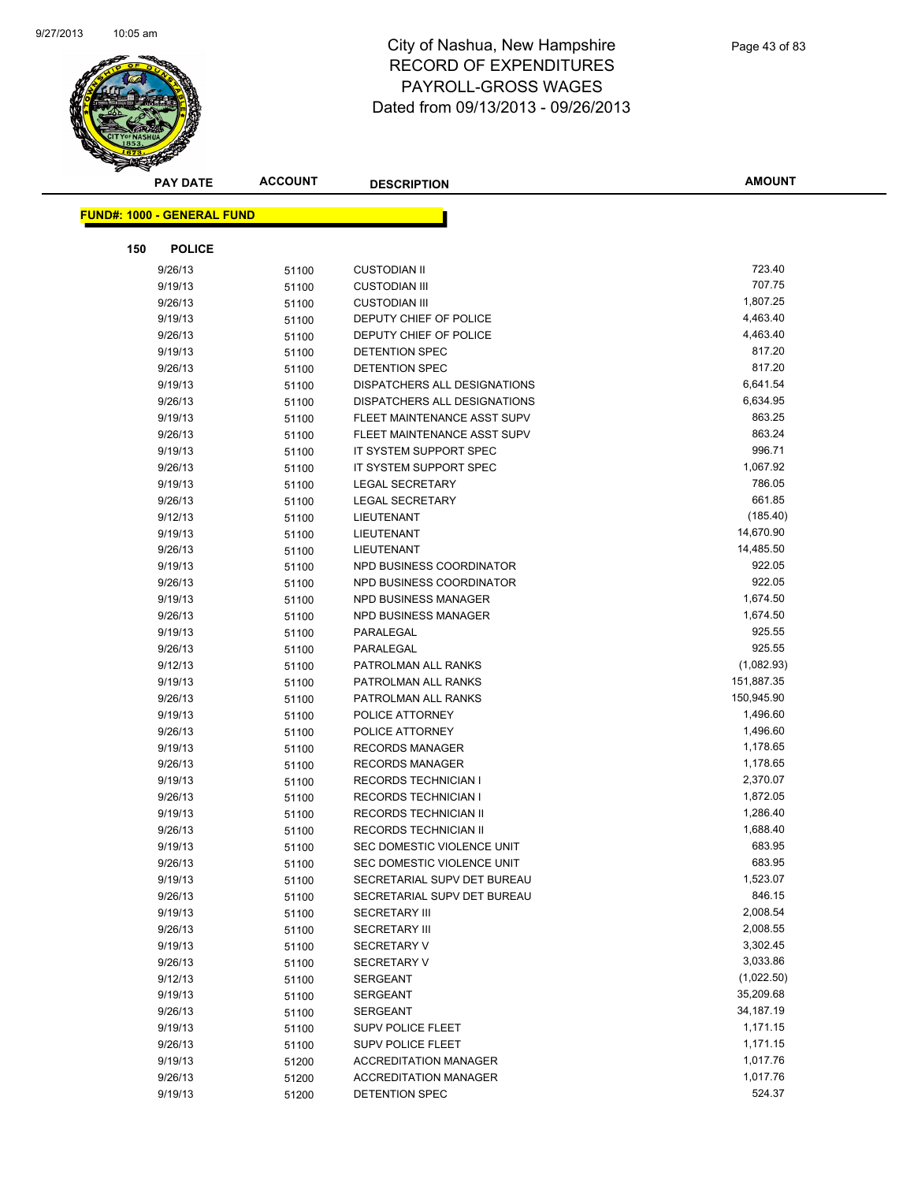

| <b>PAY DATE</b>            | <b>ACCOUNT</b> | <b>DESCRIPTION</b>           | <b>AMOUNT</b> |
|----------------------------|----------------|------------------------------|---------------|
| FUND#: 1000 - GENERAL FUND |                |                              |               |
|                            |                |                              |               |
| 150<br><b>POLICE</b>       |                |                              |               |
| 9/26/13                    | 51100          | <b>CUSTODIAN II</b>          | 723.40        |
| 9/19/13                    | 51100          | <b>CUSTODIAN III</b>         | 707.75        |
| 9/26/13                    | 51100          | <b>CUSTODIAN III</b>         | 1,807.25      |
| 9/19/13                    | 51100          | DEPUTY CHIEF OF POLICE       | 4,463.40      |
| 9/26/13                    | 51100          | DEPUTY CHIEF OF POLICE       | 4,463.40      |
| 9/19/13                    | 51100          | DETENTION SPEC               | 817.20        |
| 9/26/13                    | 51100          | <b>DETENTION SPEC</b>        | 817.20        |
| 9/19/13                    | 51100          | DISPATCHERS ALL DESIGNATIONS | 6,641.54      |
| 9/26/13                    | 51100          | DISPATCHERS ALL DESIGNATIONS | 6,634.95      |
| 9/19/13                    | 51100          | FLEET MAINTENANCE ASST SUPV  | 863.25        |
| 9/26/13                    | 51100          | FLEET MAINTENANCE ASST SUPV  | 863.24        |
| 9/19/13                    | 51100          | IT SYSTEM SUPPORT SPEC       | 996.71        |
| 9/26/13                    | 51100          | IT SYSTEM SUPPORT SPEC       | 1,067.92      |
| 9/19/13                    | 51100          | <b>LEGAL SECRETARY</b>       | 786.05        |
| 9/26/13                    | 51100          | <b>LEGAL SECRETARY</b>       | 661.85        |
| 9/12/13                    | 51100          | LIEUTENANT                   | (185.40)      |
| 9/19/13                    | 51100          | LIEUTENANT                   | 14,670.90     |
| 9/26/13                    | 51100          | LIEUTENANT                   | 14,485.50     |
| 9/19/13                    | 51100          | NPD BUSINESS COORDINATOR     | 922.05        |
| 9/26/13                    | 51100          | NPD BUSINESS COORDINATOR     | 922.05        |
| 9/19/13                    | 51100          | NPD BUSINESS MANAGER         | 1,674.50      |
| 9/26/13                    | 51100          | <b>NPD BUSINESS MANAGER</b>  | 1,674.50      |
| 9/19/13                    | 51100          | PARALEGAL                    | 925.55        |
| 9/26/13                    | 51100          | PARALEGAL                    | 925.55        |
| 9/12/13                    | 51100          | PATROLMAN ALL RANKS          | (1,082.93)    |
| 9/19/13                    | 51100          | PATROLMAN ALL RANKS          | 151,887.35    |
| 9/26/13                    | 51100          | PATROLMAN ALL RANKS          | 150,945.90    |
| 9/19/13                    | 51100          | POLICE ATTORNEY              | 1,496.60      |
| 9/26/13                    | 51100          | POLICE ATTORNEY              | 1,496.60      |
| 9/19/13                    | 51100          | <b>RECORDS MANAGER</b>       | 1,178.65      |
| 9/26/13                    | 51100          | <b>RECORDS MANAGER</b>       | 1,178.65      |
| 9/19/13                    | 51100          | <b>RECORDS TECHNICIAN I</b>  | 2,370.07      |
| 9/26/13                    | 51100          | <b>RECORDS TECHNICIAN I</b>  | 1,872.05      |
| 9/19/13                    | 51100          | RECORDS TECHNICIAN II        | 1,286.40      |
| 9/26/13                    | 51100          | <b>RECORDS TECHNICIAN II</b> | 1,688.40      |
| 9/19/13                    | 51100          | SEC DOMESTIC VIOLENCE UNIT   | 683.95        |
| 9/26/13                    | 51100          | SEC DOMESTIC VIOLENCE UNIT   | 683.95        |
| 9/19/13                    | 51100          | SECRETARIAL SUPV DET BUREAU  | 1,523.07      |
| 9/26/13                    | 51100          | SECRETARIAL SUPV DET BUREAU  | 846.15        |
| 9/19/13                    | 51100          | <b>SECRETARY III</b>         | 2,008.54      |
| 9/26/13                    | 51100          | <b>SECRETARY III</b>         | 2,008.55      |
| 9/19/13                    | 51100          | <b>SECRETARY V</b>           | 3,302.45      |
| 9/26/13                    | 51100          | <b>SECRETARY V</b>           | 3,033.86      |
| 9/12/13                    | 51100          | <b>SERGEANT</b>              | (1,022.50)    |
| 9/19/13                    | 51100          | <b>SERGEANT</b>              | 35,209.68     |
| 9/26/13                    | 51100          | <b>SERGEANT</b>              | 34,187.19     |
| 9/19/13                    | 51100          | SUPV POLICE FLEET            | 1,171.15      |
| 9/26/13                    | 51100          | <b>SUPV POLICE FLEET</b>     | 1,171.15      |
| 9/19/13                    | 51200          | <b>ACCREDITATION MANAGER</b> | 1,017.76      |
| 9/26/13                    | 51200          | <b>ACCREDITATION MANAGER</b> | 1,017.76      |
| 9/19/13                    | 51200          | DETENTION SPEC               | 524.37        |
|                            |                |                              |               |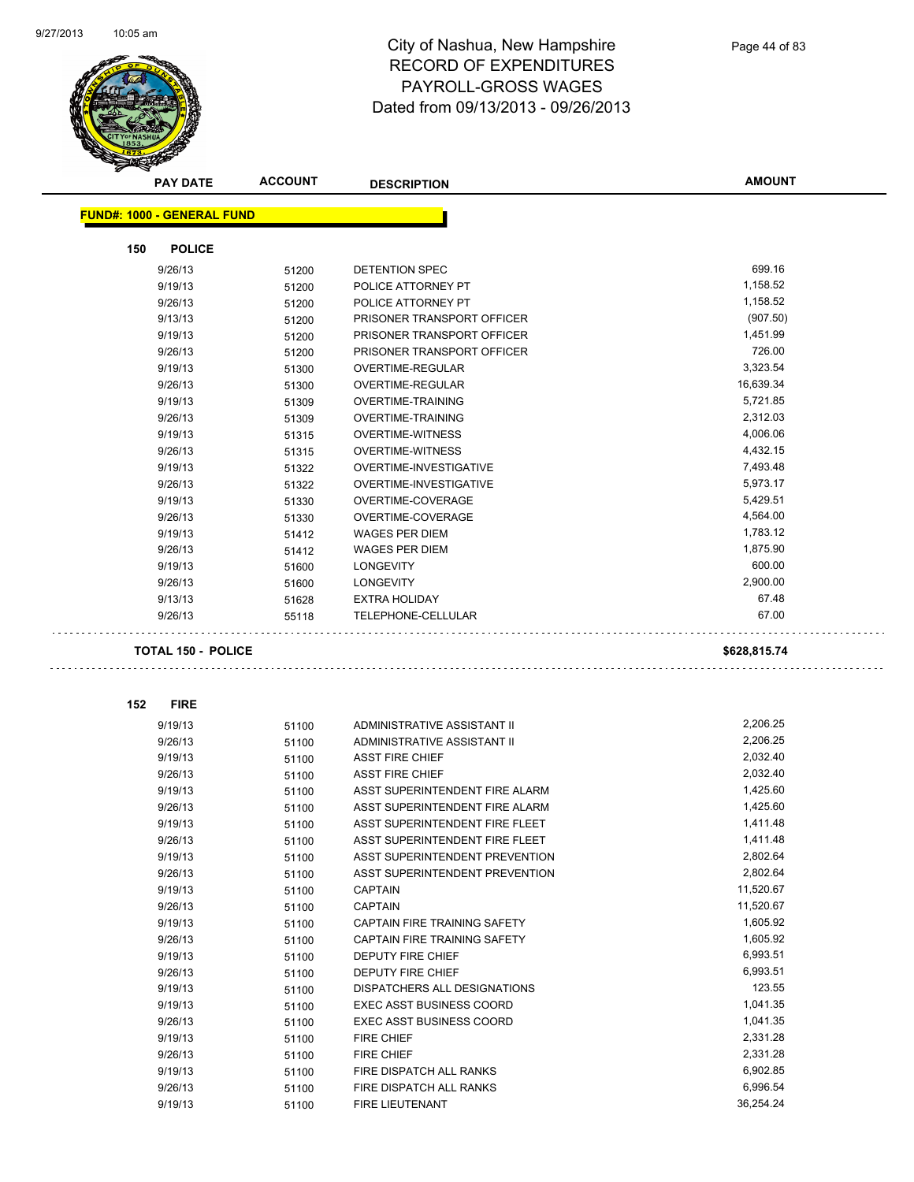

|     | <b>PAY DATE</b>                   | <b>ACCOUNT</b> | <b>DESCRIPTION</b>              | <b>AMOUNT</b> |
|-----|-----------------------------------|----------------|---------------------------------|---------------|
|     | <b>FUND#: 1000 - GENERAL FUND</b> |                |                                 |               |
|     |                                   |                |                                 |               |
| 150 | <b>POLICE</b>                     |                |                                 |               |
|     | 9/26/13                           | 51200          | <b>DETENTION SPEC</b>           | 699.16        |
|     | 9/19/13                           | 51200          | POLICE ATTORNEY PT              | 1,158.52      |
|     | 9/26/13                           | 51200          | POLICE ATTORNEY PT              | 1,158.52      |
|     | 9/13/13                           | 51200          | PRISONER TRANSPORT OFFICER      | (907.50)      |
|     | 9/19/13                           | 51200          | PRISONER TRANSPORT OFFICER      | 1,451.99      |
|     | 9/26/13                           | 51200          | PRISONER TRANSPORT OFFICER      | 726.00        |
|     | 9/19/13                           | 51300          | OVERTIME-REGULAR                | 3,323.54      |
|     | 9/26/13                           | 51300          | <b>OVERTIME-REGULAR</b>         | 16,639.34     |
|     | 9/19/13                           | 51309          | OVERTIME-TRAINING               | 5,721.85      |
|     | 9/26/13                           | 51309          | OVERTIME-TRAINING               | 2,312.03      |
|     | 9/19/13                           | 51315          | <b>OVERTIME-WITNESS</b>         | 4,006.06      |
|     | 9/26/13                           | 51315          | <b>OVERTIME-WITNESS</b>         | 4,432.15      |
|     | 9/19/13                           | 51322          | OVERTIME-INVESTIGATIVE          | 7,493.48      |
|     | 9/26/13                           | 51322          | OVERTIME-INVESTIGATIVE          | 5,973.17      |
|     | 9/19/13                           | 51330          | OVERTIME-COVERAGE               | 5,429.51      |
|     | 9/26/13                           | 51330          | OVERTIME-COVERAGE               | 4,564.00      |
|     | 9/19/13                           | 51412          | <b>WAGES PER DIEM</b>           | 1,783.12      |
|     | 9/26/13                           | 51412          | <b>WAGES PER DIEM</b>           | 1,875.90      |
|     | 9/19/13                           | 51600          | <b>LONGEVITY</b>                | 600.00        |
|     | 9/26/13                           | 51600          | <b>LONGEVITY</b>                | 2,900.00      |
|     | 9/13/13                           | 51628          | <b>EXTRA HOLIDAY</b>            | 67.48         |
|     | 9/26/13                           | 55118          | TELEPHONE-CELLULAR              | 67.00         |
|     | <b>TOTAL 150 - POLICE</b>         |                |                                 | \$628,815.74  |
| 152 | <b>FIRE</b>                       |                |                                 |               |
|     | 9/19/13                           | 51100          | ADMINISTRATIVE ASSISTANT II     | 2,206.25      |
|     | 9/26/13                           | 51100          | ADMINISTRATIVE ASSISTANT II     | 2,206.25      |
|     | 9/19/13                           | 51100          | <b>ASST FIRE CHIEF</b>          | 2,032.40      |
|     | 9/26/13                           | 51100          | <b>ASST FIRE CHIEF</b>          | 2,032.40      |
|     | 9/19/13                           | 51100          | ASST SUPERINTENDENT FIRE ALARM  | 1,425.60      |
|     | 9/26/13                           | 51100          | ASST SUPERINTENDENT FIRE ALARM  | 1,425.60      |
|     | 9/19/13                           | 51100          | ASST SUPERINTENDENT FIRE FLEET  | 1,411.48      |
|     | 9/26/13                           | 51100          | ASST SUPERINTENDENT FIRE FLEET  | 1,411.48      |
|     | 9/19/13                           | 51100          | ASST SUPERINTENDENT PREVENTION  | 2,802.64      |
|     | 9/26/13                           | 51100          | ASST SUPERINTENDENT PREVENTION  | 2,802.64      |
|     | 9/19/13                           | 51100          | <b>CAPTAIN</b>                  | 11,520.67     |
|     | 9/26/13                           | 51100          | CAPTAIN                         | 11,520.67     |
|     | 9/19/13                           | 51100          | CAPTAIN FIRE TRAINING SAFETY    | 1,605.92      |
|     | 9/26/13                           | 51100          | CAPTAIN FIRE TRAINING SAFETY    | 1,605.92      |
|     | 9/19/13                           | 51100          | DEPUTY FIRE CHIEF               | 6,993.51      |
|     | 9/26/13                           | 51100          | DEPUTY FIRE CHIEF               | 6,993.51      |
|     | 9/19/13                           | 51100          | DISPATCHERS ALL DESIGNATIONS    | 123.55        |
|     | 9/19/13                           | 51100          | <b>EXEC ASST BUSINESS COORD</b> | 1,041.35      |
|     | 9/26/13                           | 51100          | <b>EXEC ASST BUSINESS COORD</b> | 1,041.35      |
|     | 9/19/13                           | 51100          | <b>FIRE CHIEF</b>               | 2,331.28      |
|     | 9/26/13                           | 51100          | FIRE CHIEF                      | 2,331.28      |
|     | 9/19/13                           | 51100          | FIRE DISPATCH ALL RANKS         | 6,902.85      |
|     | 9/26/13                           | 51100          | FIRE DISPATCH ALL RANKS         | 6,996.54      |
|     | 9/19/13                           | 51100          | FIRE LIEUTENANT                 | 36,254.24     |
|     |                                   |                |                                 |               |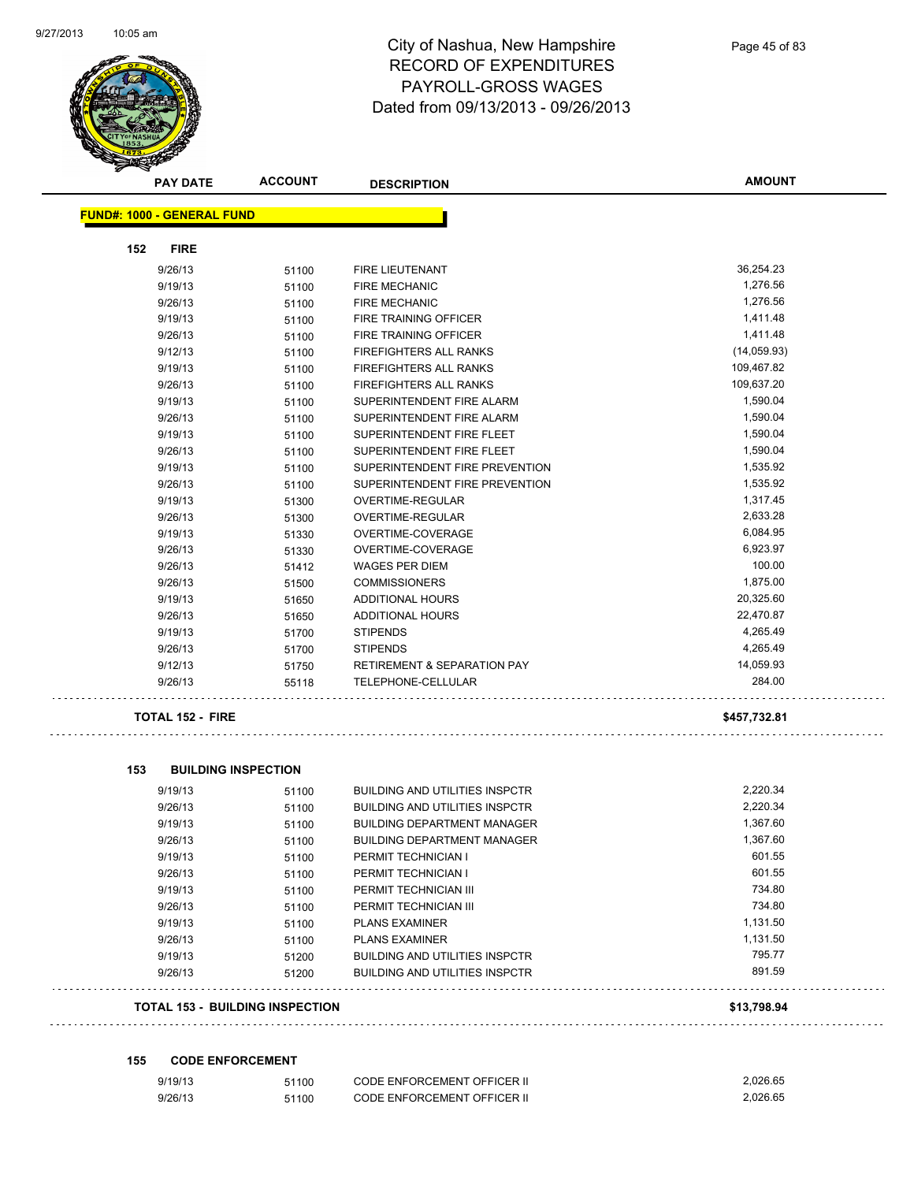$\ddotsc$ 

 $\sim$   $\sim$ 



## City of Nashua, New Hampshire RECORD OF EXPENDITURES PAYROLL-GROSS WAGES Dated from 09/13/2013 - 09/26/2013

| <b>FUND#: 1000 - GENERAL FUND</b><br>152<br><b>FIRE</b><br>36,254.23<br>9/26/13<br><b>FIRE LIEUTENANT</b><br>51100<br>1,276.56<br><b>FIRE MECHANIC</b><br>9/19/13<br>51100<br>1,276.56<br>9/26/13<br><b>FIRE MECHANIC</b><br>51100<br>9/19/13<br>1,411.48<br>FIRE TRAINING OFFICER<br>51100<br>1,411.48<br>9/26/13<br><b>FIRE TRAINING OFFICER</b><br>51100<br>9/12/13<br>(14,059.93)<br>FIREFIGHTERS ALL RANKS<br>51100<br>109,467.82<br>9/19/13<br><b>FIREFIGHTERS ALL RANKS</b><br>51100<br>109,637.20<br>9/26/13<br>FIREFIGHTERS ALL RANKS<br>51100<br>1,590.04<br>9/19/13<br>SUPERINTENDENT FIRE ALARM<br>51100<br>1,590.04<br>9/26/13<br>SUPERINTENDENT FIRE ALARM<br>51100<br>9/19/13<br>SUPERINTENDENT FIRE FLEET<br>1,590.04<br>51100<br>1,590.04<br>9/26/13<br>SUPERINTENDENT FIRE FLEET<br>51100<br>1,535.92<br>9/19/13<br>SUPERINTENDENT FIRE PREVENTION<br>51100<br>1,535.92<br>9/26/13<br>SUPERINTENDENT FIRE PREVENTION<br>51100<br>9/19/13<br>1,317.45<br>OVERTIME-REGULAR<br>51300<br>2,633.28<br>9/26/13<br><b>OVERTIME-REGULAR</b><br>51300<br>6,084.95<br>9/19/13<br>OVERTIME-COVERAGE<br>51330<br>6,923.97<br>9/26/13<br>51330<br>OVERTIME-COVERAGE<br>100.00<br>9/26/13<br><b>WAGES PER DIEM</b><br>51412<br>1,875.00<br><b>COMMISSIONERS</b><br>9/26/13<br>51500<br>20,325.60<br>9/19/13<br><b>ADDITIONAL HOURS</b><br>51650<br>22,470.87<br>9/26/13<br><b>ADDITIONAL HOURS</b><br>51650<br>4,265.49<br><b>STIPENDS</b><br>9/19/13<br>51700<br>4,265.49<br>9/26/13<br>51700<br><b>STIPENDS</b><br>14,059.93<br>9/12/13<br><b>RETIREMENT &amp; SEPARATION PAY</b><br>51750<br>284.00<br>9/26/13<br>TELEPHONE-CELLULAR<br>55118 | <b>PAY DATE</b> | <b>ACCOUNT</b> | <b>DESCRIPTION</b> | <b>AMOUNT</b> |
|------------------------------------------------------------------------------------------------------------------------------------------------------------------------------------------------------------------------------------------------------------------------------------------------------------------------------------------------------------------------------------------------------------------------------------------------------------------------------------------------------------------------------------------------------------------------------------------------------------------------------------------------------------------------------------------------------------------------------------------------------------------------------------------------------------------------------------------------------------------------------------------------------------------------------------------------------------------------------------------------------------------------------------------------------------------------------------------------------------------------------------------------------------------------------------------------------------------------------------------------------------------------------------------------------------------------------------------------------------------------------------------------------------------------------------------------------------------------------------------------------------------------------------------------------------------------------------------------------------------------------------------------------|-----------------|----------------|--------------------|---------------|
|                                                                                                                                                                                                                                                                                                                                                                                                                                                                                                                                                                                                                                                                                                                                                                                                                                                                                                                                                                                                                                                                                                                                                                                                                                                                                                                                                                                                                                                                                                                                                                                                                                                      |                 |                |                    |               |
|                                                                                                                                                                                                                                                                                                                                                                                                                                                                                                                                                                                                                                                                                                                                                                                                                                                                                                                                                                                                                                                                                                                                                                                                                                                                                                                                                                                                                                                                                                                                                                                                                                                      |                 |                |                    |               |
|                                                                                                                                                                                                                                                                                                                                                                                                                                                                                                                                                                                                                                                                                                                                                                                                                                                                                                                                                                                                                                                                                                                                                                                                                                                                                                                                                                                                                                                                                                                                                                                                                                                      |                 |                |                    |               |
|                                                                                                                                                                                                                                                                                                                                                                                                                                                                                                                                                                                                                                                                                                                                                                                                                                                                                                                                                                                                                                                                                                                                                                                                                                                                                                                                                                                                                                                                                                                                                                                                                                                      |                 |                |                    |               |
|                                                                                                                                                                                                                                                                                                                                                                                                                                                                                                                                                                                                                                                                                                                                                                                                                                                                                                                                                                                                                                                                                                                                                                                                                                                                                                                                                                                                                                                                                                                                                                                                                                                      |                 |                |                    |               |
|                                                                                                                                                                                                                                                                                                                                                                                                                                                                                                                                                                                                                                                                                                                                                                                                                                                                                                                                                                                                                                                                                                                                                                                                                                                                                                                                                                                                                                                                                                                                                                                                                                                      |                 |                |                    |               |
|                                                                                                                                                                                                                                                                                                                                                                                                                                                                                                                                                                                                                                                                                                                                                                                                                                                                                                                                                                                                                                                                                                                                                                                                                                                                                                                                                                                                                                                                                                                                                                                                                                                      |                 |                |                    |               |
|                                                                                                                                                                                                                                                                                                                                                                                                                                                                                                                                                                                                                                                                                                                                                                                                                                                                                                                                                                                                                                                                                                                                                                                                                                                                                                                                                                                                                                                                                                                                                                                                                                                      |                 |                |                    |               |
|                                                                                                                                                                                                                                                                                                                                                                                                                                                                                                                                                                                                                                                                                                                                                                                                                                                                                                                                                                                                                                                                                                                                                                                                                                                                                                                                                                                                                                                                                                                                                                                                                                                      |                 |                |                    |               |
|                                                                                                                                                                                                                                                                                                                                                                                                                                                                                                                                                                                                                                                                                                                                                                                                                                                                                                                                                                                                                                                                                                                                                                                                                                                                                                                                                                                                                                                                                                                                                                                                                                                      |                 |                |                    |               |
|                                                                                                                                                                                                                                                                                                                                                                                                                                                                                                                                                                                                                                                                                                                                                                                                                                                                                                                                                                                                                                                                                                                                                                                                                                                                                                                                                                                                                                                                                                                                                                                                                                                      |                 |                |                    |               |
|                                                                                                                                                                                                                                                                                                                                                                                                                                                                                                                                                                                                                                                                                                                                                                                                                                                                                                                                                                                                                                                                                                                                                                                                                                                                                                                                                                                                                                                                                                                                                                                                                                                      |                 |                |                    |               |
|                                                                                                                                                                                                                                                                                                                                                                                                                                                                                                                                                                                                                                                                                                                                                                                                                                                                                                                                                                                                                                                                                                                                                                                                                                                                                                                                                                                                                                                                                                                                                                                                                                                      |                 |                |                    |               |
|                                                                                                                                                                                                                                                                                                                                                                                                                                                                                                                                                                                                                                                                                                                                                                                                                                                                                                                                                                                                                                                                                                                                                                                                                                                                                                                                                                                                                                                                                                                                                                                                                                                      |                 |                |                    |               |
|                                                                                                                                                                                                                                                                                                                                                                                                                                                                                                                                                                                                                                                                                                                                                                                                                                                                                                                                                                                                                                                                                                                                                                                                                                                                                                                                                                                                                                                                                                                                                                                                                                                      |                 |                |                    |               |
|                                                                                                                                                                                                                                                                                                                                                                                                                                                                                                                                                                                                                                                                                                                                                                                                                                                                                                                                                                                                                                                                                                                                                                                                                                                                                                                                                                                                                                                                                                                                                                                                                                                      |                 |                |                    |               |
|                                                                                                                                                                                                                                                                                                                                                                                                                                                                                                                                                                                                                                                                                                                                                                                                                                                                                                                                                                                                                                                                                                                                                                                                                                                                                                                                                                                                                                                                                                                                                                                                                                                      |                 |                |                    |               |
|                                                                                                                                                                                                                                                                                                                                                                                                                                                                                                                                                                                                                                                                                                                                                                                                                                                                                                                                                                                                                                                                                                                                                                                                                                                                                                                                                                                                                                                                                                                                                                                                                                                      |                 |                |                    |               |
|                                                                                                                                                                                                                                                                                                                                                                                                                                                                                                                                                                                                                                                                                                                                                                                                                                                                                                                                                                                                                                                                                                                                                                                                                                                                                                                                                                                                                                                                                                                                                                                                                                                      |                 |                |                    |               |
|                                                                                                                                                                                                                                                                                                                                                                                                                                                                                                                                                                                                                                                                                                                                                                                                                                                                                                                                                                                                                                                                                                                                                                                                                                                                                                                                                                                                                                                                                                                                                                                                                                                      |                 |                |                    |               |
|                                                                                                                                                                                                                                                                                                                                                                                                                                                                                                                                                                                                                                                                                                                                                                                                                                                                                                                                                                                                                                                                                                                                                                                                                                                                                                                                                                                                                                                                                                                                                                                                                                                      |                 |                |                    |               |
|                                                                                                                                                                                                                                                                                                                                                                                                                                                                                                                                                                                                                                                                                                                                                                                                                                                                                                                                                                                                                                                                                                                                                                                                                                                                                                                                                                                                                                                                                                                                                                                                                                                      |                 |                |                    |               |
|                                                                                                                                                                                                                                                                                                                                                                                                                                                                                                                                                                                                                                                                                                                                                                                                                                                                                                                                                                                                                                                                                                                                                                                                                                                                                                                                                                                                                                                                                                                                                                                                                                                      |                 |                |                    |               |
|                                                                                                                                                                                                                                                                                                                                                                                                                                                                                                                                                                                                                                                                                                                                                                                                                                                                                                                                                                                                                                                                                                                                                                                                                                                                                                                                                                                                                                                                                                                                                                                                                                                      |                 |                |                    |               |
|                                                                                                                                                                                                                                                                                                                                                                                                                                                                                                                                                                                                                                                                                                                                                                                                                                                                                                                                                                                                                                                                                                                                                                                                                                                                                                                                                                                                                                                                                                                                                                                                                                                      |                 |                |                    |               |
|                                                                                                                                                                                                                                                                                                                                                                                                                                                                                                                                                                                                                                                                                                                                                                                                                                                                                                                                                                                                                                                                                                                                                                                                                                                                                                                                                                                                                                                                                                                                                                                                                                                      |                 |                |                    |               |
|                                                                                                                                                                                                                                                                                                                                                                                                                                                                                                                                                                                                                                                                                                                                                                                                                                                                                                                                                                                                                                                                                                                                                                                                                                                                                                                                                                                                                                                                                                                                                                                                                                                      |                 |                |                    |               |
|                                                                                                                                                                                                                                                                                                                                                                                                                                                                                                                                                                                                                                                                                                                                                                                                                                                                                                                                                                                                                                                                                                                                                                                                                                                                                                                                                                                                                                                                                                                                                                                                                                                      |                 |                |                    |               |
| <b>TOTAL 152 - FIRE</b><br>\$457,732.81                                                                                                                                                                                                                                                                                                                                                                                                                                                                                                                                                                                                                                                                                                                                                                                                                                                                                                                                                                                                                                                                                                                                                                                                                                                                                                                                                                                                                                                                                                                                                                                                              |                 |                |                    |               |

|  | 153 | <b>BUILDING INSPECTION</b> |
|--|-----|----------------------------|
|--|-----|----------------------------|

| <b>TOTAL 153 - BUILDING INSPECTION</b> |       |                                       | \$13.798.94 |
|----------------------------------------|-------|---------------------------------------|-------------|
| 9/26/13                                | 51200 | <b>BUILDING AND UTILITIES INSPCTR</b> | 891.59      |
| 9/19/13                                | 51200 | <b>BUILDING AND UTILITIES INSPCTR</b> | 795.77      |
| 9/26/13                                | 51100 | <b>PLANS EXAMINER</b>                 | 1,131.50    |
| 9/19/13                                | 51100 | <b>PLANS EXAMINER</b>                 | 1,131.50    |
| 9/26/13                                | 51100 | PERMIT TECHNICIAN III                 | 734.80      |
| 9/19/13                                | 51100 | PERMIT TECHNICIAN III                 | 734.80      |
| 9/26/13                                | 51100 | PERMIT TECHNICIAN I                   | 601.55      |
| 9/19/13                                | 51100 | PERMIT TECHNICIAN I                   | 601.55      |
| 9/26/13                                | 51100 | <b>BUILDING DEPARTMENT MANAGER</b>    | 1,367.60    |
| 9/19/13                                | 51100 | <b>BUILDING DEPARTMENT MANAGER</b>    | 1,367.60    |
| 9/26/13                                | 51100 | <b>BUILDING AND UTILITIES INSPCTR</b> | 2,220.34    |
| 9/19/13                                | 51100 | <b>BUILDING AND UTILITIES INSPCTR</b> | 2,220.34    |

**155 CODE ENFORCEMENT**

| 9/19/13 | 51100 | <b>CODE ENFORCEMENT OFFICER II</b> | 2.026.65 |
|---------|-------|------------------------------------|----------|
| 9/26/13 | 51100 | <b>CODE ENFORCEMENT OFFICER II</b> | 2.026.65 |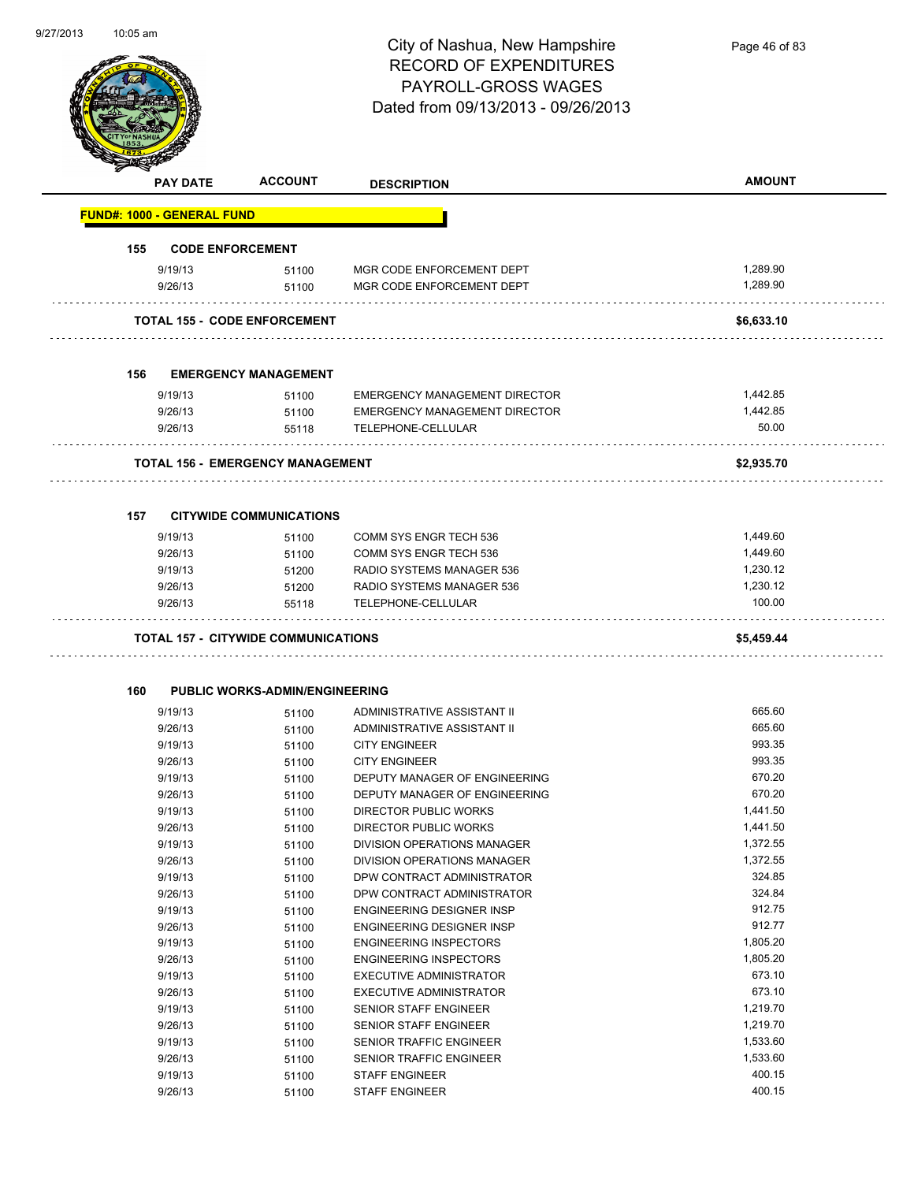

Page 46 of 83

|     | <b>PAY DATE</b>                   | <b>ACCOUNT</b>                             | <b>DESCRIPTION</b>                   | <b>AMOUNT</b> |
|-----|-----------------------------------|--------------------------------------------|--------------------------------------|---------------|
|     | <b>FUND#: 1000 - GENERAL FUND</b> |                                            |                                      |               |
| 155 |                                   | <b>CODE ENFORCEMENT</b>                    |                                      |               |
|     | 9/19/13                           | 51100                                      | MGR CODE ENFORCEMENT DEPT            | 1,289.90      |
|     | 9/26/13                           | 51100                                      | MGR CODE ENFORCEMENT DEPT            | 1,289.90      |
|     |                                   |                                            |                                      |               |
|     |                                   | <b>TOTAL 155 - CODE ENFORCEMENT</b>        |                                      | \$6,633.10    |
| 156 |                                   | <b>EMERGENCY MANAGEMENT</b>                |                                      |               |
|     | 9/19/13                           | 51100                                      | <b>EMERGENCY MANAGEMENT DIRECTOR</b> | 1,442.85      |
|     | 9/26/13                           | 51100                                      | EMERGENCY MANAGEMENT DIRECTOR        | 1,442.85      |
|     | 9/26/13                           | 55118                                      | TELEPHONE-CELLULAR                   | 50.00         |
|     |                                   | <b>TOTAL 156 - EMERGENCY MANAGEMENT</b>    |                                      | \$2,935.70    |
| 157 |                                   | <b>CITYWIDE COMMUNICATIONS</b>             |                                      |               |
|     | 9/19/13                           | 51100                                      | <b>COMM SYS ENGR TECH 536</b>        | 1,449.60      |
|     | 9/26/13                           | 51100                                      | COMM SYS ENGR TECH 536               | 1,449.60      |
|     | 9/19/13                           | 51200                                      | RADIO SYSTEMS MANAGER 536            | 1,230.12      |
|     | 9/26/13                           | 51200                                      | RADIO SYSTEMS MANAGER 536            | 1,230.12      |
|     | 9/26/13                           | 55118                                      | TELEPHONE-CELLULAR                   | 100.00        |
|     |                                   | <b>TOTAL 157 - CITYWIDE COMMUNICATIONS</b> |                                      | \$5,459.44    |
|     |                                   |                                            |                                      |               |
| 160 |                                   | <b>PUBLIC WORKS-ADMIN/ENGINEERING</b>      |                                      |               |
|     | 9/19/13                           | 51100                                      | ADMINISTRATIVE ASSISTANT II          | 665.60        |
|     | 9/26/13                           | 51100                                      | ADMINISTRATIVE ASSISTANT II          | 665.60        |
|     | 9/19/13                           | 51100                                      | <b>CITY ENGINEER</b>                 | 993.35        |
|     | 9/26/13                           | 51100                                      | <b>CITY ENGINEER</b>                 | 993.35        |
|     | 9/19/13                           | 51100                                      | DEPUTY MANAGER OF ENGINEERING        | 670.20        |
|     | 9/26/13                           | 51100                                      | DEPUTY MANAGER OF ENGINEERING        | 670.20        |
|     | 9/19/13                           | 51100                                      | DIRECTOR PUBLIC WORKS                | 1,441.50      |
|     | 9/26/13                           | 51100                                      | DIRECTOR PUBLIC WORKS                | 1,441.50      |
|     | 9/19/13                           | 51100                                      | DIVISION OPERATIONS MANAGER          | 1,372.55      |
|     | 9/26/13                           | 51100                                      | DIVISION OPERATIONS MANAGER          | 1,372.55      |
|     | 9/19/13                           | 51100                                      | DPW CONTRACT ADMINISTRATOR           | 324.85        |
|     | 9/26/13                           | 51100                                      | DPW CONTRACT ADMINISTRATOR           | 324.84        |
|     | 9/19/13                           | 51100                                      | ENGINEERING DESIGNER INSP            | 912.75        |
|     | 9/26/13                           | 51100                                      | <b>ENGINEERING DESIGNER INSP</b>     | 912.77        |
|     | 9/19/13                           | 51100                                      | <b>ENGINEERING INSPECTORS</b>        | 1,805.20      |
|     | 9/26/13                           | 51100                                      | <b>ENGINEERING INSPECTORS</b>        | 1,805.20      |
|     | 9/19/13                           | 51100                                      | <b>EXECUTIVE ADMINISTRATOR</b>       | 673.10        |
|     | 9/26/13                           | 51100                                      | <b>EXECUTIVE ADMINISTRATOR</b>       | 673.10        |
|     | 9/19/13                           | 51100                                      | SENIOR STAFF ENGINEER                | 1,219.70      |
|     | 9/26/13                           | 51100                                      | SENIOR STAFF ENGINEER                | 1,219.70      |
|     | 9/19/13                           | 51100                                      | SENIOR TRAFFIC ENGINEER              | 1,533.60      |
|     | 9/26/13                           | 51100                                      | SENIOR TRAFFIC ENGINEER              | 1,533.60      |
|     | 9/19/13                           | 51100                                      | <b>STAFF ENGINEER</b>                | 400.15        |
|     | 9/26/13                           | 51100                                      | <b>STAFF ENGINEER</b>                | 400.15        |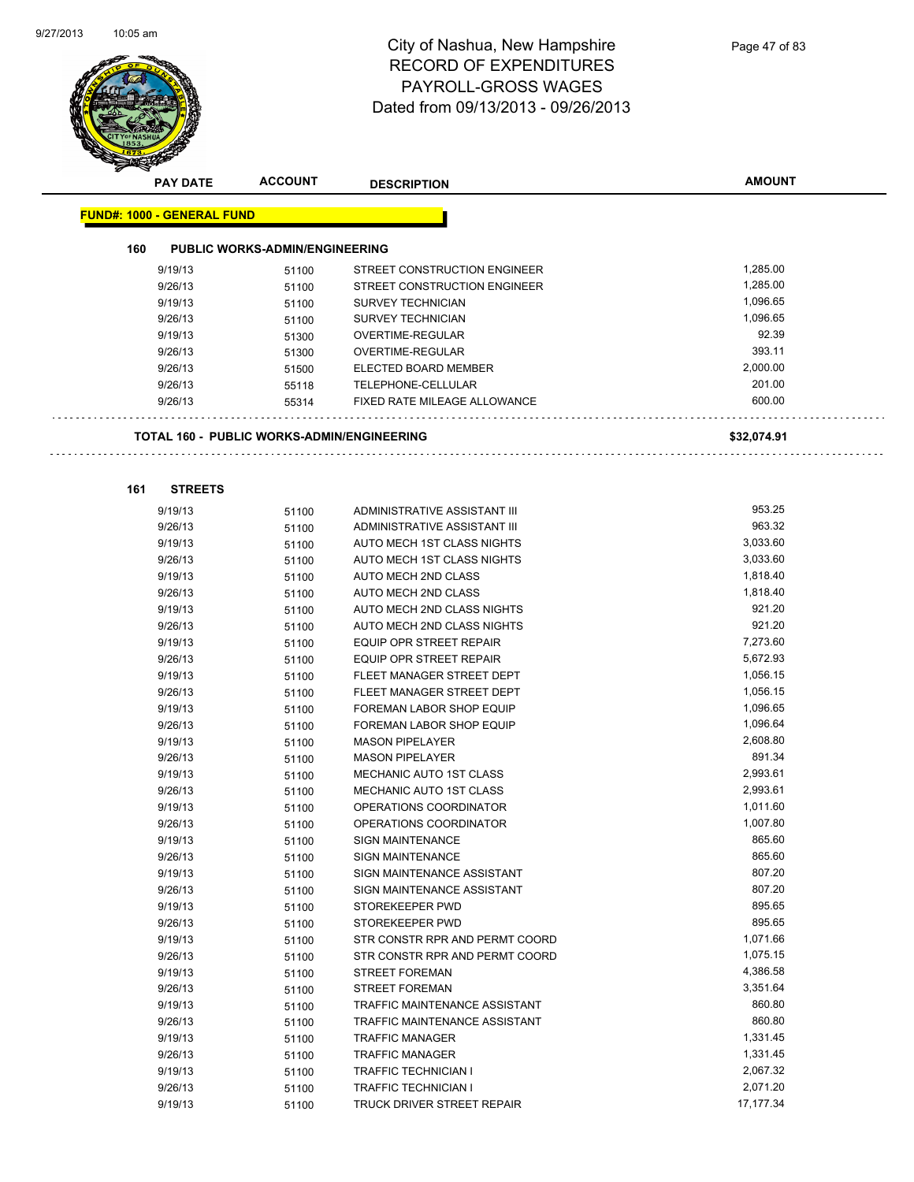$\ddotsc$ 

 $\sim$   $\sim$   $\sim$ 



## City of Nashua, New Hampshire RECORD OF EXPENDITURES PAYROLL-GROSS WAGES Dated from 09/13/2013 - 09/26/2013

**AMOUNT**

|     | <b>FUND#: 1000 - GENERAL FUND</b>                 |       |                                     |             |
|-----|---------------------------------------------------|-------|-------------------------------------|-------------|
| 160 | <b>PUBLIC WORKS-ADMIN/ENGINEERING</b>             |       |                                     |             |
|     | 9/19/13                                           | 51100 | STREET CONSTRUCTION ENGINEER        | 1,285.00    |
|     | 9/26/13                                           | 51100 | STREET CONSTRUCTION ENGINEER        | 1,285.00    |
|     | 9/19/13                                           | 51100 | <b>SURVEY TECHNICIAN</b>            | 1,096.65    |
|     | 9/26/13                                           | 51100 | <b>SURVEY TECHNICIAN</b>            | 1,096.65    |
|     | 9/19/13                                           | 51300 | OVERTIME-REGULAR                    | 92.39       |
|     | 9/26/13                                           | 51300 | OVERTIME-REGULAR                    | 393.11      |
|     | 9/26/13                                           | 51500 | ELECTED BOARD MEMBER                | 2,000.00    |
|     | 9/26/13                                           | 55118 | TELEPHONE-CELLULAR                  | 201.00      |
|     | 9/26/13                                           | 55314 | <b>FIXED RATE MILEAGE ALLOWANCE</b> | 600.00      |
|     | <b>TOTAL 160 - PUBLIC WORKS-ADMIN/ENGINEERING</b> |       |                                     | \$32,074.91 |
| 161 | <b>STREETS</b>                                    |       |                                     |             |
|     | 9/19/13                                           | 51100 | ADMINISTRATIVE ASSISTANT III        | 953.25      |
|     | 9/26/13                                           | 51100 | ADMINISTRATIVE ASSISTANT III        | 963.32      |
|     | 9/19/13                                           | 51100 | AUTO MECH 1ST CLASS NIGHTS          | 3,033.60    |
|     | 9/26/13                                           | 51100 | AUTO MECH 1ST CLASS NIGHTS          | 3.033.60    |
|     | 9/19/13                                           | 51100 | AUTO MECH 2ND CLASS                 | 1,818.40    |
|     | 9/26/13                                           | 51100 | AUTO MECH 2ND CLASS                 | 1,818.40    |
|     | 9/19/13                                           | 51100 | AUTO MECH 2ND CLASS NIGHTS          | 921.20      |
|     | 9/26/13                                           | 51100 | AUTO MECH 2ND CLASS NIGHTS          | 921.20      |
|     | 9/19/13                                           | 51100 | EQUIP OPR STREET REPAIR             | 7,273.60    |
|     | 9/26/13                                           | 51100 | EQUIP OPR STREET REPAIR             | 5,672.93    |
|     | 9/19/13                                           | 51100 | FLEET MANAGER STREET DEPT           | 1,056.15    |
|     | 9/26/13                                           | 51100 | FLEET MANAGER STREET DEPT           | 1,056.15    |
|     | 9/19/13                                           | 51100 | FOREMAN LABOR SHOP EQUIP            | 1,096.65    |
|     | 9/26/13                                           | 51100 | FOREMAN LABOR SHOP EQUIP            | 1,096.64    |
|     | 9/19/13                                           | 51100 | <b>MASON PIPELAYER</b>              | 2,608.80    |
|     | 9/26/13                                           | 51100 | <b>MASON PIPELAYER</b>              | 891.34      |
|     | 9/19/13                                           | 51100 | MECHANIC AUTO 1ST CLASS             | 2,993.61    |
|     | 9/26/13                                           | 51100 | MECHANIC AUTO 1ST CLASS             | 2,993.61    |
|     | 9/19/13                                           | 51100 | OPERATIONS COORDINATOR              | 1,011.60    |
|     | 9/26/13                                           | 51100 | OPERATIONS COORDINATOR              | 1,007.80    |
|     | 9/19/13                                           | 51100 | <b>SIGN MAINTENANCE</b>             | 865.60      |
|     | 9/26/13                                           | 51100 | <b>SIGN MAINTENANCE</b>             | 865.60      |
|     | 9/19/13                                           | 51100 | SIGN MAINTENANCE ASSISTANT          | 807.20      |
|     | 9/26/13                                           | 51100 | SIGN MAINTENANCE ASSISTANT          | 807.20      |
|     | 9/19/13                                           | 51100 | STOREKEEPER PWD                     | 895.65      |
|     | 9/26/13                                           | 51100 | STOREKEEPER PWD                     | 895.65      |
|     | 9/19/13                                           | 51100 | STR CONSTR RPR AND PERMT COORD      | 1,071.66    |
|     | 9/26/13                                           | 51100 | STR CONSTR RPR AND PERMT COORD      | 1,075.15    |
|     | 9/19/13                                           | 51100 | <b>STREET FOREMAN</b>               | 4,386.58    |
|     | 9/26/13                                           | 51100 | <b>STREET FOREMAN</b>               | 3,351.64    |
|     | 9/19/13                                           | 51100 | TRAFFIC MAINTENANCE ASSISTANT       | 860.80      |
|     | 9/26/13                                           | 51100 | TRAFFIC MAINTENANCE ASSISTANT       | 860.80      |
|     | 9/19/13                                           | 51100 | <b>TRAFFIC MANAGER</b>              | 1,331.45    |
|     | 9/26/13                                           | 51100 | <b>TRAFFIC MANAGER</b>              | 1,331.45    |
|     | 9/19/13                                           | 51100 | <b>TRAFFIC TECHNICIAN I</b>         | 2,067.32    |
|     | 9/26/13                                           | 51100 | <b>TRAFFIC TECHNICIAN I</b>         | 2,071.20    |
|     |                                                   |       | TRUCK DRIVER STREET REPAIR          | 17, 177.34  |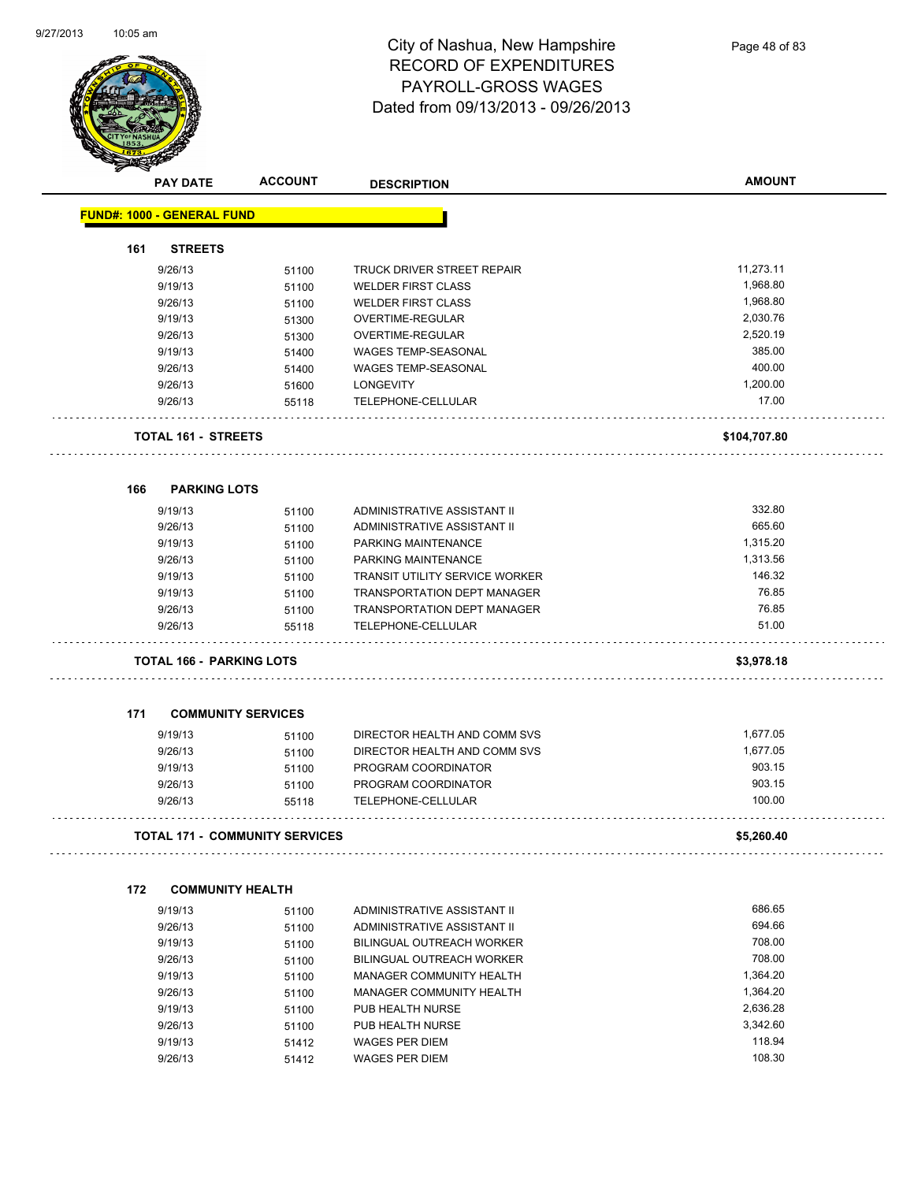

|     | <b>PAY DATE</b>                   | <b>ACCOUNT</b>                 | <b>DESCRIPTION</b>                    | <b>AMOUNT</b> |
|-----|-----------------------------------|--------------------------------|---------------------------------------|---------------|
|     | <b>FUND#: 1000 - GENERAL FUND</b> |                                |                                       |               |
| 161 | <b>STREETS</b>                    |                                |                                       |               |
|     | 9/26/13                           | 51100                          | TRUCK DRIVER STREET REPAIR            | 11,273.11     |
|     | 9/19/13                           | 51100                          | <b>WELDER FIRST CLASS</b>             | 1,968.80      |
|     | 9/26/13                           | 51100                          | <b>WELDER FIRST CLASS</b>             | 1,968.80      |
|     | 9/19/13                           | 51300                          | OVERTIME-REGULAR                      | 2,030.76      |
|     | 9/26/13                           | 51300                          | <b>OVERTIME-REGULAR</b>               | 2,520.19      |
|     | 9/19/13                           | 51400                          | WAGES TEMP-SEASONAL                   | 385.00        |
|     | 9/26/13                           | 51400                          | WAGES TEMP-SEASONAL                   | 400.00        |
|     | 9/26/13                           | 51600                          | <b>LONGEVITY</b>                      | 1,200.00      |
|     | 9/26/13                           | 55118                          | TELEPHONE-CELLULAR                    | 17.00         |
|     | <b>TOTAL 161 - STREETS</b>        |                                |                                       | \$104,707.80  |
| 166 | <b>PARKING LOTS</b>               |                                |                                       |               |
|     | 9/19/13                           | 51100                          | ADMINISTRATIVE ASSISTANT II           | 332.80        |
|     | 9/26/13                           | 51100                          | ADMINISTRATIVE ASSISTANT II           | 665.60        |
|     | 9/19/13                           | 51100                          | PARKING MAINTENANCE                   | 1,315.20      |
|     | 9/26/13                           | 51100                          | PARKING MAINTENANCE                   | 1,313.56      |
|     | 9/19/13                           | 51100                          | <b>TRANSIT UTILITY SERVICE WORKER</b> | 146.32        |
|     | 9/19/13                           | 51100                          | <b>TRANSPORTATION DEPT MANAGER</b>    | 76.85         |
|     | 9/26/13                           | 51100                          | TRANSPORTATION DEPT MANAGER           | 76.85         |
|     | 9/26/13                           | 55118                          | TELEPHONE-CELLULAR<br>.               | 51.00         |
|     | <b>TOTAL 166 - PARKING LOTS</b>   |                                |                                       | \$3,978.18    |
| 171 | <b>COMMUNITY SERVICES</b>         |                                |                                       |               |
|     | 9/19/13                           | 51100                          | DIRECTOR HEALTH AND COMM SVS          | 1,677.05      |
|     | 9/26/13                           | 51100                          | DIRECTOR HEALTH AND COMM SVS          | 1,677.05      |
|     | 9/19/13                           | 51100                          | PROGRAM COORDINATOR                   | 903.15        |
|     | 9/26/13                           | 51100                          | PROGRAM COORDINATOR                   | 903.15        |
|     | 9/26/13                           | 55118                          | <b>TELEPHONE-CELLULAR</b>             | 100.00        |
|     |                                   | TOTAL 171 - COMMUNITY SERVICES |                                       | \$5,260.40    |
| 172 | <b>COMMUNITY HEALTH</b>           |                                |                                       |               |
|     | 9/19/13                           | 51100                          | ADMINISTRATIVE ASSISTANT II           | 686.65        |
|     | 9/26/13                           | 51100                          | ADMINISTRATIVE ASSISTANT II           | 694.66        |
|     | 9/19/13                           | 51100                          | BILINGUAL OUTREACH WORKER             | 708.00        |
|     | 9/26/13                           | 51100                          | BILINGUAL OUTREACH WORKER             | 708.00        |
|     | 9/19/13                           | 51100                          | MANAGER COMMUNITY HEALTH              | 1,364.20      |
|     | 9/26/13                           | 51100                          | MANAGER COMMUNITY HEALTH              | 1,364.20      |
|     | 9/19/13                           | 51100                          | PUB HEALTH NURSE                      | 2,636.28      |
|     | 9/26/13                           | 51100                          | PUB HEALTH NURSE                      | 3,342.60      |
|     | 9/19/13                           | 51412                          | <b>WAGES PER DIEM</b>                 | 118.94        |
|     | 9/26/13                           | 51412                          | WAGES PER DIEM                        | 108.30        |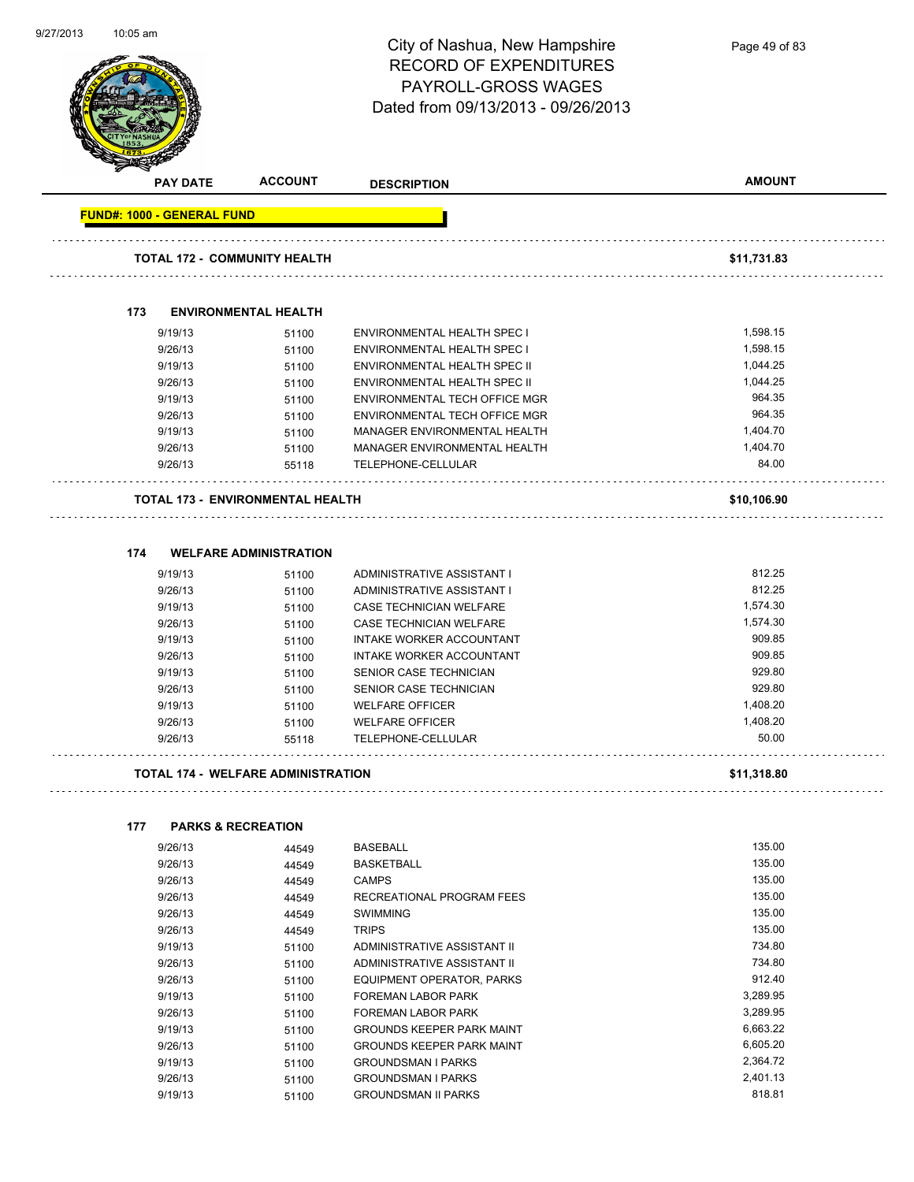| 9/27/2013 | $10:05$ am                                     |                               | City of Nashua, New Hampshire<br><b>RECORD OF EXPENDITURES</b><br>PAYROLL-GROSS WAGES<br>Dated from 09/13/2013 - 09/26/2013 | Page 49 of 83 |
|-----------|------------------------------------------------|-------------------------------|-----------------------------------------------------------------------------------------------------------------------------|---------------|
|           | <b>PAY DATE</b>                                | <b>ACCOUNT</b>                | <b>DESCRIPTION</b>                                                                                                          | <b>AMOUNT</b> |
|           | <b>FUND#: 1000 - GENERAL FUND</b>              |                               |                                                                                                                             |               |
|           | <b>TOTAL 172 - COMMUNITY HEALTH</b>            |                               |                                                                                                                             | \$11,731.83   |
|           | 173                                            | <b>ENVIRONMENTAL HEALTH</b>   |                                                                                                                             |               |
|           | 9/19/13                                        | 51100                         | ENVIRONMENTAL HEALTH SPEC I                                                                                                 | 1,598.15      |
|           | 9/26/13                                        | 51100                         | ENVIRONMENTAL HEALTH SPEC I                                                                                                 | 1,598.15      |
|           | 9/19/13                                        | 51100                         | ENVIRONMENTAL HEALTH SPEC II                                                                                                | 1,044.25      |
|           | 9/26/13                                        | 51100                         | ENVIRONMENTAL HEALTH SPEC II                                                                                                | 1,044.25      |
|           | 9/19/13                                        | 51100                         | ENVIRONMENTAL TECH OFFICE MGR                                                                                               | 964.35        |
|           | 9/26/13                                        | 51100                         | ENVIRONMENTAL TECH OFFICE MGR                                                                                               | 964.35        |
|           | 9/19/13                                        | 51100                         | MANAGER ENVIRONMENTAL HEALTH                                                                                                | 1,404.70      |
|           | 9/26/13                                        | 51100                         | MANAGER ENVIRONMENTAL HEALTH                                                                                                | 1,404.70      |
|           | 9/26/13                                        | 55118                         | TELEPHONE-CELLULAR                                                                                                          | 84.00         |
|           | <b>TOTAL 173 - ENVIRONMENTAL HEALTH</b><br>174 | <b>WELFARE ADMINISTRATION</b> |                                                                                                                             | \$10,106.90   |
|           | 9/19/13                                        | 51100                         | ADMINISTRATIVE ASSISTANT I                                                                                                  | 812.25        |
|           | 9/26/13                                        | 51100                         | ADMINISTRATIVE ASSISTANT I                                                                                                  | 812.25        |
|           | 9/19/13                                        | 51100                         | CASE TECHNICIAN WELFARE                                                                                                     | 1,574.30      |
|           | 9/26/13                                        | 51100                         | CASE TECHNICIAN WELFARE                                                                                                     | 1,574.30      |
|           | 9/19/13                                        | 51100                         | INTAKE WORKER ACCOUNTANT                                                                                                    | 909.85        |
|           | 9/26/13                                        | 51100                         | INTAKE WORKER ACCOUNTANT                                                                                                    | 909.85        |
|           | 9/19/13                                        | 51100                         | SENIOR CASE TECHNICIAN                                                                                                      | 929.80        |
|           | 9/26/13                                        | 51100                         | SENIOR CASE TECHNICIAN                                                                                                      | 929.80        |
|           | 9/19/13                                        | 51100                         | <b>WELFARE OFFICER</b>                                                                                                      | 1,408.20      |
|           | 9/26/13                                        | 51100                         | <b>WELFARE OFFICER</b>                                                                                                      | 1,408.20      |
|           | 9/26/13                                        | 55118                         | TELEPHONE-CELLULAR                                                                                                          | 50.00         |
|           | <b>TOTAL 174 - WELFARE ADMINISTRATION</b>      |                               |                                                                                                                             | \$11,318.80   |
|           | 177                                            | <b>PARKS &amp; RECREATION</b> |                                                                                                                             |               |
|           | 9/26/13                                        | 44549                         | <b>BASEBALL</b>                                                                                                             | 135.00        |
|           | 9/26/13                                        | 44549                         | <b>BASKETBALL</b>                                                                                                           | 135.00        |
|           | 9/26/13                                        | 44549                         | <b>CAMPS</b>                                                                                                                | 135.00        |
|           | 9/26/13                                        | 44549                         | RECREATIONAL PROGRAM FEES                                                                                                   | 135.00        |
|           | 9/26/13                                        | 44549                         | <b>SWIMMING</b>                                                                                                             | 135.00        |
|           | 9/26/13                                        | 44549                         | <b>TRIPS</b>                                                                                                                | 135.00        |
|           | 9/19/13                                        | 51100                         | ADMINISTRATIVE ASSISTANT II                                                                                                 | 734.80        |
|           | 9/26/13                                        | 51100                         | ADMINISTRATIVE ASSISTANT II                                                                                                 | 734.80        |
|           | 9/26/13                                        | 51100                         | EQUIPMENT OPERATOR, PARKS                                                                                                   | 912.40        |
|           | 9/19/13                                        | 51100                         | FOREMAN LABOR PARK                                                                                                          | 3,289.95      |

9/26/13 51100 FOREMAN LABOR PARK 3,289.95 9/19/13 6,663.22<br>
51100 GROUNDS KEEPER PARK MAINT 9/26/13 51100 GROUNDS KEEPER PARK MAINT 6,605.20 9/19/13 51100 GROUNDSMAN I PARKS 2,364.72

9/19/13 51100 GROUNDSMAN II PARKS 818.81

9/26/13 51100 GROUNDSMAN I PARKS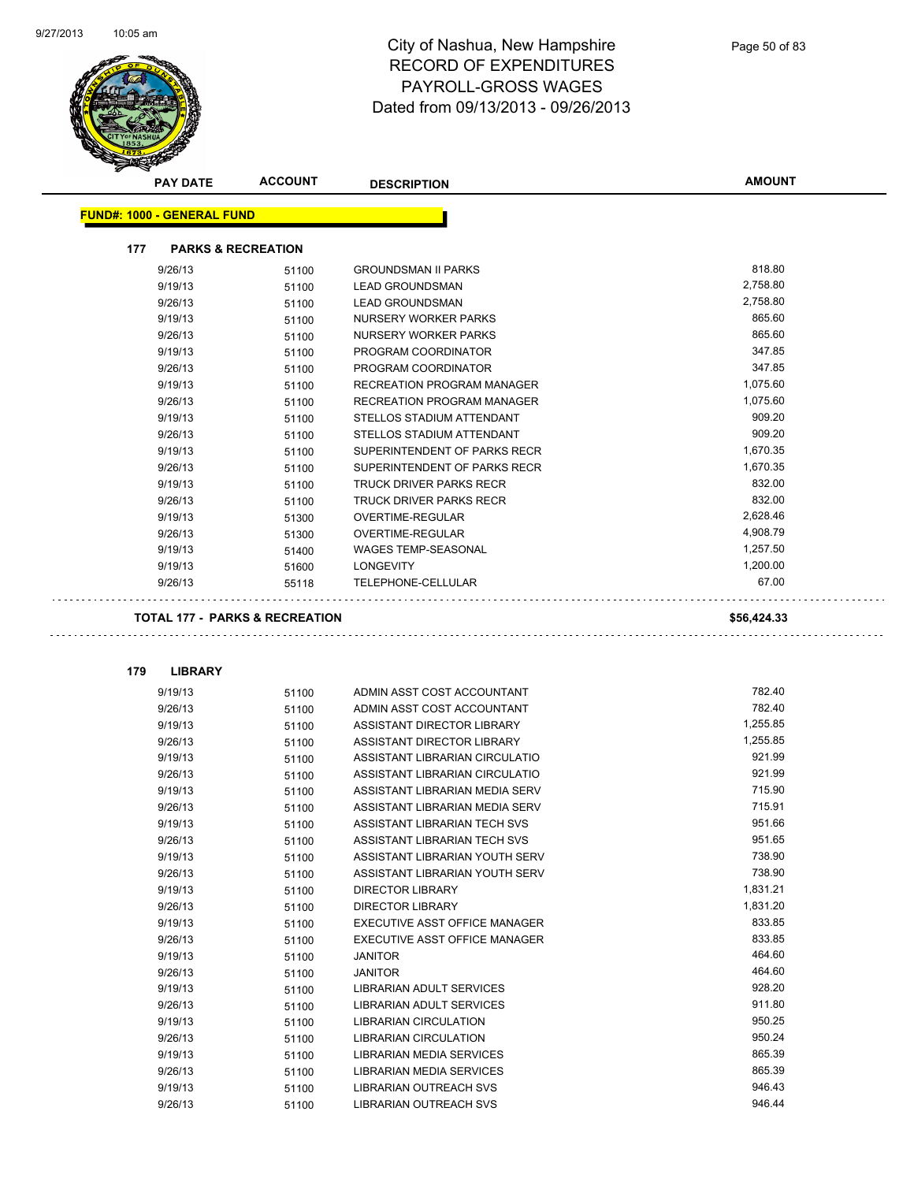Ġ,



| <b>PAY DATE</b>                           | <b>ACCOUNT</b>                | <b>DESCRIPTION</b>                | <b>AMOUNT</b> |
|-------------------------------------------|-------------------------------|-----------------------------------|---------------|
| <b>FUND#: 1000 - GENERAL FUND</b>         |                               |                                   |               |
| 177                                       | <b>PARKS &amp; RECREATION</b> |                                   |               |
| 9/26/13                                   | 51100                         | <b>GROUNDSMAN II PARKS</b>        | 818.80        |
| 9/19/13                                   | 51100                         | <b>LEAD GROUNDSMAN</b>            | 2,758.80      |
| 9/26/13                                   | 51100                         | <b>LEAD GROUNDSMAN</b>            | 2,758.80      |
| 9/19/13                                   | 51100                         | NURSERY WORKER PARKS              | 865.60        |
| 9/26/13                                   | 51100                         | NURSERY WORKER PARKS              | 865.60        |
| 9/19/13                                   | 51100                         | PROGRAM COORDINATOR               | 347.85        |
| 9/26/13                                   | 51100                         | PROGRAM COORDINATOR               | 347.85        |
| 9/19/13                                   | 51100                         | <b>RECREATION PROGRAM MANAGER</b> | 1,075.60      |
| 9/26/13                                   | 51100                         | <b>RECREATION PROGRAM MANAGER</b> | 1,075.60      |
| 9/19/13                                   | 51100                         | STELLOS STADIUM ATTENDANT         | 909.20        |
| 9/26/13                                   | 51100                         | STELLOS STADIUM ATTENDANT         | 909.20        |
| 9/19/13                                   | 51100                         | SUPERINTENDENT OF PARKS RECR      | 1,670.35      |
| 9/26/13                                   | 51100                         | SUPERINTENDENT OF PARKS RECR      | 1,670.35      |
| 9/19/13                                   | 51100                         | <b>TRUCK DRIVER PARKS RECR</b>    | 832.00        |
| 9/26/13                                   | 51100                         | TRUCK DRIVER PARKS RECR           | 832.00        |
| 9/19/13                                   | 51300                         | OVERTIME-REGULAR                  | 2,628.46      |
| 9/26/13                                   | 51300                         | OVERTIME-REGULAR                  | 4,908.79      |
| 9/19/13                                   | 51400                         | <b>WAGES TEMP-SEASONAL</b>        | 1,257.50      |
| 9/19/13                                   | 51600                         | <b>LONGEVITY</b>                  | 1,200.00      |
| 9/26/13                                   | 55118                         | TELEPHONE-CELLULAR                | 67.00         |
| <b>TOTAL 177 - PARKS &amp; RECREATION</b> |                               |                                   | \$56,424.33   |
| 179<br><b>LIBRARY</b>                     |                               |                                   |               |
| 9/19/13                                   | 51100                         | ADMIN ASST COST ACCOUNTANT        | 782.40        |
| 9/26/13                                   | 51100                         | ADMIN ASST COST ACCOUNTANT        | 782.40        |
| 9/19/13                                   | 51100                         | ASSISTANT DIRECTOR LIBRARY        | 1,255.85      |
| 9/26/13                                   | 51100                         | <b>ASSISTANT DIRECTOR LIBRARY</b> | 1,255.85      |
| 9/19/13                                   | 51100                         | ASSISTANT LIBRARIAN CIRCULATIO    | 921.99        |
| 9/26/13                                   | 51100                         | ASSISTANT LIBRARIAN CIRCULATIO    | 921.99        |
| 9/19/13                                   | 51100                         | ASSISTANT LIBRARIAN MEDIA SERV    | 715.90        |
| $\sim$ $\sim$ $\sim$ $\sim$               |                               |                                   | 74504         |

| 9/19/13 | 51100 | ASSISTANT LIBRARIAN MEDIA SERV  | 715.90   |
|---------|-------|---------------------------------|----------|
| 9/26/13 | 51100 | ASSISTANT LIBRARIAN MEDIA SERV  | 715.91   |
| 9/19/13 | 51100 | ASSISTANT LIBRARIAN TECH SVS    | 951.66   |
| 9/26/13 | 51100 | ASSISTANT LIBRARIAN TECH SVS    | 951.65   |
| 9/19/13 | 51100 | ASSISTANT LIBRARIAN YOUTH SERV  | 738.90   |
| 9/26/13 | 51100 | ASSISTANT LIBRARIAN YOUTH SERV  | 738.90   |
| 9/19/13 | 51100 | <b>DIRECTOR LIBRARY</b>         | 1,831.21 |
| 9/26/13 | 51100 | <b>DIRECTOR LIBRARY</b>         | 1,831.20 |
| 9/19/13 | 51100 | EXECUTIVE ASST OFFICE MANAGER   | 833.85   |
| 9/26/13 | 51100 | EXECUTIVE ASST OFFICE MANAGER   | 833.85   |
| 9/19/13 | 51100 | <b>JANITOR</b>                  | 464.60   |
| 9/26/13 | 51100 | <b>JANITOR</b>                  | 464.60   |
| 9/19/13 | 51100 | LIBRARIAN ADULT SERVICES        | 928.20   |
| 9/26/13 | 51100 | LIBRARIAN ADULT SERVICES        | 911.80   |
| 9/19/13 | 51100 | <b>LIBRARIAN CIRCULATION</b>    | 950.25   |
| 9/26/13 | 51100 | <b>LIBRARIAN CIRCULATION</b>    | 950.24   |
| 9/19/13 | 51100 | <b>LIBRARIAN MEDIA SERVICES</b> | 865.39   |
| 9/26/13 | 51100 | LIBRARIAN MEDIA SERVICES        | 865.39   |
| 9/19/13 | 51100 | <b>LIBRARIAN OUTREACH SVS</b>   | 946.43   |
| 9/26/13 | 51100 | <b>LIBRARIAN OUTREACH SVS</b>   | 946.44   |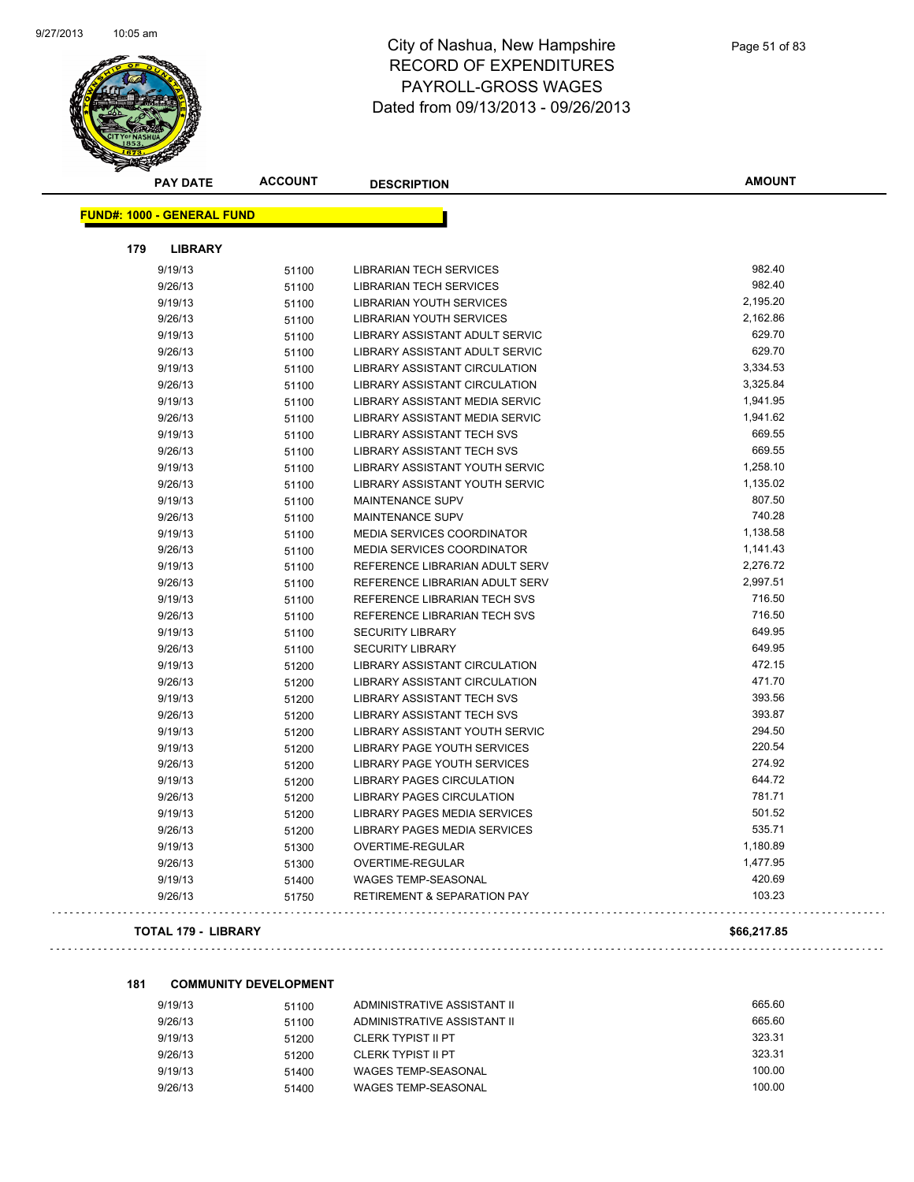

| <b>PAY DATE</b>                   | <b>ACCOUNT</b> | <b>DESCRIPTION</b>                     | <b>AMOUNT</b> |
|-----------------------------------|----------------|----------------------------------------|---------------|
| <b>FUND#: 1000 - GENERAL FUND</b> |                |                                        |               |
|                                   |                |                                        |               |
| 179<br><b>LIBRARY</b>             |                |                                        |               |
| 9/19/13                           | 51100          | <b>LIBRARIAN TECH SERVICES</b>         | 982.40        |
| 9/26/13                           | 51100          | <b>LIBRARIAN TECH SERVICES</b>         | 982.40        |
| 9/19/13                           | 51100          | <b>LIBRARIAN YOUTH SERVICES</b>        | 2,195.20      |
| 9/26/13                           | 51100          | <b>LIBRARIAN YOUTH SERVICES</b>        | 2,162.86      |
| 9/19/13                           | 51100          | LIBRARY ASSISTANT ADULT SERVIC         | 629.70        |
| 9/26/13                           | 51100          | LIBRARY ASSISTANT ADULT SERVIC         | 629.70        |
| 9/19/13                           | 51100          | LIBRARY ASSISTANT CIRCULATION          | 3,334.53      |
| 9/26/13                           | 51100          | <b>LIBRARY ASSISTANT CIRCULATION</b>   | 3,325.84      |
| 9/19/13                           | 51100          | <b>LIBRARY ASSISTANT MEDIA SERVIC</b>  | 1,941.95      |
| 9/26/13                           | 51100          | <b>LIBRARY ASSISTANT MEDIA SERVIC</b>  | 1,941.62      |
| 9/19/13                           | 51100          | <b>LIBRARY ASSISTANT TECH SVS</b>      | 669.55        |
| 9/26/13                           | 51100          | <b>LIBRARY ASSISTANT TECH SVS</b>      | 669.55        |
| 9/19/13                           | 51100          | LIBRARY ASSISTANT YOUTH SERVIC         | 1,258.10      |
| 9/26/13                           | 51100          | LIBRARY ASSISTANT YOUTH SERVIC         | 1,135.02      |
| 9/19/13                           | 51100          | MAINTENANCE SUPV                       | 807.50        |
| 9/26/13                           | 51100          | MAINTENANCE SUPV                       | 740.28        |
| 9/19/13                           | 51100          | <b>MEDIA SERVICES COORDINATOR</b>      | 1,138.58      |
| 9/26/13                           | 51100          | <b>MEDIA SERVICES COORDINATOR</b>      | 1,141.43      |
| 9/19/13                           | 51100          | REFERENCE LIBRARIAN ADULT SERV         | 2,276.72      |
| 9/26/13                           | 51100          | REFERENCE LIBRARIAN ADULT SERV         | 2,997.51      |
| 9/19/13                           | 51100          | REFERENCE LIBRARIAN TECH SVS           | 716.50        |
| 9/26/13                           | 51100          | REFERENCE LIBRARIAN TECH SVS           | 716.50        |
| 9/19/13                           | 51100          | <b>SECURITY LIBRARY</b>                | 649.95        |
| 9/26/13                           | 51100          | <b>SECURITY LIBRARY</b>                | 649.95        |
| 9/19/13                           | 51200          | <b>LIBRARY ASSISTANT CIRCULATION</b>   | 472.15        |
| 9/26/13                           | 51200          | <b>LIBRARY ASSISTANT CIRCULATION</b>   | 471.70        |
| 9/19/13                           | 51200          | <b>LIBRARY ASSISTANT TECH SVS</b>      | 393.56        |
| 9/26/13                           | 51200          | <b>LIBRARY ASSISTANT TECH SVS</b>      | 393.87        |
| 9/19/13                           | 51200          | LIBRARY ASSISTANT YOUTH SERVIC         | 294.50        |
| 9/19/13                           | 51200          | <b>LIBRARY PAGE YOUTH SERVICES</b>     | 220.54        |
| 9/26/13                           | 51200          | LIBRARY PAGE YOUTH SERVICES            | 274.92        |
| 9/19/13                           | 51200          | <b>LIBRARY PAGES CIRCULATION</b>       | 644.72        |
| 9/26/13                           | 51200          | <b>LIBRARY PAGES CIRCULATION</b>       | 781.71        |
| 9/19/13                           | 51200          | LIBRARY PAGES MEDIA SERVICES           | 501.52        |
| 9/26/13                           | 51200          | <b>LIBRARY PAGES MEDIA SERVICES</b>    | 535.71        |
| 9/19/13                           | 51300          | OVERTIME-REGULAR                       | 1,180.89      |
| 9/26/13                           | 51300          | OVERTIME-REGULAR                       | 1,477.95      |
| 9/19/13                           | 51400          | WAGES TEMP-SEASONAL                    | 420.69        |
| 9/26/13                           | 51750          | <b>RETIREMENT &amp; SEPARATION PAY</b> | 103.23        |
|                                   |                |                                        |               |

#### **TOTAL 179 - LIBRARY \$66,217.85**

#### **181 COMMUNITY DEVELOPMENT**

| 9/19/13 | 51100 | ADMINISTRATIVE ASSISTANT II | 665.60 |
|---------|-------|-----------------------------|--------|
| 9/26/13 | 51100 | ADMINISTRATIVE ASSISTANT II | 665.60 |
| 9/19/13 | 51200 | CLERK TYPIST II PT          | 323.31 |
| 9/26/13 | 51200 | CLERK TYPIST II PT          | 323.31 |
| 9/19/13 | 51400 | WAGES TEMP-SEASONAL         | 100.00 |
| 9/26/13 | 51400 | WAGES TEMP-SEASONAL         | 100.00 |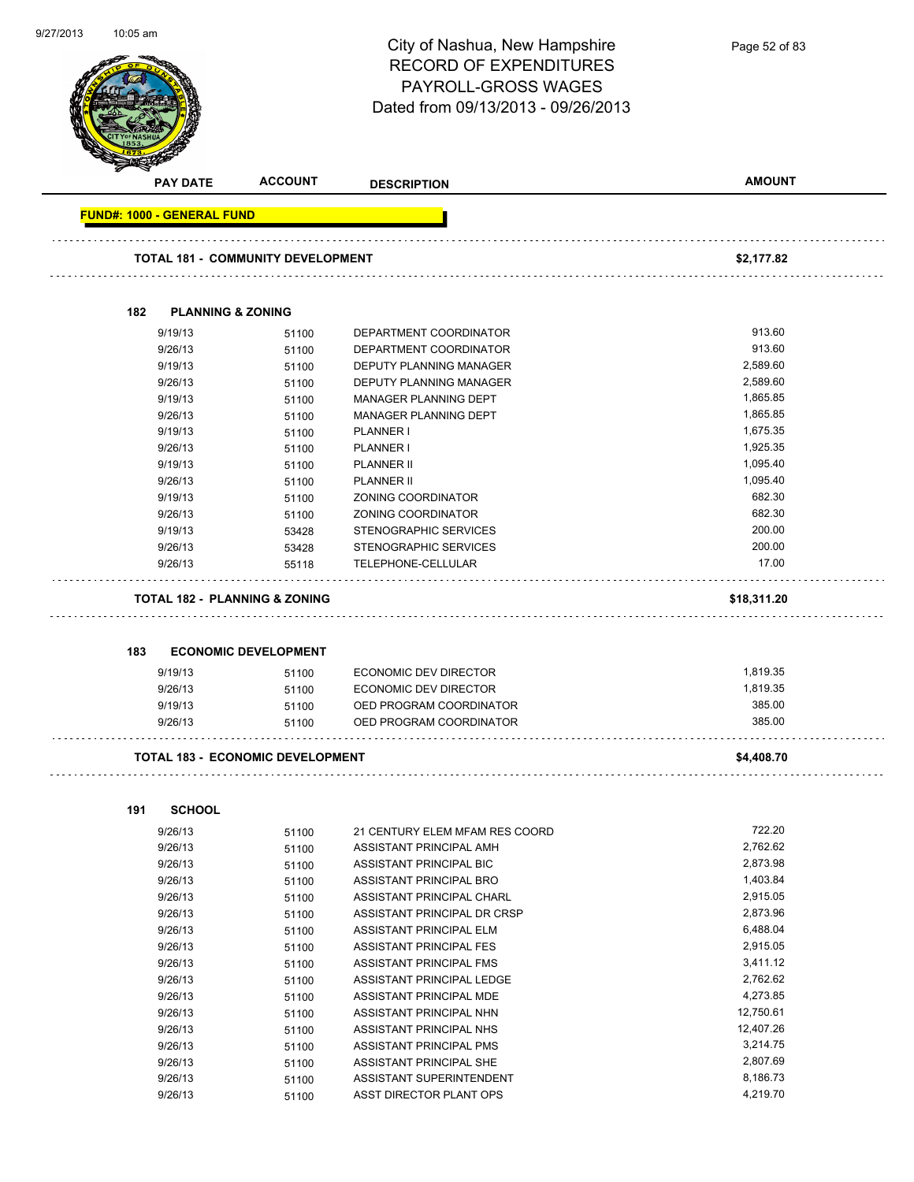| 9/27/2013 | 10:05 am                          |                                          |                                    |               |
|-----------|-----------------------------------|------------------------------------------|------------------------------------|---------------|
|           |                                   |                                          | City of Nashua, New Hampshire      | Page 52 of 83 |
|           |                                   |                                          | <b>RECORD OF EXPENDITURES</b>      |               |
|           |                                   |                                          |                                    |               |
|           |                                   |                                          | PAYROLL-GROSS WAGES                |               |
|           |                                   |                                          | Dated from 09/13/2013 - 09/26/2013 |               |
|           |                                   |                                          |                                    |               |
|           |                                   |                                          |                                    |               |
|           |                                   |                                          |                                    |               |
|           | <b>PAY DATE</b>                   | <b>ACCOUNT</b>                           |                                    | <b>AMOUNT</b> |
|           |                                   |                                          | <b>DESCRIPTION</b>                 |               |
|           | <b>FUND#: 1000 - GENERAL FUND</b> |                                          |                                    |               |
|           |                                   | <b>TOTAL 181 - COMMUNITY DEVELOPMENT</b> |                                    | \$2,177.82    |
|           |                                   |                                          |                                    |               |
|           | 182                               | <b>PLANNING &amp; ZONING</b>             |                                    |               |
|           | 9/19/13                           | 51100                                    | DEPARTMENT COORDINATOR             | 913.60        |
|           | 9/26/13                           | 51100                                    | DEPARTMENT COORDINATOR             | 913.60        |
|           | 9/19/13                           | 51100                                    | <b>DEPUTY PLANNING MANAGER</b>     | 2,589.60      |
|           | 9/26/13                           |                                          | <b>DEPUTY PLANNING MANAGER</b>     | 2,589.60      |
|           |                                   | 51100                                    |                                    | 1,865.85      |
|           | 9/19/13                           | 51100                                    | MANAGER PLANNING DEPT              | 1,865.85      |
|           | 9/26/13                           | 51100                                    | MANAGER PLANNING DEPT              |               |
|           | 9/19/13                           | 51100                                    | PLANNER I                          | 1,675.35      |
|           | 9/26/13                           | 51100                                    | PLANNER I                          | 1,925.35      |
|           | 9/19/13                           | 51100                                    | <b>PLANNER II</b>                  | 1,095.40      |
|           | 9/26/13                           | 51100                                    | <b>PLANNER II</b>                  | 1,095.40      |
|           | 9/19/13                           | 51100                                    | ZONING COORDINATOR                 | 682.30        |
|           | 9/26/13                           | 51100                                    | ZONING COORDINATOR                 | 682.30        |
|           | 9/19/13                           | 53428                                    | STENOGRAPHIC SERVICES              | 200.00        |
|           | 9/26/13                           | 53428                                    | STENOGRAPHIC SERVICES              | 200.00        |
|           | 9/26/13                           | 55118                                    | TELEPHONE-CELLULAR                 | 17.00         |
|           |                                   | <b>TOTAL 182 - PLANNING &amp; ZONING</b> |                                    | \$18,311.20   |
|           |                                   |                                          |                                    |               |
|           | 183                               | <b>ECONOMIC DEVELOPMENT</b>              |                                    |               |
|           | 9/19/13                           | 51100                                    | ECONOMIC DEV DIRECTOR              | 1,819.35      |
|           | 9/26/13                           | 51100                                    | ECONOMIC DEV DIRECTOR              | 1,819.35      |
|           | 9/19/13                           | 51100                                    | OED PROGRAM COORDINATOR            | 385.00        |
|           | 9/26/13                           | 51100                                    | OED PROGRAM COORDINATOR            | 385.00        |
|           |                                   | <b>TOTAL 183 - ECONOMIC DEVELOPMENT</b>  |                                    | \$4,408.70    |
|           |                                   |                                          |                                    |               |
|           | <b>SCHOOL</b><br>191              |                                          |                                    |               |
|           | 9/26/13                           | 51100                                    | 21 CENTURY ELEM MFAM RES COORD     | 722.20        |
|           | 9/26/13                           | 51100                                    | ASSISTANT PRINCIPAL AMH            | 2,762.62      |
|           | 9/26/13                           | 51100                                    | ASSISTANT PRINCIPAL BIC            | 2,873.98      |
|           | 9/26/13                           | 51100                                    | ASSISTANT PRINCIPAL BRO            | 1,403.84      |
|           | 9/26/13                           | 51100                                    | ASSISTANT PRINCIPAL CHARL          | 2,915.05      |
|           | 9/26/13                           | 51100                                    | ASSISTANT PRINCIPAL DR CRSP        | 2,873.96      |
|           | 9/26/13                           | 51100                                    | ASSISTANT PRINCIPAL ELM            | 6,488.04      |
|           | 9/26/13                           | 51100                                    | ASSISTANT PRINCIPAL FES            | 2,915.05      |
|           | 9/26/13                           | 51100                                    | ASSISTANT PRINCIPAL FMS            | 3,411.12      |
|           | 9/26/13                           |                                          | ASSISTANT PRINCIPAL LEDGE          | 2,762.62      |
|           |                                   | 51100                                    |                                    | 4,273.85      |
|           | 9/26/13                           | 51100                                    | ASSISTANT PRINCIPAL MDE            | 12,750.61     |
|           | 9/26/13                           | 51100                                    | ASSISTANT PRINCIPAL NHN            |               |
|           | 9/26/13                           | 51100                                    | ASSISTANT PRINCIPAL NHS            | 12,407.26     |
|           | 9/26/13                           | 51100                                    | ASSISTANT PRINCIPAL PMS            | 3,214.75      |

9/26/13 51100 ASSISTANT PRINCIPAL SHE 2,807.69 9/26/13 51100 ASSISTANT SUPERINTENDENT 8,186.73 9/26/13 51100 ASST DIRECTOR PLANT OPS 4,219.70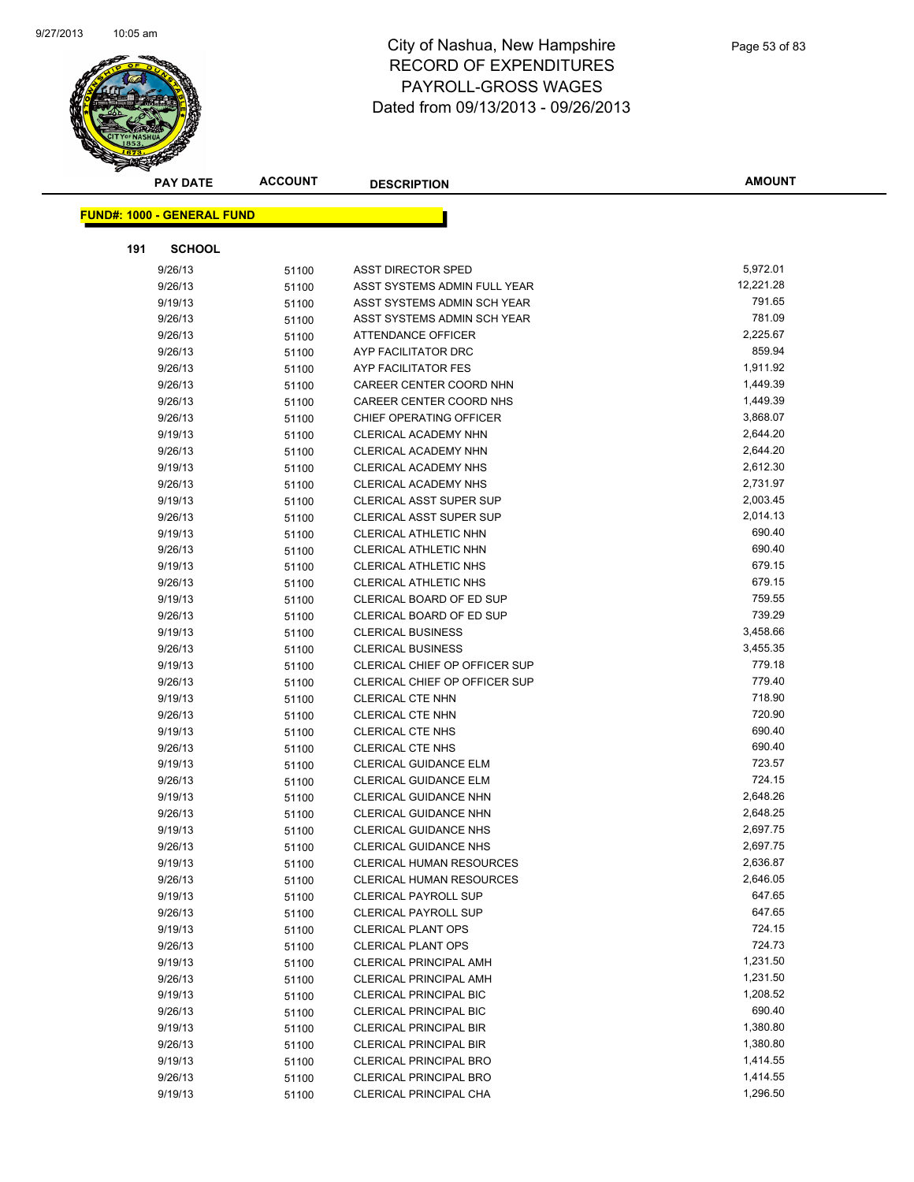

| <b>PAY DATE</b>                   | <b>ACCOUNT</b> | <b>DESCRIPTION</b>              | <b>AMOUNT</b> |
|-----------------------------------|----------------|---------------------------------|---------------|
| <b>FUND#: 1000 - GENERAL FUND</b> |                |                                 |               |
|                                   |                |                                 |               |
| 191<br><b>SCHOOL</b>              |                |                                 |               |
| 9/26/13                           | 51100          | ASST DIRECTOR SPED              | 5,972.01      |
| 9/26/13                           | 51100          | ASST SYSTEMS ADMIN FULL YEAR    | 12,221.28     |
| 9/19/13                           | 51100          | ASST SYSTEMS ADMIN SCH YEAR     | 791.65        |
| 9/26/13                           | 51100          | ASST SYSTEMS ADMIN SCH YEAR     | 781.09        |
| 9/26/13                           | 51100          | ATTENDANCE OFFICER              | 2,225.67      |
| 9/26/13                           | 51100          | AYP FACILITATOR DRC             | 859.94        |
| 9/26/13                           | 51100          | AYP FACILITATOR FES             | 1,911.92      |
| 9/26/13                           | 51100          | CAREER CENTER COORD NHN         | 1,449.39      |
| 9/26/13                           | 51100          | CAREER CENTER COORD NHS         | 1,449.39      |
| 9/26/13                           | 51100          | CHIEF OPERATING OFFICER         | 3,868.07      |
| 9/19/13                           | 51100          | CLERICAL ACADEMY NHN            | 2,644.20      |
| 9/26/13                           | 51100          | CLERICAL ACADEMY NHN            | 2,644.20      |
| 9/19/13                           | 51100          | CLERICAL ACADEMY NHS            | 2,612.30      |
| 9/26/13                           | 51100          | CLERICAL ACADEMY NHS            | 2,731.97      |
| 9/19/13                           | 51100          | <b>CLERICAL ASST SUPER SUP</b>  | 2,003.45      |
| 9/26/13                           | 51100          | <b>CLERICAL ASST SUPER SUP</b>  | 2,014.13      |
| 9/19/13                           | 51100          | <b>CLERICAL ATHLETIC NHN</b>    | 690.40        |
| 9/26/13                           | 51100          | CLERICAL ATHLETIC NHN           | 690.40        |
| 9/19/13                           | 51100          | CLERICAL ATHLETIC NHS           | 679.15        |
| 9/26/13                           | 51100          | CLERICAL ATHLETIC NHS           | 679.15        |
| 9/19/13                           | 51100          | CLERICAL BOARD OF ED SUP        | 759.55        |
| 9/26/13                           | 51100          | CLERICAL BOARD OF ED SUP        | 739.29        |
| 9/19/13                           | 51100          | <b>CLERICAL BUSINESS</b>        | 3,458.66      |
| 9/26/13                           | 51100          | <b>CLERICAL BUSINESS</b>        | 3,455.35      |
| 9/19/13                           | 51100          | CLERICAL CHIEF OP OFFICER SUP   | 779.18        |
| 9/26/13                           | 51100          | CLERICAL CHIEF OP OFFICER SUP   | 779.40        |
| 9/19/13                           | 51100          | CLERICAL CTE NHN                | 718.90        |
| 9/26/13                           | 51100          | <b>CLERICAL CTE NHN</b>         | 720.90        |
| 9/19/13                           | 51100          | CLERICAL CTE NHS                | 690.40        |
| 9/26/13                           | 51100          | CLERICAL CTE NHS                | 690.40        |
| 9/19/13                           | 51100          | <b>CLERICAL GUIDANCE ELM</b>    | 723.57        |
| 9/26/13                           | 51100          | <b>CLERICAL GUIDANCE ELM</b>    | 724.15        |
| 9/19/13                           | 51100          | <b>CLERICAL GUIDANCE NHN</b>    | 2,648.26      |
| 9/26/13                           | 51100          | <b>CLERICAL GUIDANCE NHN</b>    | 2,648.25      |
| 9/19/13                           | 51100          | <b>CLERICAL GUIDANCE NHS</b>    | 2,697.75      |
| 9/26/13                           | 51100          | CLERICAL GUIDANCE NHS           | 2,697.75      |
| 9/19/13                           | 51100          | <b>CLERICAL HUMAN RESOURCES</b> | 2,636.87      |
| 9/26/13                           | 51100          | <b>CLERICAL HUMAN RESOURCES</b> | 2,646.05      |
| 9/19/13                           | 51100          | <b>CLERICAL PAYROLL SUP</b>     | 647.65        |
| 9/26/13                           | 51100          | <b>CLERICAL PAYROLL SUP</b>     | 647.65        |
| 9/19/13                           | 51100          | <b>CLERICAL PLANT OPS</b>       | 724.15        |
| 9/26/13                           | 51100          | <b>CLERICAL PLANT OPS</b>       | 724.73        |
| 9/19/13                           | 51100          | <b>CLERICAL PRINCIPAL AMH</b>   | 1,231.50      |
| 9/26/13                           | 51100          | <b>CLERICAL PRINCIPAL AMH</b>   | 1,231.50      |
| 9/19/13                           | 51100          | <b>CLERICAL PRINCIPAL BIC</b>   | 1,208.52      |
| 9/26/13                           | 51100          | <b>CLERICAL PRINCIPAL BIC</b>   | 690.40        |
| 9/19/13                           | 51100          | <b>CLERICAL PRINCIPAL BIR</b>   | 1,380.80      |
| 9/26/13                           | 51100          | <b>CLERICAL PRINCIPAL BIR</b>   | 1,380.80      |
| 9/19/13                           | 51100          | <b>CLERICAL PRINCIPAL BRO</b>   | 1,414.55      |
| 9/26/13                           | 51100          | CLERICAL PRINCIPAL BRO          | 1,414.55      |
| 9/19/13                           | 51100          | CLERICAL PRINCIPAL CHA          | 1,296.50      |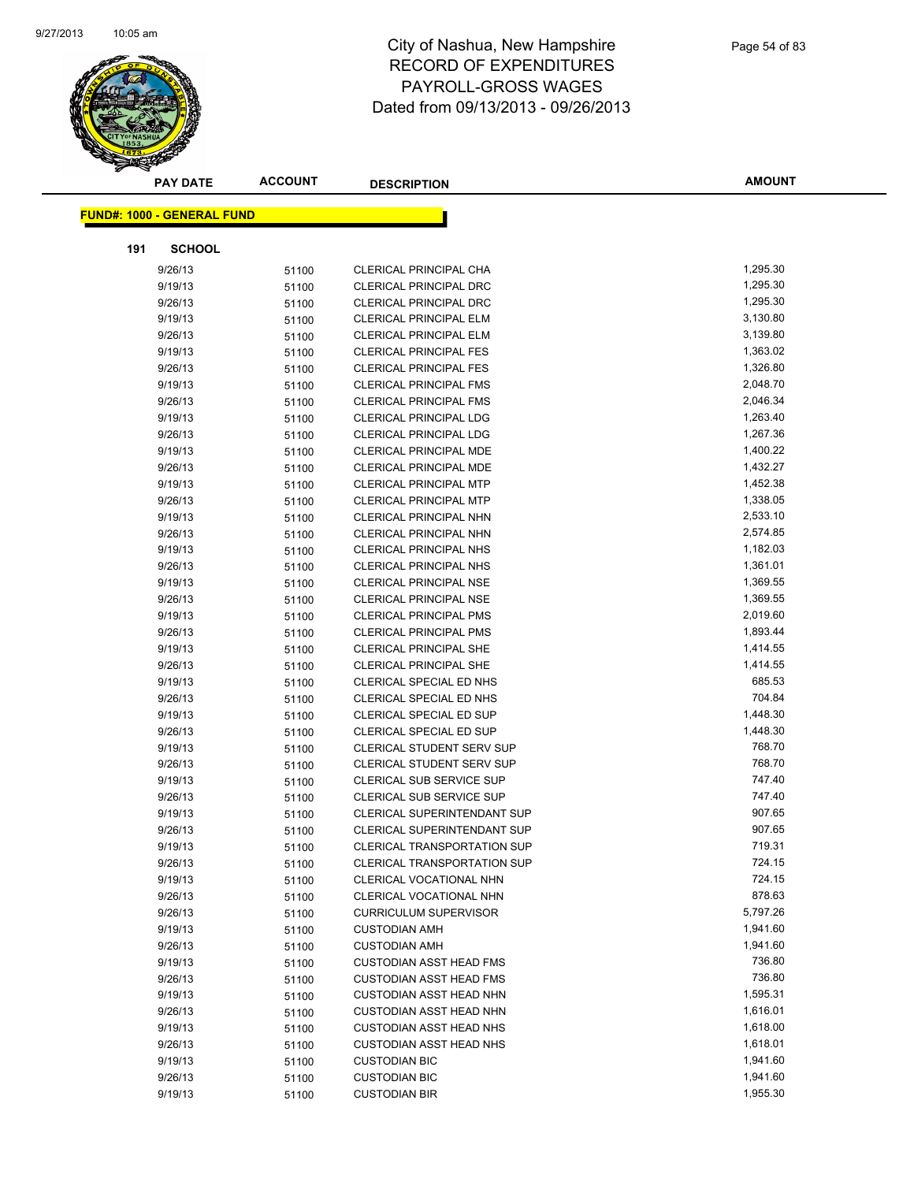

| <b>FUND#: 1000 - GENERAL FUND</b><br><b>SCHOOL</b><br>191<br>1,295.30<br>9/26/13<br>51100<br><b>CLERICAL PRINCIPAL CHA</b><br>9/19/13<br>1,295.30<br><b>CLERICAL PRINCIPAL DRC</b><br>51100<br>1,295.30<br><b>CLERICAL PRINCIPAL DRC</b><br>9/26/13<br>51100<br>CLERICAL PRINCIPAL ELM<br>3,130.80<br>9/19/13<br>51100<br>3,139.80<br>9/26/13<br><b>CLERICAL PRINCIPAL ELM</b><br>51100<br>1,363.02<br>9/19/13<br><b>CLERICAL PRINCIPAL FES</b><br>51100<br>1,326.80<br>9/26/13<br><b>CLERICAL PRINCIPAL FES</b><br>51100<br>2,048.70<br>9/19/13<br><b>CLERICAL PRINCIPAL FMS</b><br>51100<br>2,046.34<br>9/26/13<br><b>CLERICAL PRINCIPAL FMS</b><br>51100<br>1,263.40<br>9/19/13<br>CLERICAL PRINCIPAL LDG<br>51100<br>1,267.36<br>9/26/13<br><b>CLERICAL PRINCIPAL LDG</b><br>51100<br>1,400.22<br>9/19/13<br><b>CLERICAL PRINCIPAL MDE</b><br>51100<br>9/26/13<br><b>CLERICAL PRINCIPAL MDE</b><br>1,432.27<br>51100<br>1,452.38<br>9/19/13<br>51100<br><b>CLERICAL PRINCIPAL MTP</b><br>9/26/13<br>1,338.05<br><b>CLERICAL PRINCIPAL MTP</b><br>51100<br>2,533.10<br>9/19/13<br>CLERICAL PRINCIPAL NHN<br>51100<br>2,574.85<br>9/26/13<br>CLERICAL PRINCIPAL NHN<br>51100<br>1,182.03<br>9/19/13<br><b>CLERICAL PRINCIPAL NHS</b><br>51100<br>1,361.01<br>9/26/13<br>CLERICAL PRINCIPAL NHS<br>51100<br>1,369.55<br>9/19/13<br>51100<br><b>CLERICAL PRINCIPAL NSE</b><br>9/26/13<br>1,369.55<br><b>CLERICAL PRINCIPAL NSE</b><br>51100<br>2,019.60<br>9/19/13<br>51100<br><b>CLERICAL PRINCIPAL PMS</b><br>1,893.44<br><b>CLERICAL PRINCIPAL PMS</b><br>9/26/13<br>51100<br>1,414.55<br>CLERICAL PRINCIPAL SHE<br>9/19/13<br>51100<br>1,414.55<br>9/26/13<br><b>CLERICAL PRINCIPAL SHE</b><br>51100<br>685.53<br>9/19/13<br>CLERICAL SPECIAL ED NHS<br>51100<br>704.84<br>9/26/13<br>CLERICAL SPECIAL ED NHS<br>51100<br>1,448.30<br>9/19/13<br>CLERICAL SPECIAL ED SUP<br>51100<br>1,448.30<br>9/26/13<br>CLERICAL SPECIAL ED SUP<br>51100<br>768.70<br>9/19/13<br><b>CLERICAL STUDENT SERV SUP</b><br>51100<br>768.70<br>9/26/13<br><b>CLERICAL STUDENT SERV SUP</b><br>51100<br>747.40<br>9/19/13<br><b>CLERICAL SUB SERVICE SUP</b><br>51100<br>747.40<br>9/26/13<br><b>CLERICAL SUB SERVICE SUP</b><br>51100<br>907.65<br>9/19/13<br>CLERICAL SUPERINTENDANT SUP<br>51100<br>907.65<br><b>CLERICAL SUPERINTENDANT SUP</b><br>9/26/13<br>51100<br>9/19/13<br>51100<br>CLERICAL TRANSPORTATION SUP<br>719.31<br>724.15<br>9/26/13<br><b>CLERICAL TRANSPORTATION SUP</b><br>51100<br>724.15<br>9/19/13<br>CLERICAL VOCATIONAL NHN<br>51100<br>878.63<br>9/26/13<br>51100<br>CLERICAL VOCATIONAL NHN<br>5,797.26<br>9/26/13<br><b>CURRICULUM SUPERVISOR</b><br>51100<br>1,941.60<br>9/19/13<br><b>CUSTODIAN AMH</b><br>51100<br>1,941.60<br>9/26/13<br><b>CUSTODIAN AMH</b><br>51100<br>736.80<br>9/19/13<br><b>CUSTODIAN ASST HEAD FMS</b><br>51100<br>736.80<br>9/26/13<br><b>CUSTODIAN ASST HEAD FMS</b><br>51100<br>1,595.31<br>9/19/13<br><b>CUSTODIAN ASST HEAD NHN</b><br>51100<br>1,616.01<br>9/26/13<br><b>CUSTODIAN ASST HEAD NHN</b><br>51100<br>1,618.00<br>9/19/13<br><b>CUSTODIAN ASST HEAD NHS</b><br>51100<br>1,618.01<br><b>CUSTODIAN ASST HEAD NHS</b><br>9/26/13<br>51100<br>1,941.60<br>9/19/13<br><b>CUSTODIAN BIC</b><br>51100<br>1,941.60<br>9/26/13<br><b>CUSTODIAN BIC</b><br>51100 | <b>PAY DATE</b> | <b>ACCOUNT</b> | <b>DESCRIPTION</b>   | <b>AMOUNT</b> |
|--------------------------------------------------------------------------------------------------------------------------------------------------------------------------------------------------------------------------------------------------------------------------------------------------------------------------------------------------------------------------------------------------------------------------------------------------------------------------------------------------------------------------------------------------------------------------------------------------------------------------------------------------------------------------------------------------------------------------------------------------------------------------------------------------------------------------------------------------------------------------------------------------------------------------------------------------------------------------------------------------------------------------------------------------------------------------------------------------------------------------------------------------------------------------------------------------------------------------------------------------------------------------------------------------------------------------------------------------------------------------------------------------------------------------------------------------------------------------------------------------------------------------------------------------------------------------------------------------------------------------------------------------------------------------------------------------------------------------------------------------------------------------------------------------------------------------------------------------------------------------------------------------------------------------------------------------------------------------------------------------------------------------------------------------------------------------------------------------------------------------------------------------------------------------------------------------------------------------------------------------------------------------------------------------------------------------------------------------------------------------------------------------------------------------------------------------------------------------------------------------------------------------------------------------------------------------------------------------------------------------------------------------------------------------------------------------------------------------------------------------------------------------------------------------------------------------------------------------------------------------------------------------------------------------------------------------------------------------------------------------------------------------------------------------------------------------------------------------------------------------------------------------------------------------------------------------------------------------------------------------------------------------------------------------------------------|-----------------|----------------|----------------------|---------------|
|                                                                                                                                                                                                                                                                                                                                                                                                                                                                                                                                                                                                                                                                                                                                                                                                                                                                                                                                                                                                                                                                                                                                                                                                                                                                                                                                                                                                                                                                                                                                                                                                                                                                                                                                                                                                                                                                                                                                                                                                                                                                                                                                                                                                                                                                                                                                                                                                                                                                                                                                                                                                                                                                                                                                                                                                                                                                                                                                                                                                                                                                                                                                                                                                                                                                                                                    |                 |                |                      |               |
|                                                                                                                                                                                                                                                                                                                                                                                                                                                                                                                                                                                                                                                                                                                                                                                                                                                                                                                                                                                                                                                                                                                                                                                                                                                                                                                                                                                                                                                                                                                                                                                                                                                                                                                                                                                                                                                                                                                                                                                                                                                                                                                                                                                                                                                                                                                                                                                                                                                                                                                                                                                                                                                                                                                                                                                                                                                                                                                                                                                                                                                                                                                                                                                                                                                                                                                    |                 |                |                      |               |
|                                                                                                                                                                                                                                                                                                                                                                                                                                                                                                                                                                                                                                                                                                                                                                                                                                                                                                                                                                                                                                                                                                                                                                                                                                                                                                                                                                                                                                                                                                                                                                                                                                                                                                                                                                                                                                                                                                                                                                                                                                                                                                                                                                                                                                                                                                                                                                                                                                                                                                                                                                                                                                                                                                                                                                                                                                                                                                                                                                                                                                                                                                                                                                                                                                                                                                                    |                 |                |                      |               |
|                                                                                                                                                                                                                                                                                                                                                                                                                                                                                                                                                                                                                                                                                                                                                                                                                                                                                                                                                                                                                                                                                                                                                                                                                                                                                                                                                                                                                                                                                                                                                                                                                                                                                                                                                                                                                                                                                                                                                                                                                                                                                                                                                                                                                                                                                                                                                                                                                                                                                                                                                                                                                                                                                                                                                                                                                                                                                                                                                                                                                                                                                                                                                                                                                                                                                                                    |                 |                |                      |               |
|                                                                                                                                                                                                                                                                                                                                                                                                                                                                                                                                                                                                                                                                                                                                                                                                                                                                                                                                                                                                                                                                                                                                                                                                                                                                                                                                                                                                                                                                                                                                                                                                                                                                                                                                                                                                                                                                                                                                                                                                                                                                                                                                                                                                                                                                                                                                                                                                                                                                                                                                                                                                                                                                                                                                                                                                                                                                                                                                                                                                                                                                                                                                                                                                                                                                                                                    |                 |                |                      |               |
|                                                                                                                                                                                                                                                                                                                                                                                                                                                                                                                                                                                                                                                                                                                                                                                                                                                                                                                                                                                                                                                                                                                                                                                                                                                                                                                                                                                                                                                                                                                                                                                                                                                                                                                                                                                                                                                                                                                                                                                                                                                                                                                                                                                                                                                                                                                                                                                                                                                                                                                                                                                                                                                                                                                                                                                                                                                                                                                                                                                                                                                                                                                                                                                                                                                                                                                    |                 |                |                      |               |
|                                                                                                                                                                                                                                                                                                                                                                                                                                                                                                                                                                                                                                                                                                                                                                                                                                                                                                                                                                                                                                                                                                                                                                                                                                                                                                                                                                                                                                                                                                                                                                                                                                                                                                                                                                                                                                                                                                                                                                                                                                                                                                                                                                                                                                                                                                                                                                                                                                                                                                                                                                                                                                                                                                                                                                                                                                                                                                                                                                                                                                                                                                                                                                                                                                                                                                                    |                 |                |                      |               |
|                                                                                                                                                                                                                                                                                                                                                                                                                                                                                                                                                                                                                                                                                                                                                                                                                                                                                                                                                                                                                                                                                                                                                                                                                                                                                                                                                                                                                                                                                                                                                                                                                                                                                                                                                                                                                                                                                                                                                                                                                                                                                                                                                                                                                                                                                                                                                                                                                                                                                                                                                                                                                                                                                                                                                                                                                                                                                                                                                                                                                                                                                                                                                                                                                                                                                                                    |                 |                |                      |               |
|                                                                                                                                                                                                                                                                                                                                                                                                                                                                                                                                                                                                                                                                                                                                                                                                                                                                                                                                                                                                                                                                                                                                                                                                                                                                                                                                                                                                                                                                                                                                                                                                                                                                                                                                                                                                                                                                                                                                                                                                                                                                                                                                                                                                                                                                                                                                                                                                                                                                                                                                                                                                                                                                                                                                                                                                                                                                                                                                                                                                                                                                                                                                                                                                                                                                                                                    |                 |                |                      |               |
|                                                                                                                                                                                                                                                                                                                                                                                                                                                                                                                                                                                                                                                                                                                                                                                                                                                                                                                                                                                                                                                                                                                                                                                                                                                                                                                                                                                                                                                                                                                                                                                                                                                                                                                                                                                                                                                                                                                                                                                                                                                                                                                                                                                                                                                                                                                                                                                                                                                                                                                                                                                                                                                                                                                                                                                                                                                                                                                                                                                                                                                                                                                                                                                                                                                                                                                    |                 |                |                      |               |
|                                                                                                                                                                                                                                                                                                                                                                                                                                                                                                                                                                                                                                                                                                                                                                                                                                                                                                                                                                                                                                                                                                                                                                                                                                                                                                                                                                                                                                                                                                                                                                                                                                                                                                                                                                                                                                                                                                                                                                                                                                                                                                                                                                                                                                                                                                                                                                                                                                                                                                                                                                                                                                                                                                                                                                                                                                                                                                                                                                                                                                                                                                                                                                                                                                                                                                                    |                 |                |                      |               |
|                                                                                                                                                                                                                                                                                                                                                                                                                                                                                                                                                                                                                                                                                                                                                                                                                                                                                                                                                                                                                                                                                                                                                                                                                                                                                                                                                                                                                                                                                                                                                                                                                                                                                                                                                                                                                                                                                                                                                                                                                                                                                                                                                                                                                                                                                                                                                                                                                                                                                                                                                                                                                                                                                                                                                                                                                                                                                                                                                                                                                                                                                                                                                                                                                                                                                                                    |                 |                |                      |               |
|                                                                                                                                                                                                                                                                                                                                                                                                                                                                                                                                                                                                                                                                                                                                                                                                                                                                                                                                                                                                                                                                                                                                                                                                                                                                                                                                                                                                                                                                                                                                                                                                                                                                                                                                                                                                                                                                                                                                                                                                                                                                                                                                                                                                                                                                                                                                                                                                                                                                                                                                                                                                                                                                                                                                                                                                                                                                                                                                                                                                                                                                                                                                                                                                                                                                                                                    |                 |                |                      |               |
|                                                                                                                                                                                                                                                                                                                                                                                                                                                                                                                                                                                                                                                                                                                                                                                                                                                                                                                                                                                                                                                                                                                                                                                                                                                                                                                                                                                                                                                                                                                                                                                                                                                                                                                                                                                                                                                                                                                                                                                                                                                                                                                                                                                                                                                                                                                                                                                                                                                                                                                                                                                                                                                                                                                                                                                                                                                                                                                                                                                                                                                                                                                                                                                                                                                                                                                    |                 |                |                      |               |
|                                                                                                                                                                                                                                                                                                                                                                                                                                                                                                                                                                                                                                                                                                                                                                                                                                                                                                                                                                                                                                                                                                                                                                                                                                                                                                                                                                                                                                                                                                                                                                                                                                                                                                                                                                                                                                                                                                                                                                                                                                                                                                                                                                                                                                                                                                                                                                                                                                                                                                                                                                                                                                                                                                                                                                                                                                                                                                                                                                                                                                                                                                                                                                                                                                                                                                                    |                 |                |                      |               |
|                                                                                                                                                                                                                                                                                                                                                                                                                                                                                                                                                                                                                                                                                                                                                                                                                                                                                                                                                                                                                                                                                                                                                                                                                                                                                                                                                                                                                                                                                                                                                                                                                                                                                                                                                                                                                                                                                                                                                                                                                                                                                                                                                                                                                                                                                                                                                                                                                                                                                                                                                                                                                                                                                                                                                                                                                                                                                                                                                                                                                                                                                                                                                                                                                                                                                                                    |                 |                |                      |               |
|                                                                                                                                                                                                                                                                                                                                                                                                                                                                                                                                                                                                                                                                                                                                                                                                                                                                                                                                                                                                                                                                                                                                                                                                                                                                                                                                                                                                                                                                                                                                                                                                                                                                                                                                                                                                                                                                                                                                                                                                                                                                                                                                                                                                                                                                                                                                                                                                                                                                                                                                                                                                                                                                                                                                                                                                                                                                                                                                                                                                                                                                                                                                                                                                                                                                                                                    |                 |                |                      |               |
|                                                                                                                                                                                                                                                                                                                                                                                                                                                                                                                                                                                                                                                                                                                                                                                                                                                                                                                                                                                                                                                                                                                                                                                                                                                                                                                                                                                                                                                                                                                                                                                                                                                                                                                                                                                                                                                                                                                                                                                                                                                                                                                                                                                                                                                                                                                                                                                                                                                                                                                                                                                                                                                                                                                                                                                                                                                                                                                                                                                                                                                                                                                                                                                                                                                                                                                    |                 |                |                      |               |
|                                                                                                                                                                                                                                                                                                                                                                                                                                                                                                                                                                                                                                                                                                                                                                                                                                                                                                                                                                                                                                                                                                                                                                                                                                                                                                                                                                                                                                                                                                                                                                                                                                                                                                                                                                                                                                                                                                                                                                                                                                                                                                                                                                                                                                                                                                                                                                                                                                                                                                                                                                                                                                                                                                                                                                                                                                                                                                                                                                                                                                                                                                                                                                                                                                                                                                                    |                 |                |                      |               |
|                                                                                                                                                                                                                                                                                                                                                                                                                                                                                                                                                                                                                                                                                                                                                                                                                                                                                                                                                                                                                                                                                                                                                                                                                                                                                                                                                                                                                                                                                                                                                                                                                                                                                                                                                                                                                                                                                                                                                                                                                                                                                                                                                                                                                                                                                                                                                                                                                                                                                                                                                                                                                                                                                                                                                                                                                                                                                                                                                                                                                                                                                                                                                                                                                                                                                                                    |                 |                |                      |               |
|                                                                                                                                                                                                                                                                                                                                                                                                                                                                                                                                                                                                                                                                                                                                                                                                                                                                                                                                                                                                                                                                                                                                                                                                                                                                                                                                                                                                                                                                                                                                                                                                                                                                                                                                                                                                                                                                                                                                                                                                                                                                                                                                                                                                                                                                                                                                                                                                                                                                                                                                                                                                                                                                                                                                                                                                                                                                                                                                                                                                                                                                                                                                                                                                                                                                                                                    |                 |                |                      |               |
|                                                                                                                                                                                                                                                                                                                                                                                                                                                                                                                                                                                                                                                                                                                                                                                                                                                                                                                                                                                                                                                                                                                                                                                                                                                                                                                                                                                                                                                                                                                                                                                                                                                                                                                                                                                                                                                                                                                                                                                                                                                                                                                                                                                                                                                                                                                                                                                                                                                                                                                                                                                                                                                                                                                                                                                                                                                                                                                                                                                                                                                                                                                                                                                                                                                                                                                    |                 |                |                      |               |
|                                                                                                                                                                                                                                                                                                                                                                                                                                                                                                                                                                                                                                                                                                                                                                                                                                                                                                                                                                                                                                                                                                                                                                                                                                                                                                                                                                                                                                                                                                                                                                                                                                                                                                                                                                                                                                                                                                                                                                                                                                                                                                                                                                                                                                                                                                                                                                                                                                                                                                                                                                                                                                                                                                                                                                                                                                                                                                                                                                                                                                                                                                                                                                                                                                                                                                                    |                 |                |                      |               |
|                                                                                                                                                                                                                                                                                                                                                                                                                                                                                                                                                                                                                                                                                                                                                                                                                                                                                                                                                                                                                                                                                                                                                                                                                                                                                                                                                                                                                                                                                                                                                                                                                                                                                                                                                                                                                                                                                                                                                                                                                                                                                                                                                                                                                                                                                                                                                                                                                                                                                                                                                                                                                                                                                                                                                                                                                                                                                                                                                                                                                                                                                                                                                                                                                                                                                                                    |                 |                |                      |               |
|                                                                                                                                                                                                                                                                                                                                                                                                                                                                                                                                                                                                                                                                                                                                                                                                                                                                                                                                                                                                                                                                                                                                                                                                                                                                                                                                                                                                                                                                                                                                                                                                                                                                                                                                                                                                                                                                                                                                                                                                                                                                                                                                                                                                                                                                                                                                                                                                                                                                                                                                                                                                                                                                                                                                                                                                                                                                                                                                                                                                                                                                                                                                                                                                                                                                                                                    |                 |                |                      |               |
|                                                                                                                                                                                                                                                                                                                                                                                                                                                                                                                                                                                                                                                                                                                                                                                                                                                                                                                                                                                                                                                                                                                                                                                                                                                                                                                                                                                                                                                                                                                                                                                                                                                                                                                                                                                                                                                                                                                                                                                                                                                                                                                                                                                                                                                                                                                                                                                                                                                                                                                                                                                                                                                                                                                                                                                                                                                                                                                                                                                                                                                                                                                                                                                                                                                                                                                    |                 |                |                      |               |
|                                                                                                                                                                                                                                                                                                                                                                                                                                                                                                                                                                                                                                                                                                                                                                                                                                                                                                                                                                                                                                                                                                                                                                                                                                                                                                                                                                                                                                                                                                                                                                                                                                                                                                                                                                                                                                                                                                                                                                                                                                                                                                                                                                                                                                                                                                                                                                                                                                                                                                                                                                                                                                                                                                                                                                                                                                                                                                                                                                                                                                                                                                                                                                                                                                                                                                                    |                 |                |                      |               |
|                                                                                                                                                                                                                                                                                                                                                                                                                                                                                                                                                                                                                                                                                                                                                                                                                                                                                                                                                                                                                                                                                                                                                                                                                                                                                                                                                                                                                                                                                                                                                                                                                                                                                                                                                                                                                                                                                                                                                                                                                                                                                                                                                                                                                                                                                                                                                                                                                                                                                                                                                                                                                                                                                                                                                                                                                                                                                                                                                                                                                                                                                                                                                                                                                                                                                                                    |                 |                |                      |               |
|                                                                                                                                                                                                                                                                                                                                                                                                                                                                                                                                                                                                                                                                                                                                                                                                                                                                                                                                                                                                                                                                                                                                                                                                                                                                                                                                                                                                                                                                                                                                                                                                                                                                                                                                                                                                                                                                                                                                                                                                                                                                                                                                                                                                                                                                                                                                                                                                                                                                                                                                                                                                                                                                                                                                                                                                                                                                                                                                                                                                                                                                                                                                                                                                                                                                                                                    |                 |                |                      |               |
|                                                                                                                                                                                                                                                                                                                                                                                                                                                                                                                                                                                                                                                                                                                                                                                                                                                                                                                                                                                                                                                                                                                                                                                                                                                                                                                                                                                                                                                                                                                                                                                                                                                                                                                                                                                                                                                                                                                                                                                                                                                                                                                                                                                                                                                                                                                                                                                                                                                                                                                                                                                                                                                                                                                                                                                                                                                                                                                                                                                                                                                                                                                                                                                                                                                                                                                    |                 |                |                      |               |
|                                                                                                                                                                                                                                                                                                                                                                                                                                                                                                                                                                                                                                                                                                                                                                                                                                                                                                                                                                                                                                                                                                                                                                                                                                                                                                                                                                                                                                                                                                                                                                                                                                                                                                                                                                                                                                                                                                                                                                                                                                                                                                                                                                                                                                                                                                                                                                                                                                                                                                                                                                                                                                                                                                                                                                                                                                                                                                                                                                                                                                                                                                                                                                                                                                                                                                                    |                 |                |                      |               |
|                                                                                                                                                                                                                                                                                                                                                                                                                                                                                                                                                                                                                                                                                                                                                                                                                                                                                                                                                                                                                                                                                                                                                                                                                                                                                                                                                                                                                                                                                                                                                                                                                                                                                                                                                                                                                                                                                                                                                                                                                                                                                                                                                                                                                                                                                                                                                                                                                                                                                                                                                                                                                                                                                                                                                                                                                                                                                                                                                                                                                                                                                                                                                                                                                                                                                                                    |                 |                |                      |               |
|                                                                                                                                                                                                                                                                                                                                                                                                                                                                                                                                                                                                                                                                                                                                                                                                                                                                                                                                                                                                                                                                                                                                                                                                                                                                                                                                                                                                                                                                                                                                                                                                                                                                                                                                                                                                                                                                                                                                                                                                                                                                                                                                                                                                                                                                                                                                                                                                                                                                                                                                                                                                                                                                                                                                                                                                                                                                                                                                                                                                                                                                                                                                                                                                                                                                                                                    |                 |                |                      |               |
|                                                                                                                                                                                                                                                                                                                                                                                                                                                                                                                                                                                                                                                                                                                                                                                                                                                                                                                                                                                                                                                                                                                                                                                                                                                                                                                                                                                                                                                                                                                                                                                                                                                                                                                                                                                                                                                                                                                                                                                                                                                                                                                                                                                                                                                                                                                                                                                                                                                                                                                                                                                                                                                                                                                                                                                                                                                                                                                                                                                                                                                                                                                                                                                                                                                                                                                    |                 |                |                      |               |
|                                                                                                                                                                                                                                                                                                                                                                                                                                                                                                                                                                                                                                                                                                                                                                                                                                                                                                                                                                                                                                                                                                                                                                                                                                                                                                                                                                                                                                                                                                                                                                                                                                                                                                                                                                                                                                                                                                                                                                                                                                                                                                                                                                                                                                                                                                                                                                                                                                                                                                                                                                                                                                                                                                                                                                                                                                                                                                                                                                                                                                                                                                                                                                                                                                                                                                                    |                 |                |                      |               |
|                                                                                                                                                                                                                                                                                                                                                                                                                                                                                                                                                                                                                                                                                                                                                                                                                                                                                                                                                                                                                                                                                                                                                                                                                                                                                                                                                                                                                                                                                                                                                                                                                                                                                                                                                                                                                                                                                                                                                                                                                                                                                                                                                                                                                                                                                                                                                                                                                                                                                                                                                                                                                                                                                                                                                                                                                                                                                                                                                                                                                                                                                                                                                                                                                                                                                                                    |                 |                |                      |               |
|                                                                                                                                                                                                                                                                                                                                                                                                                                                                                                                                                                                                                                                                                                                                                                                                                                                                                                                                                                                                                                                                                                                                                                                                                                                                                                                                                                                                                                                                                                                                                                                                                                                                                                                                                                                                                                                                                                                                                                                                                                                                                                                                                                                                                                                                                                                                                                                                                                                                                                                                                                                                                                                                                                                                                                                                                                                                                                                                                                                                                                                                                                                                                                                                                                                                                                                    |                 |                |                      |               |
|                                                                                                                                                                                                                                                                                                                                                                                                                                                                                                                                                                                                                                                                                                                                                                                                                                                                                                                                                                                                                                                                                                                                                                                                                                                                                                                                                                                                                                                                                                                                                                                                                                                                                                                                                                                                                                                                                                                                                                                                                                                                                                                                                                                                                                                                                                                                                                                                                                                                                                                                                                                                                                                                                                                                                                                                                                                                                                                                                                                                                                                                                                                                                                                                                                                                                                                    |                 |                |                      |               |
|                                                                                                                                                                                                                                                                                                                                                                                                                                                                                                                                                                                                                                                                                                                                                                                                                                                                                                                                                                                                                                                                                                                                                                                                                                                                                                                                                                                                                                                                                                                                                                                                                                                                                                                                                                                                                                                                                                                                                                                                                                                                                                                                                                                                                                                                                                                                                                                                                                                                                                                                                                                                                                                                                                                                                                                                                                                                                                                                                                                                                                                                                                                                                                                                                                                                                                                    |                 |                |                      |               |
|                                                                                                                                                                                                                                                                                                                                                                                                                                                                                                                                                                                                                                                                                                                                                                                                                                                                                                                                                                                                                                                                                                                                                                                                                                                                                                                                                                                                                                                                                                                                                                                                                                                                                                                                                                                                                                                                                                                                                                                                                                                                                                                                                                                                                                                                                                                                                                                                                                                                                                                                                                                                                                                                                                                                                                                                                                                                                                                                                                                                                                                                                                                                                                                                                                                                                                                    |                 |                |                      |               |
|                                                                                                                                                                                                                                                                                                                                                                                                                                                                                                                                                                                                                                                                                                                                                                                                                                                                                                                                                                                                                                                                                                                                                                                                                                                                                                                                                                                                                                                                                                                                                                                                                                                                                                                                                                                                                                                                                                                                                                                                                                                                                                                                                                                                                                                                                                                                                                                                                                                                                                                                                                                                                                                                                                                                                                                                                                                                                                                                                                                                                                                                                                                                                                                                                                                                                                                    |                 |                |                      |               |
|                                                                                                                                                                                                                                                                                                                                                                                                                                                                                                                                                                                                                                                                                                                                                                                                                                                                                                                                                                                                                                                                                                                                                                                                                                                                                                                                                                                                                                                                                                                                                                                                                                                                                                                                                                                                                                                                                                                                                                                                                                                                                                                                                                                                                                                                                                                                                                                                                                                                                                                                                                                                                                                                                                                                                                                                                                                                                                                                                                                                                                                                                                                                                                                                                                                                                                                    |                 |                |                      |               |
|                                                                                                                                                                                                                                                                                                                                                                                                                                                                                                                                                                                                                                                                                                                                                                                                                                                                                                                                                                                                                                                                                                                                                                                                                                                                                                                                                                                                                                                                                                                                                                                                                                                                                                                                                                                                                                                                                                                                                                                                                                                                                                                                                                                                                                                                                                                                                                                                                                                                                                                                                                                                                                                                                                                                                                                                                                                                                                                                                                                                                                                                                                                                                                                                                                                                                                                    |                 |                |                      |               |
|                                                                                                                                                                                                                                                                                                                                                                                                                                                                                                                                                                                                                                                                                                                                                                                                                                                                                                                                                                                                                                                                                                                                                                                                                                                                                                                                                                                                                                                                                                                                                                                                                                                                                                                                                                                                                                                                                                                                                                                                                                                                                                                                                                                                                                                                                                                                                                                                                                                                                                                                                                                                                                                                                                                                                                                                                                                                                                                                                                                                                                                                                                                                                                                                                                                                                                                    |                 |                |                      |               |
|                                                                                                                                                                                                                                                                                                                                                                                                                                                                                                                                                                                                                                                                                                                                                                                                                                                                                                                                                                                                                                                                                                                                                                                                                                                                                                                                                                                                                                                                                                                                                                                                                                                                                                                                                                                                                                                                                                                                                                                                                                                                                                                                                                                                                                                                                                                                                                                                                                                                                                                                                                                                                                                                                                                                                                                                                                                                                                                                                                                                                                                                                                                                                                                                                                                                                                                    |                 |                |                      |               |
|                                                                                                                                                                                                                                                                                                                                                                                                                                                                                                                                                                                                                                                                                                                                                                                                                                                                                                                                                                                                                                                                                                                                                                                                                                                                                                                                                                                                                                                                                                                                                                                                                                                                                                                                                                                                                                                                                                                                                                                                                                                                                                                                                                                                                                                                                                                                                                                                                                                                                                                                                                                                                                                                                                                                                                                                                                                                                                                                                                                                                                                                                                                                                                                                                                                                                                                    |                 |                |                      |               |
|                                                                                                                                                                                                                                                                                                                                                                                                                                                                                                                                                                                                                                                                                                                                                                                                                                                                                                                                                                                                                                                                                                                                                                                                                                                                                                                                                                                                                                                                                                                                                                                                                                                                                                                                                                                                                                                                                                                                                                                                                                                                                                                                                                                                                                                                                                                                                                                                                                                                                                                                                                                                                                                                                                                                                                                                                                                                                                                                                                                                                                                                                                                                                                                                                                                                                                                    |                 |                |                      |               |
|                                                                                                                                                                                                                                                                                                                                                                                                                                                                                                                                                                                                                                                                                                                                                                                                                                                                                                                                                                                                                                                                                                                                                                                                                                                                                                                                                                                                                                                                                                                                                                                                                                                                                                                                                                                                                                                                                                                                                                                                                                                                                                                                                                                                                                                                                                                                                                                                                                                                                                                                                                                                                                                                                                                                                                                                                                                                                                                                                                                                                                                                                                                                                                                                                                                                                                                    |                 |                |                      |               |
|                                                                                                                                                                                                                                                                                                                                                                                                                                                                                                                                                                                                                                                                                                                                                                                                                                                                                                                                                                                                                                                                                                                                                                                                                                                                                                                                                                                                                                                                                                                                                                                                                                                                                                                                                                                                                                                                                                                                                                                                                                                                                                                                                                                                                                                                                                                                                                                                                                                                                                                                                                                                                                                                                                                                                                                                                                                                                                                                                                                                                                                                                                                                                                                                                                                                                                                    |                 |                |                      |               |
|                                                                                                                                                                                                                                                                                                                                                                                                                                                                                                                                                                                                                                                                                                                                                                                                                                                                                                                                                                                                                                                                                                                                                                                                                                                                                                                                                                                                                                                                                                                                                                                                                                                                                                                                                                                                                                                                                                                                                                                                                                                                                                                                                                                                                                                                                                                                                                                                                                                                                                                                                                                                                                                                                                                                                                                                                                                                                                                                                                                                                                                                                                                                                                                                                                                                                                                    |                 |                |                      |               |
|                                                                                                                                                                                                                                                                                                                                                                                                                                                                                                                                                                                                                                                                                                                                                                                                                                                                                                                                                                                                                                                                                                                                                                                                                                                                                                                                                                                                                                                                                                                                                                                                                                                                                                                                                                                                                                                                                                                                                                                                                                                                                                                                                                                                                                                                                                                                                                                                                                                                                                                                                                                                                                                                                                                                                                                                                                                                                                                                                                                                                                                                                                                                                                                                                                                                                                                    |                 |                |                      |               |
|                                                                                                                                                                                                                                                                                                                                                                                                                                                                                                                                                                                                                                                                                                                                                                                                                                                                                                                                                                                                                                                                                                                                                                                                                                                                                                                                                                                                                                                                                                                                                                                                                                                                                                                                                                                                                                                                                                                                                                                                                                                                                                                                                                                                                                                                                                                                                                                                                                                                                                                                                                                                                                                                                                                                                                                                                                                                                                                                                                                                                                                                                                                                                                                                                                                                                                                    |                 |                |                      |               |
|                                                                                                                                                                                                                                                                                                                                                                                                                                                                                                                                                                                                                                                                                                                                                                                                                                                                                                                                                                                                                                                                                                                                                                                                                                                                                                                                                                                                                                                                                                                                                                                                                                                                                                                                                                                                                                                                                                                                                                                                                                                                                                                                                                                                                                                                                                                                                                                                                                                                                                                                                                                                                                                                                                                                                                                                                                                                                                                                                                                                                                                                                                                                                                                                                                                                                                                    | 9/19/13         | 51100          | <b>CUSTODIAN BIR</b> | 1,955.30      |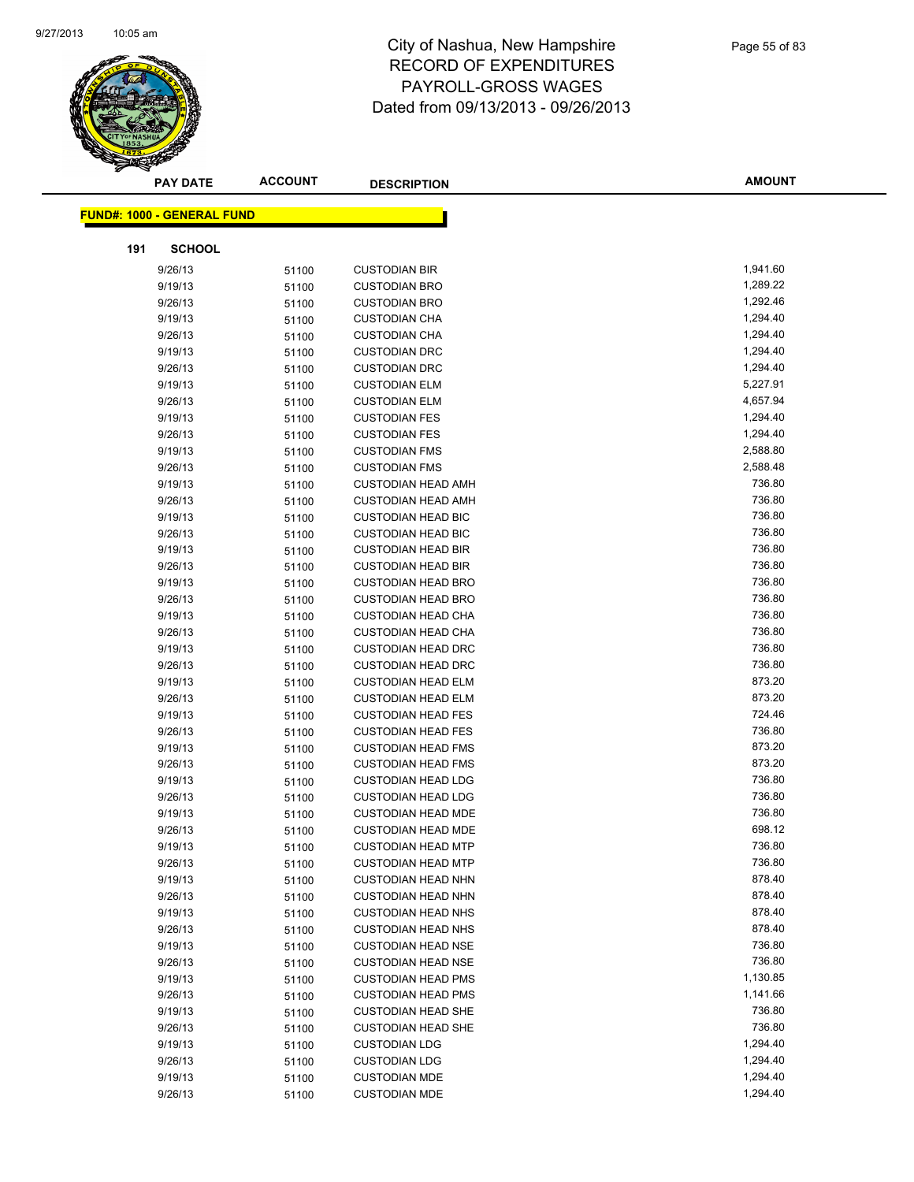

| <b>PAY DATE</b>                   | <b>ACCOUNT</b> | <b>DESCRIPTION</b>                                     | <b>AMOUNT</b>    |
|-----------------------------------|----------------|--------------------------------------------------------|------------------|
|                                   |                |                                                        |                  |
| <b>FUND#: 1000 - GENERAL FUND</b> |                |                                                        |                  |
| 191<br><b>SCHOOL</b>              |                |                                                        |                  |
| 9/26/13                           | 51100          | <b>CUSTODIAN BIR</b>                                   | 1,941.60         |
| 9/19/13                           | 51100          | <b>CUSTODIAN BRO</b>                                   | 1,289.22         |
| 9/26/13                           | 51100          | <b>CUSTODIAN BRO</b>                                   | 1,292.46         |
| 9/19/13                           | 51100          | <b>CUSTODIAN CHA</b>                                   | 1,294.40         |
| 9/26/13                           | 51100          | <b>CUSTODIAN CHA</b>                                   | 1,294.40         |
| 9/19/13                           | 51100          | <b>CUSTODIAN DRC</b>                                   | 1,294.40         |
| 9/26/13                           | 51100          | <b>CUSTODIAN DRC</b>                                   | 1,294.40         |
| 9/19/13                           | 51100          | <b>CUSTODIAN ELM</b>                                   | 5,227.91         |
| 9/26/13                           | 51100          | <b>CUSTODIAN ELM</b>                                   | 4,657.94         |
| 9/19/13                           | 51100          | <b>CUSTODIAN FES</b>                                   | 1,294.40         |
| 9/26/13                           | 51100          | <b>CUSTODIAN FES</b>                                   | 1,294.40         |
| 9/19/13                           | 51100          | <b>CUSTODIAN FMS</b>                                   | 2,588.80         |
| 9/26/13                           | 51100          | <b>CUSTODIAN FMS</b>                                   | 2,588.48         |
| 9/19/13                           | 51100          | <b>CUSTODIAN HEAD AMH</b>                              | 736.80           |
| 9/26/13                           | 51100          | <b>CUSTODIAN HEAD AMH</b>                              | 736.80           |
| 9/19/13                           | 51100          | <b>CUSTODIAN HEAD BIC</b>                              | 736.80           |
| 9/26/13                           | 51100          | <b>CUSTODIAN HEAD BIC</b>                              | 736.80           |
| 9/19/13                           | 51100          | <b>CUSTODIAN HEAD BIR</b>                              | 736.80           |
| 9/26/13                           | 51100          | <b>CUSTODIAN HEAD BIR</b>                              | 736.80           |
| 9/19/13                           | 51100          | <b>CUSTODIAN HEAD BRO</b>                              | 736.80           |
| 9/26/13                           | 51100          | <b>CUSTODIAN HEAD BRO</b>                              | 736.80           |
| 9/19/13                           | 51100          | <b>CUSTODIAN HEAD CHA</b>                              | 736.80           |
| 9/26/13                           | 51100          | <b>CUSTODIAN HEAD CHA</b>                              | 736.80           |
| 9/19/13                           | 51100          | <b>CUSTODIAN HEAD DRC</b>                              | 736.80           |
| 9/26/13                           | 51100          | <b>CUSTODIAN HEAD DRC</b>                              | 736.80           |
| 9/19/13                           | 51100          | <b>CUSTODIAN HEAD ELM</b>                              | 873.20           |
| 9/26/13                           | 51100          | <b>CUSTODIAN HEAD ELM</b>                              | 873.20           |
| 9/19/13                           | 51100          | <b>CUSTODIAN HEAD FES</b>                              | 724.46           |
| 9/26/13                           | 51100          | <b>CUSTODIAN HEAD FES</b>                              | 736.80           |
| 9/19/13                           | 51100          | <b>CUSTODIAN HEAD FMS</b>                              | 873.20           |
| 9/26/13                           | 51100          | <b>CUSTODIAN HEAD FMS</b>                              | 873.20           |
| 9/19/13                           | 51100          | <b>CUSTODIAN HEAD LDG</b>                              | 736.80           |
| 9/26/13                           | 51100          | <b>CUSTODIAN HEAD LDG</b>                              | 736.80           |
| 9/19/13                           | 51100          | <b>CUSTODIAN HEAD MDE</b>                              | 736.80<br>698.12 |
| 9/26/13<br>9/19/13                | 51100          | <b>CUSTODIAN HEAD MDE</b>                              |                  |
|                                   | 51100          | <b>CUSTODIAN HEAD MTP</b>                              | 736.80<br>736.80 |
| 9/26/13<br>9/19/13                | 51100          | <b>CUSTODIAN HEAD MTP</b>                              | 878.40           |
| 9/26/13                           | 51100          | <b>CUSTODIAN HEAD NHN</b>                              | 878.40           |
| 9/19/13                           | 51100          | <b>CUSTODIAN HEAD NHN</b><br><b>CUSTODIAN HEAD NHS</b> | 878.40           |
| 9/26/13                           | 51100          | <b>CUSTODIAN HEAD NHS</b>                              | 878.40           |
| 9/19/13                           | 51100<br>51100 | <b>CUSTODIAN HEAD NSE</b>                              | 736.80           |
| 9/26/13                           | 51100          | <b>CUSTODIAN HEAD NSE</b>                              | 736.80           |
| 9/19/13                           | 51100          | <b>CUSTODIAN HEAD PMS</b>                              | 1,130.85         |
| 9/26/13                           | 51100          | <b>CUSTODIAN HEAD PMS</b>                              | 1,141.66         |
| 9/19/13                           | 51100          | <b>CUSTODIAN HEAD SHE</b>                              | 736.80           |
| 9/26/13                           | 51100          | <b>CUSTODIAN HEAD SHE</b>                              | 736.80           |
| 9/19/13                           | 51100          | <b>CUSTODIAN LDG</b>                                   | 1,294.40         |
| 9/26/13                           | 51100          | <b>CUSTODIAN LDG</b>                                   | 1,294.40         |
| 9/19/13                           | 51100          | <b>CUSTODIAN MDE</b>                                   | 1,294.40         |
| 9/26/13                           | 51100          | <b>CUSTODIAN MDE</b>                                   | 1,294.40         |
|                                   |                |                                                        |                  |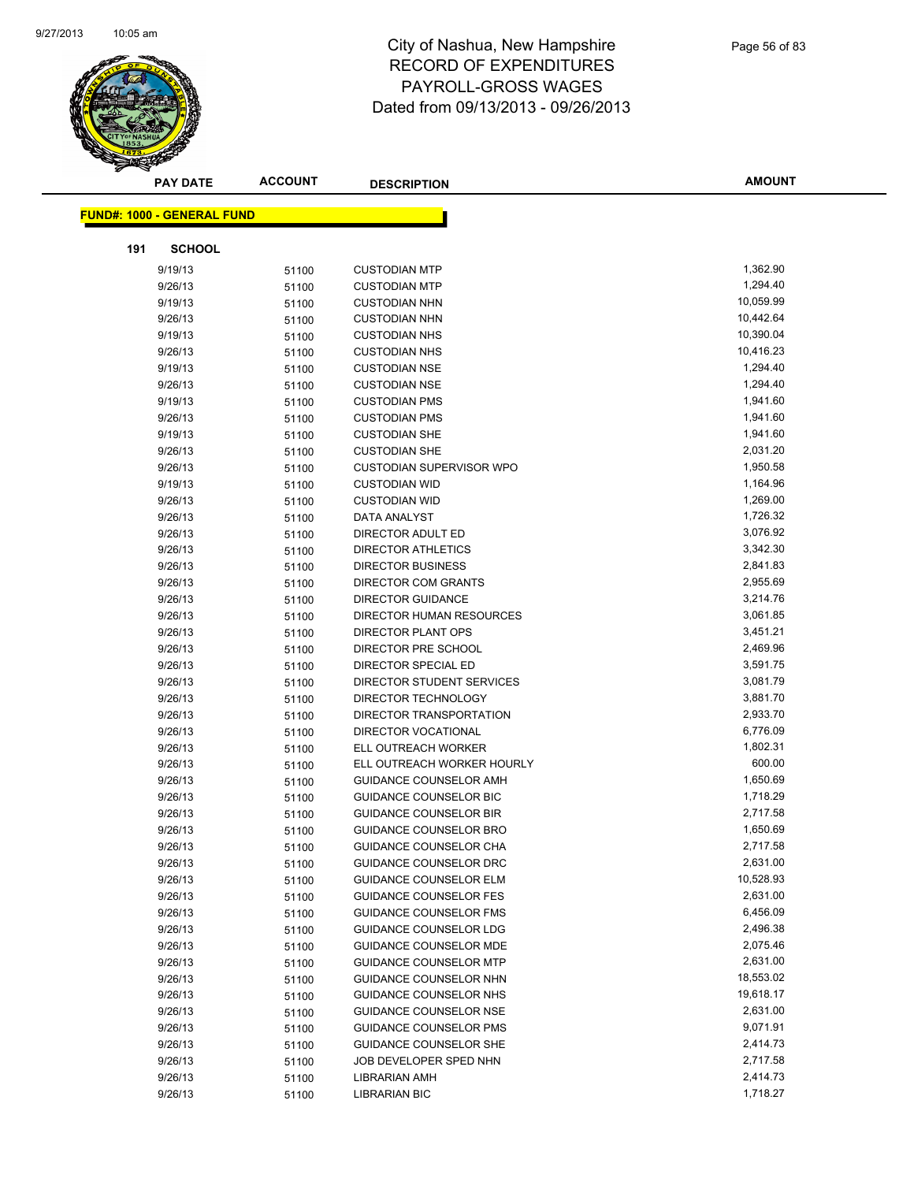

| <b>PAY DATE</b>                   | <b>ACCOUNT</b> | <b>DESCRIPTION</b>              | <b>AMOUNT</b> |
|-----------------------------------|----------------|---------------------------------|---------------|
| <b>FUND#: 1000 - GENERAL FUND</b> |                |                                 |               |
|                                   |                |                                 |               |
| 191<br><b>SCHOOL</b>              |                |                                 |               |
| 9/19/13                           | 51100          | <b>CUSTODIAN MTP</b>            | 1,362.90      |
| 9/26/13                           | 51100          | <b>CUSTODIAN MTP</b>            | 1,294.40      |
| 9/19/13                           | 51100          | <b>CUSTODIAN NHN</b>            | 10,059.99     |
| 9/26/13                           | 51100          | <b>CUSTODIAN NHN</b>            | 10,442.64     |
| 9/19/13                           | 51100          | <b>CUSTODIAN NHS</b>            | 10,390.04     |
| 9/26/13                           | 51100          | <b>CUSTODIAN NHS</b>            | 10,416.23     |
| 9/19/13                           | 51100          | <b>CUSTODIAN NSE</b>            | 1,294.40      |
| 9/26/13                           | 51100          | <b>CUSTODIAN NSE</b>            | 1,294.40      |
| 9/19/13                           | 51100          | <b>CUSTODIAN PMS</b>            | 1,941.60      |
| 9/26/13                           | 51100          | <b>CUSTODIAN PMS</b>            | 1,941.60      |
| 9/19/13                           | 51100          | <b>CUSTODIAN SHE</b>            | 1,941.60      |
| 9/26/13                           | 51100          | <b>CUSTODIAN SHE</b>            | 2,031.20      |
| 9/26/13                           | 51100          | <b>CUSTODIAN SUPERVISOR WPO</b> | 1,950.58      |
| 9/19/13                           | 51100          | <b>CUSTODIAN WID</b>            | 1,164.96      |
| 9/26/13                           | 51100          | <b>CUSTODIAN WID</b>            | 1,269.00      |
| 9/26/13                           | 51100          | DATA ANALYST                    | 1,726.32      |
| 9/26/13                           | 51100          | DIRECTOR ADULT ED               | 3,076.92      |
| 9/26/13                           | 51100          | <b>DIRECTOR ATHLETICS</b>       | 3,342.30      |
| 9/26/13                           | 51100          | <b>DIRECTOR BUSINESS</b>        | 2,841.83      |
| 9/26/13                           | 51100          | DIRECTOR COM GRANTS             | 2,955.69      |
| 9/26/13                           | 51100          | <b>DIRECTOR GUIDANCE</b>        | 3,214.76      |
| 9/26/13                           | 51100          | DIRECTOR HUMAN RESOURCES        | 3,061.85      |
| 9/26/13                           | 51100          | <b>DIRECTOR PLANT OPS</b>       | 3,451.21      |
| 9/26/13                           | 51100          | DIRECTOR PRE SCHOOL             | 2,469.96      |
| 9/26/13                           | 51100          | DIRECTOR SPECIAL ED             | 3,591.75      |
| 9/26/13                           | 51100          | DIRECTOR STUDENT SERVICES       | 3,081.79      |
| 9/26/13                           | 51100          | DIRECTOR TECHNOLOGY             | 3,881.70      |
| 9/26/13                           | 51100          | DIRECTOR TRANSPORTATION         | 2,933.70      |
| 9/26/13                           | 51100          | <b>DIRECTOR VOCATIONAL</b>      | 6,776.09      |
| 9/26/13                           | 51100          | ELL OUTREACH WORKER             | 1,802.31      |
| 9/26/13                           | 51100          | ELL OUTREACH WORKER HOURLY      | 600.00        |
| 9/26/13                           | 51100          | GUIDANCE COUNSELOR AMH          | 1,650.69      |
| 9/26/13                           | 51100          | GUIDANCE COUNSELOR BIC          | 1,718.29      |
| 9/26/13                           | 51100          | <b>GUIDANCE COUNSELOR BIR</b>   | 2,717.58      |
| 9/26/13                           | 51100          | <b>GUIDANCE COUNSELOR BRO</b>   | 1,650.69      |
| 9/26/13                           | 51100          | GUIDANCE COUNSELOR CHA          | 2,717.58      |
| 9/26/13                           | 51100          | GUIDANCE COUNSELOR DRC          | 2,631.00      |
| 9/26/13                           | 51100          | <b>GUIDANCE COUNSELOR ELM</b>   | 10,528.93     |
| 9/26/13                           | 51100          | <b>GUIDANCE COUNSELOR FES</b>   | 2,631.00      |
| 9/26/13                           | 51100          | GUIDANCE COUNSELOR FMS          | 6,456.09      |
| 9/26/13                           | 51100          | GUIDANCE COUNSELOR LDG          | 2,496.38      |
| 9/26/13                           | 51100          | <b>GUIDANCE COUNSELOR MDE</b>   | 2,075.46      |
| 9/26/13                           | 51100          | <b>GUIDANCE COUNSELOR MTP</b>   | 2,631.00      |
| 9/26/13                           | 51100          | GUIDANCE COUNSELOR NHN          | 18,553.02     |
| 9/26/13                           | 51100          | GUIDANCE COUNSELOR NHS          | 19,618.17     |
| 9/26/13                           | 51100          | <b>GUIDANCE COUNSELOR NSE</b>   | 2,631.00      |
| 9/26/13                           | 51100          | GUIDANCE COUNSELOR PMS          | 9,071.91      |
| 9/26/13                           | 51100          | GUIDANCE COUNSELOR SHE          | 2,414.73      |
| 9/26/13                           | 51100          | JOB DEVELOPER SPED NHN          | 2,717.58      |
| 9/26/13                           | 51100          | <b>LIBRARIAN AMH</b>            | 2,414.73      |
| 9/26/13                           | 51100          | <b>LIBRARIAN BIC</b>            | 1,718.27      |
|                                   |                |                                 |               |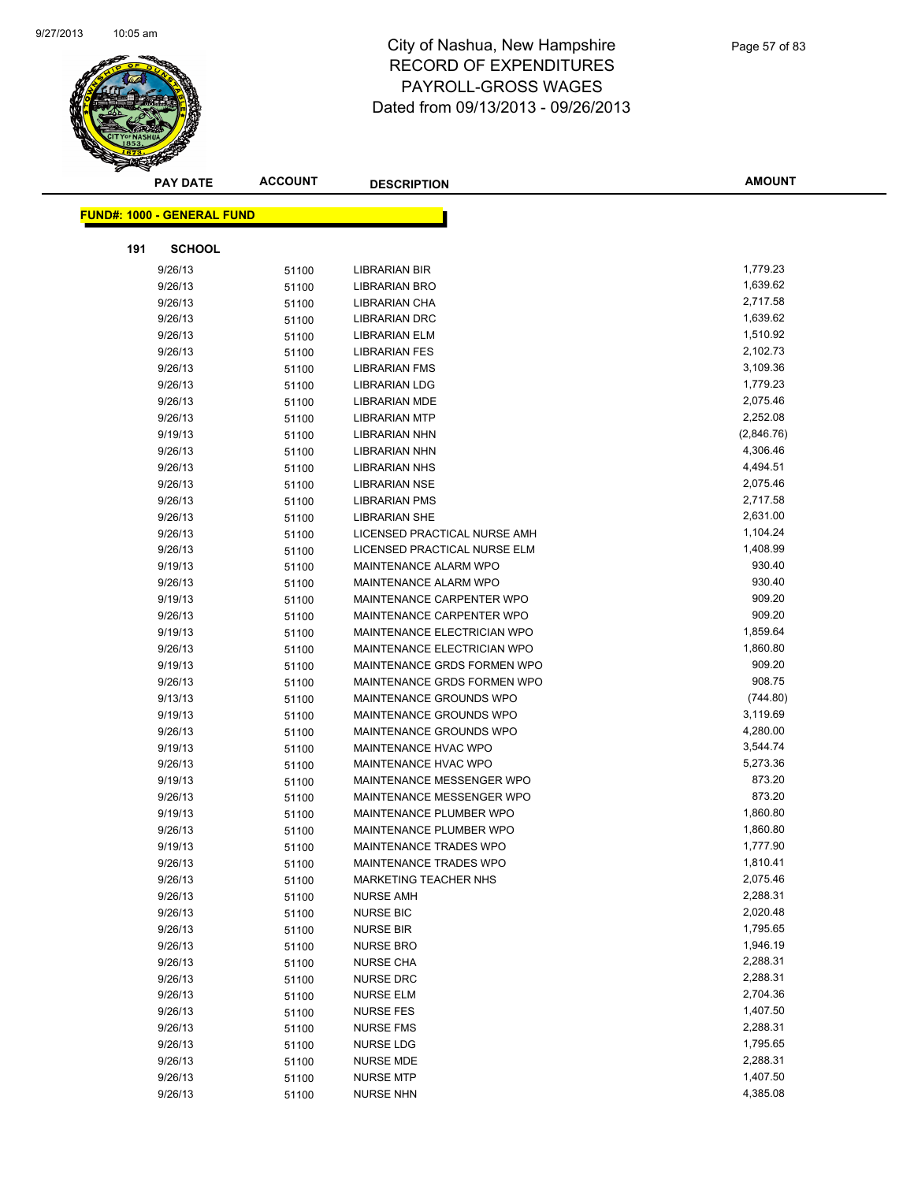

|     | <b>PAY DATE</b>                   | <b>ACCOUNT</b> | <b>DESCRIPTION</b>           | <b>AMOUNT</b> |
|-----|-----------------------------------|----------------|------------------------------|---------------|
|     | <b>FUND#: 1000 - GENERAL FUND</b> |                |                              |               |
|     |                                   |                |                              |               |
| 191 | <b>SCHOOL</b>                     |                |                              |               |
|     | 9/26/13                           | 51100          | <b>LIBRARIAN BIR</b>         | 1,779.23      |
|     | 9/26/13                           | 51100          | <b>LIBRARIAN BRO</b>         | 1,639.62      |
|     | 9/26/13                           | 51100          | <b>LIBRARIAN CHA</b>         | 2,717.58      |
|     | 9/26/13                           | 51100          | <b>LIBRARIAN DRC</b>         | 1,639.62      |
|     | 9/26/13                           | 51100          | <b>LIBRARIAN ELM</b>         | 1,510.92      |
|     | 9/26/13                           | 51100          | <b>LIBRARIAN FES</b>         | 2,102.73      |
|     | 9/26/13                           | 51100          | <b>LIBRARIAN FMS</b>         | 3,109.36      |
|     | 9/26/13                           | 51100          | <b>LIBRARIAN LDG</b>         | 1,779.23      |
|     | 9/26/13                           | 51100          | <b>LIBRARIAN MDE</b>         | 2,075.46      |
|     | 9/26/13                           | 51100          | <b>LIBRARIAN MTP</b>         | 2,252.08      |
|     | 9/19/13                           | 51100          | <b>LIBRARIAN NHN</b>         | (2,846.76)    |
|     | 9/26/13                           | 51100          | <b>LIBRARIAN NHN</b>         | 4,306.46      |
|     | 9/26/13                           | 51100          | <b>LIBRARIAN NHS</b>         | 4,494.51      |
|     | 9/26/13                           | 51100          | <b>LIBRARIAN NSE</b>         | 2,075.46      |
|     | 9/26/13                           | 51100          | <b>LIBRARIAN PMS</b>         | 2,717.58      |
|     | 9/26/13                           | 51100          | <b>LIBRARIAN SHE</b>         | 2,631.00      |
|     | 9/26/13                           | 51100          | LICENSED PRACTICAL NURSE AMH | 1,104.24      |
|     | 9/26/13                           | 51100          | LICENSED PRACTICAL NURSE ELM | 1,408.99      |
|     | 9/19/13                           | 51100          | MAINTENANCE ALARM WPO        | 930.40        |
|     | 9/26/13                           | 51100          | MAINTENANCE ALARM WPO        | 930.40        |
|     | 9/19/13                           | 51100          | MAINTENANCE CARPENTER WPO    | 909.20        |
|     | 9/26/13                           | 51100          | MAINTENANCE CARPENTER WPO    | 909.20        |
|     | 9/19/13                           | 51100          | MAINTENANCE ELECTRICIAN WPO  | 1,859.64      |
|     | 9/26/13                           | 51100          | MAINTENANCE ELECTRICIAN WPO  | 1,860.80      |
|     | 9/19/13                           | 51100          | MAINTENANCE GRDS FORMEN WPO  | 909.20        |
|     | 9/26/13                           | 51100          | MAINTENANCE GRDS FORMEN WPO  | 908.75        |
|     | 9/13/13                           | 51100          | MAINTENANCE GROUNDS WPO      | (744.80)      |
|     | 9/19/13                           | 51100          | MAINTENANCE GROUNDS WPO      | 3,119.69      |
|     | 9/26/13                           | 51100          | MAINTENANCE GROUNDS WPO      | 4,280.00      |
|     | 9/19/13                           | 51100          | MAINTENANCE HVAC WPO         | 3,544.74      |
|     | 9/26/13                           | 51100          | MAINTENANCE HVAC WPO         | 5,273.36      |
|     | 9/19/13                           | 51100          | MAINTENANCE MESSENGER WPO    | 873.20        |
|     | 9/26/13                           | 51100          | MAINTENANCE MESSENGER WPO    | 873.20        |
|     | 9/19/13                           | 51100          | MAINTENANCE PLUMBER WPO      | 1,860.80      |
|     | 9/26/13                           | 51100          | MAINTENANCE PLUMBER WPO      | 1,860.80      |
|     | 9/19/13                           | 51100          | MAINTENANCE TRADES WPO       | 1,777.90      |
|     | 9/26/13                           | 51100          | MAINTENANCE TRADES WPO       | 1,810.41      |
|     | 9/26/13                           | 51100          | MARKETING TEACHER NHS        | 2,075.46      |
|     | 9/26/13                           | 51100          | <b>NURSE AMH</b>             | 2,288.31      |
|     | 9/26/13                           | 51100          | <b>NURSE BIC</b>             | 2,020.48      |
|     | 9/26/13                           | 51100          | NURSE BIR                    | 1,795.65      |
|     | 9/26/13                           | 51100          | <b>NURSE BRO</b>             | 1,946.19      |
|     | 9/26/13                           | 51100          | <b>NURSE CHA</b>             | 2,288.31      |
|     | 9/26/13                           | 51100          | <b>NURSE DRC</b>             | 2,288.31      |
|     | 9/26/13                           | 51100          | <b>NURSE ELM</b>             | 2,704.36      |
|     | 9/26/13                           | 51100          | <b>NURSE FES</b>             | 1,407.50      |
|     | 9/26/13                           | 51100          | <b>NURSE FMS</b>             | 2,288.31      |
|     | 9/26/13                           | 51100          | NURSE LDG                    | 1,795.65      |
|     | 9/26/13                           | 51100          | NURSE MDE                    | 2,288.31      |
|     | 9/26/13                           | 51100          | <b>NURSE MTP</b>             | 1,407.50      |
|     | 9/26/13                           | 51100          | <b>NURSE NHN</b>             | 4,385.08      |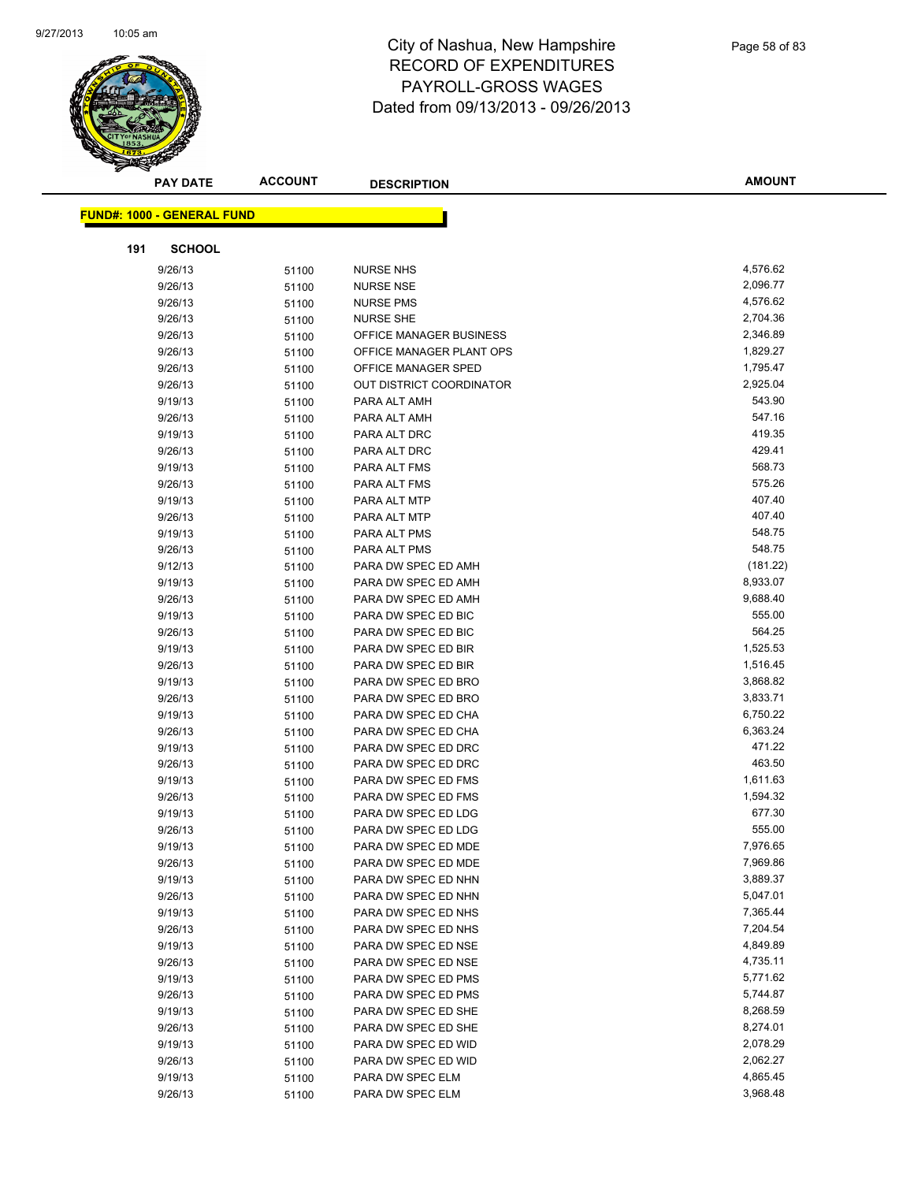

| <b>PAY DATE</b>                   | <b>ACCOUNT</b> | <b>DESCRIPTION</b>                         | <b>AMOUNT</b>        |
|-----------------------------------|----------------|--------------------------------------------|----------------------|
| <b>FUND#: 1000 - GENERAL FUND</b> |                |                                            |                      |
|                                   |                |                                            |                      |
| 191<br><b>SCHOOL</b>              |                |                                            |                      |
| 9/26/13                           | 51100          | <b>NURSE NHS</b>                           | 4,576.62             |
| 9/26/13                           | 51100          | <b>NURSE NSE</b>                           | 2,096.77             |
| 9/26/13                           | 51100          | <b>NURSE PMS</b>                           | 4,576.62             |
| 9/26/13                           | 51100          | <b>NURSE SHE</b>                           | 2,704.36             |
| 9/26/13                           | 51100          | OFFICE MANAGER BUSINESS                    | 2,346.89             |
| 9/26/13                           | 51100          | OFFICE MANAGER PLANT OPS                   | 1,829.27             |
| 9/26/13                           | 51100          | OFFICE MANAGER SPED                        | 1,795.47             |
| 9/26/13                           | 51100          | <b>OUT DISTRICT COORDINATOR</b>            | 2,925.04             |
| 9/19/13                           | 51100          | PARA ALT AMH                               | 543.90               |
| 9/26/13                           | 51100          | PARA ALT AMH                               | 547.16               |
| 9/19/13                           | 51100          | PARA ALT DRC                               | 419.35               |
| 9/26/13                           | 51100          | PARA ALT DRC                               | 429.41               |
| 9/19/13                           | 51100          | PARA ALT FMS                               | 568.73               |
| 9/26/13                           | 51100          | PARA ALT FMS                               | 575.26               |
| 9/19/13                           | 51100          | PARA ALT MTP                               | 407.40               |
| 9/26/13                           | 51100          | PARA ALT MTP                               | 407.40               |
| 9/19/13                           | 51100          | PARA ALT PMS                               | 548.75               |
| 9/26/13                           | 51100          | PARA ALT PMS                               | 548.75               |
| 9/12/13                           | 51100          | PARA DW SPEC ED AMH                        | (181.22)             |
| 9/19/13                           | 51100          | PARA DW SPEC ED AMH                        | 8,933.07             |
| 9/26/13                           | 51100          | PARA DW SPEC ED AMH                        | 9,688.40             |
| 9/19/13                           | 51100          | PARA DW SPEC ED BIC                        | 555.00               |
| 9/26/13                           | 51100          | PARA DW SPEC ED BIC                        | 564.25               |
| 9/19/13                           | 51100          | PARA DW SPEC ED BIR                        | 1,525.53             |
| 9/26/13                           | 51100          | PARA DW SPEC ED BIR                        | 1,516.45             |
| 9/19/13                           | 51100          | PARA DW SPEC ED BRO                        | 3,868.82<br>3,833.71 |
| 9/26/13<br>9/19/13                | 51100          | PARA DW SPEC ED BRO<br>PARA DW SPEC ED CHA | 6,750.22             |
| 9/26/13                           | 51100<br>51100 | PARA DW SPEC ED CHA                        | 6,363.24             |
| 9/19/13                           | 51100          | PARA DW SPEC ED DRC                        | 471.22               |
| 9/26/13                           | 51100          | PARA DW SPEC ED DRC                        | 463.50               |
| 9/19/13                           | 51100          | PARA DW SPEC ED FMS                        | 1,611.63             |
| 9/26/13                           | 51100          | PARA DW SPEC ED FMS                        | 1,594.32             |
| 9/19/13                           | 51100          | PARA DW SPEC ED LDG                        | 677.30               |
| 9/26/13                           | 51100          | PARA DW SPEC ED LDG                        | 555.00               |
| 9/19/13                           | 51100          | PARA DW SPEC ED MDE                        | 7,976.65             |
| 9/26/13                           | 51100          | PARA DW SPEC ED MDE                        | 7,969.86             |
| 9/19/13                           | 51100          | PARA DW SPEC ED NHN                        | 3,889.37             |
| 9/26/13                           | 51100          | PARA DW SPEC ED NHN                        | 5,047.01             |
| 9/19/13                           | 51100          | PARA DW SPEC ED NHS                        | 7,365.44             |
| 9/26/13                           | 51100          | PARA DW SPEC ED NHS                        | 7,204.54             |
| 9/19/13                           | 51100          | PARA DW SPEC ED NSE                        | 4,849.89             |
| 9/26/13                           | 51100          | PARA DW SPEC ED NSE                        | 4,735.11             |
| 9/19/13                           | 51100          | PARA DW SPEC ED PMS                        | 5,771.62             |
| 9/26/13                           | 51100          | PARA DW SPEC ED PMS                        | 5,744.87             |
| 9/19/13                           | 51100          | PARA DW SPEC ED SHE                        | 8,268.59             |
| 9/26/13                           | 51100          | PARA DW SPEC ED SHE                        | 8,274.01             |
| 9/19/13                           | 51100          | PARA DW SPEC ED WID                        | 2,078.29             |
| 9/26/13                           | 51100          | PARA DW SPEC ED WID                        | 2,062.27             |
| 9/19/13                           | 51100          | PARA DW SPEC ELM                           | 4,865.45             |
| 9/26/13                           | 51100          | PARA DW SPEC ELM                           | 3,968.48             |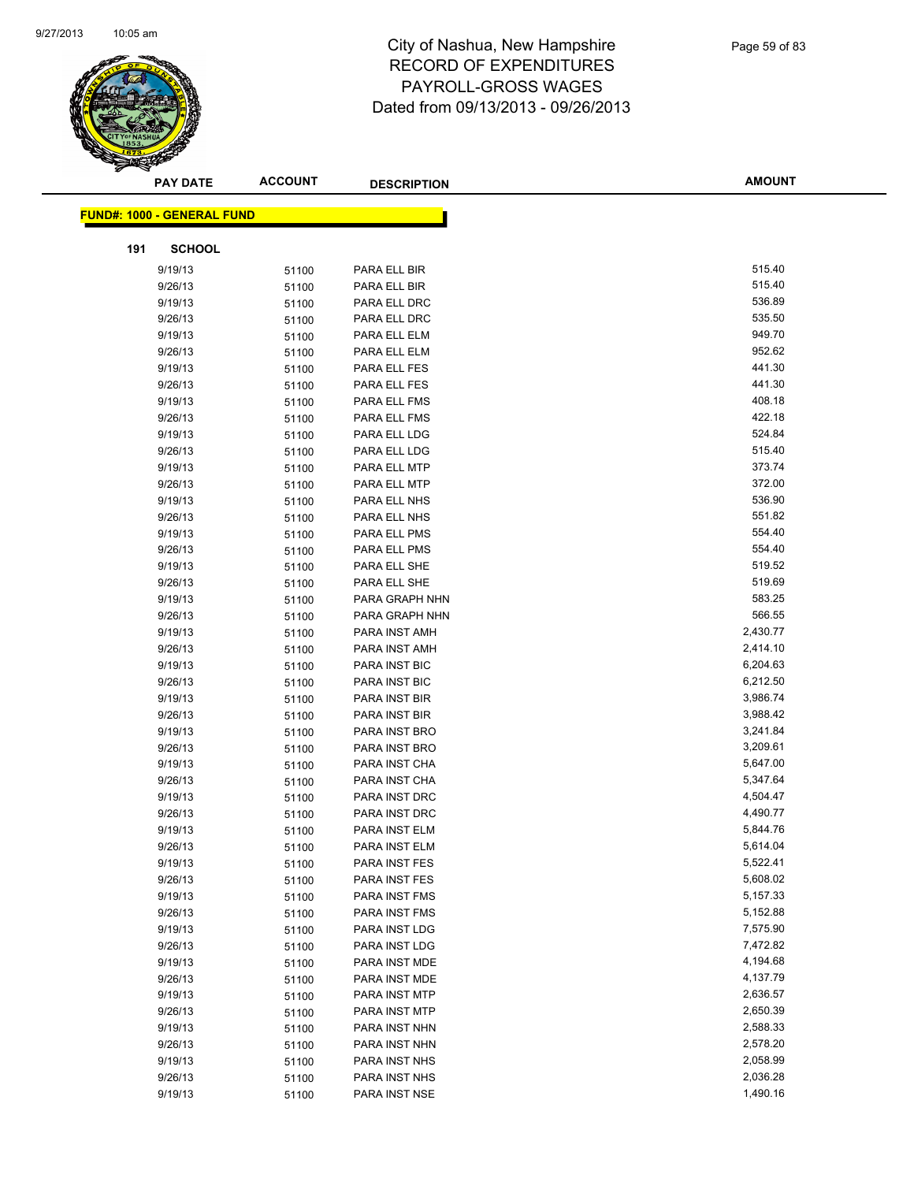

|     | <b>PAY DATE</b>                   | <b>ACCOUNT</b> | <b>DESCRIPTION</b> | <b>AMOUNT</b> |  |
|-----|-----------------------------------|----------------|--------------------|---------------|--|
|     |                                   |                |                    |               |  |
|     | <b>FUND#: 1000 - GENERAL FUND</b> |                |                    |               |  |
| 191 | <b>SCHOOL</b>                     |                |                    |               |  |
|     | 9/19/13                           | 51100          | PARA ELL BIR       | 515.40        |  |
|     | 9/26/13                           | 51100          | PARA ELL BIR       | 515.40        |  |
|     | 9/19/13                           | 51100          | PARA ELL DRC       | 536.89        |  |
|     | 9/26/13                           | 51100          | PARA ELL DRC       | 535.50        |  |
|     | 9/19/13                           | 51100          | PARA ELL ELM       | 949.70        |  |
|     | 9/26/13                           | 51100          | PARA ELL ELM       | 952.62        |  |
|     | 9/19/13                           | 51100          | PARA ELL FES       | 441.30        |  |
|     | 9/26/13                           | 51100          | PARA ELL FES       | 441.30        |  |
|     | 9/19/13                           | 51100          | PARA ELL FMS       | 408.18        |  |
|     | 9/26/13                           | 51100          | PARA ELL FMS       | 422.18        |  |
|     | 9/19/13                           | 51100          | PARA ELL LDG       | 524.84        |  |
|     | 9/26/13                           | 51100          | PARA ELL LDG       | 515.40        |  |
|     | 9/19/13                           | 51100          | PARA ELL MTP       | 373.74        |  |
|     | 9/26/13                           | 51100          | PARA ELL MTP       | 372.00        |  |
|     | 9/19/13                           | 51100          | PARA ELL NHS       | 536.90        |  |
|     | 9/26/13                           | 51100          | PARA ELL NHS       | 551.82        |  |
|     | 9/19/13                           | 51100          | PARA ELL PMS       | 554.40        |  |
|     | 9/26/13                           | 51100          | PARA ELL PMS       | 554.40        |  |
|     | 9/19/13                           | 51100          | PARA ELL SHE       | 519.52        |  |
|     | 9/26/13                           | 51100          | PARA ELL SHE       | 519.69        |  |
|     | 9/19/13                           | 51100          | PARA GRAPH NHN     | 583.25        |  |
|     | 9/26/13                           | 51100          | PARA GRAPH NHN     | 566.55        |  |
|     | 9/19/13                           | 51100          | PARA INST AMH      | 2,430.77      |  |
|     | 9/26/13                           | 51100          | PARA INST AMH      | 2,414.10      |  |
|     | 9/19/13                           | 51100          | PARA INST BIC      | 6,204.63      |  |
|     | 9/26/13                           | 51100          | PARA INST BIC      | 6,212.50      |  |
|     | 9/19/13                           | 51100          | PARA INST BIR      | 3,986.74      |  |
|     | 9/26/13                           | 51100          | PARA INST BIR      | 3,988.42      |  |
|     | 9/19/13                           | 51100          | PARA INST BRO      | 3,241.84      |  |
|     | 9/26/13                           | 51100          | PARA INST BRO      | 3,209.61      |  |
|     | 9/19/13                           | 51100          | PARA INST CHA      | 5,647.00      |  |
|     | 9/26/13                           | 51100          | PARA INST CHA      | 5,347.64      |  |
|     | 9/19/13                           | 51100          | PARA INST DRC      | 4,504.47      |  |
|     | 9/26/13                           | 51100          | PARA INST DRC      | 4,490.77      |  |
|     | 9/19/13                           | 51100          | PARA INST ELM      | 5,844.76      |  |
|     | 9/26/13                           | 51100          | PARA INST ELM      | 5,614.04      |  |
|     | 9/19/13                           | 51100          | PARA INST FES      | 5,522.41      |  |
|     | 9/26/13                           | 51100          | PARA INST FES      | 5,608.02      |  |
|     | 9/19/13                           | 51100          | PARA INST FMS      | 5,157.33      |  |
|     | 9/26/13                           | 51100          | PARA INST FMS      | 5,152.88      |  |
|     | 9/19/13                           | 51100          | PARA INST LDG      | 7,575.90      |  |
|     | 9/26/13                           | 51100          | PARA INST LDG      | 7,472.82      |  |
|     | 9/19/13                           | 51100          | PARA INST MDE      | 4,194.68      |  |
|     | 9/26/13                           | 51100          | PARA INST MDE      | 4,137.79      |  |
|     | 9/19/13                           | 51100          | PARA INST MTP      | 2,636.57      |  |
|     | 9/26/13                           | 51100          | PARA INST MTP      | 2,650.39      |  |
|     | 9/19/13                           | 51100          | PARA INST NHN      | 2,588.33      |  |
|     | 9/26/13                           | 51100          | PARA INST NHN      | 2,578.20      |  |
|     | 9/19/13                           | 51100          | PARA INST NHS      | 2,058.99      |  |
|     | 9/26/13                           | 51100          | PARA INST NHS      | 2,036.28      |  |
|     | 9/19/13                           | 51100          | PARA INST NSE      | 1,490.16      |  |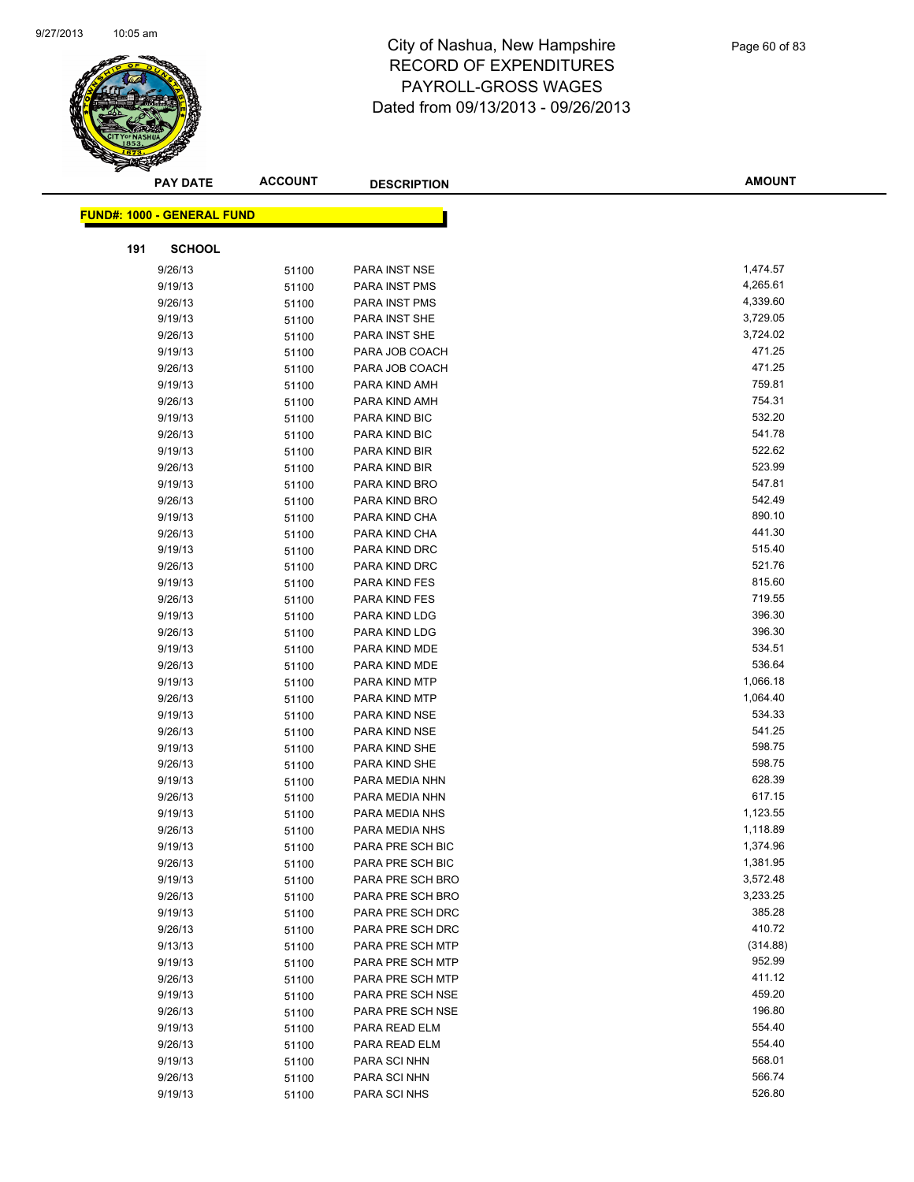

|     | <b>PAY DATE</b>                   | <b>ACCOUNT</b> | <b>DESCRIPTION</b>             | <b>AMOUNT</b>    |  |
|-----|-----------------------------------|----------------|--------------------------------|------------------|--|
|     | <b>FUND#: 1000 - GENERAL FUND</b> |                |                                |                  |  |
|     |                                   |                |                                |                  |  |
| 191 | <b>SCHOOL</b>                     |                |                                |                  |  |
|     | 9/26/13                           | 51100          | PARA INST NSE                  | 1,474.57         |  |
|     | 9/19/13                           | 51100          | PARA INST PMS                  | 4,265.61         |  |
|     | 9/26/13                           | 51100          | PARA INST PMS                  | 4,339.60         |  |
|     | 9/19/13                           | 51100          | PARA INST SHE                  | 3,729.05         |  |
|     | 9/26/13                           | 51100          | PARA INST SHE                  | 3,724.02         |  |
|     | 9/19/13                           | 51100          | PARA JOB COACH                 | 471.25           |  |
|     | 9/26/13                           | 51100          | PARA JOB COACH                 | 471.25           |  |
|     | 9/19/13                           | 51100          | PARA KIND AMH                  | 759.81           |  |
|     | 9/26/13                           | 51100          | PARA KIND AMH                  | 754.31           |  |
|     | 9/19/13                           | 51100          | PARA KIND BIC                  | 532.20           |  |
|     | 9/26/13                           | 51100          | PARA KIND BIC                  | 541.78           |  |
|     | 9/19/13                           | 51100          | PARA KIND BIR                  | 522.62           |  |
|     | 9/26/13                           | 51100          | PARA KIND BIR                  | 523.99           |  |
|     | 9/19/13                           | 51100          | PARA KIND BRO                  | 547.81           |  |
|     | 9/26/13                           | 51100          | PARA KIND BRO                  | 542.49           |  |
|     | 9/19/13                           | 51100          | PARA KIND CHA                  | 890.10           |  |
|     | 9/26/13                           | 51100          | PARA KIND CHA                  | 441.30           |  |
|     | 9/19/13                           | 51100          | PARA KIND DRC                  | 515.40           |  |
|     | 9/26/13                           | 51100          | PARA KIND DRC                  | 521.76           |  |
|     | 9/19/13                           | 51100          | PARA KIND FES                  | 815.60           |  |
|     | 9/26/13                           | 51100          | PARA KIND FES                  | 719.55           |  |
|     | 9/19/13                           | 51100          | PARA KIND LDG                  | 396.30           |  |
|     | 9/26/13                           | 51100          | PARA KIND LDG                  | 396.30           |  |
|     | 9/19/13                           | 51100          | PARA KIND MDE                  | 534.51           |  |
|     | 9/26/13                           | 51100          | PARA KIND MDE                  | 536.64           |  |
|     | 9/19/13                           | 51100          | PARA KIND MTP                  | 1,066.18         |  |
|     | 9/26/13                           | 51100          | PARA KIND MTP                  | 1,064.40         |  |
|     | 9/19/13                           | 51100          | PARA KIND NSE                  | 534.33<br>541.25 |  |
|     | 9/26/13                           | 51100          | PARA KIND NSE                  | 598.75           |  |
|     | 9/19/13                           | 51100          | PARA KIND SHE<br>PARA KIND SHE | 598.75           |  |
|     | 9/26/13                           | 51100          | PARA MEDIA NHN                 | 628.39           |  |
|     | 9/19/13                           | 51100          | PARA MEDIA NHN                 | 617.15           |  |
|     | 9/26/13<br>9/19/13                | 51100          | PARA MEDIA NHS                 | 1,123.55         |  |
|     | 9/26/13                           | 51100<br>51100 | PARA MEDIA NHS                 | 1,118.89         |  |
|     | 9/19/13                           | 51100          | PARA PRE SCH BIC               | 1,374.96         |  |
|     | 9/26/13                           | 51100          | PARA PRE SCH BIC               | 1,381.95         |  |
|     | 9/19/13                           | 51100          | PARA PRE SCH BRO               | 3,572.48         |  |
|     | 9/26/13                           | 51100          | PARA PRE SCH BRO               | 3,233.25         |  |
|     | 9/19/13                           | 51100          | PARA PRE SCH DRC               | 385.28           |  |
|     | 9/26/13                           | 51100          | PARA PRE SCH DRC               | 410.72           |  |
|     | 9/13/13                           | 51100          | PARA PRE SCH MTP               | (314.88)         |  |
|     | 9/19/13                           | 51100          | PARA PRE SCH MTP               | 952.99           |  |
|     | 9/26/13                           | 51100          | PARA PRE SCH MTP               | 411.12           |  |
|     | 9/19/13                           | 51100          | PARA PRE SCH NSE               | 459.20           |  |
|     | 9/26/13                           | 51100          | PARA PRE SCH NSE               | 196.80           |  |
|     | 9/19/13                           | 51100          | PARA READ ELM                  | 554.40           |  |
|     | 9/26/13                           | 51100          | PARA READ ELM                  | 554.40           |  |
|     | 9/19/13                           | 51100          | PARA SCI NHN                   | 568.01           |  |
|     | 9/26/13                           | 51100          | PARA SCI NHN                   | 566.74           |  |
|     | 9/19/13                           | 51100          | PARA SCI NHS                   | 526.80           |  |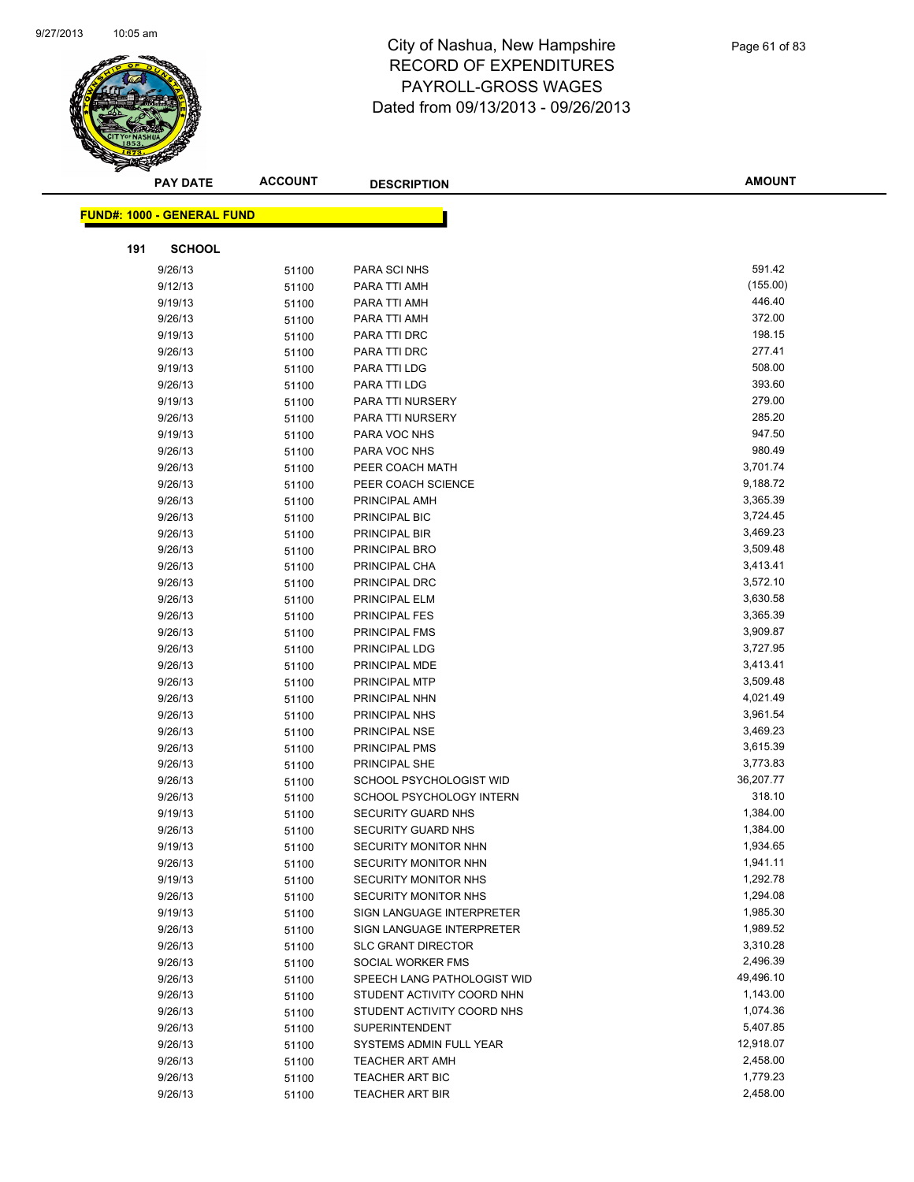

|     | <b>PAY DATE</b>                   | <b>ACCOUNT</b> | <b>DESCRIPTION</b>                                  | <b>AMOUNT</b>         |
|-----|-----------------------------------|----------------|-----------------------------------------------------|-----------------------|
|     |                                   |                |                                                     |                       |
|     | <b>FUND#: 1000 - GENERAL FUND</b> |                |                                                     |                       |
| 191 | <b>SCHOOL</b>                     |                |                                                     |                       |
|     | 9/26/13                           | 51100          | PARA SCI NHS                                        | 591.42                |
|     | 9/12/13                           | 51100          | PARA TTI AMH                                        | (155.00)              |
|     | 9/19/13                           | 51100          | PARA TTI AMH                                        | 446.40                |
|     | 9/26/13                           | 51100          | PARA TTI AMH                                        | 372.00                |
|     | 9/19/13                           | 51100          | PARA TTI DRC                                        | 198.15                |
|     | 9/26/13                           | 51100          | PARA TTI DRC                                        | 277.41                |
|     | 9/19/13                           | 51100          | PARA TTI LDG                                        | 508.00                |
|     | 9/26/13                           | 51100          | PARA TTI LDG                                        | 393.60                |
|     | 9/19/13                           | 51100          | PARA TTI NURSERY                                    | 279.00                |
|     | 9/26/13                           | 51100          | PARA TTI NURSERY                                    | 285.20                |
|     | 9/19/13                           | 51100          | PARA VOC NHS                                        | 947.50                |
|     | 9/26/13                           | 51100          | PARA VOC NHS                                        | 980.49                |
|     | 9/26/13                           | 51100          | PEER COACH MATH                                     | 3,701.74              |
|     | 9/26/13                           | 51100          | PEER COACH SCIENCE                                  | 9,188.72              |
|     | 9/26/13                           | 51100          | PRINCIPAL AMH                                       | 3,365.39              |
|     | 9/26/13                           | 51100          | PRINCIPAL BIC                                       | 3,724.45              |
|     | 9/26/13                           | 51100          | PRINCIPAL BIR                                       | 3,469.23              |
|     | 9/26/13                           | 51100          | PRINCIPAL BRO                                       | 3,509.48              |
|     | 9/26/13                           | 51100          | PRINCIPAL CHA                                       | 3,413.41              |
|     | 9/26/13                           | 51100          | PRINCIPAL DRC                                       | 3,572.10              |
|     | 9/26/13                           | 51100          | PRINCIPAL ELM                                       | 3,630.58              |
|     | 9/26/13                           | 51100          | <b>PRINCIPAL FES</b>                                | 3,365.39              |
|     | 9/26/13                           | 51100          | PRINCIPAL FMS                                       | 3,909.87              |
|     | 9/26/13                           | 51100          | PRINCIPAL LDG                                       | 3,727.95              |
|     | 9/26/13                           | 51100          | PRINCIPAL MDE                                       | 3,413.41              |
|     | 9/26/13                           | 51100          | PRINCIPAL MTP                                       | 3,509.48              |
|     | 9/26/13                           | 51100          | PRINCIPAL NHN                                       | 4,021.49              |
|     | 9/26/13                           | 51100          | PRINCIPAL NHS                                       | 3,961.54              |
|     | 9/26/13                           | 51100          | PRINCIPAL NSE                                       | 3,469.23              |
|     | 9/26/13                           | 51100          | PRINCIPAL PMS                                       | 3,615.39              |
|     | 9/26/13                           | 51100          | PRINCIPAL SHE                                       | 3,773.83              |
|     | 9/26/13                           | 51100          | SCHOOL PSYCHOLOGIST WID                             | 36,207.77             |
|     | 9/26/13                           | 51100          | SCHOOL PSYCHOLOGY INTERN                            | 318.10                |
|     | 9/19/13                           | 51100          | <b>SECURITY GUARD NHS</b>                           | 1,384.00              |
|     | 9/26/13                           | 51100          | SECURITY GUARD NHS                                  | 1,384.00              |
|     | 9/19/13                           | 51100          | SECURITY MONITOR NHN                                | 1,934.65              |
|     | 9/26/13                           | 51100          | SECURITY MONITOR NHN                                | 1,941.11              |
|     | 9/19/13                           | 51100          | SECURITY MONITOR NHS                                | 1,292.78              |
|     | 9/26/13                           | 51100          | <b>SECURITY MONITOR NHS</b>                         | 1,294.08              |
|     | 9/19/13                           | 51100          | SIGN LANGUAGE INTERPRETER                           | 1,985.30              |
|     | 9/26/13                           | 51100          | SIGN LANGUAGE INTERPRETER                           | 1,989.52              |
|     | 9/26/13                           | 51100          | <b>SLC GRANT DIRECTOR</b>                           | 3,310.28              |
|     | 9/26/13                           | 51100          | SOCIAL WORKER FMS                                   | 2,496.39              |
|     | 9/26/13                           | 51100          | SPEECH LANG PATHOLOGIST WID                         | 49,496.10             |
|     | 9/26/13                           | 51100          | STUDENT ACTIVITY COORD NHN                          | 1,143.00<br>1,074.36  |
|     | 9/26/13                           | 51100          | STUDENT ACTIVITY COORD NHS<br><b>SUPERINTENDENT</b> |                       |
|     | 9/26/13                           | 51100          |                                                     | 5,407.85<br>12,918.07 |
|     | 9/26/13                           | 51100          | SYSTEMS ADMIN FULL YEAR                             | 2,458.00              |
|     | 9/26/13                           | 51100          | <b>TEACHER ART AMH</b>                              | 1,779.23              |
|     | 9/26/13                           | 51100          | <b>TEACHER ART BIC</b>                              |                       |
|     | 9/26/13                           | 51100          | <b>TEACHER ART BIR</b>                              | 2,458.00              |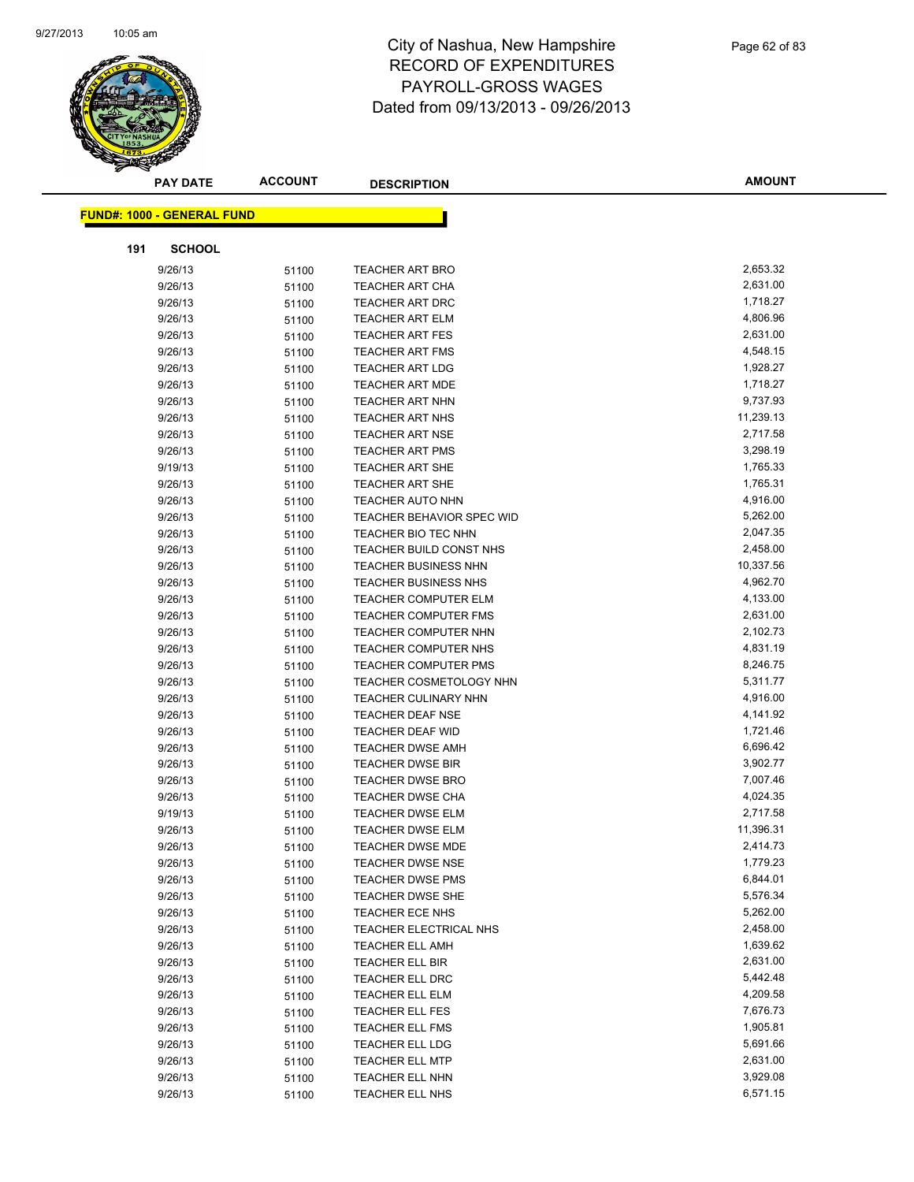

| <b>PAY DATE</b>                   | <b>ACCOUNT</b> | <b>DESCRIPTION</b>                          | <b>AMOUNT</b>        |
|-----------------------------------|----------------|---------------------------------------------|----------------------|
|                                   |                |                                             |                      |
| <b>FUND#: 1000 - GENERAL FUND</b> |                |                                             |                      |
| 191<br><b>SCHOOL</b>              |                |                                             |                      |
| 9/26/13                           | 51100          | <b>TEACHER ART BRO</b>                      | 2,653.32             |
| 9/26/13                           | 51100          | <b>TEACHER ART CHA</b>                      | 2,631.00             |
| 9/26/13                           | 51100          | <b>TEACHER ART DRC</b>                      | 1,718.27             |
| 9/26/13                           | 51100          | <b>TEACHER ART ELM</b>                      | 4,806.96             |
| 9/26/13                           | 51100          | <b>TEACHER ART FES</b>                      | 2,631.00             |
| 9/26/13                           | 51100          | <b>TEACHER ART FMS</b>                      | 4,548.15             |
| 9/26/13                           | 51100          | <b>TEACHER ART LDG</b>                      | 1,928.27             |
| 9/26/13                           | 51100          | <b>TEACHER ART MDE</b>                      | 1,718.27             |
| 9/26/13                           | 51100          | <b>TEACHER ART NHN</b>                      | 9,737.93             |
| 9/26/13                           | 51100          | <b>TEACHER ART NHS</b>                      | 11,239.13            |
| 9/26/13                           | 51100          | <b>TEACHER ART NSE</b>                      | 2,717.58             |
| 9/26/13                           | 51100          | <b>TEACHER ART PMS</b>                      | 3,298.19             |
| 9/19/13                           | 51100          | <b>TEACHER ART SHE</b>                      | 1,765.33             |
| 9/26/13                           | 51100          | <b>TEACHER ART SHE</b>                      | 1,765.31             |
| 9/26/13                           | 51100          | <b>TEACHER AUTO NHN</b>                     | 4,916.00             |
| 9/26/13                           | 51100          | <b>TEACHER BEHAVIOR SPEC WID</b>            | 5,262.00             |
| 9/26/13                           | 51100          | TEACHER BIO TEC NHN                         | 2,047.35             |
| 9/26/13                           | 51100          | TEACHER BUILD CONST NHS                     | 2,458.00             |
| 9/26/13                           | 51100          | <b>TEACHER BUSINESS NHN</b>                 | 10,337.56            |
| 9/26/13                           | 51100          | <b>TEACHER BUSINESS NHS</b>                 | 4,962.70             |
| 9/26/13                           | 51100          | <b>TEACHER COMPUTER ELM</b>                 | 4,133.00             |
| 9/26/13                           | 51100          | <b>TEACHER COMPUTER FMS</b>                 | 2,631.00             |
| 9/26/13                           | 51100          | TEACHER COMPUTER NHN                        | 2,102.73             |
| 9/26/13                           | 51100          | <b>TEACHER COMPUTER NHS</b>                 | 4,831.19             |
| 9/26/13                           | 51100          | TEACHER COMPUTER PMS                        | 8,246.75             |
| 9/26/13                           | 51100          | <b>TEACHER COSMETOLOGY NHN</b>              | 5,311.77             |
| 9/26/13                           | 51100          | TEACHER CULINARY NHN                        | 4,916.00             |
| 9/26/13                           | 51100          | <b>TEACHER DEAF NSE</b>                     | 4,141.92             |
| 9/26/13                           | 51100          | <b>TEACHER DEAF WID</b>                     | 1,721.46             |
| 9/26/13                           | 51100          | <b>TEACHER DWSE AMH</b>                     | 6,696.42             |
| 9/26/13                           | 51100          | <b>TEACHER DWSE BIR</b>                     | 3,902.77             |
| 9/26/13                           | 51100          | <b>TEACHER DWSE BRO</b>                     | 7,007.46             |
| 9/26/13                           | 51100          | <b>TEACHER DWSE CHA</b>                     | 4,024.35             |
| 9/19/13                           | 51100          | <b>TEACHER DWSE ELM</b>                     | 2,717.58             |
| 9/26/13                           | 51100          | <b>TEACHER DWSE ELM</b>                     | 11,396.31            |
| 9/26/13                           | 51100          | TEACHER DWSE MDE                            | 2,414.73<br>1,779.23 |
| 9/26/13                           | 51100          | <b>TEACHER DWSE NSE</b><br>TEACHER DWSE PMS | 6,844.01             |
| 9/26/13                           | 51100          |                                             | 5,576.34             |
| 9/26/13<br>9/26/13                | 51100          | TEACHER DWSE SHE<br>TEACHER ECE NHS         | 5,262.00             |
| 9/26/13                           | 51100          | TEACHER ELECTRICAL NHS                      | 2,458.00             |
| 9/26/13                           | 51100          | <b>TEACHER ELL AMH</b>                      | 1,639.62             |
| 9/26/13                           | 51100<br>51100 | TEACHER ELL BIR                             | 2,631.00             |
| 9/26/13                           | 51100          | TEACHER ELL DRC                             | 5,442.48             |
| 9/26/13                           | 51100          | <b>TEACHER ELL ELM</b>                      | 4,209.58             |
| 9/26/13                           | 51100          | <b>TEACHER ELL FES</b>                      | 7,676.73             |
| 9/26/13                           | 51100          | <b>TEACHER ELL FMS</b>                      | 1,905.81             |
| 9/26/13                           | 51100          | TEACHER ELL LDG                             | 5,691.66             |
| 9/26/13                           | 51100          | <b>TEACHER ELL MTP</b>                      | 2,631.00             |
| 9/26/13                           | 51100          | TEACHER ELL NHN                             | 3,929.08             |
| 9/26/13                           | 51100          | TEACHER ELL NHS                             | 6,571.15             |
|                                   |                |                                             |                      |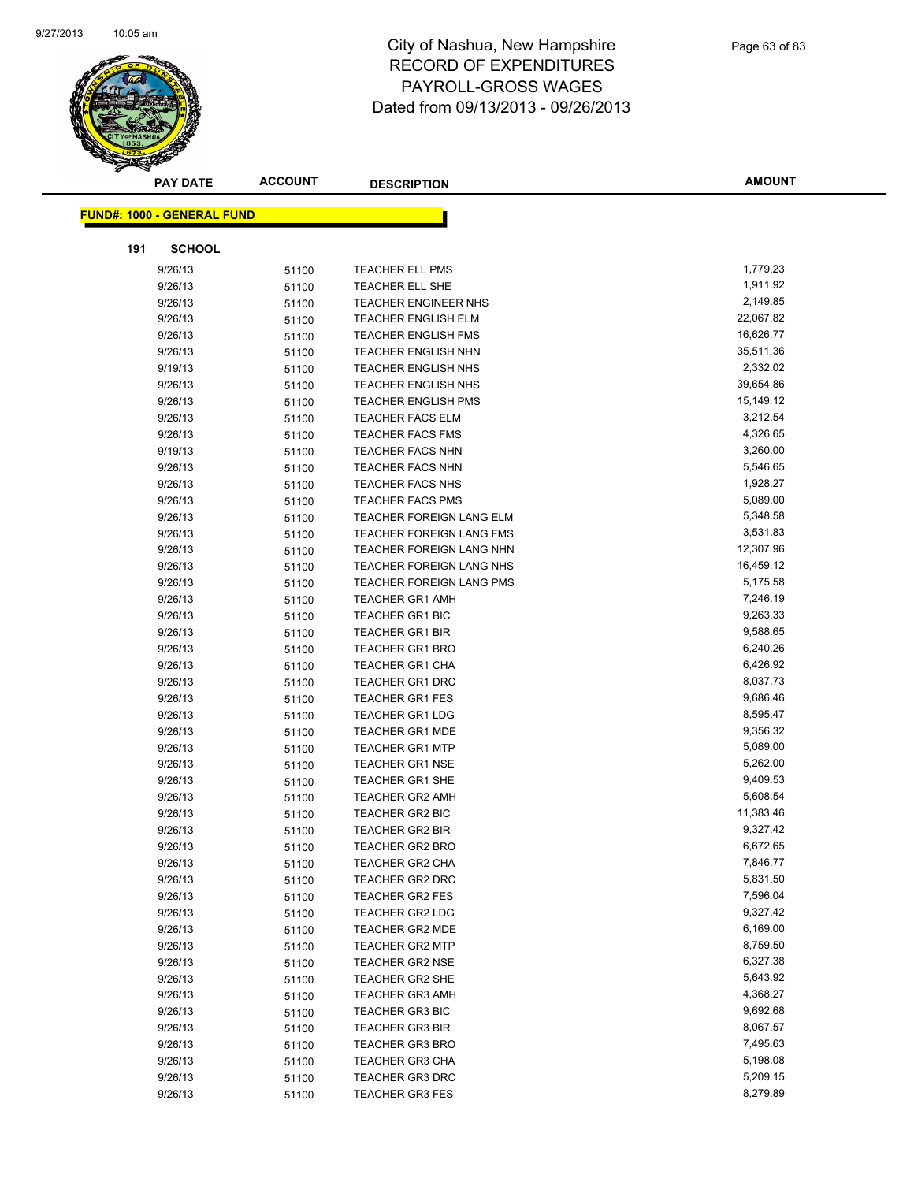

|     | <b>PAY DATE</b>                   | <b>ACCOUNT</b> | <b>DESCRIPTION</b>          | <b>AMOUNT</b> |
|-----|-----------------------------------|----------------|-----------------------------|---------------|
|     |                                   |                |                             |               |
|     | <b>FUND#: 1000 - GENERAL FUND</b> |                |                             |               |
| 191 | <b>SCHOOL</b>                     |                |                             |               |
|     | 9/26/13                           | 51100          | <b>TEACHER ELL PMS</b>      | 1,779.23      |
|     | 9/26/13                           | 51100          | <b>TEACHER ELL SHE</b>      | 1,911.92      |
|     | 9/26/13                           | 51100          | <b>TEACHER ENGINEER NHS</b> | 2,149.85      |
|     | 9/26/13                           | 51100          | <b>TEACHER ENGLISH ELM</b>  | 22,067.82     |
|     | 9/26/13                           | 51100          | TEACHER ENGLISH FMS         | 16,626.77     |
|     | 9/26/13                           | 51100          | <b>TEACHER ENGLISH NHN</b>  | 35,511.36     |
|     | 9/19/13                           | 51100          | <b>TEACHER ENGLISH NHS</b>  | 2,332.02      |
|     | 9/26/13                           | 51100          | TEACHER ENGLISH NHS         | 39,654.86     |
|     | 9/26/13                           | 51100          | <b>TEACHER ENGLISH PMS</b>  | 15,149.12     |
|     | 9/26/13                           | 51100          | <b>TEACHER FACS ELM</b>     | 3,212.54      |
|     | 9/26/13                           | 51100          | <b>TEACHER FACS FMS</b>     | 4,326.65      |
|     | 9/19/13                           | 51100          | <b>TEACHER FACS NHN</b>     | 3,260.00      |
|     | 9/26/13                           | 51100          | <b>TEACHER FACS NHN</b>     | 5,546.65      |
|     | 9/26/13                           | 51100          | TEACHER FACS NHS            | 1,928.27      |
|     | 9/26/13                           | 51100          | <b>TEACHER FACS PMS</b>     | 5,089.00      |
|     | 9/26/13                           | 51100          | TEACHER FOREIGN LANG ELM    | 5,348.58      |
|     | 9/26/13                           | 51100          | TEACHER FOREIGN LANG FMS    | 3,531.83      |
|     | 9/26/13                           | 51100          | TEACHER FOREIGN LANG NHN    | 12,307.96     |
|     | 9/26/13                           | 51100          | TEACHER FOREIGN LANG NHS    | 16,459.12     |
|     | 9/26/13                           | 51100          | TEACHER FOREIGN LANG PMS    | 5,175.58      |
|     | 9/26/13                           | 51100          | <b>TEACHER GR1 AMH</b>      | 7,246.19      |
|     | 9/26/13                           | 51100          | <b>TEACHER GR1 BIC</b>      | 9,263.33      |
|     | 9/26/13                           | 51100          | TEACHER GR1 BIR             | 9,588.65      |
|     | 9/26/13                           | 51100          | TEACHER GR1 BRO             | 6,240.26      |
|     | 9/26/13                           | 51100          | <b>TEACHER GR1 CHA</b>      | 6,426.92      |
|     | 9/26/13                           | 51100          | <b>TEACHER GR1 DRC</b>      | 8,037.73      |
|     | 9/26/13                           | 51100          | <b>TEACHER GR1 FES</b>      | 9,686.46      |
|     | 9/26/13                           | 51100          | <b>TEACHER GR1 LDG</b>      | 8,595.47      |
|     | 9/26/13                           | 51100          | <b>TEACHER GR1 MDE</b>      | 9,356.32      |
|     | 9/26/13                           | 51100          | <b>TEACHER GR1 MTP</b>      | 5,089.00      |
|     | 9/26/13                           | 51100          | <b>TEACHER GR1 NSE</b>      | 5,262.00      |
|     | 9/26/13                           | 51100          | <b>TEACHER GR1 SHE</b>      | 9,409.53      |
|     | 9/26/13                           | 51100          | <b>TEACHER GR2 AMH</b>      | 5,608.54      |
|     | 9/26/13                           | 51100          | TEACHER GR2 BIC             | 11,383.46     |
|     | 9/26/13                           | 51100          | <b>TEACHER GR2 BIR</b>      | 9,327.42      |
|     | 9/26/13                           | 51100          | TEACHER GR2 BRO             | 6,672.65      |
|     | 9/26/13                           | 51100          | <b>TEACHER GR2 CHA</b>      | 7,846.77      |
|     | 9/26/13                           | 51100          | TEACHER GR2 DRC             | 5,831.50      |
|     | 9/26/13                           | 51100          | <b>TEACHER GR2 FES</b>      | 7,596.04      |
|     | 9/26/13                           | 51100          | <b>TEACHER GR2 LDG</b>      | 9,327.42      |
|     | 9/26/13                           | 51100          | <b>TEACHER GR2 MDE</b>      | 6,169.00      |
|     | 9/26/13                           | 51100          | <b>TEACHER GR2 MTP</b>      | 8,759.50      |
|     | 9/26/13                           | 51100          | <b>TEACHER GR2 NSE</b>      | 6,327.38      |
|     | 9/26/13                           | 51100          | <b>TEACHER GR2 SHE</b>      | 5,643.92      |
|     | 9/26/13                           | 51100          | <b>TEACHER GR3 AMH</b>      | 4,368.27      |
|     | 9/26/13                           | 51100          | TEACHER GR3 BIC             | 9,692.68      |
|     | 9/26/13                           | 51100          | <b>TEACHER GR3 BIR</b>      | 8,067.57      |
|     | 9/26/13                           | 51100          | <b>TEACHER GR3 BRO</b>      | 7,495.63      |
|     | 9/26/13                           | 51100          | <b>TEACHER GR3 CHA</b>      | 5,198.08      |
|     | 9/26/13                           | 51100          | <b>TEACHER GR3 DRC</b>      | 5,209.15      |
|     | 9/26/13                           | 51100          | TEACHER GR3 FES             | 8,279.89      |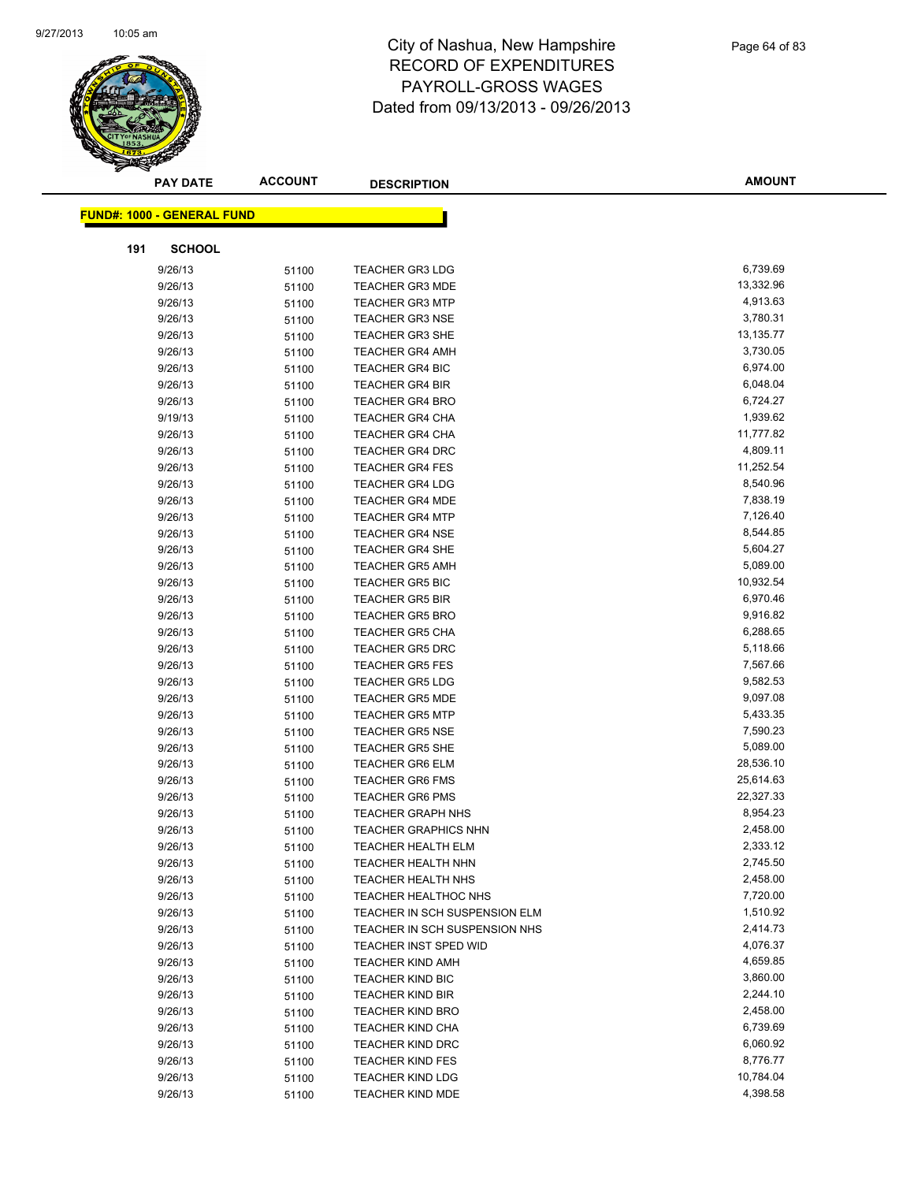

|     | <b>PAY DATE</b>                   | <b>ACCOUNT</b> | <b>DESCRIPTION</b>            | <b>AMOUNT</b> |
|-----|-----------------------------------|----------------|-------------------------------|---------------|
|     |                                   |                |                               |               |
|     | <b>FUND#: 1000 - GENERAL FUND</b> |                |                               |               |
| 191 | <b>SCHOOL</b>                     |                |                               |               |
|     | 9/26/13                           | 51100          | <b>TEACHER GR3 LDG</b>        | 6,739.69      |
|     | 9/26/13                           | 51100          | <b>TEACHER GR3 MDE</b>        | 13,332.96     |
|     | 9/26/13                           | 51100          | <b>TEACHER GR3 MTP</b>        | 4,913.63      |
|     | 9/26/13                           | 51100          | <b>TEACHER GR3 NSE</b>        | 3,780.31      |
|     | 9/26/13                           | 51100          | TEACHER GR3 SHE               | 13,135.77     |
|     | 9/26/13                           | 51100          | <b>TEACHER GR4 AMH</b>        | 3,730.05      |
|     | 9/26/13                           | 51100          | <b>TEACHER GR4 BIC</b>        | 6,974.00      |
|     | 9/26/13                           | 51100          | <b>TEACHER GR4 BIR</b>        | 6,048.04      |
|     | 9/26/13                           | 51100          | <b>TEACHER GR4 BRO</b>        | 6,724.27      |
|     | 9/19/13                           | 51100          | <b>TEACHER GR4 CHA</b>        | 1,939.62      |
|     | 9/26/13                           | 51100          | <b>TEACHER GR4 CHA</b>        | 11,777.82     |
|     | 9/26/13                           | 51100          | <b>TEACHER GR4 DRC</b>        | 4,809.11      |
|     | 9/26/13                           | 51100          | <b>TEACHER GR4 FES</b>        | 11,252.54     |
|     | 9/26/13                           | 51100          | TEACHER GR4 LDG               | 8,540.96      |
|     | 9/26/13                           | 51100          | <b>TEACHER GR4 MDE</b>        | 7,838.19      |
|     | 9/26/13                           | 51100          | <b>TEACHER GR4 MTP</b>        | 7,126.40      |
|     | 9/26/13                           | 51100          | TEACHER GR4 NSE               | 8,544.85      |
|     | 9/26/13                           | 51100          | <b>TEACHER GR4 SHE</b>        | 5,604.27      |
|     | 9/26/13                           | 51100          | <b>TEACHER GR5 AMH</b>        | 5,089.00      |
|     | 9/26/13                           | 51100          | <b>TEACHER GR5 BIC</b>        | 10,932.54     |
|     | 9/26/13                           | 51100          | <b>TEACHER GR5 BIR</b>        | 6,970.46      |
|     | 9/26/13                           | 51100          | <b>TEACHER GR5 BRO</b>        | 9,916.82      |
|     | 9/26/13                           | 51100          | <b>TEACHER GR5 CHA</b>        | 6,288.65      |
|     | 9/26/13                           | 51100          | <b>TEACHER GR5 DRC</b>        | 5,118.66      |
|     | 9/26/13                           | 51100          | <b>TEACHER GR5 FES</b>        | 7,567.66      |
|     | 9/26/13                           | 51100          | <b>TEACHER GR5 LDG</b>        | 9,582.53      |
|     | 9/26/13                           | 51100          | <b>TEACHER GR5 MDE</b>        | 9,097.08      |
|     | 9/26/13                           | 51100          | <b>TEACHER GR5 MTP</b>        | 5,433.35      |
|     | 9/26/13                           | 51100          | <b>TEACHER GR5 NSE</b>        | 7,590.23      |
|     | 9/26/13                           | 51100          | <b>TEACHER GR5 SHE</b>        | 5,089.00      |
|     | 9/26/13                           | 51100          | <b>TEACHER GR6 ELM</b>        | 28,536.10     |
|     | 9/26/13                           | 51100          | <b>TEACHER GR6 FMS</b>        | 25,614.63     |
|     | 9/26/13                           | 51100          | <b>TEACHER GR6 PMS</b>        | 22,327.33     |
|     | 9/26/13                           | 51100          | <b>TEACHER GRAPH NHS</b>      | 8,954.23      |
|     | 9/26/13                           | 51100          | <b>TEACHER GRAPHICS NHN</b>   | 2,458.00      |
|     | 9/26/13                           | 51100          | TEACHER HEALTH ELM            | 2,333.12      |
|     | 9/26/13                           | 51100          | TEACHER HEALTH NHN            | 2,745.50      |
|     | 9/26/13                           | 51100          | TEACHER HEALTH NHS            | 2,458.00      |
|     | 9/26/13                           | 51100          | <b>TEACHER HEALTHOC NHS</b>   | 7,720.00      |
|     | 9/26/13                           | 51100          | TEACHER IN SCH SUSPENSION ELM | 1,510.92      |
|     | 9/26/13                           | 51100          | TEACHER IN SCH SUSPENSION NHS | 2,414.73      |
|     | 9/26/13                           | 51100          | TEACHER INST SPED WID         | 4,076.37      |
|     | 9/26/13                           | 51100          | <b>TEACHER KIND AMH</b>       | 4,659.85      |
|     | 9/26/13                           | 51100          | TEACHER KIND BIC              | 3,860.00      |
|     | 9/26/13                           | 51100          | <b>TEACHER KIND BIR</b>       | 2,244.10      |
|     | 9/26/13                           | 51100          | <b>TEACHER KIND BRO</b>       | 2,458.00      |
|     | 9/26/13                           | 51100          | <b>TEACHER KIND CHA</b>       | 6,739.69      |
|     | 9/26/13                           | 51100          | <b>TEACHER KIND DRC</b>       | 6,060.92      |
|     | 9/26/13                           | 51100          | <b>TEACHER KIND FES</b>       | 8,776.77      |
|     | 9/26/13                           | 51100          | <b>TEACHER KIND LDG</b>       | 10,784.04     |
|     | 9/26/13                           | 51100          | <b>TEACHER KIND MDE</b>       | 4,398.58      |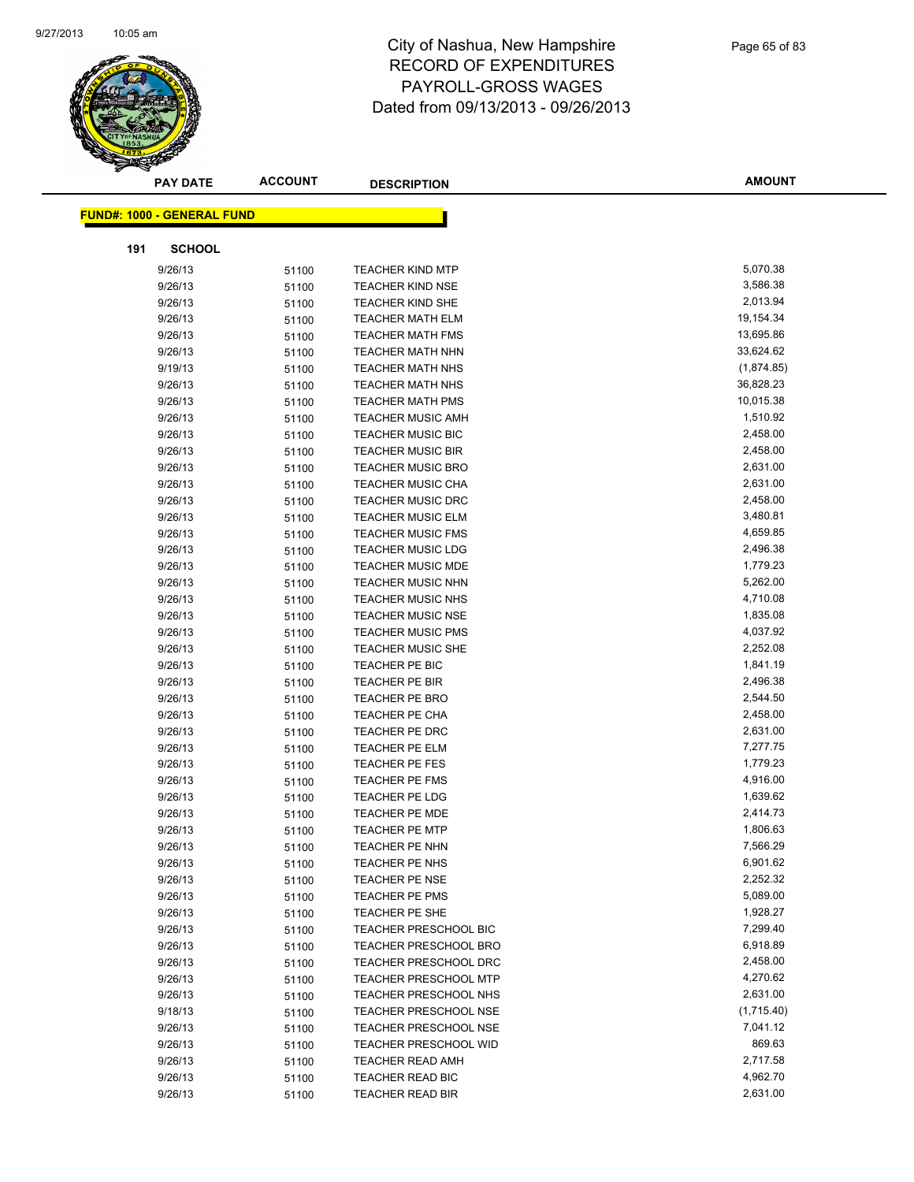

| <b>PAY DATE</b>                   | <b>ACCOUNT</b> | <b>DESCRIPTION</b>           | <b>AMOUNT</b> |
|-----------------------------------|----------------|------------------------------|---------------|
|                                   |                |                              |               |
| <b>FUND#: 1000 - GENERAL FUND</b> |                |                              |               |
| 191<br><b>SCHOOL</b>              |                |                              |               |
| 9/26/13                           | 51100          | <b>TEACHER KIND MTP</b>      | 5,070.38      |
| 9/26/13                           | 51100          | <b>TEACHER KIND NSE</b>      | 3,586.38      |
| 9/26/13                           | 51100          | <b>TEACHER KIND SHE</b>      | 2,013.94      |
| 9/26/13                           | 51100          | <b>TEACHER MATH ELM</b>      | 19,154.34     |
| 9/26/13                           | 51100          | <b>TEACHER MATH FMS</b>      | 13,695.86     |
| 9/26/13                           | 51100          | <b>TEACHER MATH NHN</b>      | 33,624.62     |
| 9/19/13                           | 51100          | <b>TEACHER MATH NHS</b>      | (1,874.85)    |
| 9/26/13                           | 51100          | <b>TEACHER MATH NHS</b>      | 36,828.23     |
| 9/26/13                           | 51100          | <b>TEACHER MATH PMS</b>      | 10,015.38     |
| 9/26/13                           | 51100          | <b>TEACHER MUSIC AMH</b>     | 1,510.92      |
| 9/26/13                           | 51100          | <b>TEACHER MUSIC BIC</b>     | 2,458.00      |
| 9/26/13                           | 51100          | <b>TEACHER MUSIC BIR</b>     | 2,458.00      |
| 9/26/13                           | 51100          | <b>TEACHER MUSIC BRO</b>     | 2,631.00      |
| 9/26/13                           | 51100          | <b>TEACHER MUSIC CHA</b>     | 2,631.00      |
| 9/26/13                           | 51100          | <b>TEACHER MUSIC DRC</b>     | 2,458.00      |
| 9/26/13                           | 51100          | <b>TEACHER MUSIC ELM</b>     | 3,480.81      |
| 9/26/13                           | 51100          | <b>TEACHER MUSIC FMS</b>     | 4,659.85      |
| 9/26/13                           | 51100          | <b>TEACHER MUSIC LDG</b>     | 2,496.38      |
| 9/26/13                           | 51100          | <b>TEACHER MUSIC MDE</b>     | 1,779.23      |
| 9/26/13                           | 51100          | <b>TEACHER MUSIC NHN</b>     | 5,262.00      |
| 9/26/13                           | 51100          | <b>TEACHER MUSIC NHS</b>     | 4,710.08      |
| 9/26/13                           | 51100          | <b>TEACHER MUSIC NSE</b>     | 1,835.08      |
| 9/26/13                           | 51100          | <b>TEACHER MUSIC PMS</b>     | 4,037.92      |
| 9/26/13                           | 51100          | <b>TEACHER MUSIC SHE</b>     | 2,252.08      |
| 9/26/13                           | 51100          | TEACHER PE BIC               | 1,841.19      |
| 9/26/13                           | 51100          | TEACHER PE BIR               | 2,496.38      |
| 9/26/13                           | 51100          | <b>TEACHER PE BRO</b>        | 2,544.50      |
| 9/26/13                           | 51100          | <b>TEACHER PE CHA</b>        | 2,458.00      |
| 9/26/13                           | 51100          | <b>TEACHER PE DRC</b>        | 2,631.00      |
| 9/26/13                           | 51100          | TEACHER PE ELM               | 7,277.75      |
| 9/26/13                           | 51100          | TEACHER PE FES               | 1,779.23      |
| 9/26/13                           | 51100          | <b>TEACHER PE FMS</b>        | 4,916.00      |
| 9/26/13                           | 51100          | <b>TEACHER PE LDG</b>        | 1,639.62      |
| 9/26/13                           | 51100          | <b>TEACHER PE MDE</b>        | 2,414.73      |
| 9/26/13                           | 51100          | <b>TEACHER PE MTP</b>        | 1,806.63      |
| 9/26/13                           | 51100          | TEACHER PE NHN               | 7,566.29      |
| 9/26/13                           | 51100          | <b>TEACHER PE NHS</b>        | 6,901.62      |
| 9/26/13                           | 51100          | <b>TEACHER PE NSE</b>        | 2,252.32      |
| 9/26/13                           | 51100          | <b>TEACHER PE PMS</b>        | 5,089.00      |
| 9/26/13                           | 51100          | TEACHER PE SHE               | 1,928.27      |
| 9/26/13                           | 51100          | <b>TEACHER PRESCHOOL BIC</b> | 7,299.40      |
| 9/26/13                           | 51100          | TEACHER PRESCHOOL BRO        | 6,918.89      |
| 9/26/13                           | 51100          | <b>TEACHER PRESCHOOL DRC</b> | 2,458.00      |
| 9/26/13                           | 51100          | <b>TEACHER PRESCHOOL MTP</b> | 4,270.62      |
| 9/26/13                           | 51100          | TEACHER PRESCHOOL NHS        | 2,631.00      |
| 9/18/13                           | 51100          | TEACHER PRESCHOOL NSE        | (1,715.40)    |
| 9/26/13                           | 51100          | <b>TEACHER PRESCHOOL NSE</b> | 7,041.12      |
| 9/26/13                           | 51100          | TEACHER PRESCHOOL WID        | 869.63        |
| 9/26/13                           | 51100          | TEACHER READ AMH             | 2,717.58      |
| 9/26/13                           | 51100          | TEACHER READ BIC             | 4,962.70      |
| 9/26/13                           | 51100          | TEACHER READ BIR             | 2,631.00      |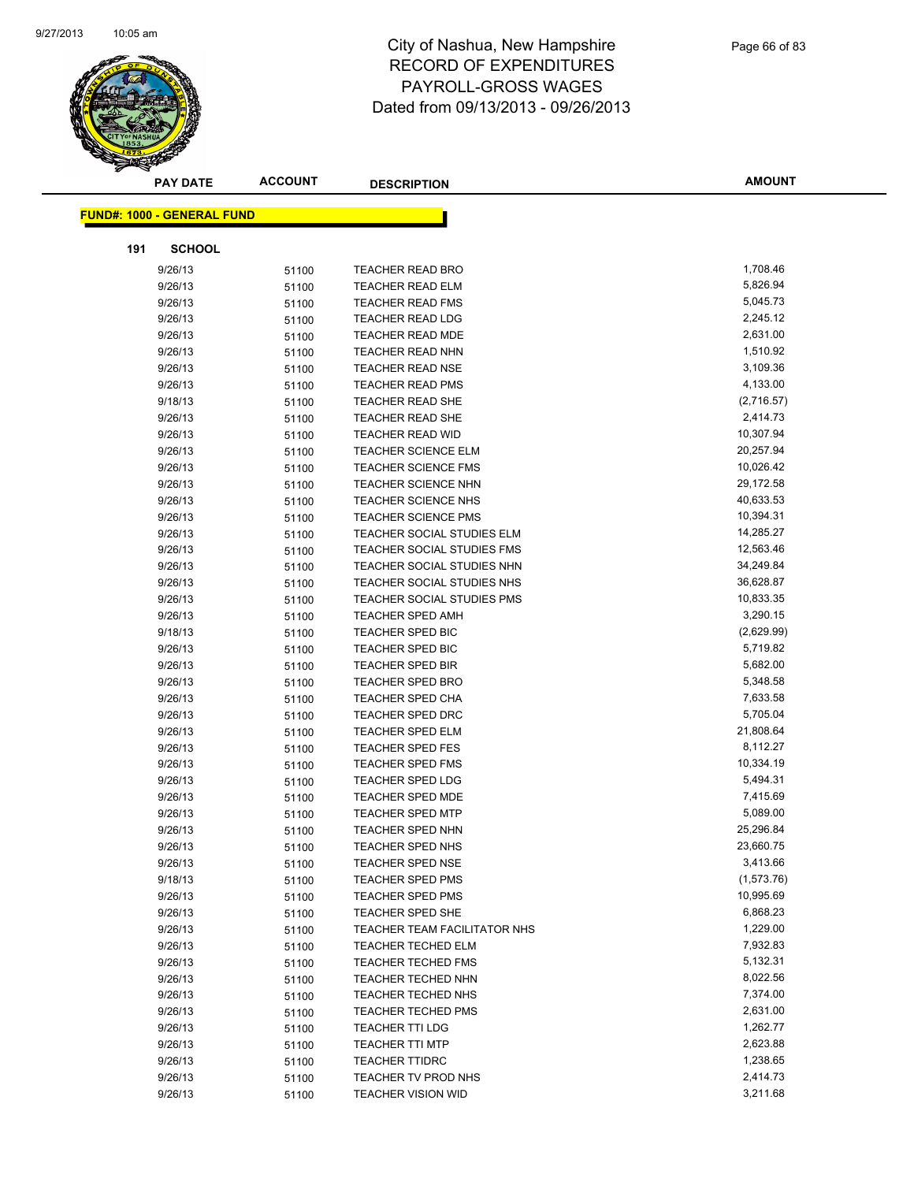

|     | <b>PAY DATE</b>                   | <b>ACCOUNT</b> | <b>DESCRIPTION</b>           | <b>AMOUNT</b> |
|-----|-----------------------------------|----------------|------------------------------|---------------|
|     |                                   |                |                              |               |
|     | <b>FUND#: 1000 - GENERAL FUND</b> |                |                              |               |
| 191 | <b>SCHOOL</b>                     |                |                              |               |
|     | 9/26/13                           | 51100          | <b>TEACHER READ BRO</b>      | 1,708.46      |
|     | 9/26/13                           | 51100          | <b>TEACHER READ ELM</b>      | 5,826.94      |
|     | 9/26/13                           | 51100          | <b>TEACHER READ FMS</b>      | 5,045.73      |
|     | 9/26/13                           | 51100          | <b>TEACHER READ LDG</b>      | 2,245.12      |
|     | 9/26/13                           | 51100          | TEACHER READ MDE             | 2,631.00      |
|     | 9/26/13                           | 51100          | <b>TEACHER READ NHN</b>      | 1,510.92      |
|     | 9/26/13                           | 51100          | TEACHER READ NSE             | 3,109.36      |
|     | 9/26/13                           | 51100          | <b>TEACHER READ PMS</b>      | 4,133.00      |
|     | 9/18/13                           | 51100          | <b>TEACHER READ SHE</b>      | (2,716.57)    |
|     | 9/26/13                           | 51100          | <b>TEACHER READ SHE</b>      | 2,414.73      |
|     | 9/26/13                           | 51100          | <b>TEACHER READ WID</b>      | 10,307.94     |
|     | 9/26/13                           | 51100          | <b>TEACHER SCIENCE ELM</b>   | 20,257.94     |
|     | 9/26/13                           | 51100          | <b>TEACHER SCIENCE FMS</b>   | 10,026.42     |
|     | 9/26/13                           | 51100          | TEACHER SCIENCE NHN          | 29,172.58     |
|     | 9/26/13                           | 51100          | <b>TEACHER SCIENCE NHS</b>   | 40,633.53     |
|     | 9/26/13                           | 51100          | <b>TEACHER SCIENCE PMS</b>   | 10,394.31     |
|     | 9/26/13                           | 51100          | TEACHER SOCIAL STUDIES ELM   | 14,285.27     |
|     | 9/26/13                           | 51100          | TEACHER SOCIAL STUDIES FMS   | 12,563.46     |
|     | 9/26/13                           | 51100          | TEACHER SOCIAL STUDIES NHN   | 34,249.84     |
|     | 9/26/13                           | 51100          | TEACHER SOCIAL STUDIES NHS   | 36,628.87     |
|     | 9/26/13                           | 51100          | TEACHER SOCIAL STUDIES PMS   | 10,833.35     |
|     | 9/26/13                           | 51100          | <b>TEACHER SPED AMH</b>      | 3,290.15      |
|     | 9/18/13                           | 51100          | TEACHER SPED BIC             | (2,629.99)    |
|     | 9/26/13                           | 51100          | <b>TEACHER SPED BIC</b>      | 5,719.82      |
|     | 9/26/13                           | 51100          | <b>TEACHER SPED BIR</b>      | 5,682.00      |
|     | 9/26/13                           | 51100          | <b>TEACHER SPED BRO</b>      | 5,348.58      |
|     | 9/26/13                           | 51100          | <b>TEACHER SPED CHA</b>      | 7,633.58      |
|     | 9/26/13                           | 51100          | <b>TEACHER SPED DRC</b>      | 5,705.04      |
|     | 9/26/13                           | 51100          | TEACHER SPED ELM             | 21,808.64     |
|     | 9/26/13                           | 51100          | <b>TEACHER SPED FES</b>      | 8,112.27      |
|     | 9/26/13                           | 51100          | <b>TEACHER SPED FMS</b>      | 10,334.19     |
|     | 9/26/13                           | 51100          | <b>TEACHER SPED LDG</b>      | 5,494.31      |
|     | 9/26/13                           | 51100          | TEACHER SPED MDE             | 7,415.69      |
|     | 9/26/13                           | 51100          | <b>TEACHER SPED MTP</b>      | 5,089.00      |
|     | 9/26/13                           | 51100          | <b>TEACHER SPED NHN</b>      | 25,296.84     |
|     | 9/26/13                           | 51100          | TEACHER SPED NHS             | 23,660.75     |
|     | 9/26/13                           | 51100          | <b>TEACHER SPED NSE</b>      | 3,413.66      |
|     | 9/18/13                           | 51100          | <b>TEACHER SPED PMS</b>      | (1,573.76)    |
|     | 9/26/13                           | 51100          | <b>TEACHER SPED PMS</b>      | 10,995.69     |
|     | 9/26/13                           | 51100          | TEACHER SPED SHE             | 6,868.23      |
|     | 9/26/13                           | 51100          | TEACHER TEAM FACILITATOR NHS | 1,229.00      |
|     | 9/26/13                           | 51100          | <b>TEACHER TECHED ELM</b>    | 7,932.83      |
|     | 9/26/13                           | 51100          | <b>TEACHER TECHED FMS</b>    | 5,132.31      |
|     | 9/26/13                           | 51100          | <b>TEACHER TECHED NHN</b>    | 8,022.56      |
|     | 9/26/13                           | 51100          | <b>TEACHER TECHED NHS</b>    | 7,374.00      |
|     | 9/26/13                           | 51100          | <b>TEACHER TECHED PMS</b>    | 2,631.00      |
|     | 9/26/13                           | 51100          | <b>TEACHER TTI LDG</b>       | 1,262.77      |
|     | 9/26/13                           | 51100          | <b>TEACHER TTI MTP</b>       | 2,623.88      |
|     | 9/26/13                           | 51100          | <b>TEACHER TTIDRC</b>        | 1,238.65      |
|     | 9/26/13                           | 51100          | TEACHER TV PROD NHS          | 2,414.73      |
|     | 9/26/13                           | 51100          | <b>TEACHER VISION WID</b>    | 3,211.68      |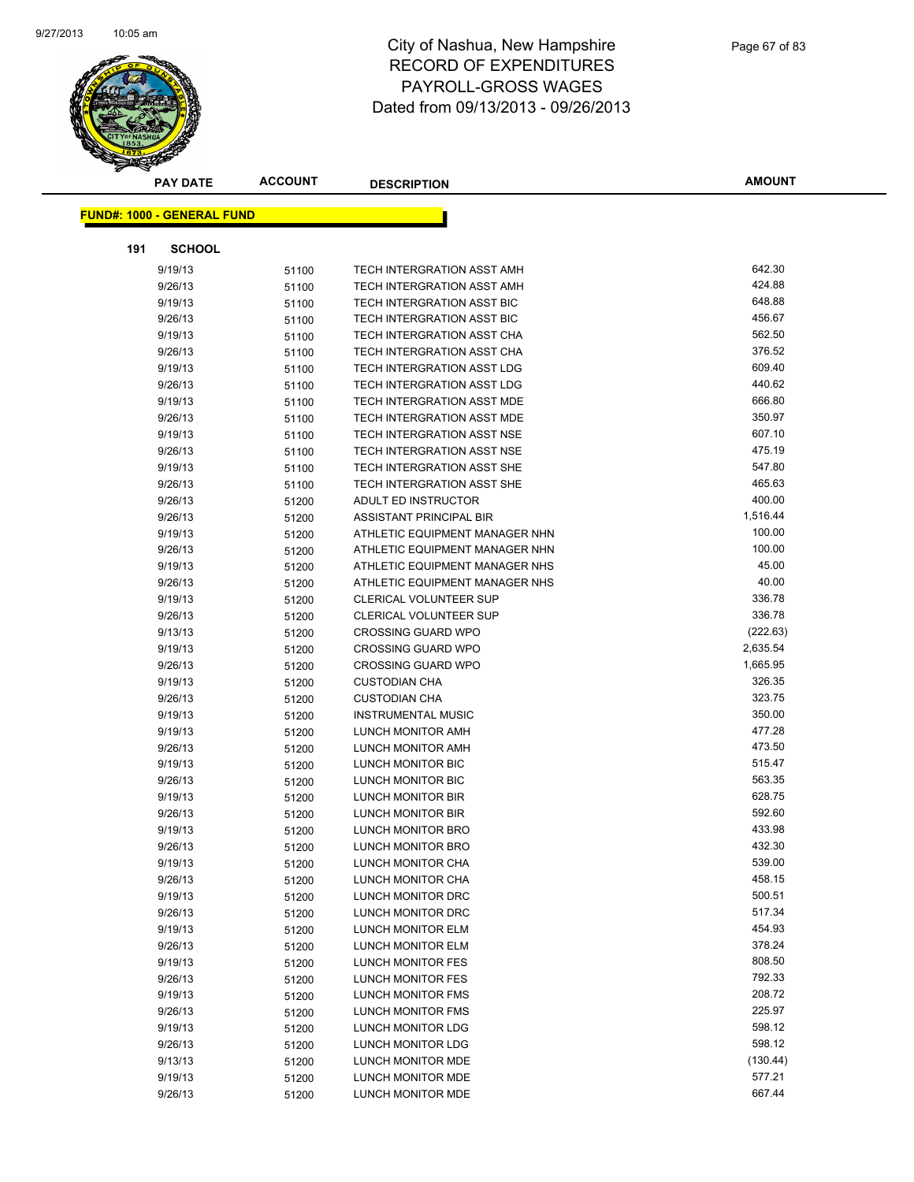

|     | <b>PAY DATE</b>                   | <b>ACCOUNT</b> | <b>DESCRIPTION</b>             | <b>AMOUNT</b> |
|-----|-----------------------------------|----------------|--------------------------------|---------------|
|     | <b>FUND#: 1000 - GENERAL FUND</b> |                |                                |               |
|     |                                   |                |                                |               |
| 191 | <b>SCHOOL</b>                     |                |                                |               |
|     | 9/19/13                           | 51100          | TECH INTERGRATION ASST AMH     | 642.30        |
|     | 9/26/13                           | 51100          | TECH INTERGRATION ASST AMH     | 424.88        |
|     | 9/19/13                           | 51100          | TECH INTERGRATION ASST BIC     | 648.88        |
|     | 9/26/13                           | 51100          | TECH INTERGRATION ASST BIC     | 456.67        |
|     | 9/19/13                           | 51100          | TECH INTERGRATION ASST CHA     | 562.50        |
|     | 9/26/13                           | 51100          | TECH INTERGRATION ASST CHA     | 376.52        |
|     | 9/19/13                           | 51100          | TECH INTERGRATION ASST LDG     | 609.40        |
|     | 9/26/13                           | 51100          | TECH INTERGRATION ASST LDG     | 440.62        |
|     | 9/19/13                           | 51100          | TECH INTERGRATION ASST MDE     | 666.80        |
|     | 9/26/13                           | 51100          | TECH INTERGRATION ASST MDE     | 350.97        |
|     | 9/19/13                           | 51100          | TECH INTERGRATION ASST NSE     | 607.10        |
|     | 9/26/13                           | 51100          | TECH INTERGRATION ASST NSE     | 475.19        |
|     | 9/19/13                           | 51100          | TECH INTERGRATION ASST SHE     | 547.80        |
|     | 9/26/13                           | 51100          | TECH INTERGRATION ASST SHE     | 465.63        |
|     | 9/26/13                           | 51200          | ADULT ED INSTRUCTOR            | 400.00        |
|     | 9/26/13                           | 51200          | ASSISTANT PRINCIPAL BIR        | 1,516.44      |
|     | 9/19/13                           | 51200          | ATHLETIC EQUIPMENT MANAGER NHN | 100.00        |
|     | 9/26/13                           | 51200          | ATHLETIC EQUIPMENT MANAGER NHN | 100.00        |
|     | 9/19/13                           | 51200          | ATHLETIC EQUIPMENT MANAGER NHS | 45.00         |
|     | 9/26/13                           | 51200          | ATHLETIC EQUIPMENT MANAGER NHS | 40.00         |
|     | 9/19/13                           | 51200          | <b>CLERICAL VOLUNTEER SUP</b>  | 336.78        |
|     | 9/26/13                           | 51200          | <b>CLERICAL VOLUNTEER SUP</b>  | 336.78        |
|     | 9/13/13                           | 51200          | <b>CROSSING GUARD WPO</b>      | (222.63)      |
|     | 9/19/13                           | 51200          | <b>CROSSING GUARD WPO</b>      | 2,635.54      |
|     | 9/26/13                           | 51200          | <b>CROSSING GUARD WPO</b>      | 1,665.95      |
|     | 9/19/13                           | 51200          | <b>CUSTODIAN CHA</b>           | 326.35        |
|     | 9/26/13                           | 51200          | <b>CUSTODIAN CHA</b>           | 323.75        |
|     | 9/19/13                           | 51200          | <b>INSTRUMENTAL MUSIC</b>      | 350.00        |
|     | 9/19/13                           | 51200          | LUNCH MONITOR AMH              | 477.28        |
|     | 9/26/13                           | 51200          | LUNCH MONITOR AMH              | 473.50        |
|     | 9/19/13                           | 51200          | LUNCH MONITOR BIC              | 515.47        |
|     | 9/26/13                           | 51200          | LUNCH MONITOR BIC              | 563.35        |
|     | 9/19/13                           | 51200          | LUNCH MONITOR BIR              | 628.75        |
|     | 9/26/13                           | 51200          | LUNCH MONITOR BIR              | 592.60        |
|     | 9/19/13                           | 51200          | LUNCH MONITOR BRO              | 433.98        |
|     | 9/26/13                           | 51200          | LUNCH MONITOR BRO              | 432.30        |
|     | 9/19/13                           | 51200          | LUNCH MONITOR CHA              | 539.00        |
|     | 9/26/13                           | 51200          | LUNCH MONITOR CHA              | 458.15        |
|     | 9/19/13                           | 51200          | LUNCH MONITOR DRC              | 500.51        |
|     | 9/26/13                           | 51200          | LUNCH MONITOR DRC              | 517.34        |
|     | 9/19/13                           | 51200          | LUNCH MONITOR ELM              | 454.93        |
|     | 9/26/13                           | 51200          | LUNCH MONITOR ELM              | 378.24        |
|     | 9/19/13                           | 51200          | LUNCH MONITOR FES              | 808.50        |
|     | 9/26/13                           | 51200          | LUNCH MONITOR FES              | 792.33        |
|     | 9/19/13                           | 51200          | LUNCH MONITOR FMS              | 208.72        |
|     | 9/26/13                           | 51200          | LUNCH MONITOR FMS              | 225.97        |
|     | 9/19/13                           | 51200          | LUNCH MONITOR LDG              | 598.12        |
|     | 9/26/13                           | 51200          | LUNCH MONITOR LDG              | 598.12        |
|     | 9/13/13                           | 51200          | LUNCH MONITOR MDE              | (130.44)      |
|     | 9/19/13                           | 51200          | LUNCH MONITOR MDE              | 577.21        |
|     | 9/26/13                           | 51200          | LUNCH MONITOR MDE              | 667.44        |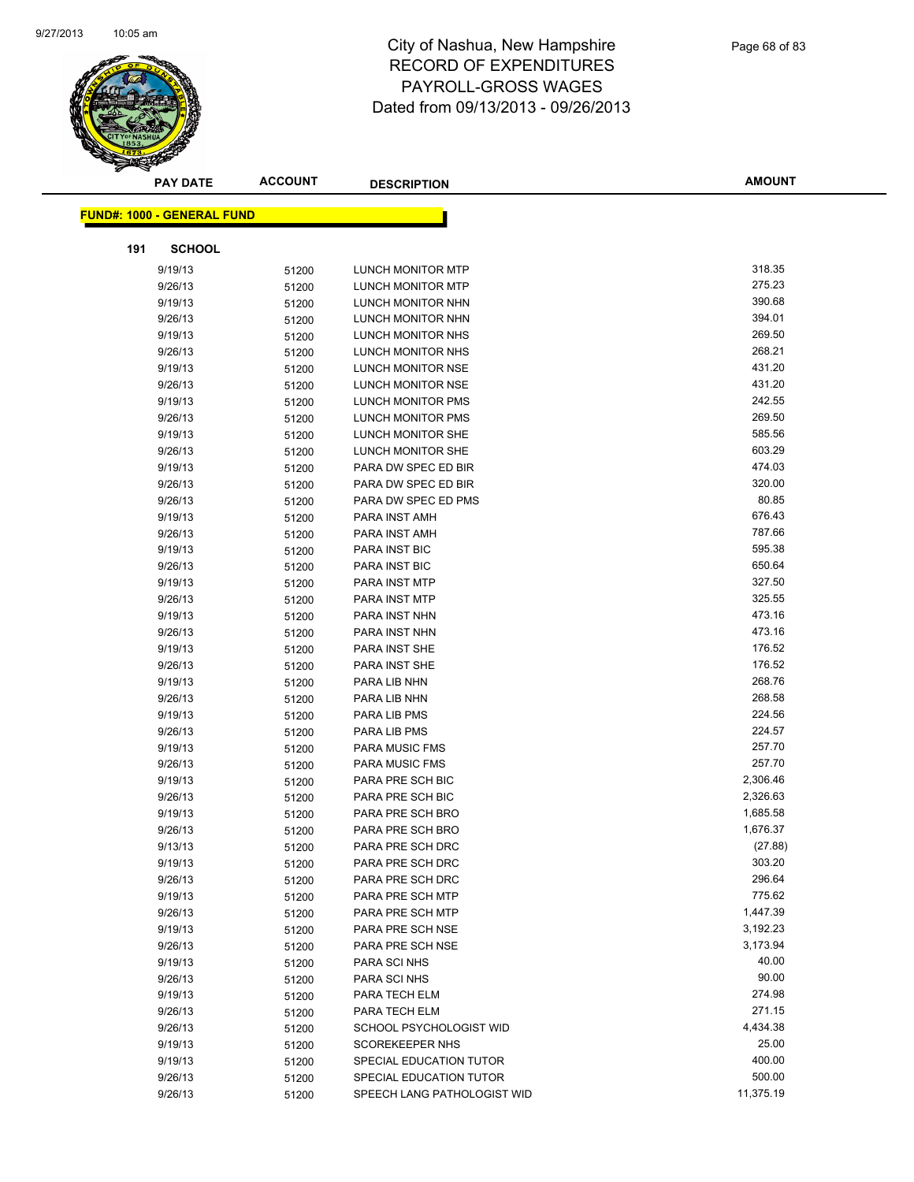

|     | <b>PAY DATE</b>            | <b>ACCOUNT</b> | <b>DESCRIPTION</b>          | <b>AMOUNT</b> |
|-----|----------------------------|----------------|-----------------------------|---------------|
|     | FUND#: 1000 - GENERAL FUND |                |                             |               |
|     |                            |                |                             |               |
| 191 | <b>SCHOOL</b>              |                |                             |               |
|     | 9/19/13                    | 51200          | <b>LUNCH MONITOR MTP</b>    | 318.35        |
|     | 9/26/13                    | 51200          | LUNCH MONITOR MTP           | 275.23        |
|     | 9/19/13                    | 51200          | LUNCH MONITOR NHN           | 390.68        |
|     | 9/26/13                    | 51200          | LUNCH MONITOR NHN           | 394.01        |
|     | 9/19/13                    | 51200          | LUNCH MONITOR NHS           | 269.50        |
|     | 9/26/13                    | 51200          | LUNCH MONITOR NHS           | 268.21        |
|     | 9/19/13                    | 51200          | LUNCH MONITOR NSE           | 431.20        |
|     | 9/26/13                    | 51200          | LUNCH MONITOR NSE           | 431.20        |
|     | 9/19/13                    | 51200          | LUNCH MONITOR PMS           | 242.55        |
|     | 9/26/13                    | 51200          | LUNCH MONITOR PMS           | 269.50        |
|     | 9/19/13                    | 51200          | LUNCH MONITOR SHE           | 585.56        |
|     | 9/26/13                    | 51200          | LUNCH MONITOR SHE           | 603.29        |
|     | 9/19/13                    | 51200          | PARA DW SPEC ED BIR         | 474.03        |
|     | 9/26/13                    | 51200          | PARA DW SPEC ED BIR         | 320.00        |
|     | 9/26/13                    | 51200          | PARA DW SPEC ED PMS         | 80.85         |
|     | 9/19/13                    | 51200          | PARA INST AMH               | 676.43        |
|     | 9/26/13                    | 51200          | PARA INST AMH               | 787.66        |
|     | 9/19/13                    | 51200          | PARA INST BIC               | 595.38        |
|     | 9/26/13                    | 51200          | PARA INST BIC               | 650.64        |
|     | 9/19/13                    | 51200          | PARA INST MTP               | 327.50        |
|     | 9/26/13                    | 51200          | PARA INST MTP               | 325.55        |
|     | 9/19/13                    | 51200          | PARA INST NHN               | 473.16        |
|     | 9/26/13                    | 51200          | PARA INST NHN               | 473.16        |
|     | 9/19/13                    | 51200          | PARA INST SHE               | 176.52        |
|     | 9/26/13                    | 51200          | PARA INST SHE               | 176.52        |
|     | 9/19/13                    | 51200          | PARA LIB NHN                | 268.76        |
|     | 9/26/13                    | 51200          | PARA LIB NHN                | 268.58        |
|     | 9/19/13                    | 51200          | PARA LIB PMS                | 224.56        |
|     | 9/26/13                    | 51200          | PARA LIB PMS                | 224.57        |
|     | 9/19/13                    | 51200          | PARA MUSIC FMS              | 257.70        |
|     | 9/26/13                    | 51200          | PARA MUSIC FMS              | 257.70        |
|     | 9/19/13                    | 51200          | PARA PRE SCH BIC            | 2,306.46      |
|     | 9/26/13                    | 51200          | PARA PRE SCH BIC            | 2,326.63      |
|     | 9/19/13                    | 51200          | PARA PRE SCH BRO            | 1,685.58      |
|     | 9/26/13                    | 51200          | PARA PRE SCH BRO            | 1,676.37      |
|     | 9/13/13                    | 51200          | PARA PRE SCH DRC            | (27.88)       |
|     | 9/19/13                    | 51200          | PARA PRE SCH DRC            | 303.20        |
|     | 9/26/13                    | 51200          | PARA PRE SCH DRC            | 296.64        |
|     | 9/19/13                    | 51200          | PARA PRE SCH MTP            | 775.62        |
|     | 9/26/13                    | 51200          | PARA PRE SCH MTP            | 1,447.39      |
|     | 9/19/13                    | 51200          | PARA PRE SCH NSE            | 3,192.23      |
|     | 9/26/13                    | 51200          | PARA PRE SCH NSE            | 3,173.94      |
|     | 9/19/13                    | 51200          | PARA SCI NHS                | 40.00         |
|     | 9/26/13                    | 51200          | PARA SCI NHS                | 90.00         |
|     | 9/19/13                    | 51200          | PARA TECH ELM               | 274.98        |
|     | 9/26/13                    | 51200          | PARA TECH ELM               | 271.15        |
|     | 9/26/13                    | 51200          | SCHOOL PSYCHOLOGIST WID     | 4,434.38      |
|     | 9/19/13                    | 51200          | <b>SCOREKEEPER NHS</b>      | 25.00         |
|     | 9/19/13                    | 51200          | SPECIAL EDUCATION TUTOR     | 400.00        |
|     | 9/26/13                    | 51200          | SPECIAL EDUCATION TUTOR     | 500.00        |
|     | 9/26/13                    | 51200          | SPEECH LANG PATHOLOGIST WID | 11,375.19     |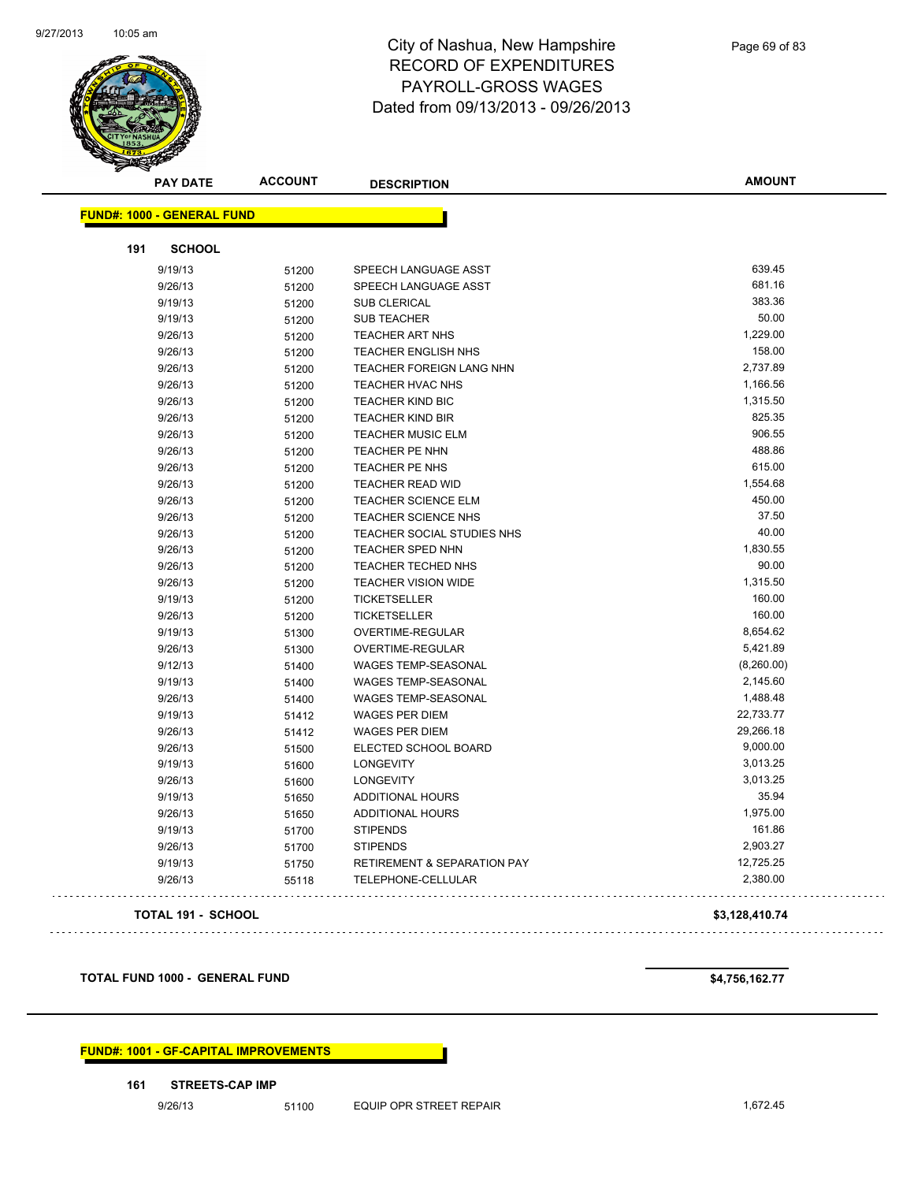

| <b>PAY DATE</b>                   | <b>ACCOUNT</b> | <b>DESCRIPTION</b>                     | <b>AMOUNT</b>  |
|-----------------------------------|----------------|----------------------------------------|----------------|
| <b>FUND#: 1000 - GENERAL FUND</b> |                |                                        |                |
| 191<br><b>SCHOOL</b>              |                |                                        |                |
| 9/19/13                           | 51200          | SPEECH LANGUAGE ASST                   | 639.45         |
| 9/26/13                           | 51200          | SPEECH LANGUAGE ASST                   | 681.16         |
| 9/19/13                           | 51200          | <b>SUB CLERICAL</b>                    | 383.36         |
| 9/19/13                           | 51200          | <b>SUB TEACHER</b>                     | 50.00          |
| 9/26/13                           | 51200          | <b>TEACHER ART NHS</b>                 | 1,229.00       |
| 9/26/13                           | 51200          | <b>TEACHER ENGLISH NHS</b>             | 158.00         |
| 9/26/13                           | 51200          | TEACHER FOREIGN LANG NHN               | 2,737.89       |
| 9/26/13                           | 51200          | TEACHER HVAC NHS                       | 1,166.56       |
| 9/26/13                           | 51200          | <b>TEACHER KIND BIC</b>                | 1,315.50       |
| 9/26/13                           | 51200          | <b>TEACHER KIND BIR</b>                | 825.35         |
| 9/26/13                           | 51200          | <b>TEACHER MUSIC ELM</b>               | 906.55         |
| 9/26/13                           | 51200          | TEACHER PE NHN                         | 488.86         |
| 9/26/13                           | 51200          | TEACHER PE NHS                         | 615.00         |
| 9/26/13                           | 51200          | TEACHER READ WID                       | 1,554.68       |
| 9/26/13                           | 51200          | <b>TEACHER SCIENCE ELM</b>             | 450.00         |
| 9/26/13                           | 51200          | TEACHER SCIENCE NHS                    | 37.50          |
| 9/26/13                           | 51200          | TEACHER SOCIAL STUDIES NHS             | 40.00          |
| 9/26/13                           | 51200          | <b>TEACHER SPED NHN</b>                | 1,830.55       |
| 9/26/13                           | 51200          | TEACHER TECHED NHS                     | 90.00          |
| 9/26/13                           | 51200          | <b>TEACHER VISION WIDE</b>             | 1,315.50       |
| 9/19/13                           | 51200          | <b>TICKETSELLER</b>                    | 160.00         |
| 9/26/13                           | 51200          | <b>TICKETSELLER</b>                    | 160.00         |
| 9/19/13                           | 51300          | OVERTIME-REGULAR                       | 8,654.62       |
| 9/26/13                           | 51300          | OVERTIME-REGULAR                       | 5,421.89       |
| 9/12/13                           | 51400          | <b>WAGES TEMP-SEASONAL</b>             | (8,260.00)     |
| 9/19/13                           | 51400          | <b>WAGES TEMP-SEASONAL</b>             | 2,145.60       |
| 9/26/13                           | 51400          | <b>WAGES TEMP-SEASONAL</b>             | 1,488.48       |
| 9/19/13                           | 51412          | <b>WAGES PER DIEM</b>                  | 22,733.77      |
| 9/26/13                           | 51412          | <b>WAGES PER DIEM</b>                  | 29,266.18      |
| 9/26/13                           | 51500          | ELECTED SCHOOL BOARD                   | 9,000.00       |
| 9/19/13                           | 51600          | <b>LONGEVITY</b>                       | 3,013.25       |
| 9/26/13                           | 51600          | <b>LONGEVITY</b>                       | 3,013.25       |
| 9/19/13                           | 51650          | <b>ADDITIONAL HOURS</b>                | 35.94          |
| 9/26/13                           | 51650          | <b>ADDITIONAL HOURS</b>                | 1,975.00       |
| 9/19/13                           | 51700          | <b>STIPENDS</b>                        | 161.86         |
| 9/26/13                           | 51700          | <b>STIPENDS</b>                        | 2,903.27       |
| 9/19/13                           | 51750          | <b>RETIREMENT &amp; SEPARATION PAY</b> | 12,725.25      |
| 9/26/13                           | 55118          | TELEPHONE-CELLULAR                     | 2,380.00       |
| <b>TOTAL 191 - SCHOOL</b>         |                |                                        | \$3,128,410.74 |

**TOTAL FUND 1000 - GENERAL FUND \$4,756,162.77** 

. . . . . . . . . . . . . . . . . . .

**FUND#: 1001 - GF-CAPITAL IMPROVEMENTS**

**161 STREETS-CAP IMP**

9/26/13 51100 EQUIP OPR STREET REPAIR 1,672.45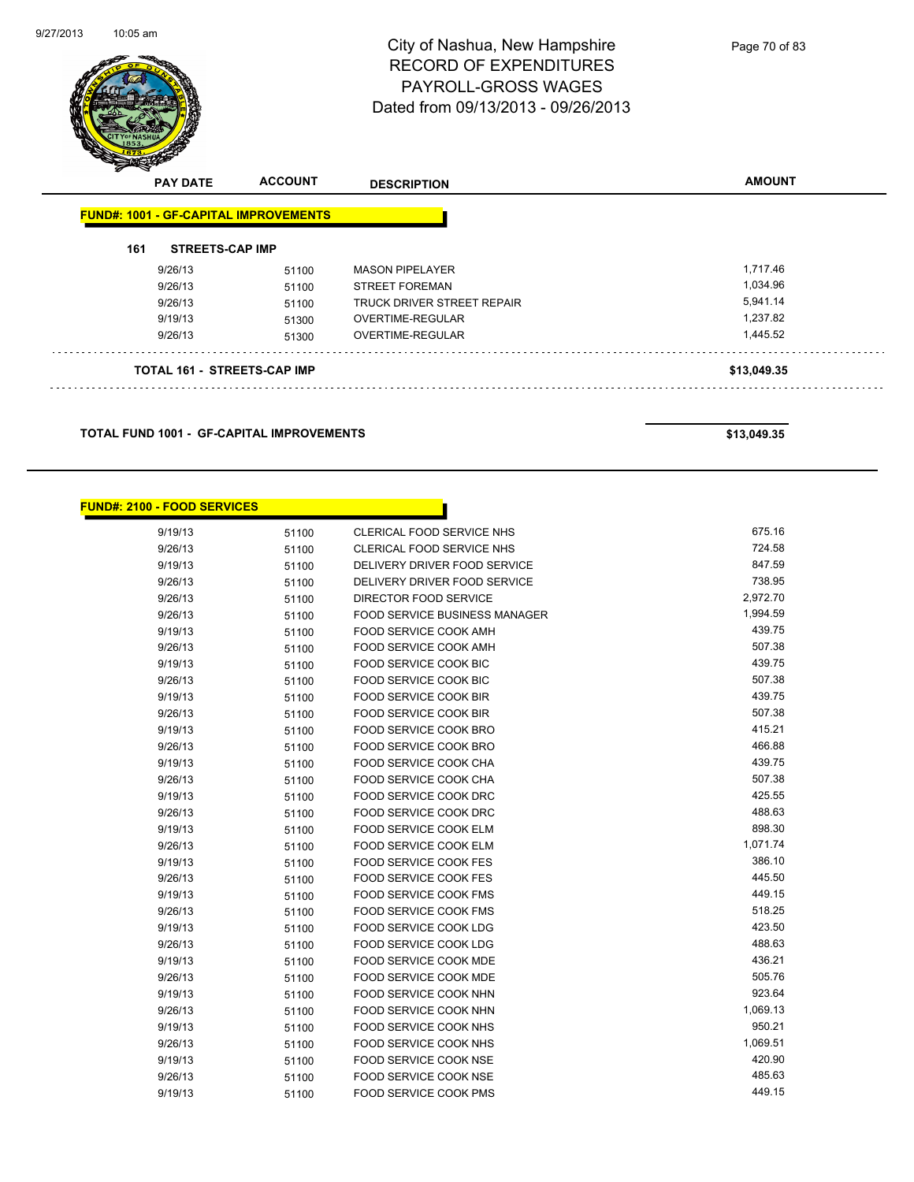

Page 70 of 83

| <b>PAY DATE</b>                              | <b>ACCOUNT</b> | <b>DESCRIPTION</b>                | <b>AMOUNT</b> |
|----------------------------------------------|----------------|-----------------------------------|---------------|
| <b>FUND#: 1001 - GF-CAPITAL IMPROVEMENTS</b> |                |                                   |               |
| 161<br><b>STREETS-CAP IMP</b>                |                |                                   |               |
| 9/26/13                                      | 51100          | <b>MASON PIPELAYER</b>            | 1,717.46      |
| 9/26/13                                      | 51100          | <b>STREET FOREMAN</b>             | 1,034.96      |
| 9/26/13                                      | 51100          | <b>TRUCK DRIVER STREET REPAIR</b> | 5,941.14      |
| 9/19/13                                      | 51300          | OVERTIME-REGULAR                  | 1.237.82      |
| 9/26/13                                      | 51300          | <b>OVERTIME-REGULAR</b>           | 1,445.52      |
| <b>TOTAL 161 - STREETS-CAP IMP</b>           |                |                                   | \$13,049.35   |

h

**TOTAL FUND 1001 - GF-CAPITAL IMPROVEMENTS \$13,049.35** 

#### **FUND#: 2100 - FOOD SERVICES**

| 9/19/13 | 51100 | CLERICAL FOOD SERVICE NHS     | 675.16   |
|---------|-------|-------------------------------|----------|
| 9/26/13 | 51100 | CLERICAL FOOD SERVICE NHS     | 724.58   |
| 9/19/13 | 51100 | DELIVERY DRIVER FOOD SERVICE  | 847.59   |
| 9/26/13 | 51100 | DELIVERY DRIVER FOOD SERVICE  | 738.95   |
| 9/26/13 | 51100 | DIRECTOR FOOD SERVICE         | 2,972.70 |
| 9/26/13 | 51100 | FOOD SERVICE BUSINESS MANAGER | 1,994.59 |
| 9/19/13 | 51100 | FOOD SERVICE COOK AMH         | 439.75   |
| 9/26/13 | 51100 | <b>FOOD SERVICE COOK AMH</b>  | 507.38   |
| 9/19/13 | 51100 | FOOD SERVICE COOK BIC         | 439.75   |
| 9/26/13 | 51100 | FOOD SERVICE COOK BIC         | 507.38   |
| 9/19/13 | 51100 | <b>FOOD SERVICE COOK BIR</b>  | 439.75   |
| 9/26/13 | 51100 | FOOD SERVICE COOK BIR         | 507.38   |
| 9/19/13 | 51100 | <b>FOOD SERVICE COOK BRO</b>  | 415.21   |
| 9/26/13 | 51100 | FOOD SERVICE COOK BRO         | 466.88   |
| 9/19/13 | 51100 | FOOD SERVICE COOK CHA         | 439.75   |
| 9/26/13 | 51100 | FOOD SERVICE COOK CHA         | 507.38   |
| 9/19/13 | 51100 | FOOD SERVICE COOK DRC         | 425.55   |
| 9/26/13 | 51100 | FOOD SERVICE COOK DRC         | 488.63   |
| 9/19/13 | 51100 | FOOD SERVICE COOK ELM         | 898.30   |
| 9/26/13 | 51100 | FOOD SERVICE COOK ELM         | 1,071.74 |
| 9/19/13 | 51100 | <b>FOOD SERVICE COOK FES</b>  | 386.10   |
| 9/26/13 | 51100 | <b>FOOD SERVICE COOK FES</b>  | 445.50   |
| 9/19/13 | 51100 | <b>FOOD SERVICE COOK FMS</b>  | 449.15   |
| 9/26/13 | 51100 | <b>FOOD SERVICE COOK FMS</b>  | 518.25   |
| 9/19/13 | 51100 | FOOD SERVICE COOK LDG         | 423.50   |
| 9/26/13 | 51100 | <b>FOOD SERVICE COOK LDG</b>  | 488.63   |
| 9/19/13 | 51100 | FOOD SERVICE COOK MDE         | 436.21   |
| 9/26/13 | 51100 | <b>FOOD SERVICE COOK MDE</b>  | 505.76   |
| 9/19/13 | 51100 | FOOD SERVICE COOK NHN         | 923.64   |
| 9/26/13 | 51100 | <b>FOOD SERVICE COOK NHN</b>  | 1,069.13 |
| 9/19/13 | 51100 | FOOD SERVICE COOK NHS         | 950.21   |
| 9/26/13 | 51100 | <b>FOOD SERVICE COOK NHS</b>  | 1,069.51 |
| 9/19/13 | 51100 | FOOD SERVICE COOK NSE         | 420.90   |
| 9/26/13 | 51100 | <b>FOOD SERVICE COOK NSE</b>  | 485.63   |
| 9/19/13 | 51100 | <b>FOOD SERVICE COOK PMS</b>  | 449.15   |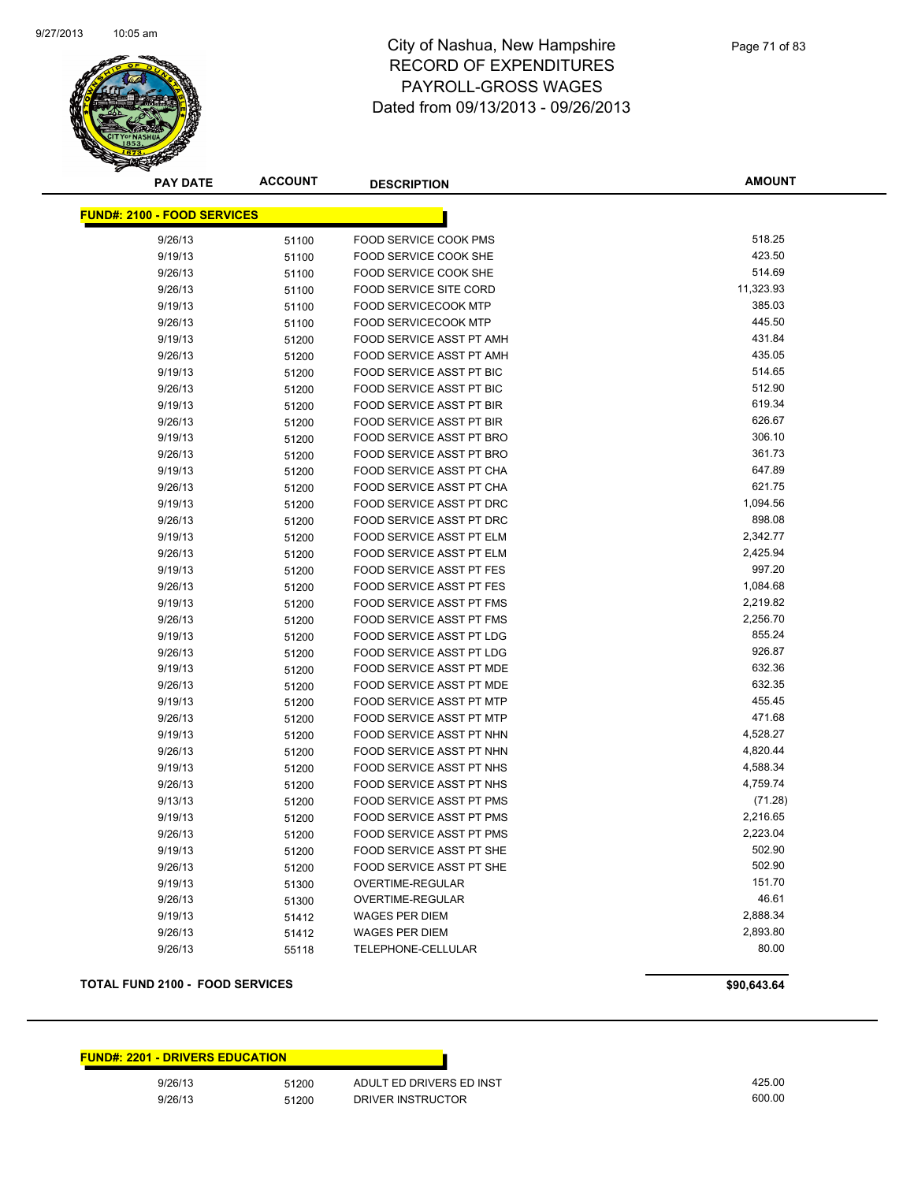

**AMOUNT**

| <u> FUND#: 2100 - FOOD SERVICES</u> |       |                                 |           |
|-------------------------------------|-------|---------------------------------|-----------|
| 9/26/13                             | 51100 | FOOD SERVICE COOK PMS           | 518.25    |
| 9/19/13                             | 51100 | <b>FOOD SERVICE COOK SHE</b>    | 423.50    |
| 9/26/13                             | 51100 | FOOD SERVICE COOK SHE           | 514.69    |
| 9/26/13                             | 51100 | <b>FOOD SERVICE SITE CORD</b>   | 11,323.93 |
| 9/19/13                             | 51100 | <b>FOOD SERVICECOOK MTP</b>     | 385.03    |
| 9/26/13                             | 51100 | <b>FOOD SERVICECOOK MTP</b>     | 445.50    |
| 9/19/13                             | 51200 | <b>FOOD SERVICE ASST PT AMH</b> | 431.84    |
| 9/26/13                             | 51200 | <b>FOOD SERVICE ASST PT AMH</b> | 435.05    |
| 9/19/13                             | 51200 | <b>FOOD SERVICE ASST PT BIC</b> | 514.65    |
| 9/26/13                             | 51200 | FOOD SERVICE ASST PT BIC        | 512.90    |
| 9/19/13                             | 51200 | <b>FOOD SERVICE ASST PT BIR</b> | 619.34    |
| 9/26/13                             | 51200 | <b>FOOD SERVICE ASST PT BIR</b> | 626.67    |
| 9/19/13                             | 51200 | FOOD SERVICE ASST PT BRO        | 306.10    |
| 9/26/13                             | 51200 | <b>FOOD SERVICE ASST PT BRO</b> | 361.73    |
| 9/19/13                             | 51200 | FOOD SERVICE ASST PT CHA        | 647.89    |
| 9/26/13                             | 51200 | FOOD SERVICE ASST PT CHA        | 621.75    |
| 9/19/13                             | 51200 | <b>FOOD SERVICE ASST PT DRC</b> | 1,094.56  |
| 9/26/13                             | 51200 | FOOD SERVICE ASST PT DRC        | 898.08    |
| 9/19/13                             | 51200 | <b>FOOD SERVICE ASST PT ELM</b> | 2,342.77  |
| 9/26/13                             | 51200 | FOOD SERVICE ASST PT ELM        | 2,425.94  |
| 9/19/13                             | 51200 | <b>FOOD SERVICE ASST PT FES</b> | 997.20    |
| 9/26/13                             | 51200 | FOOD SERVICE ASST PT FES        | 1,084.68  |
| 9/19/13                             | 51200 | <b>FOOD SERVICE ASST PT FMS</b> | 2,219.82  |
| 9/26/13                             | 51200 | <b>FOOD SERVICE ASST PT FMS</b> | 2,256.70  |
| 9/19/13                             | 51200 | FOOD SERVICE ASST PT LDG        | 855.24    |
| 9/26/13                             | 51200 | FOOD SERVICE ASST PT LDG        | 926.87    |
| 9/19/13                             | 51200 | FOOD SERVICE ASST PT MDE        | 632.36    |
| 9/26/13                             | 51200 | <b>FOOD SERVICE ASST PT MDE</b> | 632.35    |
| 9/19/13                             | 51200 | FOOD SERVICE ASST PT MTP        | 455.45    |
| 9/26/13                             | 51200 | FOOD SERVICE ASST PT MTP        | 471.68    |
| 9/19/13                             | 51200 | FOOD SERVICE ASST PT NHN        | 4,528.27  |
| 9/26/13                             | 51200 | FOOD SERVICE ASST PT NHN        | 4,820.44  |
| 9/19/13                             | 51200 | <b>FOOD SERVICE ASST PT NHS</b> | 4,588.34  |
| 9/26/13                             | 51200 | <b>FOOD SERVICE ASST PT NHS</b> | 4,759.74  |
| 9/13/13                             | 51200 | FOOD SERVICE ASST PT PMS        | (71.28)   |
| 9/19/13                             | 51200 | FOOD SERVICE ASST PT PMS        | 2,216.65  |
| 9/26/13                             | 51200 | FOOD SERVICE ASST PT PMS        | 2,223.04  |
| 9/19/13                             | 51200 | FOOD SERVICE ASST PT SHE        | 502.90    |
| 9/26/13                             | 51200 | FOOD SERVICE ASST PT SHE        | 502.90    |
| 9/19/13                             | 51300 | OVERTIME-REGULAR                | 151.70    |
| 9/26/13                             | 51300 | <b>OVERTIME-REGULAR</b>         | 46.61     |
| 9/19/13                             | 51412 | <b>WAGES PER DIEM</b>           | 2,888.34  |
| 9/26/13                             | 51412 | <b>WAGES PER DIEM</b>           | 2,893.80  |
| 9/26/13                             | 55118 | TELEPHONE-CELLULAR              | 80.00     |
|                                     |       |                                 |           |

#### **TOTAL FUND 2100 - FOOD SERVICES \$90,643.64**

#### **FUND#: 2201 - DRIVERS EDUCATION**

9/26/13 51200 ADULT ED DRIVERS ED INST ADDITED ASSAULT A 25.00 9/26/13 51200 DRIVER INSTRUCTOR 600.00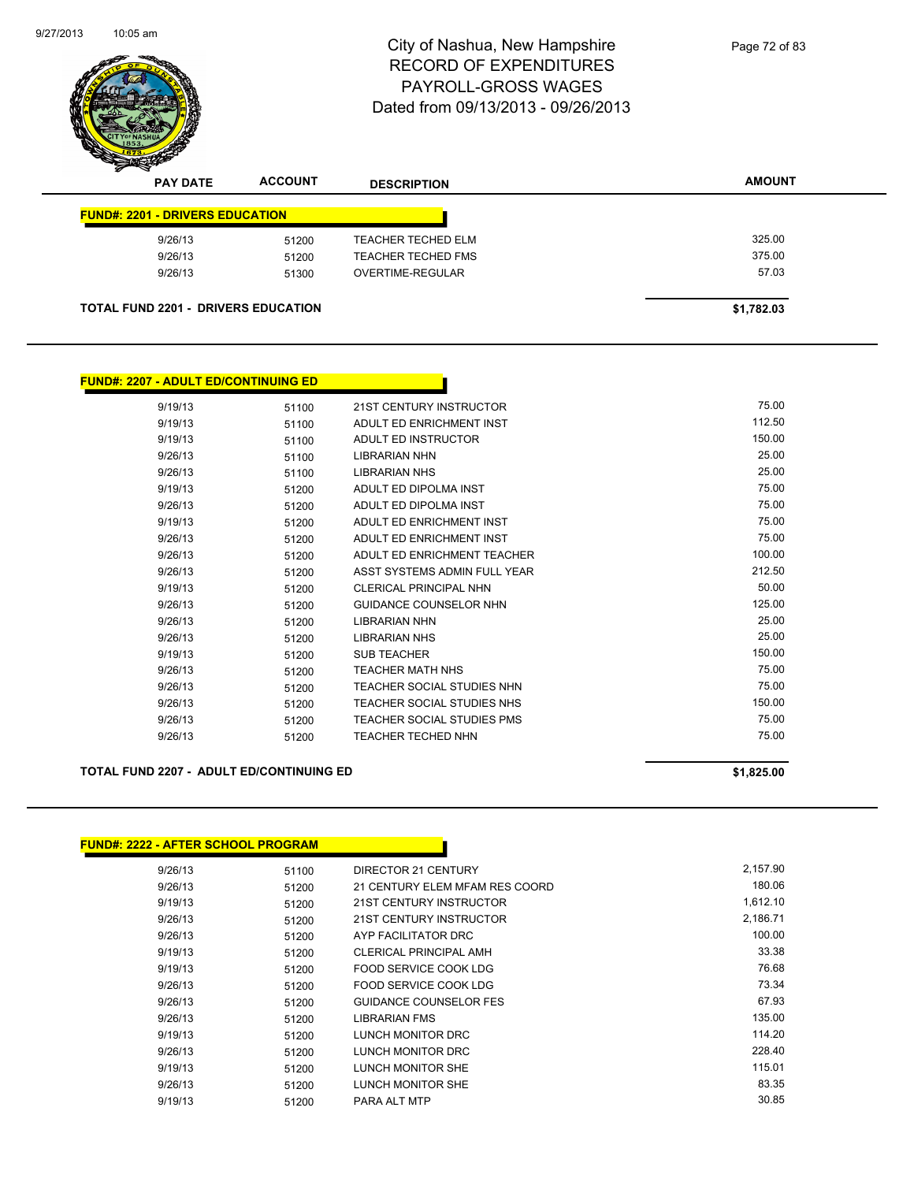

| <b>PAY DATE</b>                        | <b>ACCOUNT</b>                             | <b>DESCRIPTION</b>        | <b>AMOUNT</b> |
|----------------------------------------|--------------------------------------------|---------------------------|---------------|
| <b>FUND#: 2201 - DRIVERS EDUCATION</b> |                                            |                           |               |
| 9/26/13                                | 51200                                      | <b>TEACHER TECHED ELM</b> | 325.00        |
| 9/26/13                                | 51200                                      | <b>TEACHER TECHED FMS</b> | 375.00        |
| 9/26/13                                | 51300                                      | OVERTIME-REGULAR          | 57.03         |
|                                        | <b>TOTAL FUND 2201 - DRIVERS EDUCATION</b> |                           | \$1,782.03    |

|        |                                   |       | <b>FUND#: 2207 - ADULT ED/CONTINUING ED</b> |
|--------|-----------------------------------|-------|---------------------------------------------|
| 75.00  | <b>21ST CENTURY INSTRUCTOR</b>    | 51100 | 9/19/13                                     |
| 112.50 | ADULT ED ENRICHMENT INST          | 51100 | 9/19/13                                     |
| 150.00 | ADULT ED INSTRUCTOR               | 51100 | 9/19/13                                     |
| 25.00  | <b>LIBRARIAN NHN</b>              | 51100 | 9/26/13                                     |
| 25.00  | <b>LIBRARIAN NHS</b>              | 51100 | 9/26/13                                     |
| 75.00  | ADULT ED DIPOLMA INST             | 51200 | 9/19/13                                     |
| 75.00  | ADULT ED DIPOLMA INST             | 51200 | 9/26/13                                     |
| 75.00  | ADULT ED ENRICHMENT INST          | 51200 | 9/19/13                                     |
| 75.00  | ADULT ED ENRICHMENT INST          | 51200 | 9/26/13                                     |
| 100.00 | ADULT ED ENRICHMENT TEACHER       | 51200 | 9/26/13                                     |
| 212.50 | ASST SYSTEMS ADMIN FULL YEAR      | 51200 | 9/26/13                                     |
| 50.00  | <b>CLERICAL PRINCIPAL NHN</b>     | 51200 | 9/19/13                                     |
| 125.00 | <b>GUIDANCE COUNSELOR NHN</b>     | 51200 | 9/26/13                                     |
| 25.00  | <b>LIBRARIAN NHN</b>              | 51200 | 9/26/13                                     |
| 25.00  | <b>LIBRARIAN NHS</b>              | 51200 | 9/26/13                                     |
| 150.00 | <b>SUB TEACHER</b>                | 51200 | 9/19/13                                     |
| 75.00  | <b>TEACHER MATH NHS</b>           | 51200 | 9/26/13                                     |
| 75.00  | <b>TEACHER SOCIAL STUDIES NHN</b> | 51200 | 9/26/13                                     |
| 150.00 | <b>TEACHER SOCIAL STUDIES NHS</b> | 51200 | 9/26/13                                     |
| 75.00  | <b>TEACHER SOCIAL STUDIES PMS</b> | 51200 | 9/26/13                                     |
| 75.00  | <b>TEACHER TECHED NHN</b>         | 51200 | 9/26/13                                     |

#### **TOTAL FUND 2207 - ADULT ED/CONTINUING ED \$1,825.00**

| <b>FUND#: 2222 - AFTER SCHOOL PROGRAM</b> |       |                                |          |
|-------------------------------------------|-------|--------------------------------|----------|
| 9/26/13                                   | 51100 | DIRECTOR 21 CENTURY            | 2,157.90 |
| 9/26/13                                   | 51200 | 21 CENTURY ELEM MFAM RES COORD | 180.06   |
| 9/19/13                                   | 51200 | 21ST CENTURY INSTRUCTOR        | 1,612.10 |
| 9/26/13                                   | 51200 | 21ST CENTURY INSTRUCTOR        | 2,186.71 |
| 9/26/13                                   | 51200 | AYP FACILITATOR DRC            | 100.00   |
| 9/19/13                                   | 51200 | <b>CLERICAL PRINCIPAL AMH</b>  | 33.38    |
| 9/19/13                                   | 51200 | FOOD SERVICE COOK LDG          | 76.68    |
| 9/26/13                                   | 51200 | FOOD SERVICE COOK LDG          | 73.34    |
| 9/26/13                                   | 51200 | <b>GUIDANCE COUNSELOR FES</b>  | 67.93    |
| 9/26/13                                   | 51200 | <b>LIBRARIAN FMS</b>           | 135.00   |
| 9/19/13                                   | 51200 | LUNCH MONITOR DRC              | 114.20   |
| 9/26/13                                   | 51200 | LUNCH MONITOR DRC              | 228.40   |
| 9/19/13                                   | 51200 | LUNCH MONITOR SHE              | 115.01   |
| 9/26/13                                   | 51200 | LUNCH MONITOR SHE              | 83.35    |
| 9/19/13                                   | 51200 | PARA ALT MTP                   | 30.85    |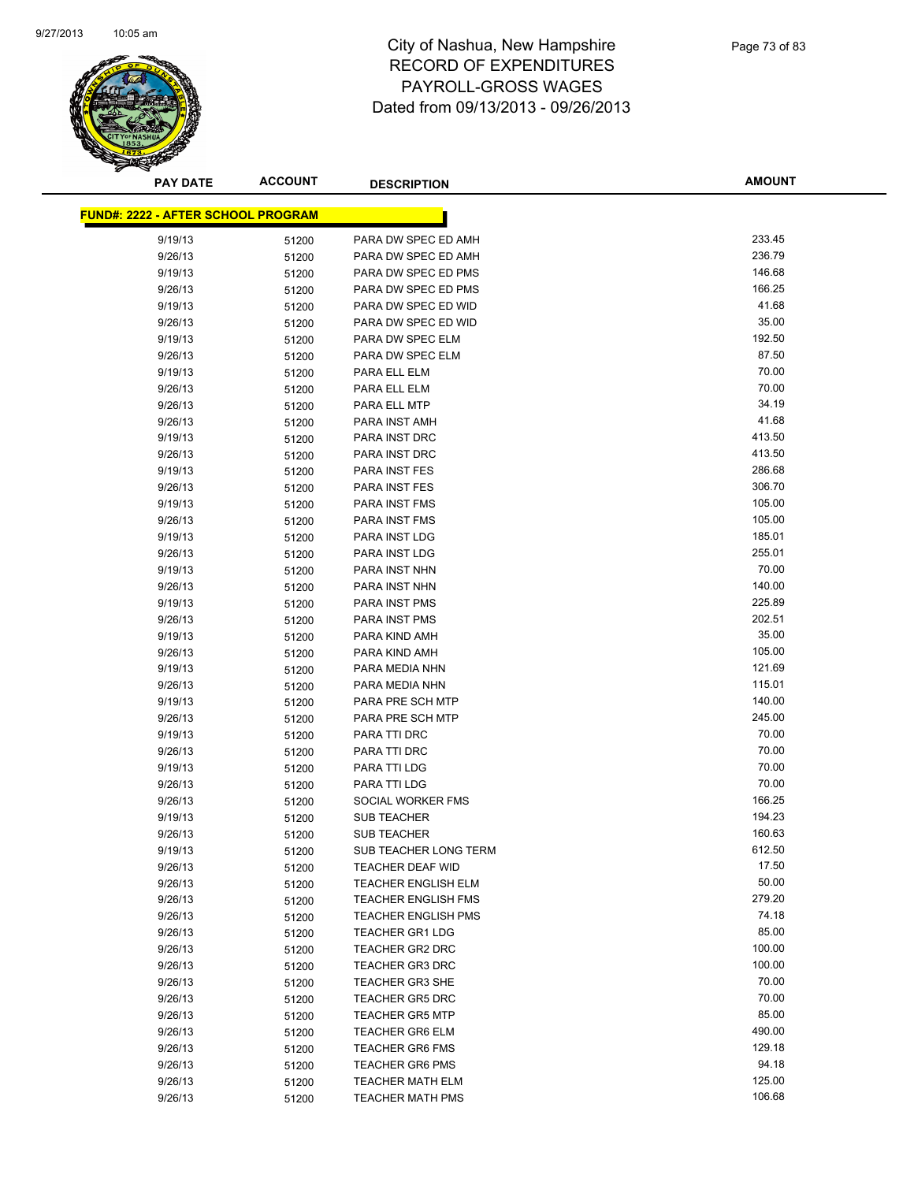

| <b>PAY DATE</b>                           | <b>ACCOUNT</b> | <b>DESCRIPTION</b>         | <b>AMOUNT</b> |
|-------------------------------------------|----------------|----------------------------|---------------|
| <b>FUND#: 2222 - AFTER SCHOOL PROGRAM</b> |                |                            |               |
|                                           |                |                            |               |
| 9/19/13                                   | 51200          | PARA DW SPEC ED AMH        | 233.45        |
| 9/26/13                                   | 51200          | PARA DW SPEC ED AMH        | 236.79        |
| 9/19/13                                   | 51200          | PARA DW SPEC ED PMS        | 146.68        |
| 9/26/13                                   | 51200          | PARA DW SPEC ED PMS        | 166.25        |
| 9/19/13                                   | 51200          | PARA DW SPEC ED WID        | 41.68         |
| 9/26/13                                   | 51200          | PARA DW SPEC ED WID        | 35.00         |
| 9/19/13                                   | 51200          | PARA DW SPEC ELM           | 192.50        |
| 9/26/13                                   | 51200          | PARA DW SPEC ELM           | 87.50         |
| 9/19/13                                   | 51200          | PARA ELL ELM               | 70.00         |
| 9/26/13                                   | 51200          | PARA ELL ELM               | 70.00         |
| 9/26/13                                   | 51200          | PARA ELL MTP               | 34.19         |
| 9/26/13                                   | 51200          | PARA INST AMH              | 41.68         |
| 9/19/13                                   | 51200          | PARA INST DRC              | 413.50        |
| 9/26/13                                   | 51200          | PARA INST DRC              | 413.50        |
| 9/19/13                                   | 51200          | <b>PARA INST FES</b>       | 286.68        |
| 9/26/13                                   | 51200          | PARA INST FES              | 306.70        |
| 9/19/13                                   | 51200          | <b>PARA INST FMS</b>       | 105.00        |
| 9/26/13                                   | 51200          | <b>PARA INST FMS</b>       | 105.00        |
| 9/19/13                                   | 51200          | PARA INST LDG              | 185.01        |
| 9/26/13                                   | 51200          | PARA INST LDG              | 255.01        |
| 9/19/13                                   | 51200          | PARA INST NHN              | 70.00         |
| 9/26/13                                   | 51200          | PARA INST NHN              | 140.00        |
| 9/19/13                                   | 51200          | <b>PARA INST PMS</b>       | 225.89        |
| 9/26/13                                   | 51200          | PARA INST PMS              | 202.51        |
| 9/19/13                                   | 51200          | PARA KIND AMH              | 35.00         |
| 9/26/13                                   | 51200          | PARA KIND AMH              | 105.00        |
| 9/19/13                                   | 51200          | PARA MEDIA NHN             | 121.69        |
| 9/26/13                                   | 51200          | PARA MEDIA NHN             | 115.01        |
| 9/19/13                                   | 51200          | PARA PRE SCH MTP           | 140.00        |
| 9/26/13                                   | 51200          | PARA PRE SCH MTP           | 245.00        |
| 9/19/13                                   | 51200          | PARA TTI DRC               | 70.00         |
| 9/26/13                                   | 51200          | PARA TTI DRC               | 70.00         |
| 9/19/13                                   | 51200          | PARA TTI LDG               | 70.00         |
| 9/26/13                                   | 51200          | PARA TTI LDG               | 70.00         |
| 9/26/13                                   | 51200          | SOCIAL WORKER FMS          | 166.25        |
| 9/19/13                                   | 51200          | <b>SUB TEACHER</b>         | 194.23        |
| 9/26/13                                   | 51200          | <b>SUB TEACHER</b>         | 160.63        |
| 9/19/13                                   | 51200          | SUB TEACHER LONG TERM      | 612.50        |
| 9/26/13                                   | 51200          | TEACHER DEAF WID           | 17.50         |
| 9/26/13                                   | 51200          | <b>TEACHER ENGLISH ELM</b> | 50.00         |
| 9/26/13                                   | 51200          | <b>TEACHER ENGLISH FMS</b> | 279.20        |
| 9/26/13                                   | 51200          | <b>TEACHER ENGLISH PMS</b> | 74.18         |
| 9/26/13                                   | 51200          | <b>TEACHER GR1 LDG</b>     | 85.00         |
| 9/26/13                                   | 51200          | TEACHER GR2 DRC            | 100.00        |
| 9/26/13                                   | 51200          | TEACHER GR3 DRC            | 100.00        |
| 9/26/13                                   | 51200          | <b>TEACHER GR3 SHE</b>     | 70.00         |
| 9/26/13                                   | 51200          | <b>TEACHER GR5 DRC</b>     | 70.00         |
| 9/26/13                                   | 51200          | <b>TEACHER GR5 MTP</b>     | 85.00         |
| 9/26/13                                   | 51200          | <b>TEACHER GR6 ELM</b>     | 490.00        |
| 9/26/13                                   | 51200          | <b>TEACHER GR6 FMS</b>     | 129.18        |
| 9/26/13                                   | 51200          | <b>TEACHER GR6 PMS</b>     | 94.18         |
| 9/26/13                                   | 51200          | <b>TEACHER MATH ELM</b>    | 125.00        |
| 9/26/13                                   | 51200          | <b>TEACHER MATH PMS</b>    | 106.68        |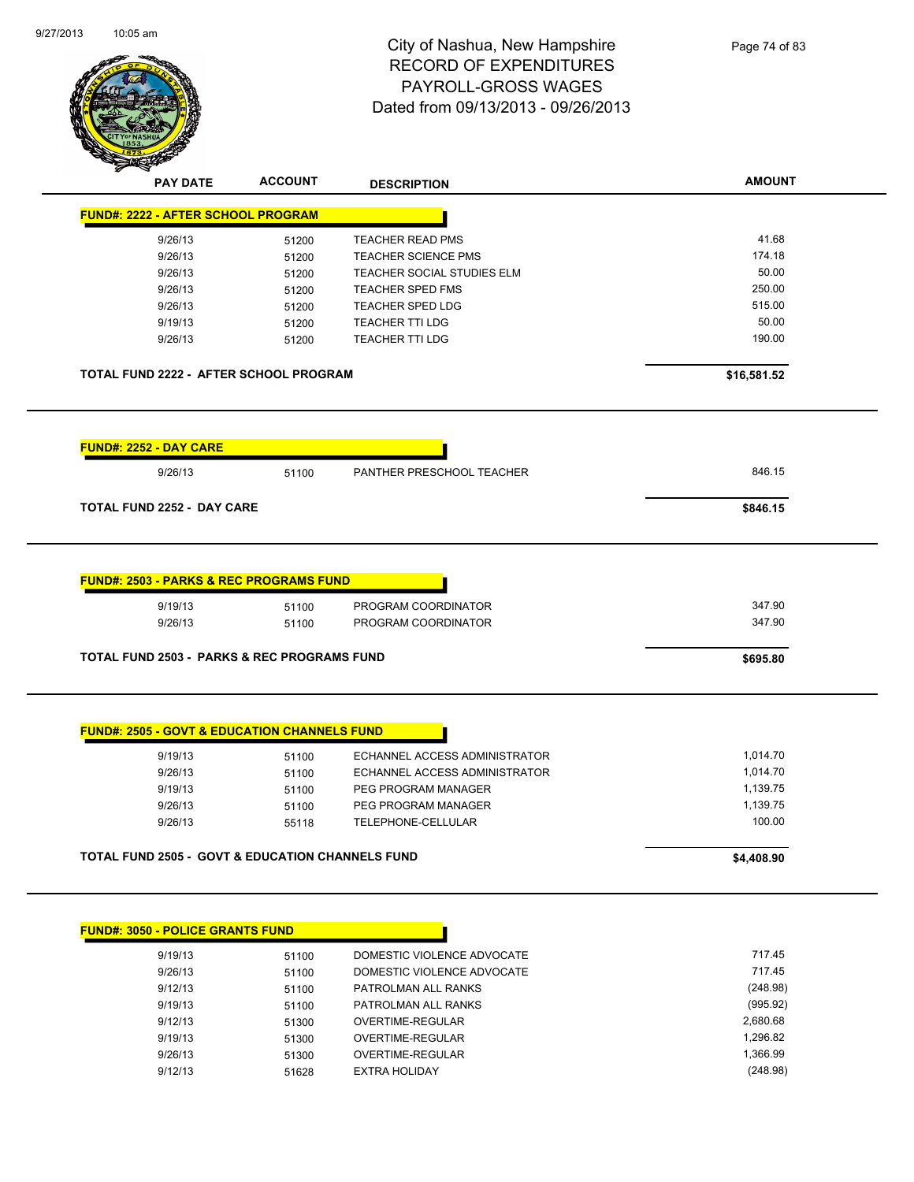| 9/27/2013 | $10:05$ am |
|-----------|------------|
|           |            |



|                                                             |       | <b>DESCRIPTION</b>            |             |
|-------------------------------------------------------------|-------|-------------------------------|-------------|
| <b>FUND#: 2222 - AFTER SCHOOL PROGRAM</b>                   |       |                               |             |
| 9/26/13                                                     | 51200 | <b>TEACHER READ PMS</b>       | 41.68       |
| 9/26/13                                                     | 51200 | <b>TEACHER SCIENCE PMS</b>    | 174.18      |
| 9/26/13                                                     | 51200 | TEACHER SOCIAL STUDIES ELM    | 50.00       |
| 9/26/13                                                     | 51200 | <b>TEACHER SPED FMS</b>       | 250.00      |
| 9/26/13                                                     | 51200 | <b>TEACHER SPED LDG</b>       | 515.00      |
| 9/19/13                                                     | 51200 | <b>TEACHER TTI LDG</b>        | 50.00       |
| 9/26/13                                                     | 51200 | <b>TEACHER TTI LDG</b>        | 190.00      |
| TOTAL FUND 2222 - AFTER SCHOOL PROGRAM                      |       |                               | \$16,581.52 |
| <b>FUND#: 2252 - DAY CARE</b>                               |       |                               |             |
| 9/26/13                                                     | 51100 | PANTHER PRESCHOOL TEACHER     | 846.15      |
|                                                             |       |                               |             |
| <b>TOTAL FUND 2252 - DAY CARE</b>                           |       |                               | \$846.15    |
|                                                             |       |                               |             |
| <b>FUND#: 2503 - PARKS &amp; REC PROGRAMS FUND</b>          |       |                               |             |
| 9/19/13                                                     | 51100 | PROGRAM COORDINATOR           | 347.90      |
| 9/26/13                                                     | 51100 | PROGRAM COORDINATOR           | 347.90      |
| <b>TOTAL FUND 2503 - PARKS &amp; REC PROGRAMS FUND</b>      |       |                               | \$695.80    |
|                                                             |       |                               |             |
| <b>FUND#: 2505 - GOVT &amp; EDUCATION CHANNELS FUND</b>     |       |                               |             |
| 9/19/13                                                     | 51100 | ECHANNEL ACCESS ADMINISTRATOR | 1,014.70    |
| 9/26/13                                                     | 51100 | ECHANNEL ACCESS ADMINISTRATOR | 1,014.70    |
| 9/19/13                                                     | 51100 | PEG PROGRAM MANAGER           | 1,139.75    |
| 9/26/13                                                     | 51100 | PEG PROGRAM MANAGER           | 1,139.75    |
| 9/26/13                                                     | 55118 | TELEPHONE-CELLULAR            | 100.00      |
| <b>TOTAL FUND 2505 - GOVT &amp; EDUCATION CHANNELS FUND</b> |       |                               | \$4,408.90  |

| <b>FUND#: 3050 - POLICE GRANTS FUND</b> |       |                            |          |
|-----------------------------------------|-------|----------------------------|----------|
| 9/19/13                                 | 51100 | DOMESTIC VIOLENCE ADVOCATE | 717.45   |
| 9/26/13                                 | 51100 | DOMESTIC VIOLENCE ADVOCATE | 717.45   |
| 9/12/13                                 | 51100 | PATROLMAN ALL RANKS        | (248.98) |
| 9/19/13                                 | 51100 | PATROLMAN ALL RANKS        | (995.92) |
| 9/12/13                                 | 51300 | OVERTIME-REGULAR           | 2,680.68 |
| 9/19/13                                 | 51300 | OVERTIME-REGULAR           | 1,296.82 |
| 9/26/13                                 | 51300 | OVERTIME-REGULAR           | 1.366.99 |
| 9/12/13                                 | 51628 | <b>EXTRA HOLIDAY</b>       | (248.98) |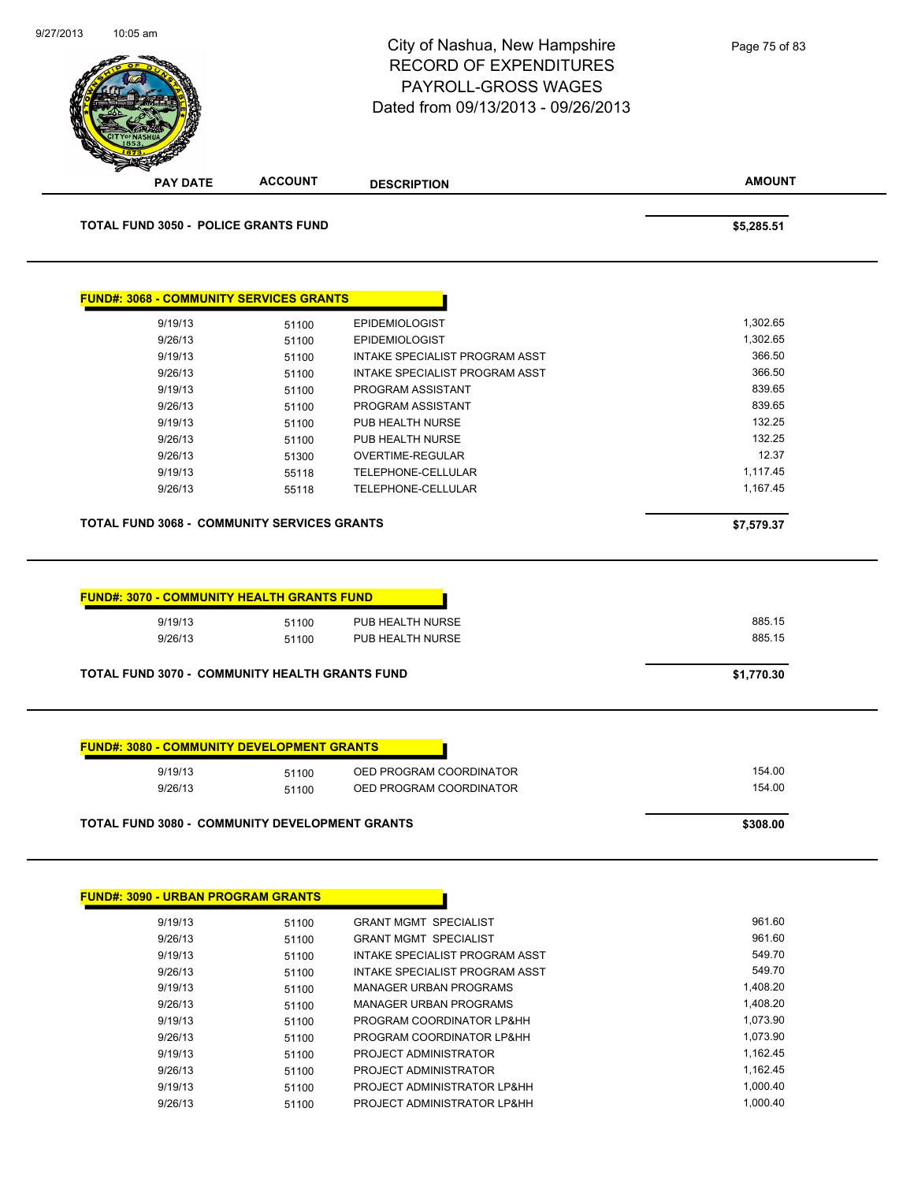| <b>ACCOUNT</b><br><b>PAY DATE</b><br><b>DESCRIPTION</b>                                                                     |                            |
|-----------------------------------------------------------------------------------------------------------------------------|----------------------------|
|                                                                                                                             | <b>AMOUNT</b>              |
| <b>TOTAL FUND 3050 - POLICE GRANTS FUND</b>                                                                                 | \$5,285.51                 |
| <b>FUND#: 3068 - COMMUNITY SERVICES GRANTS</b>                                                                              |                            |
| 9/19/13<br><b>EPIDEMIOLOGIST</b><br>51100                                                                                   | 1,302.65                   |
| 9/26/13<br><b>EPIDEMIOLOGIST</b><br>51100                                                                                   | 1,302.65                   |
| 9/19/13<br>51100<br>INTAKE SPECIALIST PROGRAM ASST                                                                          | 366.50                     |
| 9/26/13<br>INTAKE SPECIALIST PROGRAM ASST<br>51100                                                                          | 366.50                     |
| 9/19/13<br>PROGRAM ASSISTANT<br>51100                                                                                       | 839.65                     |
| 9/26/13<br>PROGRAM ASSISTANT<br>51100                                                                                       | 839.65                     |
| 9/19/13<br>PUB HEALTH NURSE<br>51100                                                                                        | 132.25                     |
| 9/26/13<br>PUB HEALTH NURSE<br>51100                                                                                        | 132.25                     |
| 9/26/13<br>OVERTIME-REGULAR<br>51300                                                                                        | 12.37                      |
| 9/19/13<br>TELEPHONE-CELLULAR<br>55118                                                                                      | 1,117.45                   |
| 9/26/13<br>TELEPHONE-CELLULAR<br>55118                                                                                      | 1,167.45                   |
| <b>TOTAL FUND 3068 - COMMUNITY SERVICES GRANTS</b>                                                                          | \$7,579.37                 |
| <b>FUND#: 3070 - COMMUNITY HEALTH GRANTS FUND</b>                                                                           |                            |
|                                                                                                                             |                            |
|                                                                                                                             |                            |
|                                                                                                                             |                            |
| <b>TOTAL FUND 3070 - COMMUNITY HEALTH GRANTS FUND</b>                                                                       | \$1,770.30                 |
| <b>FUND#: 3080 - COMMUNITY DEVELOPMENT GRANTS</b>                                                                           |                            |
|                                                                                                                             |                            |
| 9/26/13<br>OED PROGRAM COORDINATOR<br>51100                                                                                 | 154.00                     |
| <b>TOTAL FUND 3080 - COMMUNITY DEVELOPMENT GRANTS</b>                                                                       | \$308.00                   |
| 9/19/13<br>PUB HEALTH NURSE<br>51100<br>9/26/13<br>PUB HEALTH NURSE<br>51100<br>9/19/13<br>OED PROGRAM COORDINATOR<br>51100 | 885.15<br>885.15<br>154.00 |

9/19/13 51100 PROGRAM COORDINATOR LP&HH 9/26/13 51100 PROGRAM COORDINATOR LP&HH 1,073.90

9/26/13 51100 PROJECT ADMINISTRATOR 1,162.45 9/19/13 51100 PROJECT ADMINISTRATOR LP&HH 1,000.40 9/26/13 51100 PROJECT ADMINISTRATOR LP&HH 1,000.40

9/19/13 51100 PROJECT ADMINISTRATOR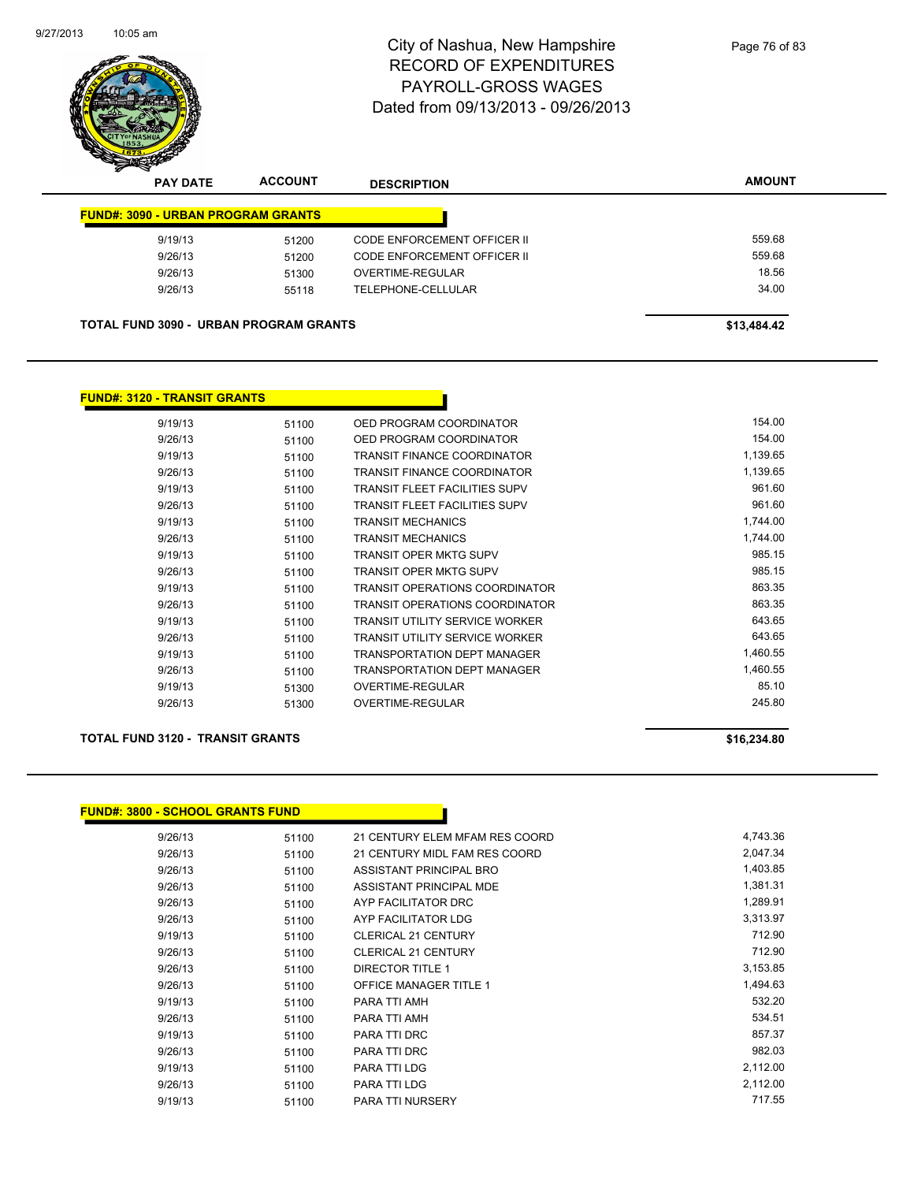

| <b>PAY DATE</b> | <b>ACCOUNT</b> | <b>DESCRIPTION</b>                        | <b>AMOUNT</b>                                 |
|-----------------|----------------|-------------------------------------------|-----------------------------------------------|
|                 |                |                                           |                                               |
| 9/19/13         | 51200          | <b>CODE ENFORCEMENT OFFICER II</b>        | 559.68                                        |
| 9/26/13         | 51200          | CODE ENFORCEMENT OFFICER II               | 559.68                                        |
| 9/26/13         | 51300          | OVERTIME-REGULAR                          | 18.56                                         |
| 9/26/13         | 55118          | TELEPHONE-CELLULAR                        | 34.00                                         |
|                 |                |                                           |                                               |
|                 |                |                                           | \$13,484.42                                   |
|                 |                | <b>FUND#: 3090 - URBAN PROGRAM GRANTS</b> | <b>TOTAL FUND 3090 - URBAN PROGRAM GRANTS</b> |

## **FUND#: 3120 - TRANSIT GRANTS**

| 9/19/13 | 51100 | OED PROGRAM COORDINATOR               | 154.00   |
|---------|-------|---------------------------------------|----------|
| 9/26/13 | 51100 | OED PROGRAM COORDINATOR               | 154.00   |
| 9/19/13 | 51100 | <b>TRANSIT FINANCE COORDINATOR</b>    | 1,139.65 |
| 9/26/13 | 51100 | <b>TRANSIT FINANCE COORDINATOR</b>    | 1,139.65 |
| 9/19/13 | 51100 | <b>TRANSIT FLEET FACILITIES SUPV</b>  | 961.60   |
| 9/26/13 | 51100 | <b>TRANSIT FLEET FACILITIES SUPV</b>  | 961.60   |
| 9/19/13 | 51100 | <b>TRANSIT MECHANICS</b>              | 1,744.00 |
| 9/26/13 | 51100 | <b>TRANSIT MECHANICS</b>              | 1.744.00 |
| 9/19/13 | 51100 | <b>TRANSIT OPER MKTG SUPV</b>         | 985.15   |
| 9/26/13 | 51100 | <b>TRANSIT OPER MKTG SUPV</b>         | 985.15   |
| 9/19/13 | 51100 | <b>TRANSIT OPERATIONS COORDINATOR</b> | 863.35   |
| 9/26/13 | 51100 | <b>TRANSIT OPERATIONS COORDINATOR</b> | 863.35   |
| 9/19/13 | 51100 | <b>TRANSIT UTILITY SERVICE WORKER</b> | 643.65   |
| 9/26/13 | 51100 | <b>TRANSIT UTILITY SERVICE WORKER</b> | 643.65   |
| 9/19/13 | 51100 | <b>TRANSPORTATION DEPT MANAGER</b>    | 1,460.55 |
| 9/26/13 | 51100 | <b>TRANSPORTATION DEPT MANAGER</b>    | 1,460.55 |
| 9/19/13 | 51300 | <b>OVERTIME-REGULAR</b>               | 85.10    |
| 9/26/13 | 51300 | <b>OVERTIME-REGULAR</b>               | 245.80   |

## **TOTAL FUND 3120 - TRANSIT GRANTS \$16,234.80**

| <u> FUND#: 3800 - SCHOOL GRANTS FUND</u> |       |                                |          |
|------------------------------------------|-------|--------------------------------|----------|
| 9/26/13                                  | 51100 | 21 CENTURY ELEM MFAM RES COORD | 4,743.36 |
| 9/26/13                                  | 51100 | 21 CENTURY MIDL FAM RES COORD  | 2,047.34 |
| 9/26/13                                  | 51100 | ASSISTANT PRINCIPAL BRO        | 1,403.85 |
| 9/26/13                                  | 51100 | ASSISTANT PRINCIPAL MDE        | 1,381.31 |
| 9/26/13                                  | 51100 | AYP FACILITATOR DRC            | 1,289.91 |
| 9/26/13                                  | 51100 | AYP FACILITATOR LDG            | 3,313.97 |
| 9/19/13                                  | 51100 | <b>CLERICAL 21 CENTURY</b>     | 712.90   |
| 9/26/13                                  | 51100 | <b>CLERICAL 21 CENTURY</b>     | 712.90   |
| 9/26/13                                  | 51100 | <b>DIRECTOR TITLE 1</b>        | 3,153.85 |
| 9/26/13                                  | 51100 | <b>OFFICE MANAGER TITLE 1</b>  | 1,494.63 |
| 9/19/13                                  | 51100 | PARA TTI AMH                   | 532.20   |
| 9/26/13                                  | 51100 | PARA TTI AMH                   | 534.51   |
| 9/19/13                                  | 51100 | PARA TTI DRC                   | 857.37   |
| 9/26/13                                  | 51100 | PARA TTI DRC                   | 982.03   |
| 9/19/13                                  | 51100 | PARA TTI LDG                   | 2,112.00 |
| 9/26/13                                  | 51100 | PARA TTI LDG                   | 2,112.00 |
| 9/19/13                                  | 51100 | <b>PARA TTI NURSERY</b>        | 717.55   |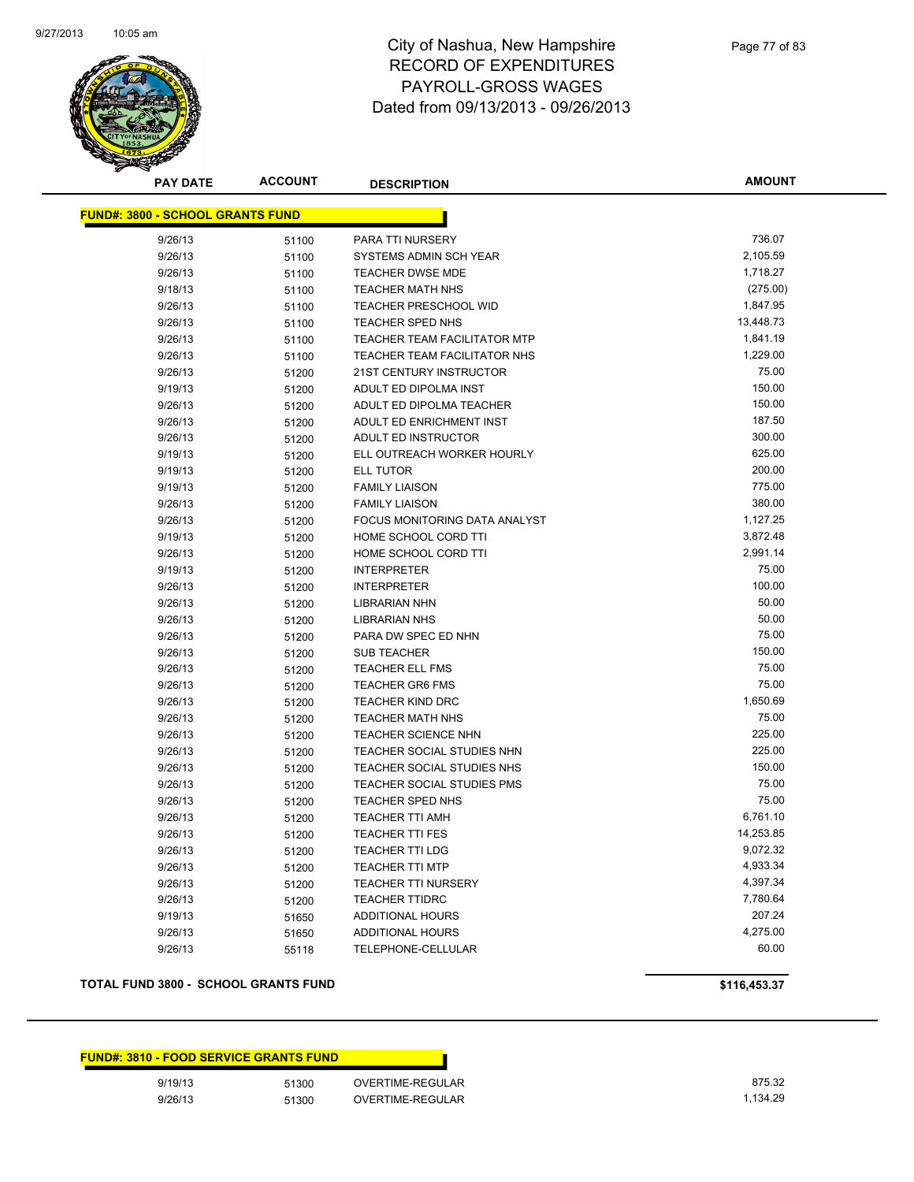

**AMOUNT**

| <u> FUND#: 3800 - SCHOOL GRANTS FUND</u> |       |                                   |           |
|------------------------------------------|-------|-----------------------------------|-----------|
| 9/26/13                                  | 51100 | PARA TTI NURSERY                  | 736.07    |
| 9/26/13                                  | 51100 | SYSTEMS ADMIN SCH YEAR            | 2,105.59  |
| 9/26/13                                  | 51100 | TEACHER DWSE MDE                  | 1,718.27  |
| 9/18/13                                  | 51100 | <b>TEACHER MATH NHS</b>           | (275.00)  |
| 9/26/13                                  | 51100 | TEACHER PRESCHOOL WID             | 1,847.95  |
| 9/26/13                                  | 51100 | <b>TEACHER SPED NHS</b>           | 13,448.73 |
| 9/26/13                                  | 51100 | TEACHER TEAM FACILITATOR MTP      | 1,841.19  |
| 9/26/13                                  | 51100 | TEACHER TEAM FACILITATOR NHS      | 1,229.00  |
| 9/26/13                                  | 51200 | 21ST CENTURY INSTRUCTOR           | 75.00     |
| 9/19/13                                  | 51200 | ADULT ED DIPOLMA INST             | 150.00    |
| 9/26/13                                  | 51200 | ADULT ED DIPOLMA TEACHER          | 150.00    |
| 9/26/13                                  | 51200 | ADULT ED ENRICHMENT INST          | 187.50    |
| 9/26/13                                  | 51200 | ADULT ED INSTRUCTOR               | 300.00    |
| 9/19/13                                  | 51200 | ELL OUTREACH WORKER HOURLY        | 625.00    |
| 9/19/13                                  | 51200 | <b>ELL TUTOR</b>                  | 200.00    |
| 9/19/13                                  | 51200 | <b>FAMILY LIAISON</b>             | 775.00    |
| 9/26/13                                  | 51200 | <b>FAMILY LIAISON</b>             | 380.00    |
| 9/26/13                                  | 51200 | FOCUS MONITORING DATA ANALYST     | 1,127.25  |
| 9/19/13                                  | 51200 | HOME SCHOOL CORD TTI              | 3,872.48  |
| 9/26/13                                  | 51200 | HOME SCHOOL CORD TTI              | 2,991.14  |
| 9/19/13                                  | 51200 | <b>INTERPRETER</b>                | 75.00     |
| 9/26/13                                  | 51200 | <b>INTERPRETER</b>                | 100.00    |
| 9/26/13                                  | 51200 | <b>LIBRARIAN NHN</b>              | 50.00     |
| 9/26/13                                  | 51200 | <b>LIBRARIAN NHS</b>              | 50.00     |
| 9/26/13                                  | 51200 | PARA DW SPEC ED NHN               | 75.00     |
| 9/26/13                                  | 51200 | <b>SUB TEACHER</b>                | 150.00    |
| 9/26/13                                  | 51200 | <b>TEACHER ELL FMS</b>            | 75.00     |
| 9/26/13                                  | 51200 | <b>TEACHER GR6 FMS</b>            | 75.00     |
| 9/26/13                                  | 51200 | <b>TEACHER KIND DRC</b>           | 1,650.69  |
| 9/26/13                                  | 51200 | <b>TEACHER MATH NHS</b>           | 75.00     |
| 9/26/13                                  | 51200 | TEACHER SCIENCE NHN               | 225.00    |
| 9/26/13                                  | 51200 | TEACHER SOCIAL STUDIES NHN        | 225.00    |
| 9/26/13                                  | 51200 | TEACHER SOCIAL STUDIES NHS        | 150.00    |
| 9/26/13                                  | 51200 | <b>TEACHER SOCIAL STUDIES PMS</b> | 75.00     |
| 9/26/13                                  | 51200 | <b>TEACHER SPED NHS</b>           | 75.00     |
| 9/26/13                                  | 51200 | <b>TEACHER TTI AMH</b>            | 6,761.10  |
| 9/26/13                                  | 51200 | <b>TEACHER TTI FES</b>            | 14,253.85 |
| 9/26/13                                  | 51200 | <b>TEACHER TTI LDG</b>            | 9,072.32  |
| 9/26/13                                  | 51200 | <b>TEACHER TTI MTP</b>            | 4,933.34  |
| 9/26/13                                  | 51200 | <b>TEACHER TTI NURSERY</b>        | 4,397.34  |
| 9/26/13                                  | 51200 | <b>TEACHER TTIDRC</b>             | 7,780.64  |
| 9/19/13                                  | 51650 | <b>ADDITIONAL HOURS</b>           | 207.24    |
| 9/26/13                                  | 51650 | <b>ADDITIONAL HOURS</b>           | 4,275.00  |
| 9/26/13                                  | 55118 | TELEPHONE-CELLULAR                | 60.00     |

## **TOTAL FUND 3800 - SCHOOL GRANTS FUND \$116,453.37**

|         | <b>FUND#: 3810 - FOOD SERVICE GRANTS FUND</b> |                  |
|---------|-----------------------------------------------|------------------|
| 9/19/13 | 51300                                         | OVERTIME-REGULAR |
| 9/26/13 | 51300                                         | OVERTIME-REGULAR |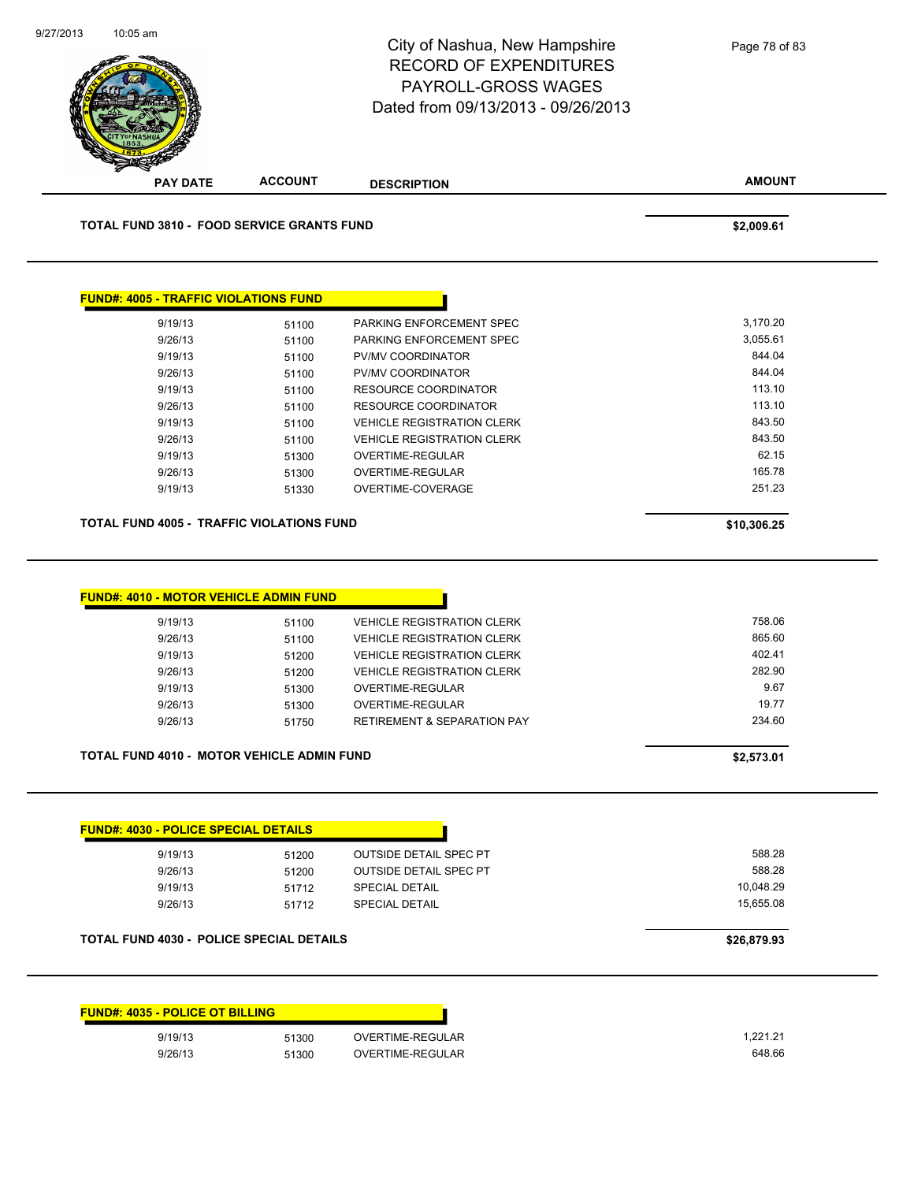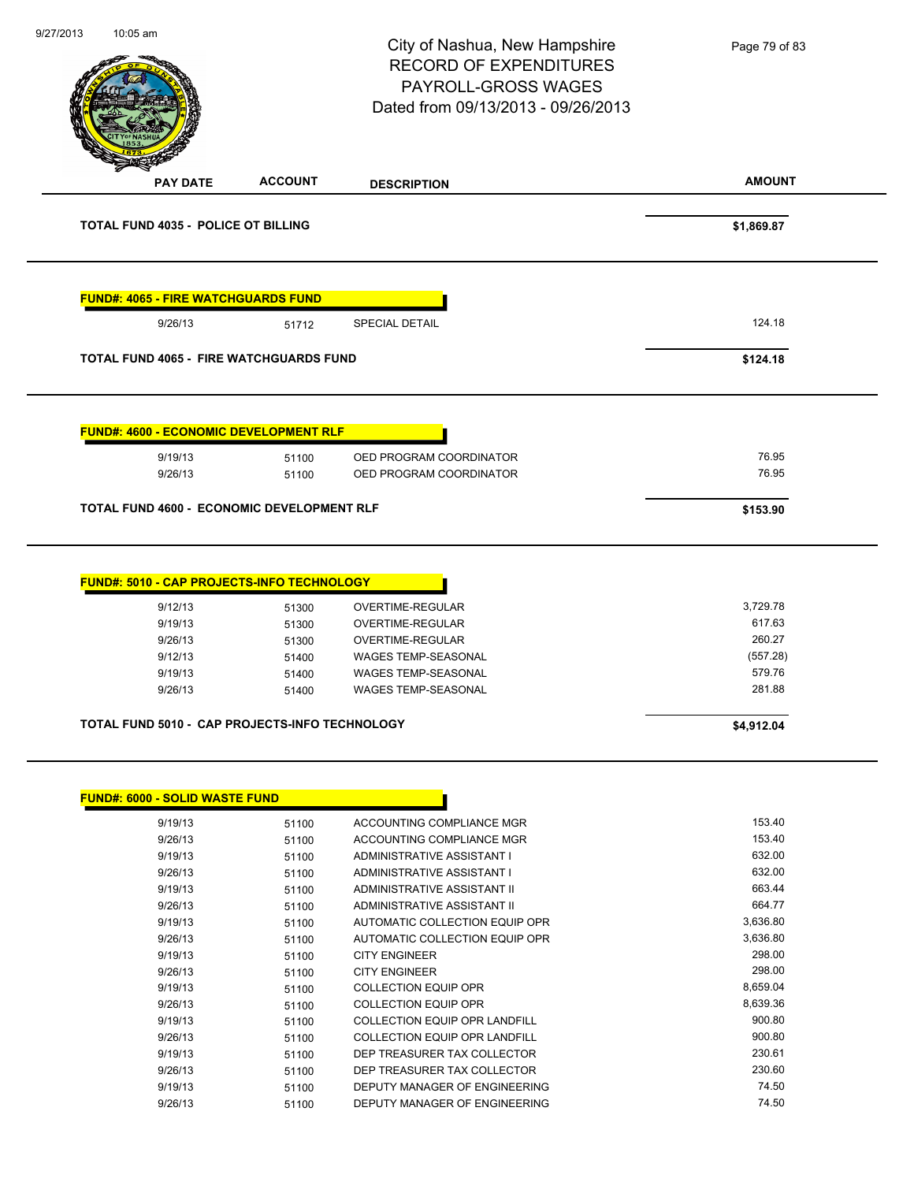| 9/27/2013 | 10:05 am                                                       |                                                    | City of Nashua, New Hampshire<br><b>RECORD OF EXPENDITURES</b><br>PAYROLL-GROSS WAGES<br>Dated from 09/13/2013 - 09/26/2013                 | Page 79 of 83                                                |
|-----------|----------------------------------------------------------------|----------------------------------------------------|---------------------------------------------------------------------------------------------------------------------------------------------|--------------------------------------------------------------|
|           | <b>PAY DATE</b>                                                | <b>ACCOUNT</b>                                     | <b>DESCRIPTION</b>                                                                                                                          | <b>AMOUNT</b>                                                |
|           | <b>TOTAL FUND 4035 - POLICE OT BILLING</b>                     |                                                    |                                                                                                                                             | \$1,869.87                                                   |
|           | <b>FUND#: 4065 - FIRE WATCHGUARDS FUND</b>                     |                                                    |                                                                                                                                             |                                                              |
|           | 9/26/13                                                        | 51712                                              | <b>SPECIAL DETAIL</b>                                                                                                                       | 124.18                                                       |
|           | <b>TOTAL FUND 4065 - FIRE WATCHGUARDS FUND</b>                 |                                                    |                                                                                                                                             | \$124.18                                                     |
|           | <b>FUND#: 4600 - ECONOMIC DEVELOPMENT RLF</b>                  |                                                    |                                                                                                                                             |                                                              |
|           | 9/19/13<br>9/26/13                                             | 51100<br>51100                                     | OED PROGRAM COORDINATOR<br>OED PROGRAM COORDINATOR                                                                                          | 76.95<br>76.95                                               |
|           | <b>TOTAL FUND 4600 - ECONOMIC DEVELOPMENT RLF</b>              |                                                    |                                                                                                                                             | \$153.90                                                     |
|           | 9/12/13<br>9/19/13<br>9/26/13<br>9/12/13<br>9/19/13<br>9/26/13 | 51300<br>51300<br>51300<br>51400<br>51400<br>51400 | OVERTIME-REGULAR<br>OVERTIME-REGULAR<br>OVERTIME-REGULAR<br>WAGES TEMP-SEASONAL<br><b>WAGES TEMP-SEASONAL</b><br><b>WAGES TEMP-SEASONAL</b> | 3,729.78<br>617.63<br>260.27<br>(557.28)<br>579.76<br>281.88 |
|           |                                                                |                                                    |                                                                                                                                             |                                                              |
|           | <b>TOTAL FUND 5010 - CAP PROJECTS-INFO TECHNOLOGY</b>          |                                                    |                                                                                                                                             | \$4,912.04                                                   |
|           | <b>FUND#: 6000 - SOLID WASTE FUND</b>                          |                                                    |                                                                                                                                             |                                                              |
|           | 9/19/13                                                        | 51100                                              | ACCOUNTING COMPLIANCE MGR                                                                                                                   | 153.40                                                       |
|           | 9/26/13                                                        | 51100                                              | ACCOUNTING COMPLIANCE MGR                                                                                                                   | 153.40                                                       |
|           | 9/19/13                                                        | 51100                                              | ADMINISTRATIVE ASSISTANT I                                                                                                                  | 632.00                                                       |
|           | 9/26/13                                                        | 51100                                              | ADMINISTRATIVE ASSISTANT I                                                                                                                  | 632.00                                                       |
|           | 9/19/13                                                        | 51100                                              | ADMINISTRATIVE ASSISTANT II                                                                                                                 | 663.44<br>664.77                                             |
|           | 9/26/13<br>9/19/13                                             | 51100<br>51100                                     | ADMINISTRATIVE ASSISTANT II<br>AUTOMATIC COLLECTION EQUIP OPR                                                                               | 3,636.80                                                     |
|           | 9/26/13                                                        | 51100                                              | AUTOMATIC COLLECTION EQUIP OPR                                                                                                              | 3,636.80                                                     |
|           | 9/19/13                                                        | 51100                                              | <b>CITY ENGINEER</b>                                                                                                                        | 298.00                                                       |
|           | 9/26/13                                                        | 51100                                              | <b>CITY ENGINEER</b>                                                                                                                        | 298.00                                                       |
|           | 9/19/13                                                        | 51100                                              | <b>COLLECTION EQUIP OPR</b>                                                                                                                 | 8,659.04                                                     |
|           | 9/26/13                                                        | 51100                                              | <b>COLLECTION EQUIP OPR</b>                                                                                                                 | 8,639.36                                                     |
|           | 9/19/13                                                        | 51100                                              | COLLECTION EQUIP OPR LANDFILL                                                                                                               | 900.80                                                       |
|           | 9/26/13                                                        | 51100                                              | <b>COLLECTION EQUIP OPR LANDFILL</b>                                                                                                        | 900.80                                                       |
|           | 9/19/13                                                        | 51100                                              | DEP TREASURER TAX COLLECTOR                                                                                                                 | 230.61                                                       |
|           | 9/26/13                                                        | 51100                                              | DEP TREASURER TAX COLLECTOR                                                                                                                 | 230.60                                                       |
|           | 9/19/13                                                        | 51100                                              | DEPUTY MANAGER OF ENGINEERING                                                                                                               | 74.50                                                        |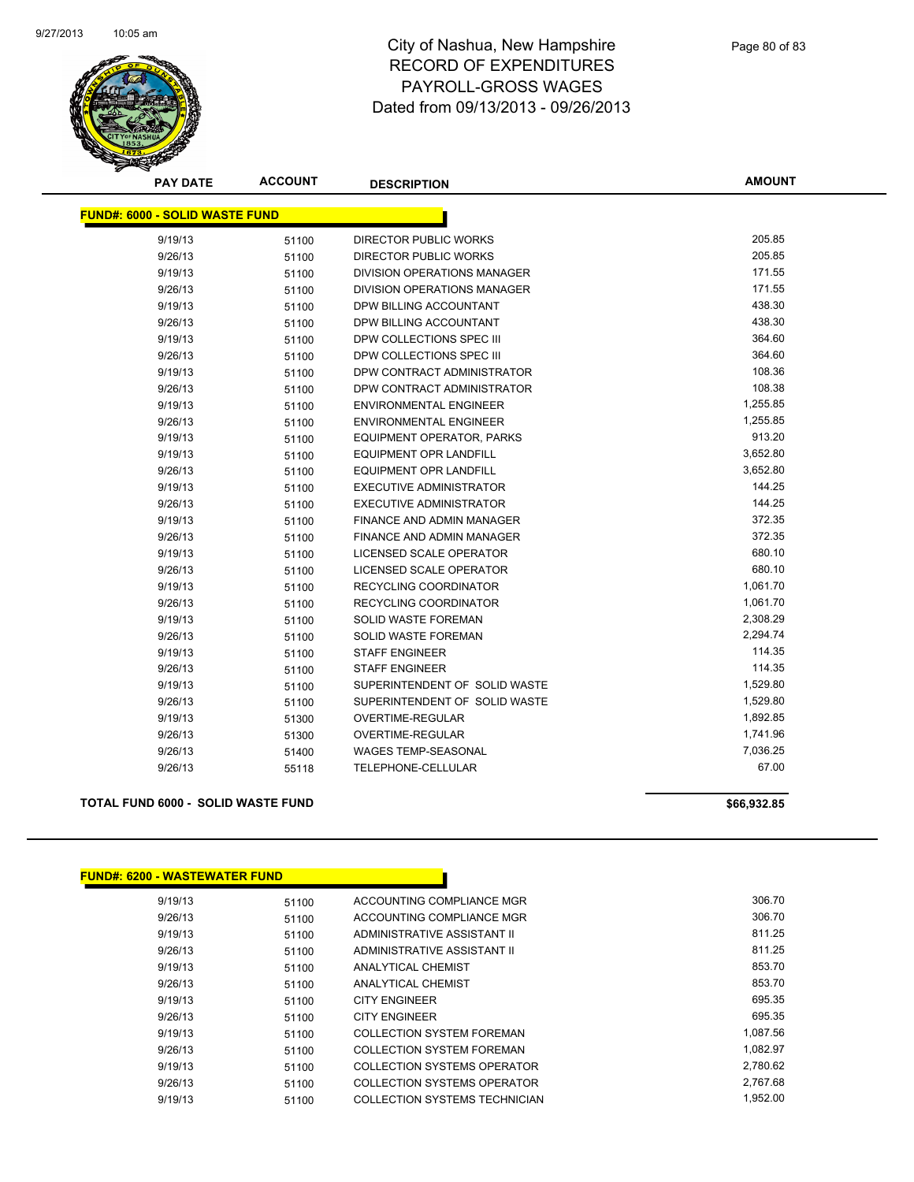

**AMOUNT**

| <b>FUND#: 6000 - SOLID WASTE FUND</b> |       |                                    |          |
|---------------------------------------|-------|------------------------------------|----------|
| 9/19/13                               | 51100 | <b>DIRECTOR PUBLIC WORKS</b>       | 205.85   |
| 9/26/13                               | 51100 | DIRECTOR PUBLIC WORKS              | 205.85   |
| 9/19/13                               | 51100 | <b>DIVISION OPERATIONS MANAGER</b> | 171.55   |
| 9/26/13                               | 51100 | <b>DIVISION OPERATIONS MANAGER</b> | 171.55   |
| 9/19/13                               | 51100 | DPW BILLING ACCOUNTANT             | 438.30   |
| 9/26/13                               | 51100 | DPW BILLING ACCOUNTANT             | 438.30   |
| 9/19/13                               | 51100 | DPW COLLECTIONS SPEC III           | 364.60   |
| 9/26/13                               | 51100 | DPW COLLECTIONS SPEC III           | 364.60   |
| 9/19/13                               | 51100 | DPW CONTRACT ADMINISTRATOR         | 108.36   |
| 9/26/13                               | 51100 | DPW CONTRACT ADMINISTRATOR         | 108.38   |
| 9/19/13                               | 51100 | <b>ENVIRONMENTAL ENGINEER</b>      | 1,255.85 |
| 9/26/13                               | 51100 | <b>ENVIRONMENTAL ENGINEER</b>      | 1,255.85 |
| 9/19/13                               | 51100 | EQUIPMENT OPERATOR, PARKS          | 913.20   |
| 9/19/13                               | 51100 | <b>EQUIPMENT OPR LANDFILL</b>      | 3,652.80 |
| 9/26/13                               | 51100 | EQUIPMENT OPR LANDFILL             | 3,652.80 |
| 9/19/13                               | 51100 | <b>EXECUTIVE ADMINISTRATOR</b>     | 144.25   |
| 9/26/13                               | 51100 | EXECUTIVE ADMINISTRATOR            | 144.25   |
| 9/19/13                               | 51100 | <b>FINANCE AND ADMIN MANAGER</b>   | 372.35   |
| 9/26/13                               | 51100 | FINANCE AND ADMIN MANAGER          | 372.35   |
| 9/19/13                               | 51100 | LICENSED SCALE OPERATOR            | 680.10   |
| 9/26/13                               | 51100 | LICENSED SCALE OPERATOR            | 680.10   |
| 9/19/13                               | 51100 | RECYCLING COORDINATOR              | 1,061.70 |
| 9/26/13                               | 51100 | <b>RECYCLING COORDINATOR</b>       | 1,061.70 |
| 9/19/13                               | 51100 | <b>SOLID WASTE FOREMAN</b>         | 2,308.29 |
| 9/26/13                               | 51100 | <b>SOLID WASTE FOREMAN</b>         | 2,294.74 |
| 9/19/13                               | 51100 | <b>STAFF ENGINEER</b>              | 114.35   |
| 9/26/13                               | 51100 | <b>STAFF ENGINEER</b>              | 114.35   |
| 9/19/13                               | 51100 | SUPERINTENDENT OF SOLID WASTE      | 1,529.80 |
| 9/26/13                               | 51100 | SUPERINTENDENT OF SOLID WASTE      | 1,529.80 |
| 9/19/13                               | 51300 | <b>OVERTIME-REGULAR</b>            | 1,892.85 |
| 9/26/13                               | 51300 | OVERTIME-REGULAR                   | 1,741.96 |
| 9/26/13                               | 51400 | <b>WAGES TEMP-SEASONAL</b>         | 7,036.25 |
| 9/26/13                               | 55118 | <b>TELEPHONE-CELLULAR</b>          | 67.00    |

#### **TOTAL FUND 6000 - SOLID WASTE FUND \$66,932.85**

**FUND#: 6200 - WASTEWATER FUND**

|         | <b>FUND#. 6200 - WASTEWATER FUND</b> |                                      |          |
|---------|--------------------------------------|--------------------------------------|----------|
| 9/19/13 | 51100                                | ACCOUNTING COMPLIANCE MGR            | 306.70   |
| 9/26/13 | 51100                                | ACCOUNTING COMPLIANCE MGR            | 306.70   |
| 9/19/13 | 51100                                | ADMINISTRATIVE ASSISTANT II          | 811.25   |
| 9/26/13 | 51100                                | ADMINISTRATIVE ASSISTANT II          | 811.25   |
| 9/19/13 | 51100                                | <b>ANALYTICAL CHEMIST</b>            | 853.70   |
| 9/26/13 | 51100                                | <b>ANALYTICAL CHEMIST</b>            | 853.70   |
| 9/19/13 | 51100                                | <b>CITY ENGINEER</b>                 | 695.35   |
| 9/26/13 | 51100                                | <b>CITY ENGINEER</b>                 | 695.35   |
| 9/19/13 | 51100                                | <b>COLLECTION SYSTEM FOREMAN</b>     | 1,087.56 |
| 9/26/13 | 51100                                | <b>COLLECTION SYSTEM FOREMAN</b>     | 1,082.97 |
| 9/19/13 | 51100                                | COLLECTION SYSTEMS OPERATOR          | 2.780.62 |
| 9/26/13 | 51100                                | COLLECTION SYSTEMS OPERATOR          | 2.767.68 |
| 9/19/13 | 51100                                | <b>COLLECTION SYSTEMS TECHNICIAN</b> | 1,952.00 |
|         |                                      |                                      |          |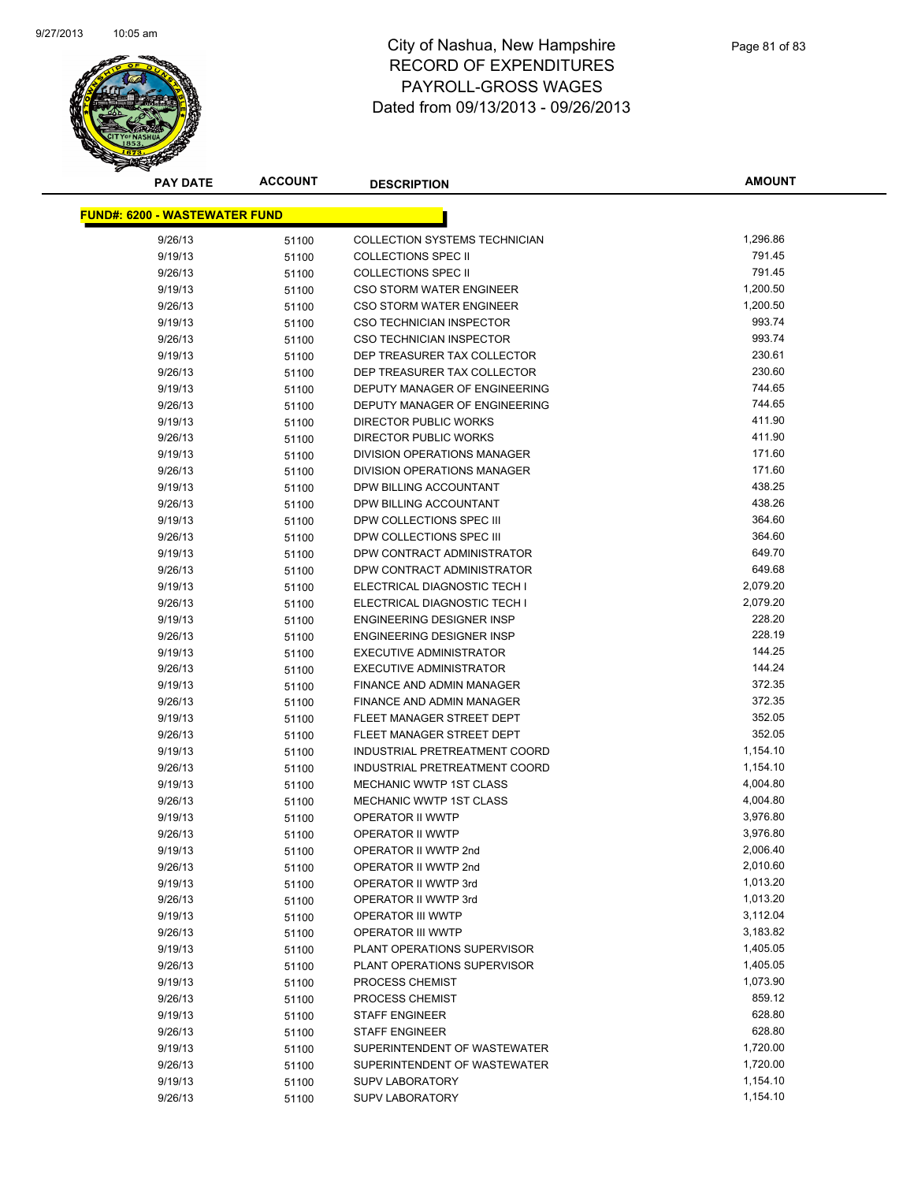

| <b>PAY DATE</b>                      | <b>ACCOUNT</b> | <b>DESCRIPTION</b>                                          | <b>AMOUNT</b> |
|--------------------------------------|----------------|-------------------------------------------------------------|---------------|
| <b>FUND#: 6200 - WASTEWATER FUND</b> |                |                                                             |               |
| 9/26/13                              |                | <b>COLLECTION SYSTEMS TECHNICIAN</b>                        | 1,296.86      |
| 9/19/13                              | 51100          |                                                             | 791.45        |
| 9/26/13                              | 51100          | <b>COLLECTIONS SPEC II</b><br><b>COLLECTIONS SPEC II</b>    | 791.45        |
|                                      | 51100          |                                                             | 1,200.50      |
| 9/19/13<br>9/26/13                   | 51100          | <b>CSO STORM WATER ENGINEER</b><br>CSO STORM WATER ENGINEER | 1,200.50      |
| 9/19/13                              | 51100          | <b>CSO TECHNICIAN INSPECTOR</b>                             | 993.74        |
| 9/26/13                              | 51100          | <b>CSO TECHNICIAN INSPECTOR</b>                             | 993.74        |
|                                      | 51100          | DEP TREASURER TAX COLLECTOR                                 | 230.61        |
| 9/19/13<br>9/26/13                   | 51100          | DEP TREASURER TAX COLLECTOR                                 | 230.60        |
| 9/19/13                              | 51100          | DEPUTY MANAGER OF ENGINEERING                               | 744.65        |
| 9/26/13                              | 51100          | DEPUTY MANAGER OF ENGINEERING                               | 744.65        |
| 9/19/13                              | 51100<br>51100 | DIRECTOR PUBLIC WORKS                                       | 411.90        |
| 9/26/13                              | 51100          | DIRECTOR PUBLIC WORKS                                       | 411.90        |
| 9/19/13                              |                | DIVISION OPERATIONS MANAGER                                 | 171.60        |
| 9/26/13                              | 51100<br>51100 | DIVISION OPERATIONS MANAGER                                 | 171.60        |
| 9/19/13                              |                | DPW BILLING ACCOUNTANT                                      | 438.25        |
| 9/26/13                              | 51100          | DPW BILLING ACCOUNTANT                                      | 438.26        |
| 9/19/13                              | 51100          | DPW COLLECTIONS SPEC III                                    | 364.60        |
| 9/26/13                              | 51100          | DPW COLLECTIONS SPEC III                                    | 364.60        |
| 9/19/13                              | 51100          | DPW CONTRACT ADMINISTRATOR                                  | 649.70        |
| 9/26/13                              | 51100          | DPW CONTRACT ADMINISTRATOR                                  | 649.68        |
| 9/19/13                              | 51100          | ELECTRICAL DIAGNOSTIC TECH I                                | 2,079.20      |
| 9/26/13                              | 51100<br>51100 | ELECTRICAL DIAGNOSTIC TECH I                                | 2,079.20      |
| 9/19/13                              |                | ENGINEERING DESIGNER INSP                                   | 228.20        |
| 9/26/13                              | 51100          | <b>ENGINEERING DESIGNER INSP</b>                            | 228.19        |
| 9/19/13                              | 51100          | <b>EXECUTIVE ADMINISTRATOR</b>                              | 144.25        |
| 9/26/13                              | 51100          | <b>EXECUTIVE ADMINISTRATOR</b>                              | 144.24        |
| 9/19/13                              | 51100          | FINANCE AND ADMIN MANAGER                                   | 372.35        |
| 9/26/13                              | 51100          | FINANCE AND ADMIN MANAGER                                   | 372.35        |
| 9/19/13                              | 51100          | FLEET MANAGER STREET DEPT                                   | 352.05        |
| 9/26/13                              | 51100<br>51100 | FLEET MANAGER STREET DEPT                                   | 352.05        |
| 9/19/13                              | 51100          | INDUSTRIAL PRETREATMENT COORD                               | 1,154.10      |
| 9/26/13                              | 51100          | INDUSTRIAL PRETREATMENT COORD                               | 1,154.10      |
| 9/19/13                              | 51100          | MECHANIC WWTP 1ST CLASS                                     | 4,004.80      |
| 9/26/13                              | 51100          | <b>MECHANIC WWTP 1ST CLASS</b>                              | 4,004.80      |
| 9/19/13                              | 51100          | OPERATOR II WWTP                                            | 3,976.80      |
| 9/26/13                              | 51100          | OPERATOR II WWTP                                            | 3,976.80      |
| 9/19/13                              | 51100          | OPERATOR II WWTP 2nd                                        | 2,006.40      |
| 9/26/13                              | 51100          | OPERATOR II WWTP 2nd                                        | 2,010.60      |
| 9/19/13                              | 51100          | OPERATOR II WWTP 3rd                                        | 1,013.20      |
| 9/26/13                              | 51100          | OPERATOR II WWTP 3rd                                        | 1,013.20      |
| 9/19/13                              | 51100          | <b>OPERATOR III WWTP</b>                                    | 3,112.04      |
| 9/26/13                              | 51100          | <b>OPERATOR III WWTP</b>                                    | 3,183.82      |
| 9/19/13                              | 51100          | PLANT OPERATIONS SUPERVISOR                                 | 1,405.05      |
| 9/26/13                              | 51100          | PLANT OPERATIONS SUPERVISOR                                 | 1,405.05      |
| 9/19/13                              | 51100          | PROCESS CHEMIST                                             | 1,073.90      |
| 9/26/13                              | 51100          | PROCESS CHEMIST                                             | 859.12        |
| 9/19/13                              | 51100          | <b>STAFF ENGINEER</b>                                       | 628.80        |
| 9/26/13                              | 51100          | <b>STAFF ENGINEER</b>                                       | 628.80        |
| 9/19/13                              | 51100          | SUPERINTENDENT OF WASTEWATER                                | 1,720.00      |
| 9/26/13                              | 51100          | SUPERINTENDENT OF WASTEWATER                                | 1,720.00      |
| 9/19/13                              | 51100          | <b>SUPV LABORATORY</b>                                      | 1,154.10      |
| 9/26/13                              | 51100          | <b>SUPV LABORATORY</b>                                      | 1,154.10      |
|                                      |                |                                                             |               |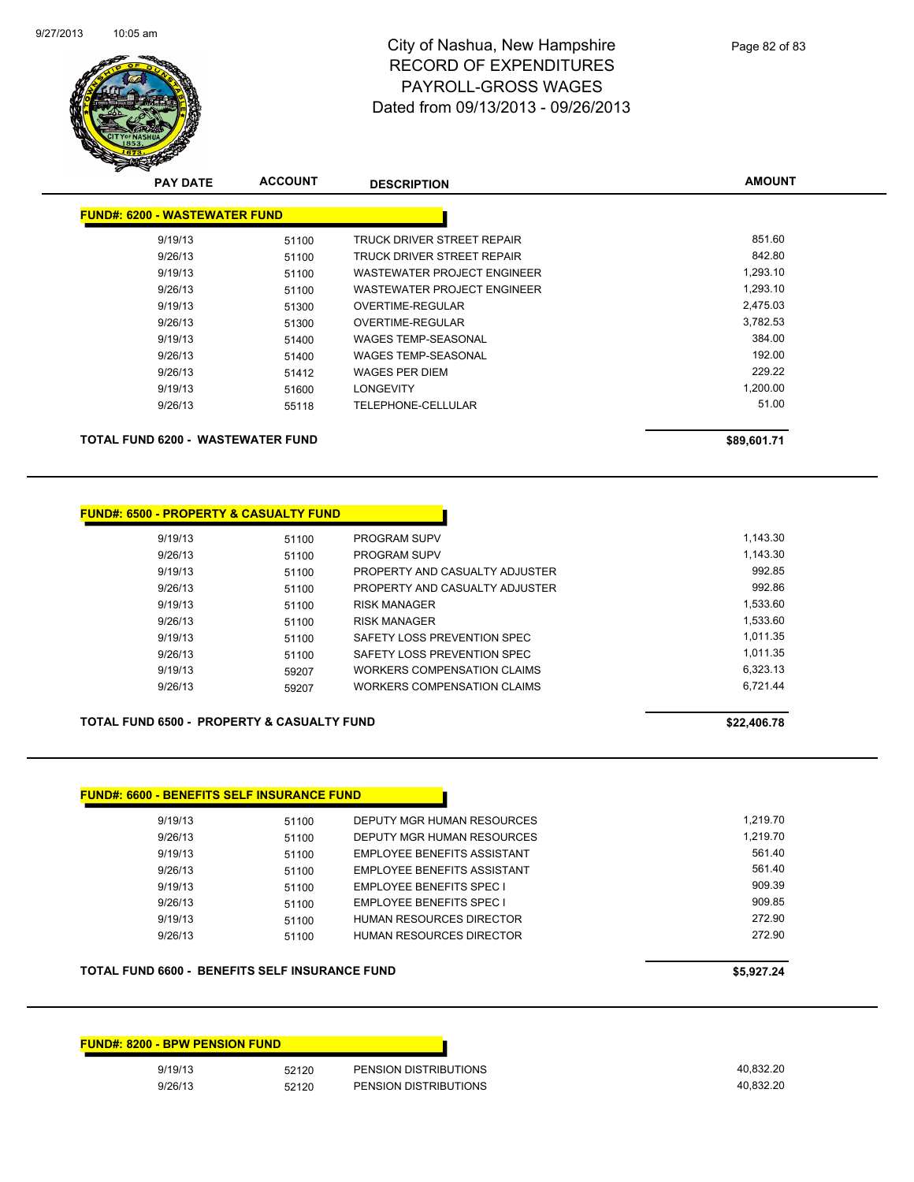

| <b>PAY DATE</b>                      | <b>ACCOUNT</b> | <b>DESCRIPTION</b>          | <b>AMOUNT</b> |
|--------------------------------------|----------------|-----------------------------|---------------|
| <b>FUND#: 6200 - WASTEWATER FUND</b> |                |                             |               |
| 9/19/13                              | 51100          | TRUCK DRIVER STREET REPAIR  | 851.60        |
| 9/26/13                              | 51100          | TRUCK DRIVER STREET REPAIR  | 842.80        |
| 9/19/13                              | 51100          | WASTEWATER PROJECT ENGINEER | 1,293.10      |
| 9/26/13                              | 51100          | WASTEWATER PROJECT ENGINEER | 1,293.10      |
| 9/19/13                              | 51300          | OVERTIME-REGULAR            | 2,475.03      |
| 9/26/13                              | 51300          | OVERTIME-REGULAR            | 3,782.53      |
| 9/19/13                              | 51400          | <b>WAGES TEMP-SEASONAL</b>  | 384.00        |
| 9/26/13                              | 51400          | <b>WAGES TEMP-SEASONAL</b>  | 192.00        |
| 9/26/13                              | 51412          | <b>WAGES PER DIEM</b>       | 229.22        |
| 9/19/13                              | 51600          | <b>LONGEVITY</b>            | 1,200.00      |
| 9/26/13                              | 55118          | <b>TELEPHONE-CELLULAR</b>   | 51.00         |
|                                      |                |                             |               |
| TOTAL FUND 6200 - WASTEWATER FUND    |                |                             | \$89,601.71   |

### **FUND#: 6500 - PROPERTY & CASUALTY FUND**

| 9/19/13 | 51100 | <b>PROGRAM SUPV</b>                | 1.143.30 |
|---------|-------|------------------------------------|----------|
| 9/26/13 | 51100 | <b>PROGRAM SUPV</b>                | 1,143.30 |
| 9/19/13 | 51100 | PROPERTY AND CASUALTY ADJUSTER     | 992.85   |
| 9/26/13 | 51100 | PROPERTY AND CASUALTY ADJUSTER     | 992.86   |
| 9/19/13 | 51100 | <b>RISK MANAGER</b>                | 1,533.60 |
| 9/26/13 | 51100 | <b>RISK MANAGER</b>                | 1,533.60 |
| 9/19/13 | 51100 | SAFETY LOSS PREVENTION SPEC        | 1.011.35 |
| 9/26/13 | 51100 | SAFETY LOSS PREVENTION SPEC        | 1.011.35 |
| 9/19/13 | 59207 | WORKERS COMPENSATION CLAIMS        | 6.323.13 |
| 9/26/13 | 59207 | <b>WORKERS COMPENSATION CLAIMS</b> | 6.721.44 |

### TOTAL FUND 6500 - PROPERTY & CASUALTY FUND **\$22,406.78** \$22,406.78

| 9/19/13 | 51100 | PROPERTY AND CASUALTY ADJUSTER | ນາ∠.໐ວ   |
|---------|-------|--------------------------------|----------|
| 9/26/13 | 51100 | PROPERTY AND CASUALTY ADJUSTER | 992.86   |
| 9/19/13 | 51100 | <b>RISK MANAGER</b>            | 1.533.60 |
| 9/26/13 | 51100 | <b>RISK MANAGER</b>            | 1.533.60 |
| 9/19/13 | 51100 | SAFETY LOSS PREVENTION SPEC    | 1.011.35 |
| 9/26/13 | 51100 | SAFETY LOSS PREVENTION SPEC    | 1.011.35 |
| 9/19/13 | 59207 | WORKERS COMPENSATION CLAIMS    | 6.323.13 |
| 9/26/13 | 59207 | WORKERS COMPENSATION CLAIMS    | 6.721.44 |
|         |       |                                |          |

| <b>FUND#: 6600 - BENEFITS SELF INSURANCE FUND</b> |                                    |          |  |  |  |
|---------------------------------------------------|------------------------------------|----------|--|--|--|
| 51100                                             | DEPUTY MGR HUMAN RESOURCES         | 1.219.70 |  |  |  |
| 51100                                             | DEPUTY MGR HUMAN RESOURCES         | 1.219.70 |  |  |  |
| 51100                                             | EMPLOYEE BENEFITS ASSISTANT        | 561.40   |  |  |  |
| 51100                                             | <b>EMPLOYEE BENEEITS ASSISTANT</b> | 561.40   |  |  |  |
| 51100                                             | <b>EMPLOYEE BENEFITS SPEC I</b>    | 909.39   |  |  |  |
| 51100                                             | <b>EMPLOYEE BENEFITS SPEC I</b>    | 909.85   |  |  |  |
| 51100                                             | HUMAN RESOURCES DIRECTOR           | 272.90   |  |  |  |
| 51100                                             | HUMAN RESOURCES DIRECTOR           | 272.90   |  |  |  |
|                                                   |                                    |          |  |  |  |

## **TOTAL FUND 6600 - BENEFITS SELF INSURANCE FUND \$5,927.24**

# **FUND#: 8200 - BPW PENSION FUND**

9/19/13 52120 PENSION DISTRIBUTIONS 40,832.20 9/26/13 52120 PENSION DISTRIBUTIONS 40,832.20